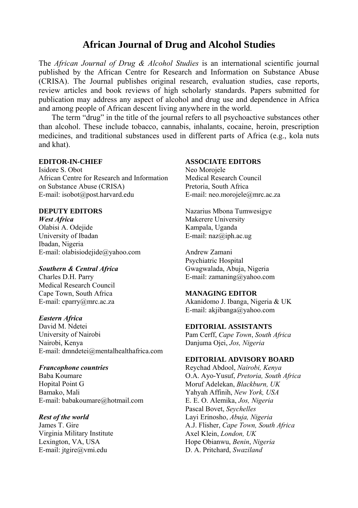# **African Journal of Drug and Alcohol Studies**

The *African Journal of Drug & Alcohol Studies* is an international scientific journal published by the African Centre for Research and Information on Substance Abuse (CRISA). The Journal publishes original research, evaluation studies, case reports, review articles and book reviews of high scholarly standards. Papers submitted for publication may address any aspect of alcohol and drug use and dependence in Africa and among people of African descent living anywhere in the world.

The term "drug" in the title of the journal refers to all psychoactive substances other than alcohol. These include tobacco, cannabis, inhalants, cocaine, heroin, prescription medicines, and traditional substances used in different parts of Africa (e.g., kola nuts and khat).

#### **EDITOR-IN-CHIEF**

Isidore S. Obot African Centre for Research and Information on Substance Abuse (CRISA) E-mail: isobot@post.harvard.edu

#### **DEPUTY EDITORS**

*West Africa*  Olabisi A. Odejide University of Ibadan Ibadan, Nigeria E-mail: olabisiodejide@yahoo.com

#### *Southern & Central Africa*

Charles D.H. Parry Medical Research Council Cape Town, South Africa E-mail: cparry@mrc.ac.za

#### *Eastern Africa*

David M. Ndetei University of Nairobi Nairobi, Kenya E-mail: dmndetei@mentalhealthafrica.com

#### *Francophone countries*

Baba Koumare Hopital Point G Bamako, Mali E-mail: babakoumare@hotmail.com

#### *Rest of the world*

James T. Gire Virginia Military Institute Lexington, VA, USA E-mail: jtgire@vmi.edu

#### **ASSOCIATE EDITORS**

Neo Morojele Medical Research Council Pretoria, South Africa E-mail: neo.morojele@mrc.ac.za

Nazarius Mbona Tumwesigye Makerere University Kampala, Uganda E-mail: naz@iph.ac.ug

Andrew Zamani Psychiatric Hospital Gwagwalada, Abuja, Nigeria E-mail: zamaning@yahoo.com

#### **MANAGING EDITOR**

Akanidomo J. Ibanga, Nigeria & UK E-mail: akjibanga@yahoo.com

#### **EDITORIAL ASSISTANTS**

Pam Cerff, *Cape Town*, *South Africa* Danjuma Ojei, *Jos, Nigeria* 

## **EDITORIAL ADVISORY BOARD**

Reychad Abdool, *Nairobi, Kenya*  O.A. Ayo-Yusuf, *Pretoria, South Africa* Moruf Adelekan, *Blackburn, UK*  Yahyah Affinih, *New York, USA* E. E. O. Alemika, *Jos, Nigeria* Pascal Bovet, *Seychelles* Layi Erinosho, *Abuja, Nigeria* A.J. Flisher, *Cape Town, South Africa*  Axel Klein, *London, UK* Hope Obianwu, *Benin*, *Nigeria* D. A. Pritchard, *Swaziland*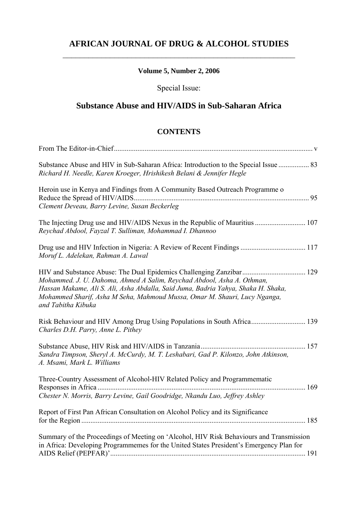# **AFRICAN JOURNAL OF DRUG & ALCOHOL STUDIES**   $\mathcal{L}_\text{max}$  and  $\mathcal{L}_\text{max}$  and  $\mathcal{L}_\text{max}$  and  $\mathcal{L}_\text{max}$  and  $\mathcal{L}_\text{max}$

# **Volume 5, Number 2, 2006**

# Special Issue:

# **Substance Abuse and HIV/AIDS in Sub-Saharan Africa**

#### **CONTENTS**

| Substance Abuse and HIV in Sub-Saharan Africa: Introduction to the Special Issue  83<br>Richard H. Needle, Karen Kroeger, Hrishikesh Belani & Jennifer Hegle                                                                                                   |
|----------------------------------------------------------------------------------------------------------------------------------------------------------------------------------------------------------------------------------------------------------------|
| Heroin use in Kenya and Findings from A Community Based Outreach Programme o<br>Clement Deveau, Barry Levine, Susan Beckerleg                                                                                                                                  |
| Reychad Abdool, Fayzal T. Sulliman, Mohammad I. Dhannoo                                                                                                                                                                                                        |
| Moruf L. Adelekan, Rahman A. Lawal                                                                                                                                                                                                                             |
| Mohammed. J. U. Dahoma, Ahmed A Salim, Reychad Abdool, Asha A. Othman,<br>Hassan Makame, Ali S. Ali, Asha Abdalla, Said Juma, Badria Yahya, Shaka H. Shaka,<br>Mohammed Sharif, Asha M Seha, Mahmoud Mussa, Omar M. Shauri, Lucy Nganga,<br>and Tabitha Kibuka |
| Risk Behaviour and HIV Among Drug Using Populations in South Africa 139<br>Charles D.H. Parry, Anne L. Pithey                                                                                                                                                  |
| Sandra Timpson, Sheryl A. McCurdy, M. T. Leshabari, Gad P. Kilonzo, John Atkinson,<br>A. Msami, Mark L. Williams                                                                                                                                               |
| Three-Country Assessment of Alcohol-HIV Related Policy and Programmematic<br>Chester N. Morris, Barry Levine, Gail Goodridge, Nkandu Luo, Jeffrey Ashley                                                                                                       |
| Report of First Pan African Consultation on Alcohol Policy and its Significance                                                                                                                                                                                |
| Summary of the Proceedings of Meeting on 'Alcohol, HIV Risk Behaviours and Transmission<br>in Africa: Developing Programmemes for the United States President's Emergency Plan for                                                                             |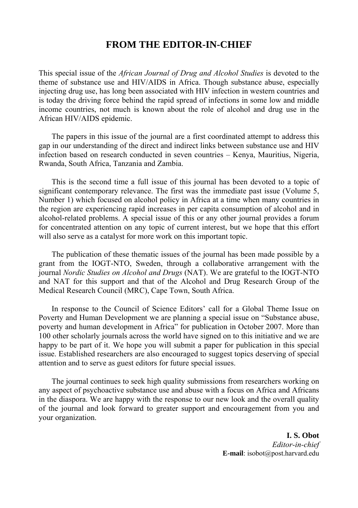# **FROM THE EDITOR-IN-CHIEF**

This special issue of the *African Journal of Drug and Alcohol Studies* is devoted to the theme of substance use and HIV/AIDS in Africa. Though substance abuse, especially injecting drug use, has long been associated with HIV infection in western countries and is today the driving force behind the rapid spread of infections in some low and middle income countries, not much is known about the role of alcohol and drug use in the African HIV/AIDS epidemic.

The papers in this issue of the journal are a first coordinated attempt to address this gap in our understanding of the direct and indirect links between substance use and HIV infection based on research conducted in seven countries – Kenya, Mauritius, Nigeria, Rwanda, South Africa, Tanzania and Zambia.

This is the second time a full issue of this journal has been devoted to a topic of significant contemporary relevance. The first was the immediate past issue (Volume 5, Number 1) which focused on alcohol policy in Africa at a time when many countries in the region are experiencing rapid increases in per capita consumption of alcohol and in alcohol-related problems. A special issue of this or any other journal provides a forum for concentrated attention on any topic of current interest, but we hope that this effort will also serve as a catalyst for more work on this important topic.

The publication of these thematic issues of the journal has been made possible by a grant from the IOGT-NTO, Sweden, through a collaborative arrangement with the journal *Nordic Studies on Alcohol and Drugs* (NAT). We are grateful to the IOGT-NTO and NAT for this support and that of the Alcohol and Drug Research Group of the Medical Research Council (MRC), Cape Town, South Africa.

In response to the Council of Science Editors' call for a Global Theme Issue on Poverty and Human Development we are planning a special issue on "Substance abuse, poverty and human development in Africa" for publication in October 2007. More than 100 other scholarly journals across the world have signed on to this initiative and we are happy to be part of it. We hope you will submit a paper for publication in this special issue. Established researchers are also encouraged to suggest topics deserving of special attention and to serve as guest editors for future special issues.

The journal continues to seek high quality submissions from researchers working on any aspect of psychoactive substance use and abuse with a focus on Africa and Africans in the diaspora. We are happy with the response to our new look and the overall quality of the journal and look forward to greater support and encouragement from you and your organization.

> **I. S. Obot**  *Editor-in-chief*  **E-mail**: isobot@post.harvard.edu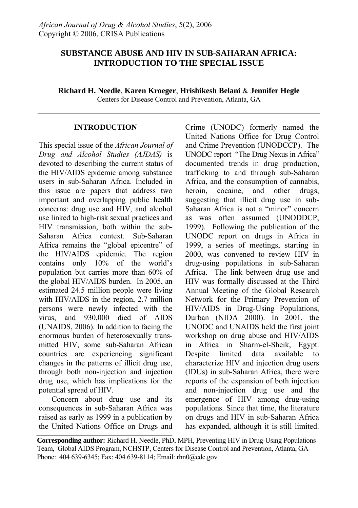# **SUBSTANCE ABUSE AND HIV IN SUB-SAHARAN AFRICA: INTRODUCTION TO THE SPECIAL ISSUE**

**Richard H. Needle**, **Karen Kroeger**, **Hrishikesh Belani** & **Jennifer Hegle**

Centers for Disease Control and Prevention, Atlanta, GA

### **INTRODUCTION**

This special issue of the *African Journal of Drug and Alcohol Studies (AJDAS)* is devoted to describing the current status of the HIV/AIDS epidemic among substance users in sub-Saharan Africa. Included in this issue are papers that address two important and overlapping public health concerns: drug use and HIV, and alcohol use linked to high-risk sexual practices and HIV transmission, both within the sub-Saharan Africa context. Sub-Saharan Africa remains the "global epicentre" of the HIV/AIDS epidemic. The region contains only 10% of the world's population but carries more than 60% of the global HIV/AIDS burden. In 2005, an estimated 24.5 million people were living with HIV/AIDS in the region, 2.7 million persons were newly infected with the virus, and 930,000 died of AIDS (UNAIDS, 2006). In addition to facing the enormous burden of heterosexually transmitted HIV, some sub-Saharan African countries are experiencing significant changes in the patterns of illicit drug use, through both non-injection and injection drug use, which has implications for the potential spread of HIV.

Concern about drug use and its consequences in sub-Saharan Africa was raised as early as 1999 in a publication by the United Nations Office on Drugs and Crime (UNODC) formerly named the United Nations Office for Drug Control and Crime Prevention (UNODCCP). The UNODC report "The Drug Nexus in Africa" documented trends in drug production, trafficking to and through sub-Saharan Africa, and the consumption of cannabis, heroin, cocaine, and other drugs, suggesting that illicit drug use in sub-Saharan Africa is not a "minor" concern as was often assumed (UNODDCP, 1999). Following the publication of the UNODC report on drugs in Africa in 1999, a series of meetings, starting in 2000, was convened to review HIV in drug-using populations in sub-Saharan Africa. The link between drug use and HIV was formally discussed at the Third Annual Meeting of the Global Research Network for the Primary Prevention of HIV/AIDS in Drug-Using Populations, Durban (NIDA 2000). In 2001, the UNODC and UNAIDS held the first joint workshop on drug abuse and HIV/AIDS in Africa in Sharm-el-Sheik, Egypt. Despite limited data available to characterize HIV and injection drug users (IDUs) in sub-Saharan Africa, there were reports of the expansion of both injection and non-injection drug use and the emergence of HIV among drug-using populations. Since that time, the literature on drugs and HIV in sub-Saharan Africa has expanded, although it is still limited.

**Corresponding author:** Richard H. Needle, PhD, MPH, Preventing HIV in Drug-Using Populations Team, Global AIDS Program, NCHSTP, Centers for Disease Control and Prevention, Atlanta, GA Phone: 404 639-6345; Fax: 404 639-8114; Email: rhn0@cdc.gov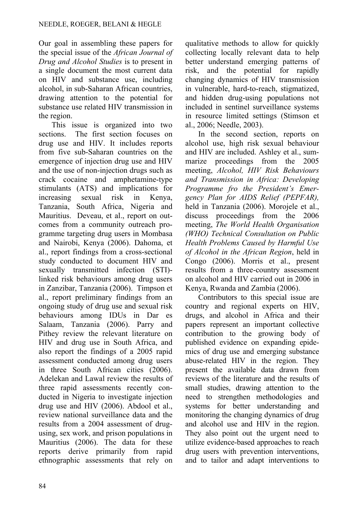Our goal in assembling these papers for the special issue of the *African Journal of Drug and Alcohol Studies* is to present in a single document the most current data on HIV and substance use, including alcohol, in sub-Saharan African countries, drawing attention to the potential for substance use related HIV transmission in the region.

This issue is organized into two sections. The first section focuses on drug use and HIV. It includes reports from five sub-Saharan countries on the emergence of injection drug use and HIV and the use of non-injection drugs such as crack cocaine and amphetamine-type stimulants (ATS) and implications for increasing sexual risk in Kenya, Tanzania, South Africa, Nigeria and Mauritius. Deveau, et al., report on outcomes from a community outreach programme targeting drug users in Mombasa and Nairobi, Kenya (2006). Dahoma, et al., report findings from a cross-sectional study conducted to document HIV and sexually transmitted infection (STI) linked risk behaviours among drug users in Zanzibar, Tanzania (2006). Timpson et al., report preliminary findings from an ongoing study of drug use and sexual risk behaviours among IDUs in Dar es Salaam, Tanzania (2006). Parry and Pithey review the relevant literature on HIV and drug use in South Africa, and also report the findings of a 2005 rapid assessment conducted among drug users in three South African cities (2006). Adelekan and Lawal review the results of three rapid assessments recently conducted in Nigeria to investigate injection drug use and HIV (2006). Abdool et al., review national surveillance data and the results from a 2004 assessment of drugusing, sex work, and prison populations in Mauritius (2006). The data for these reports derive primarily from rapid ethnographic assessments that rely on qualitative methods to allow for quickly collecting locally relevant data to help better understand emerging patterns of risk, and the potential for rapidly changing dynamics of HIV transmission in vulnerable, hard-to-reach, stigmatized, and hidden drug-using populations not included in sentinel surveillance systems in resource limited settings (Stimson et al., 2006; Needle, 2003).

In the second section, reports on alcohol use, high risk sexual behaviour and HIV are included. Ashley et al., summarize proceedings from the 2005 meeting, *Alcohol, HIV Risk Behaviours and Transmission in Africa: Developing Programme fro the President's Emergency Plan for AIDS Relief (PEPFAR),*  held in Tanzania (2006). Morojele et al., discuss proceedings from the 2006 meeting, *The World Health Organisation (WHO) Technical Consultation on Public Health Problems Caused by Harmful Use of Alcohol in the African Region*, held in Congo (2006). Morris et al., present results from a three-country assessment on alcohol and HIV carried out in 2006 in Kenya, Rwanda and Zambia (2006).

Contributors to this special issue are country and regional experts on HIV, drugs, and alcohol in Africa and their papers represent an important collective contribution to the growing body of published evidence on expanding epidemics of drug use and emerging substance abuse-related HIV in the region. They present the available data drawn from reviews of the literature and the results of small studies, drawing attention to the need to strengthen methodologies and systems for better understanding and monitoring the changing dynamics of drug and alcohol use and HIV in the region. They also point out the urgent need to utilize evidence-based approaches to reach drug users with prevention interventions, and to tailor and adapt interventions to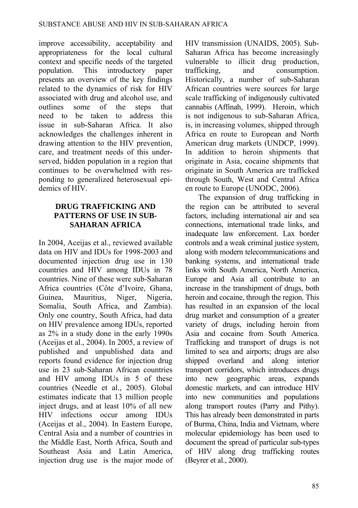improve accessibility, acceptability and appropriateness for the local cultural context and specific needs of the targeted population. This introductory paper presents an overview of the key findings related to the dynamics of risk for HIV associated with drug and alcohol use, and outlines some of the steps that need to be taken to address this issue in sub-Saharan Africa. It also acknowledges the challenges inherent in drawing attention to the HIV prevention, care, and treatment needs of this underserved, hidden population in a region that continues to be overwhelmed with responding to generalized heterosexual epidemics of HIV

### **DRUG TRAFFICKING AND PATTERNS OF USE IN SUB-SAHARAN AFRICA**

In 2004, Aceijas et al., reviewed available data on HIV and IDUs for 1998-2003 and documented injection drug use in 130 countries and HIV among IDUs in 78 countries. Nine of these were sub-Saharan Africa countries (Côte d'Ivoire, Ghana, Guinea, Mauritius, Niger, Nigeria, Somalia, South Africa, and Zambia). Only one country, South Africa, had data on HIV prevalence among IDUs, reported as 2% in a study done in the early 1990s (Aceijas et al., 2004). In 2005, a review of published and unpublished data and reports found evidence for injection drug use in 23 sub-Saharan African countries and HIV among IDUs in 5 of these countries (Needle et al., 2005). Global estimates indicate that 13 million people inject drugs, and at least 10% of all new HIV infections occur among IDUs (Aceijas et al., 2004). In Eastern Europe, Central Asia and a number of countries in the Middle East, North Africa, South and Southeast Asia and Latin America, injection drug use is the major mode of

HIV transmission (UNAIDS, 2005). Sub-Saharan Africa has become increasingly vulnerable to illicit drug production, trafficking, and consumption. Historically, a number of sub-Saharan African countries were sources for large scale trafficking of indigenously cultivated cannabis (Affinah, 1999). Heroin, which is not indigenous to sub-Saharan Africa, is, in increasing volumes, shipped through Africa en route to European and North American drug markets (UNDCP, 1999). In addition to heroin shipments that originate in Asia, cocaine shipments that originate in South America are trafficked through South, West and Central Africa en route to Europe (UNODC, 2006).

The expansion of drug trafficking in the region can be attributed to several factors, including international air and sea connections, international trade links, and inadequate law enforcement. Lax border controls and a weak criminal justice system, along with modern telecommunications and banking systems, and international trade links with South America, North America, Europe and Asia all contribute to an increase in the transhipment of drugs, both heroin and cocaine, through the region. This has resulted in an expansion of the local drug market and consumption of a greater variety of drugs, including heroin from Asia and cocaine from South America. Trafficking and transport of drugs is not limited to sea and airports; drugs are also shipped overland and along interior transport corridors, which introduces drugs into new geographic areas, expands domestic markets, and can introduce HIV into new communities and populations along transport routes (Parry and Pithy). This has already been demonstrated in parts of Burma, China, India and Vietnam, where molecular epidemiology has been used to document the spread of particular sub-types of HIV along drug trafficking routes (Beyrer et al., 2000).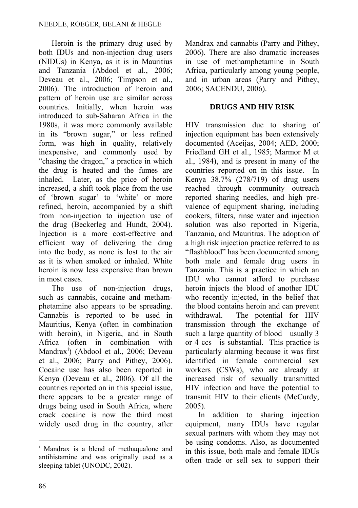Heroin is the primary drug used by both IDUs and non-injection drug users (NIDUs) in Kenya, as it is in Mauritius and Tanzania (Abdool et al., 2006; Deveau et al., 2006; Timpson et al., 2006). The introduction of heroin and pattern of heroin use are similar across countries. Initially, when heroin was introduced to sub-Saharan Africa in the 1980s, it was more commonly available in its "brown sugar," or less refined form, was high in quality, relatively inexpensive, and commonly used by "chasing the dragon," a practice in which the drug is heated and the fumes are inhaled. Later, as the price of heroin increased, a shift took place from the use of 'brown sugar' to 'white' or more refined, heroin, accompanied by a shift from non-injection to injection use of the drug (Beckerleg and Hundt, 2004). Injection is a more cost-effective and efficient way of delivering the drug into the body, as none is lost to the air as it is when smoked or inhaled. White heroin is now less expensive than brown in most cases.

The use of non-injection drugs, such as cannabis, cocaine and methamphetamine also appears to be spreading. Cannabis is reported to be used in Mauritius, Kenya (often in combination with heroin), in Nigeria, and in South Africa (often in combination with Mandrax<sup>[i](#page-9-0)</sup>) (Abdool et al., 2006; Deveau et al., 2006; Parry and Pithey, 2006). Cocaine use has also been reported in Kenya (Deveau et al., 2006). Of all the countries reported on in this special issue, there appears to be a greater range of drugs being used in South Africa, where crack cocaine is now the third most widely used drug in the country, after

Mandrax and cannabis (Parry and Pithey, 2006). There are also dramatic increases in use of methamphetamine in South Africa, particularly among young people, and in urban areas (Parry and Pithey, 2006; SACENDU, 2006).

### **DRUGS AND HIV RISK**

HIV transmission due to sharing of injection equipment has been extensively documented (Aceijas, 2004; AED, 2000; Friedland GH et al., 1985; Marmor M et al., 1984), and is present in many of the countries reported on in this issue. In Kenya 38.7% (278/719) of drug users reached through community outreach reported sharing needles, and high prevalence of equipment sharing, including cookers, filters, rinse water and injection solution was also reported in Nigeria, Tanzania, and Mauritius. The adoption of a high risk injection practice referred to as "flashblood" has been documented among both male and female drug users in Tanzania. This is a practice in which an IDU who cannot afford to purchase heroin injects the blood of another IDU who recently injected, in the belief that the blood contains heroin and can prevent withdrawal. The potential for HIV transmission through the exchange of such a large quantity of blood—usually 3 or 4 ccs—is substantial. This practice is particularly alarming because it was first identified in female commercial sex workers (CSWs), who are already at increased risk of sexually transmitted HIV infection and have the potential to transmit HIV to their clients (McCurdy, 2005).

In addition to sharing injection equipment, many IDUs have regular sexual partners with whom they may not be using condoms. Also, as documented in this issue, both male and female IDUs often trade or sell sex to support their

<span id="page-9-0"></span> $\overline{a}$ <sup>i</sup> Mandrax is a blend of methaqualone and antihistamine and was originally used as a sleeping tablet (UNODC, 2002).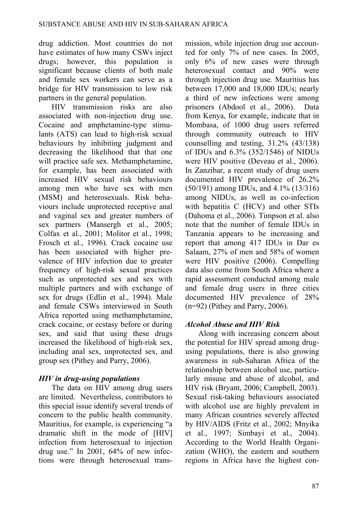drug addiction. Most countries do not have estimates of how many CSWs inject drugs; however, this population is significant because clients of both male and female sex workers can serve as a bridge for HIV transmission to low risk partners in the general population.

HIV transmission risks are also associated with non-injection drug use. Cocaine and amphetamine-type stimulants (ATS) can lead to high-risk sexual behaviours by inhibiting judgment and decreasing the likelihood that that one will practice safe sex. Methamphetamine, for example, has been associated with increased HIV sexual risk behaviours among men who have sex with men (MSM) and heterosexuals. Risk behaviours include unprotected receptive anal and vaginal sex and greater numbers of sex partners (Mansergh et al., 2005; Colfax et al., 2001; Molitor et al., 1998; Frosch et al., 1996). Crack cocaine use has been associated with higher prevalence of HIV infection due to greater frequency of high-risk sexual practices such as unprotected sex and sex with multiple partners and with exchange of sex for drugs (Edlin et al., 1994). Male and female CSWs interviewed in South Africa reported using methamphetamine, crack cocaine, or ecstasy before or during sex, and said that using these drugs increased the likelihood of high-risk sex, including anal sex, unprotected sex, and group sex (Pithey and Parry, 2006).

# *HIV in drug-using populations*

The data on HIV among drug users are limited. Nevertheless, contributors to this special issue identify several trends of concern to the public health community. Mauritius, for example, is experiencing "a dramatic shift in the mode of [HIV] infection from heterosexual to injection drug use." In 2001, 64% of new infections were through heterosexual transmission, while injection drug use accounted for only 7% of new cases. In 2005, only 6% of new cases were through heterosexual contact and 90% were through injection drug use. Mauritius has between 17,000 and 18,000 IDUs; nearly a third of new infections were among prisoners (Abdool et al., 2006). Data from Kenya, for example, indicate that in Mombasa, of 1000 drug users referred through community outreach to HIV counselling and testing, 31.2% (43/138) of IDUs and 6.3% (352/1546) of NIDUs were HIV positive (Deveau et al., 2006). In Zanzibar, a recent study of drug users documented HIV prevalence of 26.2% (50/191) among IDUs, and 4.1% (13/316) among NIDUs, as well as co-infection with hepatitis C (HCV) and other STIs (Dahoma et al., 2006). Timpson et al. also note that the number of female IDUs in Tanzania appears to be increasing and report that among 417 IDUs in Dar es Salaam, 27% of men and 58% of women were HIV positive (2006). Compelling data also come from South Africa where a rapid assessment conducted among male and female drug users in three cities documented HIV prevalence of 28% (n=92) (Pithey and Parry, 2006).

# *Alcohol Abuse and HIV Risk*

Along with increasing concern about the potential for HIV spread among drugusing populations, there is also growing awareness in sub-Saharan Africa of the relationship between alcohol use, particularly misuse and abuse of alcohol, and HIV risk (Bryant, 2006; Campbell, 2003). Sexual risk-taking behaviours associated with alcohol use are highly prevalent in many African countries severely affected by HIV/AIDS (Fritz et al., 2002; Mnyika et al., 1997; Simbayi et al., 2004). According to the World Health Organization (WHO), the eastern and southern regions in Africa have the highest con-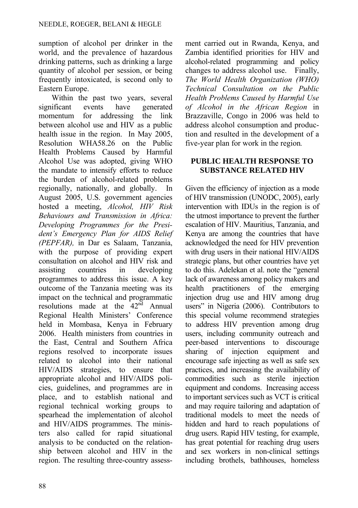sumption of alcohol per drinker in the world, and the prevalence of hazardous drinking patterns, such as drinking a large quantity of alcohol per session, or being frequently intoxicated, is second only to Eastern Europe.

Within the past two years, several significant events have generated momentum for addressing the link between alcohol use and HIV as a public health issue in the region. In May 2005, Resolution WHA58.26 on the Public Health Problems Caused by Harmful Alcohol Use was adopted, giving WHO the mandate to intensify efforts to reduce the burden of alcohol-related problems regionally, nationally, and globally. In August 2005, U.S. government agencies hosted a meeting, *Alcohol, HIV Risk Behaviours and Transmission in Africa: Developing Programmes for the President's Emergency Plan for AIDS Relief (PEPFAR),* in Dar es Salaam, Tanzania, with the purpose of providing expert consultation on alcohol and HIV risk and assisting countries in developing programmes to address this issue. A key outcome of the Tanzania meeting was its impact on the technical and programmatic resolutions made at the  $42<sup>nd</sup>$  Annual Regional Health Ministers' Conference held in Mombasa, Kenya in February 2006. Health ministers from countries in the East, Central and Southern Africa regions resolved to incorporate issues related to alcohol into their national HIV/AIDS strategies, to ensure that appropriate alcohol and HIV/AIDS policies, guidelines, and programmes are in place, and to establish national and regional technical working groups to spearhead the implementation of alcohol and HIV/AIDS programmes. The ministers also called for rapid situational analysis to be conducted on the relationship between alcohol and HIV in the region. The resulting three-country assessment carried out in Rwanda, Kenya, and Zambia identified priorities for HIV and alcohol-related programming and policy changes to address alcohol use. Finally, *The World Health Organization (WHO) Technical Consultation on the Public Health Problems Caused by Harmful Use of Alcohol in the African Region* in Brazzaville, Congo in 2006 was held to address alcohol consumption and production and resulted in the development of a five-year plan for work in the region*.*

### **PUBLIC HEALTH RESPONSE TO SUBSTANCE RELATED HIV**

Given the efficiency of injection as a mode of HIV transmission (UNODC, 2005), early intervention with IDUs in the region is of the utmost importance to prevent the further escalation of HIV. Mauritius, Tanzania, and Kenya are among the countries that have acknowledged the need for HIV prevention with drug users in their national HIV/AIDS strategic plans, but other countries have yet to do this. Adelekan et al. note the "general lack of awareness among policy makers and health practitioners of the emerging injection drug use and HIV among drug users" in Nigeria (2006). Contributors to this special volume recommend strategies to address HIV prevention among drug users, including community outreach and peer-based interventions to discourage sharing of injection equipment and encourage safe injecting as well as safe sex practices, and increasing the availability of commodities such as sterile injection equipment and condoms. Increasing access to important services such as VCT is critical and may require tailoring and adaptation of traditional models to meet the needs of hidden and hard to reach populations of drug users. Rapid HIV testing, for example, has great potential for reaching drug users and sex workers in non-clinical settings including brothels, bathhouses, homeless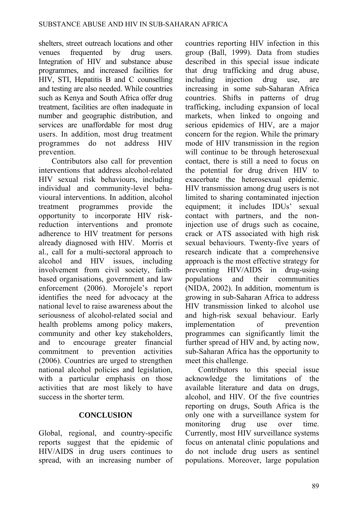shelters, street outreach locations and other venues frequented by drug users. Integration of HIV and substance abuse programmes, and increased facilities for HIV, STI, Hepatitis B and C counselling and testing are also needed. While countries such as Kenya and South Africa offer drug treatment, facilities are often inadequate in number and geographic distribution, and services are unaffordable for most drug users. In addition, most drug treatment programmes do not address HIV prevention.

Contributors also call for prevention interventions that address alcohol-related HIV sexual risk behaviours, including individual and community-level behavioural interventions. In addition, alcohol treatment programmes provide the opportunity to incorporate HIV riskreduction interventions and promote adherence to HIV treatment for persons already diagnosed with HIV. Morris et al., call for a multi-sectoral approach to alcohol and HIV issues, including involvement from civil society, faithbased organisations, government and law enforcement (2006). Morojele's report identifies the need for advocacy at the national level to raise awareness about the seriousness of alcohol-related social and health problems among policy makers, community and other key stakeholders, and to encourage greater financial commitment to prevention activities (2006). Countries are urged to strengthen national alcohol policies and legislation, with a particular emphasis on those activities that are most likely to have success in the shorter term.

### **CONCLUSION**

Global, regional, and country-specific reports suggest that the epidemic of HIV/AIDS in drug users continues to spread, with an increasing number of countries reporting HIV infection in this group (Ball, 1999). Data from studies described in this special issue indicate that drug trafficking and drug abuse, including injection drug use, are increasing in some sub-Saharan Africa countries. Shifts in patterns of drug trafficking, including expansion of local markets, when linked to ongoing and serious epidemics of HIV, are a major concern for the region. While the primary mode of HIV transmission in the region will continue to be through heterosexual contact, there is still a need to focus on the potential for drug driven HIV to exacerbate the heterosexual epidemic. HIV transmission among drug users is not limited to sharing contaminated injection equipment; it includes IDUs' sexual contact with partners, and the noninjection use of drugs such as cocaine, crack or ATS associated with high risk sexual behaviours. Twenty-five years of research indicate that a comprehensive approach is the most effective strategy for preventing HIV/AIDS in drug-using populations and their communities (NIDA, 2002). In addition, momentum is growing in sub-Saharan Africa to address HIV transmission linked to alcohol use and high-risk sexual behaviour. Early implementation of prevention programmes can significantly limit the further spread of HIV and, by acting now, sub-Saharan Africa has the opportunity to meet this challenge.

Contributors to this special issue acknowledge the limitations of the available literature and data on drugs, alcohol, and HIV. Of the five countries reporting on drugs, South Africa is the only one with a surveillance system for monitoring drug use over time. Currently, most HIV surveillance systems focus on antenatal clinic populations and do not include drug users as sentinel populations. Moreover, large population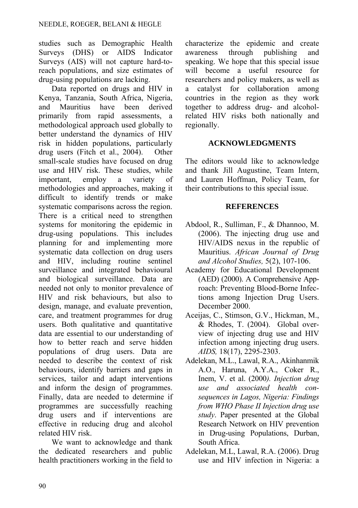studies such as Demographic Health Surveys (DHS) or AIDS Indicator Surveys (AIS) will not capture hard-toreach populations, and size estimates of drug-using populations are lacking.

Data reported on drugs and HIV in Kenya, Tanzania, South Africa, Nigeria, and Mauritius have been derived primarily from rapid assessments, a methodological approach used globally to better understand the dynamics of HIV risk in hidden populations, particularly drug users (Fitch et al., 2004). Other small-scale studies have focused on drug use and HIV risk. These studies, while important, employ a variety of methodologies and approaches, making it difficult to identify trends or make systematic comparisons across the region. There is a critical need to strengthen systems for monitoring the epidemic in drug-using populations. This includes planning for and implementing more systematic data collection on drug users and HIV, including routine sentinel surveillance and integrated behavioural and biological surveillance. Data are needed not only to monitor prevalence of HIV and risk behaviours, but also to design, manage, and evaluate prevention, care, and treatment programmes for drug users. Both qualitative and quantitative data are essential to our understanding of how to better reach and serve hidden populations of drug users. Data are needed to describe the context of risk behaviours, identify barriers and gaps in services, tailor and adapt interventions and inform the design of programmes. Finally, data are needed to determine if programmes are successfully reaching drug users and if interventions are effective in reducing drug and alcohol related HIV risk.

We want to acknowledge and thank the dedicated researchers and public health practitioners working in the field to characterize the epidemic and create awareness through publishing and speaking. We hope that this special issue will become a useful resource for researchers and policy makers, as well as a catalyst for collaboration among countries in the region as they work together to address drug- and alcoholrelated HIV risks both nationally and regionally.

### **ACKNOWLEDGMENTS**

The editors would like to acknowledge and thank Jill Augustine, Team Intern, and Lauren Hoffman, Policy Team, for their contributions to this special issue.

### **REFERENCES**

- Abdool, R., Sulliman, F., & Dhannoo, M. (2006). The injecting drug use and HIV/AIDS nexus in the republic of Mauritius. *African Journal of Drug and Alcohol Studies,* 5(2), 107-106.
- Academy for Educational Development (AED) (2000). A Comprehensive Approach: Preventing Blood-Borne Infections among Injection Drug Users. December 2000.
- Aceijas, C., Stimson, G.V., Hickman, M., & Rhodes, T. (2004). Global overview of injecting drug use and HIV infection among injecting drug users. *AIDS,* 18(17), 2295-2303.
- Adelekan, M.L., Lawal, R.A., Akinhanmik A.O., Haruna, A.Y.A., Coker R., Inem, V. et al. (2000*). Injection drug use and associated health consequences in Lagos, Nigeria: Findings from WHO Phase II Injection drug use study*. Paper presented at the Global Research Network on HIV prevention in Drug-using Populations, Durban, South Africa.
- Adelekan, M.L, Lawal, R.A. (2006). Drug use and HIV infection in Nigeria: a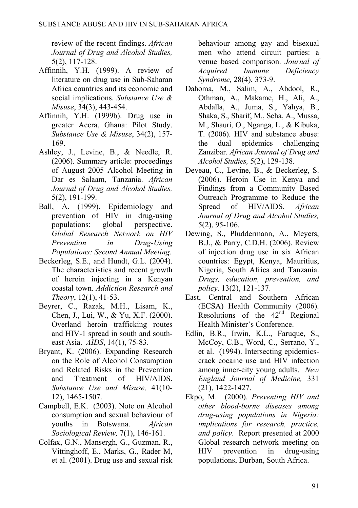review of the recent findings. *African Journal of Drug and Alcohol Studies,*  5(2), 117-128.

- Affinnih, Y.H. (1999). A review of literature on drug use in Sub-Saharan Africa countries and its economic and social implications. *Substance Use & Misuse*, 34(3), 443-454.
- Affinnih, Y.H. (1999b). Drug use in greater Accra, Ghana: Pilot Study. *Substance Use & Misuse*, 34(2), 157- 169.
- Ashley, J., Levine, B., & Needle, R. (2006). Summary article: proceedings of August 2005 Alcohol Meeting in Dar es Salaam, Tanzania. *African Journal of Drug and Alcohol Studies,*  5(2), 191-199.
- Ball, A. (1999). Epidemiology and prevention of HIV in drug-using populations: global perspective. *Global Research Network on HIV Prevention in Drug-Using Populations: Second Annual Meeting*.
- Beckerleg, S.E., and Hundt, G.L. (2004). The characteristics and recent growth of heroin injecting in a Kenyan coastal town. *Addiction Research and Theory*, 12(1), 41-53.
- Beyrer, C., Razak, M.H., Lisam, K., Chen, J., Lui, W., & Yu, X.F. (2000). Overland heroin trafficking routes and HIV-1 spread in south and southeast Asia. *AIDS*, 14(1), 75-83.
- Bryant, K. (2006). Expanding Research on the Role of Alcohol Consumption and Related Risks in the Prevention and Treatment of HIV/AIDS. *Substance Use and Misuse,* 41(10- 12), 1465-1507.
- Campbell, E.K. (2003). Note on Alcohol consumption and sexual behaviour of youths in Botswana. *African Sociological Review,* 7(1), 146-161.
- Colfax, G.N., Mansergh, G., Guzman, R., Vittinghoff, E., Marks, G., Rader M, et al. (2001). Drug use and sexual risk

behaviour among gay and bisexual men who attend circuit parties: a venue based comparison. *Journal of Acquired Immune Deficiency Syndrome,* 28(4), 373-9.

- Dahoma, M., Salim, A., Abdool, R., Othman, A., Makame, H., Ali, A., Abdalla, A., Juma, S., Yahya, B., Shaka, S., Sharif, M., Seha, A., Mussa, M., Shauri, O., Nganga, L., & Kibuka, T. (2006). HIV and substance abuse: the dual epidemics challenging Zanzibar. *African Journal of Drug and Alcohol Studies,* 5(2), 129-138.
- Deveau, C., Levine, B., & Beckerleg, S. (2006). Heroin Use in Kenya and Findings from a Community Based Outreach Programme to Reduce the Spread of HIV/AIDS. *African Journal of Drug and Alcohol Studies,*  5(2), 95-106.
- Dewing, S., Pluddermann, A., Meyers, B.J., & Parry, C.D.H. (2006). Review of injection drug use in six African countries: Egypt, Kenya, Mauritius, Nigeria, South Africa and Tanzania. *Drugs, education, prevention, and policy*. 13(2), 121-137.
- East, Central and Southern African (ECSA) Health Community (2006). Resolutions of the  $42<sup>nd</sup>$  Regional Health Minister's Conference.
- Edlin, B.R., Irwin, K.L., Faruque, S., McCoy, C.B., Word, C., Serrano, Y., et al. (1994). Intersecting epidemicscrack cocaine use and HIV infection among inner-city young adults. *New England Journal of Medicine,* 331 (21), 1422-1427.
- Ekpo, M. (2000). *Preventing HIV and other blood-borne diseases among drug-using populations in Nigeria: implications for research, practice, and policy*. Report presented at 2000 Global research network meeting on HIV prevention in drug-using populations, Durban, South Africa.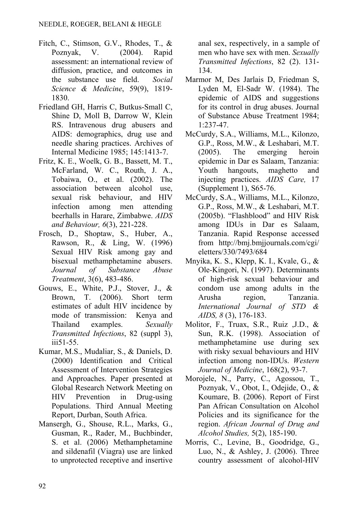- Fitch, C., Stimson, G.V., Rhodes, T., & Poznyak, V. (2004). Rapid assessment: an international review of diffusion, practice, and outcomes in the substance use field. *Social Science & Medicine*, 59(9), 1819- 1830.
- Friedland GH, Harris C, Butkus-Small C, Shine D, Moll B, Darrow W, Klein RS. Intravenous drug abusers and AIDS: demographics, drug use and needle sharing practices. Archives of Internal Medicine 1985; 145:1413-7.
- Fritz, K. E., Woelk, G. B., Bassett, M. T., McFarland, W. C., Routh, J. A., Tobaiwa, O., et al. (2002). The association between alcohol use, sexual risk behaviour, and HIV infection among men attending beerhalls in Harare, Zimbabwe. *AIDS and Behaviour, 6*(3), 221-228.
- Frosch, D., Shoptaw, S., Huber, A., Rawson, R., & Ling, W. (1996) Sexual HIV Risk among gay and bisexual methamphetamine abusers. *Journal of Substance Abuse Treatment*, 3(6), 483-486.
- Gouws, E., White, P.J., Stover, J., & Brown, T. (2006). Short term estimates of adult HIV incidence by mode of transmission: Kenya and Thailand examples. *Sexually Transmitted Infections*, 82 (suppl 3), iii51-55.
- Kumar, M.S., Mudaliar, S., & Daniels, D. (2000) Identification and Critical Assessment of Intervention Strategies and Approaches. Paper presented at Global Research Network Meeting on HIV Prevention in Drug-using Populations. Third Annual Meeting Report, Durban, South Africa.
- Mansergh, G., Shouse, R.L., Marks, G., Gusman, R., Rader, M., Buchbinder, S. et al. (2006) Methamphetamine and sildenafil (Viagra) use are linked to unprotected receptive and insertive

anal sex, respectively, in a sample of men who have sex with men. *Sexually Transmitted Infections*, 82 (2). 131- 134.

- Marmor M, Des Jarlais D, Friedman S, Lyden M, El-Sadr W. (1984). The epidemic of AIDS and suggestions for its control in drug abuses. Journal of Substance Abuse Treatment 1984; 1:237-47.
- McCurdy, S.A., Williams, M.L., Kilonzo, G.P., Ross, M.W., & Leshabari, M.T. (2005). The emerging heroin epidemic in Dar es Salaam, Tanzania: Youth hangouts, maghetto and injecting practices. *AIDS Care,* 17 (Supplement 1), S65-76.
- McCurdy, S.A., Williams, M.L., Kilonzo, G.P., Ross, M.W., & Leshabari, M.T. (2005b). "Flashblood" and HIV Risk among IDUs in Dar es Salaam, Tanzania. Rapid Response accessed from http://bmj.bmjjournals.com/cgi/ eletters/330/7493/684
- Mnyika, K. S., Klepp, K. I., Kvale, G., & Ole-Kingori, N. (1997). Determinants of high-risk sexual behaviour and condom use among adults in the Arusha region, Tanzania. *International Journal of STD & AIDS, 8* (3), 176-183.
- Molitor, F., Truax, S.R., Ruiz ,J.D., & Sun, R.K. (1998). Association of methamphetamine use during sex with risky sexual behaviours and HIV infection among non-IDUs. *Western Journal of Medicine*, 168(2), 93-7.
- Morojele, N., Parry, C., Agossou, T., Poznyak, V., Obot, I., Odejide, O., & Koumare, B. (2006). Report of First Pan African Consultation on Alcohol Policies and its significance for the region. *African Journal of Drug and Alcohol Studies,* 5(2), 185-190.
- Morris, C., Levine, B., Goodridge, G., Luo, N., & Ashley, J. (2006). Three country assessment of alcohol-HIV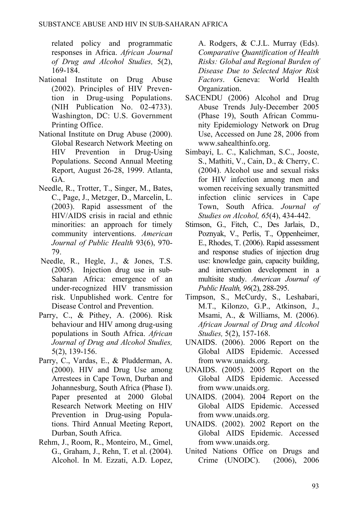related policy and programmatic responses in Africa. *African Journal of Drug and Alcohol Studies,* 5(2), 169-184.

- National Institute on Drug Abuse (2002). Principles of HIV Prevention in Drug-using Populations. (NIH Publication No. 02-4733). Washington, DC: U.S. Government Printing Office.
- National Institute on Drug Abuse (2000). Global Research Network Meeting on HIV Prevention in Drug-Using Populations. Second Annual Meeting Report, August 26-28, 1999. Atlanta, GA.
- Needle, R., Trotter, T., Singer, M., Bates, C., Page, J., Metzger, D., Marcelin, L. (2003). Rapid assessment of the HIV/AIDS crisis in racial and ethnic minorities: an approach for timely community interventions. *American Journal of Public Health* 93(6), 970- 79.
- Needle, R., Hegle, J., & Jones, T.S. (2005). Injection drug use in sub-Saharan Africa: emergence of an under-recognized HIV transmission risk. Unpublished work. Centre for Disease Control and Prevention.
- Parry, C., & Pithey, A. (2006). Risk behaviour and HIV among drug-using populations in South Africa. *African Journal of Drug and Alcohol Studies,*  5(2), 139-156.
- Parry, C., Vardas, E., & Pludderman, A. (2000). HIV and Drug Use among Arrestees in Cape Town, Durban and Johannesburg, South Africa (Phase I). Paper presented at 2000 Global Research Network Meeting on HIV Prevention in Drug-using Populations. Third Annual Meeting Report, Durban, South Africa.
- Rehm, J., Room, R., Monteiro, M., Gmel, G., Graham, J., Rehn, T. et al. (2004). Alcohol. In M. Ezzati, A.D. Lopez,

A. Rodgers, & C.J.L. Murray (Eds). *Comparative Quantification of Health Risks: Global and Regional Burden of Disease Due to Selected Major Risk Factors*. Geneva: World Health Organization.

- SACENDU (2006) Alcohol and Drug Abuse Trends July-December 2005 (Phase 19), South African Community Epidemiology Network on Drug Use, Accessed on June 28, 2006 from [www.sahealthinfo.org](http://www.sahealthinfo.org/).
- Simbayi, L. C., Kalichman, S.C., Jooste, S., Mathiti, V., Cain, D., & Cherry, C. (2004). Alcohol use and sexual risks for HIV infection among men and women receiving sexually transmitted infection clinic services in Cape Town, South Africa. *Journal of Studies on Alcohol, 65*(4), 434-442.
- Stimson, G., Fitch, C., Des Jarlais, D., Poznyak, V., Perlis, T., Oppenheimer, E., Rhodes, T. (2006). Rapid assessment and response studies of injection drug use: knowledge gain, capacity building, and intervention development in a multisite study. *American Journal of Public Health, 96*(2), 288-295.
- Timpson, S., McCurdy, S., Leshabari, M.T., Kilonzo, G.P., Atkinson, J., Msami, A., & Williams, M. (2006). *African Journal of Drug and Alcohol Studies,* 5(2), 157-168.
- UNAIDS. (2006). 2006 Report on the Global AIDS Epidemic. Accessed from [www.unaids.org](http://www.unaids.org/).
- UNAIDS. (2005). 2005 Report on the Global AIDS Epidemic. Accessed from [www.unaids.org](http://www.unaids.org/).
- UNAIDS. (2004). 2004 Report on the Global AIDS Epidemic. Accessed from [www.unaids.org](http://www.unaids.org/).
- UNAIDS. (2002). 2002 Report on the Global AIDS Epidemic. Accessed from [www.unaids.org](http://www.unaids.org/).
- United Nations Office on Drugs and Crime (UNODC). (2006), 2006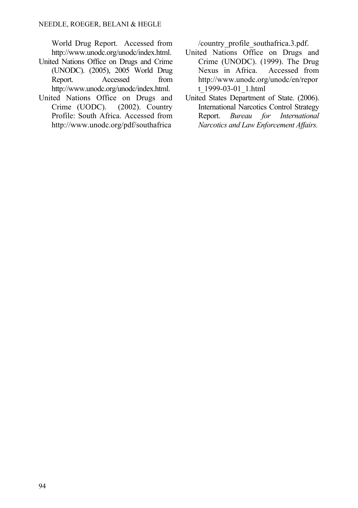World Drug Report. Accessed from <http://www.unodc.org/unodc/index.html>.

- United Nations Office on Drugs and Crime (UNODC). (2005), 2005 World Drug Report. Accessed from http://www.unodc.org/unodc/index.html.
- United Nations Office on Drugs and Crime (UODC). (2002). Country Profile: South Africa. Accessed from [http://www.unodc.org/pdf/southafrica](http://www.unodc.org/pdf/southafrica/country_profile_southafrica.3.pdf)

[/country\\_profile\\_southafrica.3.pdf.](http://www.unodc.org/pdf/southafrica/country_profile_southafrica.3.pdf)

- United Nations Office on Drugs and Crime (UNODC). (1999). The Drug Nexus in Africa. Accessed from [http://www.unodc.org/unodc/en/repor](http://www.unodc.org/unodc/en/report_1999-03-01_1.html) [t\\_1999-03-01\\_1.html](http://www.unodc.org/unodc/en/report_1999-03-01_1.html)
- United States Department of State. (2006). International Narcotics Control Strategy Report. *Bureau for International Narcotics and Law Enforcement Affairs.*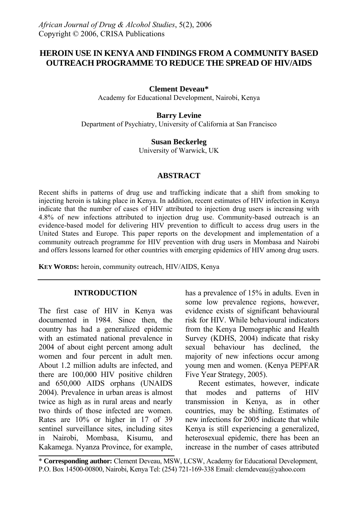# **HEROIN USE IN KENYA AND FINDINGS FROM A COMMUNITY BASED OUTREACH PROGRAMME TO REDUCE THE SPREAD OF HIV/AIDS**

#### **Clement Deveau\***

Academy for Educational Development, Nairobi, Kenya

#### **Barry Levine**

Department of Psychiatry, University of California at San Francisco

#### **Susan Beckerleg**

University of Warwick, UK

#### **ABSTRACT**

Recent shifts in patterns of drug use and trafficking indicate that a shift from smoking to injecting heroin is taking place in Kenya. In addition, recent estimates of HIV infection in Kenya indicate that the number of cases of HIV attributed to injection drug users is increasing with 4.8% of new infections attributed to injection drug use. Community-based outreach is an evidence-based model for delivering HIV prevention to difficult to access drug users in the United States and Europe. This paper reports on the development and implementation of a community outreach programme for HIV prevention with drug users in Mombasa and Nairobi and offers lessons learned for other countries with emerging epidemics of HIV among drug users.

**KEY WORDS:** heroin, community outreach, HIV/AIDS, Kenya

#### **INTRODUCTION**

The first case of HIV in Kenya was documented in 1984. Since then, the country has had a generalized epidemic with an estimated national prevalence in 2004 of about eight percent among adult women and four percent in adult men. About 1.2 million adults are infected, and there are 100,000 HIV positive children and 650,000 AIDS orphans (UNAIDS 2004). Prevalence in urban areas is almost twice as high as in rural areas and nearly two thirds of those infected are women. Rates are 10% or higher in 17 of 39 sentinel surveillance sites, including sites in Nairobi, Mombasa, Kisumu, and Kakamega. Nyanza Province, for example, has a prevalence of 15% in adults. Even in some low prevalence regions, however, evidence exists of significant behavioural risk for HIV. While behavioural indicators from the Kenya Demographic and Health Survey (KDHS, 2004) indicate that risky sexual behaviour has declined, the majority of new infections occur among young men and women. (Kenya PEPFAR Five Year Strategy, 2005).

Recent estimates, however, indicate that modes and patterns of HIV transmission in Kenya, as in other countries, may be shifting. Estimates of new infections for 2005 indicate that while Kenya is still experiencing a generalized, heterosexual epidemic, there has been an increase in the number of cases attributed

\* **Corresponding author:** Clement Deveau, MSW, LCSW, Academy for Educational Development, P.O. Box 14500-00800, Nairobi, Kenya Tel: (254) 721-169-338 Email: clemdeveau@yahoo.com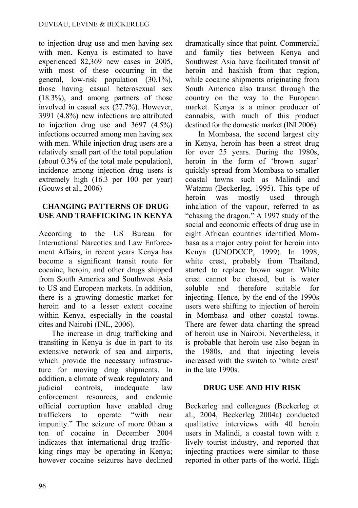to injection drug use and men having sex with men. Kenya is estimated to have experienced 82,369 new cases in 2005, with most of these occurring in the general, low-risk population (30.1%), those having casual heterosexual sex (18.3%), and among partners of those involved in casual sex (27.7%). However, 3991 (4.8%) new infections are attributed to injection drug use and  $3697$   $(4.5\%)$ infections occurred among men having sex with men. While injection drug users are a relatively small part of the total population (about 0.3% of the total male population), incidence among injection drug users is extremely high (16.3 per 100 per year) (Gouws et al., 2006)

### **CHANGING PATTERNS OF DRUG USE AND TRAFFICKING IN KENYA**

According to the US Bureau for International Narcotics and Law Enforcement Affairs, in recent years Kenya has become a significant transit route for cocaine, heroin, and other drugs shipped from South America and Southwest Asia to US and European markets. In addition, there is a growing domestic market for heroin and to a lesser extent cocaine within Kenya, especially in the coastal cites and Nairobi (INL, 2006).

The increase in drug trafficking and transiting in Kenya is due in part to its extensive network of sea and airports, which provide the necessary infrastructure for moving drug shipments. In addition, a climate of weak regulatory and judicial controls, inadequate law enforcement resources, and endemic official corruption have enabled drug traffickers to operate "with near impunity." The seizure of more 0than a ton of cocaine in December 2004 indicates that international drug trafficking rings may be operating in Kenya; however cocaine seizures have declined dramatically since that point. Commercial and family ties between Kenya and Southwest Asia have facilitated transit of heroin and hashish from that region, while cocaine shipments originating from South America also transit through the country on the way to the European market. Kenya is a minor producer of cannabis, with much of this product destined for the domestic market (INL2006).

In Mombasa, the second largest city in Kenya, heroin has been a street drug for over 25 years. During the 1980s, heroin in the form of 'brown sugar' quickly spread from Mombasa to smaller coastal towns such as Malindi and Watamu (Beckerleg, 1995). This type of heroin was mostly used through inhalation of the vapour, referred to as "chasing the dragon." A 1997 study of the social and economic effects of drug use in eight African countries identified Mombasa as a major entry point for heroin into Kenya (UNODCCP, 1999). In 1998, white crest, probably from Thailand, started to replace brown sugar. White crest cannot be chased, but is water soluble and therefore suitable for injecting. Hence, by the end of the 1990s users were shifting to injection of heroin in Mombasa and other coastal towns. There are fewer data charting the spread of heroin use in Nairobi. Nevertheless, it is probable that heroin use also began in the 1980s, and that injecting levels increased with the switch to 'white crest' in the late 1990s.

# **DRUG USE AND HIV RISK**

Beckerleg and colleagues (Beckerleg et al., 2004, Beckerleg 2004a) conducted qualitative interviews with 40 heroin users in Malindi, a coastal town with a lively tourist industry, and reported that injecting practices were similar to those reported in other parts of the world. High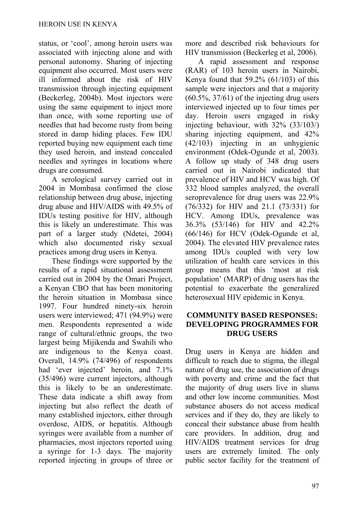status, or 'cool', among heroin users was associated with injecting alone and with personal autonomy. Sharing of injecting equipment also occurred. Most users were ill informed about the risk of HIV transmission through injecting equipment (Beckerleg, 2004b). Most injectors were using the same equipment to inject more than once, with some reporting use of needles that had become rusty from being stored in damp hiding places. Few IDU reported buying new equipment each time they used heroin, and instead concealed needles and syringes in locations where drugs are consumed.

A serological survey carried out in 2004 in Mombasa confirmed the close relationship between drug abuse, injecting drug abuse and HIV/AIDS with 49.5% of IDUs testing positive for HIV, although this is likely an underestimate. This was part of a larger study (Ndetei, 2004) which also documented risky sexual practices among drug users in Kenya.

These findings were supported by the results of a rapid situational assessment carried out in 2004 by the Omari Project, a Kenyan CBO that has been monitoring the heroin situation in Mombasa since 1997. Four hundred ninety-six heroin users were interviewed; 471 (94.9%) were men. Respondents represented a wide range of cultural/ethnic groups, the two largest being Mijikenda and Swahili who are indigenous to the Kenya coast. Overall, 14.9% (74/496) of respondents had 'ever injected' heroin, and 7.1% (35/496) were current injectors, although this is likely to be an underestimate. These data indicate a shift away from injecting but also reflect the death of many established injectors, either through overdose, AIDS, or hepatitis. Although syringes were available from a number of pharmacies, most injectors reported using a syringe for 1-3 days. The majority reported injecting in groups of three or more and described risk behaviours for HIV transmission (Beckerleg et al, 2006).

A rapid assessment and response (RAR) of 103 heroin users in Nairobi, Kenya found that 59.2% (61/103) of this sample were injectors and that a majority (60.5%, 37/61) of the injecting drug users interviewed injected up to four times per day. Heroin users engaged in risky injecting behaviour, with 32% (33/103/) sharing injecting equipment, and 42% (42/103) injecting in an unhygienic environment (Odek-Ogunde et al, 2003). A follow up study of 348 drug users carried out in Nairobi indicated that prevalence of HIV and HCV was high. Of 332 blood samples analyzed, the overall seroprevalence for drug users was 22.9% (76/332) for HIV and 21.1 (73/331) for HCV. Among IDUs, prevalence was 36.3% (53/146) for HIV and 42.2% (66/146) for HCV (Odek-Ogunde et al, 2004). The elevated HIV prevalence rates among IDUs coupled with very low utilization of health care services in this group means that this 'most at risk population' (MARP) of drug users has the potential to exacerbate the generalized heterosexual HIV epidemic in Kenya.

## **COMMUNITY BASED RESPONSES: DEVELOPING PROGRAMMES FOR DRUG USERS**

Drug users in Kenya are hidden and difficult to reach due to stigma, the illegal nature of drug use, the association of drugs with poverty and crime and the fact that the majority of drug users live in slums and other low income communities. Most substance abusers do not access medical services and if they do, they are likely to conceal their substance abuse from health care providers. In addition, drug and HIV/AIDS treatment services for drug users are extremely limited. The only public sector facility for the treatment of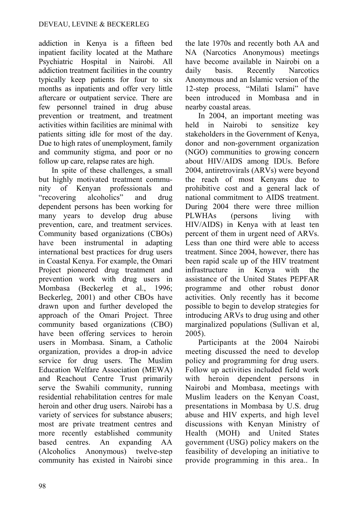addiction in Kenya is a fifteen bed inpatient facility located at the Mathare Psychiatric Hospital in Nairobi. All addiction treatment facilities in the country typically keep patients for four to six months as inpatients and offer very little aftercare or outpatient service. There are few personnel trained in drug abuse prevention or treatment, and treatment activities within facilities are minimal with patients sitting idle for most of the day. Due to high rates of unemployment, family and community stigma, and poor or no follow up care, relapse rates are high.

In spite of these challenges, a small but highly motivated treatment community of Kenyan professionals and "recovering alcoholics" and drug dependent persons has been working for many years to develop drug abuse prevention, care, and treatment services. Community based organizations (CBOs) have been instrumental in adapting international best practices for drug users in Coastal Kenya. For example, the Omari Project pioneered drug treatment and prevention work with drug users in Mombasa (Beckerleg et al., 1996; Beckerleg, 2001) and other CBOs have drawn upon and further developed the approach of the Omari Project. Three community based organizations (CBO) have been offering services to heroin users in Mombasa. Sinam, a Catholic organization, provides a drop-in advice service for drug users. The Muslim Education Welfare Association (MEWA) and Reachout Centre Trust primarily serve the Swahili community, running residential rehabilitation centres for male heroin and other drug users. Nairobi has a variety of services for substance abusers; most are private treatment centres and more recently established community based centres. An expanding AA (Alcoholics Anonymous) twelve-step community has existed in Nairobi since the late 1970s and recently both AA and NA (Narcotics Anonymous) meetings have become available in Nairobi on a daily basis. Recently Narcotics Anonymous and an Islamic version of the 12-step process, "Milati Islami" have been introduced in Mombasa and in nearby coastal areas.

In 2004, an important meeting was held in Nairobi to sensitize key stakeholders in the Government of Kenya, donor and non-government organization (NGO) communities to growing concern about HIV/AIDS among IDUs. Before 2004, antiretrovirals (ARVs) were beyond the reach of most Kenyans due to prohibitive cost and a general lack of national commitment to AIDS treatment. During 2004 there were three million PLWHAs (persons living with HIV/AIDS) in Kenya with at least ten percent of them in urgent need of ARVs. Less than one third were able to access treatment. Since 2004, however, there has been rapid scale up of the HIV treatment infrastructure in Kenya with the assistance of the United States PEPFAR programme and other robust donor activities. Only recently has it become possible to begin to develop strategies for introducing ARVs to drug using and other marginalized populations (Sullivan et al, 2005).

Participants at the 2004 Nairobi meeting discussed the need to develop policy and programming for drug users. Follow up activities included field work with heroin dependent persons in Nairobi and Mombasa, meetings with Muslim leaders on the Kenyan Coast, presentations in Mombasa by U.S. drug abuse and HIV experts, and high level discussions with Kenyan Ministry of Health (MOH) and United States government (USG) policy makers on the feasibility of developing an initiative to provide programming in this area.. In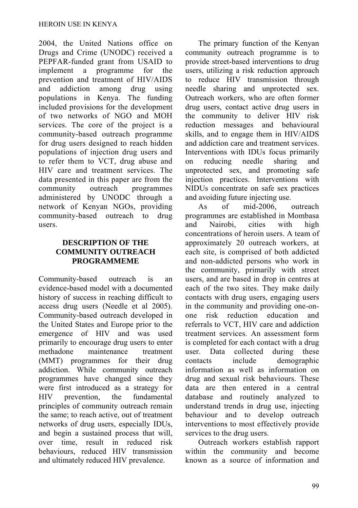2004, the United Nations office on Drugs and Crime (UNODC) received a PEPFAR-funded grant from USAID to implement a programme for the prevention and treatment of HIV/AIDS and addiction among drug using populations in Kenya. The funding included provisions for the development of two networks of NGO and MOH services. The core of the project is a community-based outreach programme for drug users designed to reach hidden populations of injection drug users and to refer them to VCT, drug abuse and HIV care and treatment services. The data presented in this paper are from the community outreach programmes administered by UNODC through a network of Kenyan NGOs, providing community-based outreach to drug users.

### **DESCRIPTION OF THE COMMUNITY OUTREACH PROGRAMMEME**

Community-based outreach is an evidence-based model with a documented history of success in reaching difficult to access drug users (Needle et al 2005). Community-based outreach developed in the United States and Europe prior to the emergence of HIV and was used primarily to encourage drug users to enter methadone maintenance treatment (MMT) programmes for their drug addiction. While community outreach programmes have changed since they were first introduced as a strategy for HIV prevention, the fundamental principles of community outreach remain the same; to reach active, out of treatment networks of drug users, especially IDUs, and begin a sustained process that will, over time, result in reduced risk behaviours, reduced HIV transmission and ultimately reduced HIV prevalence.

The primary function of the Kenyan community outreach programme is to provide street-based interventions to drug users, utilizing a risk reduction approach to reduce HIV transmission through needle sharing and unprotected sex. Outreach workers, who are often former drug users, contact active drug users in the community to deliver HIV risk reduction messages and behavioural skills, and to engage them in HIV/AIDS and addiction care and treatment services. Interventions with IDUs focus primarily on reducing needle sharing and unprotected sex, and promoting safe injection practices. Interventions with NIDUs concentrate on safe sex practices and avoiding future injecting use.

As of mid-2006, outreach programmes are established in Mombasa and Nairobi, cities with high concentrations of heroin users. A team of approximately 20 outreach workers, at each site, is comprised of both addicted and non-addicted persons who work in the community, primarily with street users, and are based in drop in centres at each of the two sites. They make daily contacts with drug users, engaging users in the community and providing one-onone risk reduction education and referrals to VCT, HIV care and addiction treatment services. An assessment form is completed for each contact with a drug user. Data collected during these contacts include demographic information as well as information on drug and sexual risk behaviours. These data are then entered in a central database and routinely analyzed to understand trends in drug use, injecting behaviour and to develop outreach interventions to most effectively provide services to the drug users.

Outreach workers establish rapport within the community and become known as a source of information and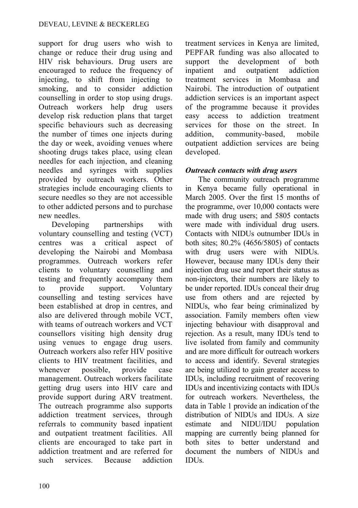support for drug users who wish to change or reduce their drug using and HIV risk behaviours. Drug users are encouraged to reduce the frequency of injecting, to shift from injecting to smoking, and to consider addiction counselling in order to stop using drugs. Outreach workers help drug users develop risk reduction plans that target specific behaviours such as decreasing the number of times one injects during the day or week, avoiding venues where shooting drugs takes place, using clean needles for each injection, and cleaning needles and syringes with supplies provided by outreach workers. Other strategies include encouraging clients to secure needles so they are not accessible to other addicted persons and to purchase new needles.

Developing partnerships with voluntary counselling and testing (VCT) centres was a critical aspect of developing the Nairobi and Mombasa programmes. Outreach workers refer clients to voluntary counselling and testing and frequently accompany them to provide support. Voluntary counselling and testing services have been established at drop in centres, and also are delivered through mobile VCT, with teams of outreach workers and VCT counsellors visiting high density drug using venues to engage drug users. Outreach workers also refer HIV positive clients to HIV treatment facilities, and whenever possible, provide case management. Outreach workers facilitate getting drug users into HIV care and provide support during ARV treatment. The outreach programme also supports addiction treatment services, through referrals to community based inpatient and outpatient treatment facilities. All clients are encouraged to take part in addiction treatment and are referred for such services. Because addiction treatment services in Kenya are limited, PEPFAR funding was also allocated to support the development of both inpatient and outpatient addiction treatment services in Mombasa and Nairobi. The introduction of outpatient addiction services is an important aspect of the programme because it provides easy access to addiction treatment services for those on the street. In addition, community-based, mobile outpatient addiction services are being developed.

## *Outreach contacts with drug users*

The community outreach programme in Kenya became fully operational in March 2005. Over the first 15 months of the programme, over 10,000 contacts were made with drug users; and 5805 contacts were made with individual drug users. Contacts with NIDUs outnumber IDUs in both sites; 80.2% (4656/5805) of contacts with drug users were with NIDUs. However, because many IDUs deny their injection drug use and report their status as non-injectors, their numbers are likely to be under reported. IDUs conceal their drug use from others and are rejected by NIDUs, who fear being criminalized by association. Family members often view injecting behaviour with disapproval and rejection. As a result, many IDUs tend to live isolated from family and community and are more difficult for outreach workers to access and identify. Several strategies are being utilized to gain greater access to IDUs, including recruitment of recovering IDUs and incentivizing contacts with IDUs for outreach workers. Nevertheless, the data in Table 1 provide an indication of the distribution of NIDUs and IDUs. A size estimate and NIDU/IDU population mapping are currently being planned for both sites to better understand and document the numbers of NIDUs and IDUs.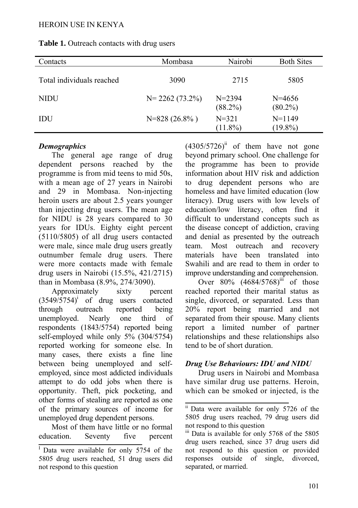| Contacts                  | Mombasa            | Nairobi                  | <b>Both Sites</b>        |
|---------------------------|--------------------|--------------------------|--------------------------|
| Total individuals reached | 3090               | 2715                     | 5805                     |
| <b>NIDU</b>               | $N = 2262(73.2\%)$ | $N = 2394$<br>$(88.2\%)$ | $N = 4656$<br>$(80.2\%)$ |
| IDU                       | $N=828(26.8\%)$    | $N = 321$<br>$(11.8\%)$  | $N=1149$<br>$(19.8\%)$   |

# **Table 1.** Outreach contacts with drug users

## *Demographics*

The general age range of drug dependent persons reached by the programme is from mid teens to mid 50s, with a mean age of 27 years in Nairobi and 29 in Mombasa. Non-injecting heroin users are about 2.5 years younger than injecting drug users. The mean age for NIDU is 28 years compared to 30 years for IDUs. Eighty eight percent (5110/5805) of all drug users contacted were male, since male drug users greatly outnumber female drug users. There were more contacts made with female drug users in Nairobi (15.5%, 421/2715) than in Mombasa (8.9%, 274/3090).

Approximately sixty percent  $(3549/5754)^i$  of drug users contacted through outreach reported being unemployed. Nearly one third of respondents (1843/5754) reported being self-employed while only 5% (304/5754) reported working for someone else. In many cases, there exists a fine line between being unemployed and selfemployed, since most addicted individuals attempt to do odd jobs when there is opportunity. Theft, pick pocketing, and other forms of stealing are reported as one of the primary sources of income for unemployed drug dependent persons.

Most of them have little or no formal education. Seventy five percent  $(4305/5726)^{ii}$  of them have not gone beyond primary school. One challenge for the programme has been to provide information about HIV risk and addiction to drug dependent persons who are homeless and have limited education (low literacy). Drug users with low levels of education/low literacy, often find it difficult to understand concepts such as the disease concept of addiction, craving and denial as presented by the outreach team. Most outreach and recovery materials have been translated into Swahili and are read to them in order to improve understanding and comprehension.

Over  $80\%$   $(4684/5768)^{iii}$  of those reached reported their marital status as single, divorced, or separated. Less than 20% report being married and not separated from their spouse. Many clients report a limited number of partner relationships and these relationships also tend to be of short duration.

# *Drug Use Behaviours: IDU and NIDU*

Drug users in Nairobi and Mombasa have similar drug use patterns. Heroin, which can be smoked or injected, is the

<sup>&</sup>lt;sup>I</sup> Data were available for only 5754 of the 5805 drug users reached, 51 drug users did not respond to this question

<sup>&</sup>lt;sup>ii</sup> Data were available for only 5726 of the 5805 drug users reached, 79 drug users did not respond to this question

iii Data is available for only 5768 of the 5805 drug users reached, since 37 drug users did not respond to this question or provided responses outside of single, divorced, separated, or married.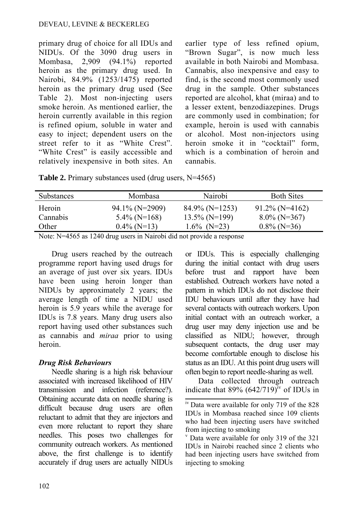#### DEVEAU, LEVINE & BECKERLEG

primary drug of choice for all IDUs and NIDUs. Of the 3090 drug users in Mombasa, 2,909 (94.1%) reported heroin as the primary drug used. In Nairobi, 84.9% (1253/1475) reported heroin as the primary drug used (See Table 2). Most non-injecting users smoke heroin. As mentioned earlier, the heroin currently available in this region is refined opium, soluble in water and easy to inject; dependent users on the street refer to it as "White Crest". "White Crest" is easily accessible and relatively inexpensive in both sites. An

earlier type of less refined opium, "Brown Sugar", is now much less available in both Nairobi and Mombasa. Cannabis, also inexpensive and easy to find, is the second most commonly used drug in the sample. Other substances reported are alcohol, khat (miraa) and to a lesser extent, benzodiazepines. Drugs are commonly used in combination; for example, heroin is used with cannabis or alcohol. Most non-injectors using heroin smoke it in "cocktail" form. which is a combination of heroin and cannabis.

**Table 2.** Primary substances used (drug users, N=4565)

| <b>Substances</b> | Mombasa           | Nairobi           | <b>Both Sites</b> |
|-------------------|-------------------|-------------------|-------------------|
| Heroin            | $94.1\%$ (N=2909) | $84.9\%$ (N=1253) | $91.2\%$ (N=4162) |
| Cannabis          | $5.4\%$ (N=168)   | $13.5\%$ (N=199)  | $8.0\%$ (N=367)   |
| Other             | $0.4\%$ (N=13)    | $1.6\%$ (N=23)    | $0.8\%$ (N=36)    |

Note: N=4565 as 1240 drug users in Nairobi did not provide a response

Drug users reached by the outreach programme report having used drugs for an average of just over six years. IDUs have been using heroin longer than NIDUs by approximately 2 years; the average length of time a NIDU used heroin is 5.9 years while the average for IDUs is 7.8 years. Many drug users also report having used other substances such as cannabis and *miraa* prior to using heroin.

# *Drug Risk Behaviours*

Needle sharing is a high risk behaviour associated with increased likelihood of HIV transmission and infection (reference?). Obtaining accurate data on needle sharing is difficult because drug users are often reluctant to admit that they are injectors and even more reluctant to report they share needles. This poses two challenges for community outreach workers. As mentioned above, the first challenge is to identify accurately if drug users are actually NIDUs or IDUs. This is especially challenging during the initial contact with drug users before trust and rapport have been established. Outreach workers have noted a pattern in which IDUs do not disclose their IDU behaviours until after they have had several contacts with outreach workers. Upon initial contact with an outreach worker, a drug user may deny injection use and be classified as NIDU; however, through subsequent contacts, the drug user may become comfortable enough to disclose his status as an IDU. At this point drug users will often begin to report needle-sharing as well.

Data collected through outreach indicate that 89%  $(642/719)^{iv}$  of IDUs in

<sup>&</sup>lt;sup>iv</sup> Data were available for only 719 of the 828 IDUs in Mombasa reached since 109 clients who had been injecting users have switched from injecting to smoking

v Data were available for only 319 of the 321 IDUs in Nairobi reached since 2 clients who had been injecting users have switched from injecting to smoking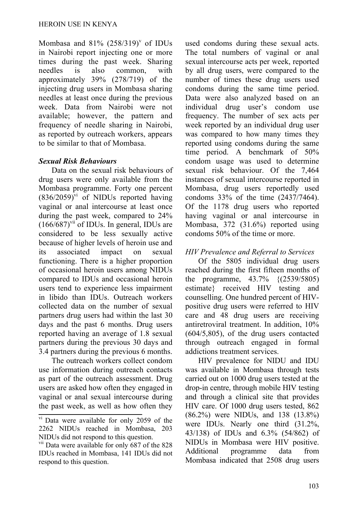Mombasa and  $81\%$   $(258/319)^v$  of IDUs in Nairobi report injecting one or more times during the past week. Sharing needles is also common, with approximately 39% (278/719) of the injecting drug users in Mombasa sharing needles at least once during the previous week. Data from Nairobi were not available; however, the pattern and frequency of needle sharing in Nairobi, as reported by outreach workers, appears to be similar to that of Mombasa.

### *Sexual Risk Behaviours*

Data on the sexual risk behaviours of drug users were only available from the Mombasa programme. Forty one percent  $(836/2059)^{vi}$  of NIDUs reported having vaginal or anal intercourse at least once during the past week, compared to 24%  $(166/687)$ <sup>vii</sup> of IDUs. In general, IDUs are considered to be less sexually active because of higher levels of heroin use and its associated impact on sexual functioning. There is a higher proportion of occasional heroin users among NIDUs compared to IDUs and occasional heroin users tend to experience less impairment in libido than IDUs. Outreach workers collected data on the number of sexual partners drug users had within the last 30 days and the past 6 months. Drug users reported having an average of 1.8 sexual partners during the previous 30 days and 3.4 partners during the previous 6 months.

The outreach workers collect condom use information during outreach contacts as part of the outreach assessment. Drug users are asked how often they engaged in vaginal or anal sexual intercourse during the past week, as well as how often they used condoms during these sexual acts. The total numbers of vaginal or anal sexual intercourse acts per week, reported by all drug users, were compared to the number of times these drug users used condoms during the same time period. Data were also analyzed based on an individual drug user's condom use frequency. The number of sex acts per week reported by an individual drug user was compared to how many times they reported using condoms during the same time period. A benchmark of 50% condom usage was used to determine sexual risk behaviour. Of the 7,464 instances of sexual intercourse reported in Mombasa, drug users reportedly used condoms 33% of the time (2437/7464). Of the 1178 drug users who reported having vaginal or anal intercourse in Mombasa, 372 (31.6%) reported using condoms 50% of the time or more.

# *HIV Prevalence and Referral to Services*

Of the 5805 individual drug users reached during the first fifteen months of the programme, 43.7% {(2539/5805) estimate} received HIV testing and counselling. One hundred percent of HIVpositive drug users were referred to HIV care and 48 drug users are receiving antiretroviral treatment. In addition, 10% (604/5,805), of the drug users contacted through outreach engaged in formal addictions treatment services.

HIV prevalence for NIDU and IDU was available in Mombasa through tests carried out on 1000 drug users tested at the drop-in centre, through mobile HIV testing and through a clinical site that provides HIV care. Of 1000 drug users tested, 862 (86.2%) were NIDUs, and 138 (13.8%) were IDUs. Nearly one third (31.2%, 43/138) of IDUs and 6.3% (54/862) of NIDUs in Mombasa were HIV positive. Additional programme data from Mombasa indicated that 2508 drug users

vi Data were available for only 2059 of the 2262 NIDUs reached in Mombasa, 203 NIDUs did not respond to this question.

<sup>&</sup>lt;sup>vii</sup> Data were available for only 687 of the 828 IDUs reached in Mombasa, 141 IDUs did not respond to this question.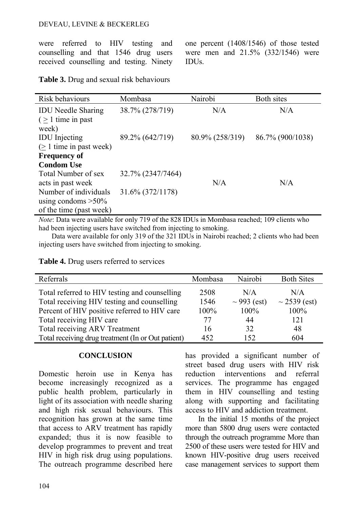were referred to HIV testing and counselling and that 1546 drug users received counselling and testing. Ninety one percent (1408/1546) of those tested were men and 21.5% (332/1546) were IDUs.

**Table 3.** Drug and sexual risk behaviours

| Risk behaviours                                               | Mombasa           | Nairobi         | Both sites       |
|---------------------------------------------------------------|-------------------|-----------------|------------------|
| <b>IDU</b> Needle Sharing<br>$( \geq 1$ time in past<br>week) | 38.7% (278/719)   | N/A             | N/A              |
| <b>IDU</b> Injecting<br>$(\geq 1$ time in past week)          | 89.2% (642/719)   | 80.9% (258/319) | 86.7% (900/1038) |
| <b>Frequency of</b>                                           |                   |                 |                  |
| <b>Condom Use</b>                                             |                   |                 |                  |
| Total Number of sex                                           | 32.7% (2347/7464) |                 |                  |
| acts in past week                                             |                   | N/A             | N/A              |
| Number of individuals                                         | 31.6% (372/1178)  |                 |                  |
| using condoms $>50\%$                                         |                   |                 |                  |
| of the time (past week)                                       |                   |                 |                  |

*Note*: Data were available for only 719 of the 828 IDUs in Mombasa reached; 109 clients who had been injecting users have switched from injecting to smoking.

Data were available for only 319 of the 321 IDUs in Nairobi reached; 2 clients who had been injecting users have switched from injecting to smoking.

| Referrals | Mombas |
|-----------|--------|
|           |        |

| Referrals                                          | Mombasa | Nairobi          | <b>Both Sites</b> |
|----------------------------------------------------|---------|------------------|-------------------|
| Total referred to HIV testing and counselling      | 2508    | N/A              | N/A               |
| Total receiving HIV testing and counselling        | 1546    | $\sim$ 993 (est) | $\sim$ 2539 (est) |
| Percent of HIV positive referred to HIV care       | 100%    | 100%             | 100%              |
| Total receiving HIV care                           | 77      | 44               | 121               |
| <b>Total receiving ARV Treatment</b>               | 16      | 32               | 48                |
| Total receiving drug treatment (In or Out patient) | 452     | 152              | 604               |

#### **CONCLUSION**

**Table 4.** Drug users referred to services

Domestic heroin use in Kenya has become increasingly recognized as a public health problem, particularly in light of its association with needle sharing and high risk sexual behaviours. This recognition has grown at the same time that access to ARV treatment has rapidly expanded; thus it is now feasible to develop programmes to prevent and treat HIV in high risk drug using populations. The outreach programme described here has provided a significant number of street based drug users with HIV risk reduction interventions and referral services. The programme has engaged them in HIV counselling and testing along with supporting and facilitating access to HIV and addiction treatment.

In the initial 15 months of the project more than 5800 drug users were contacted through the outreach programme More than 2500 of these users were tested for HIV and known HIV-positive drug users received case management services to support them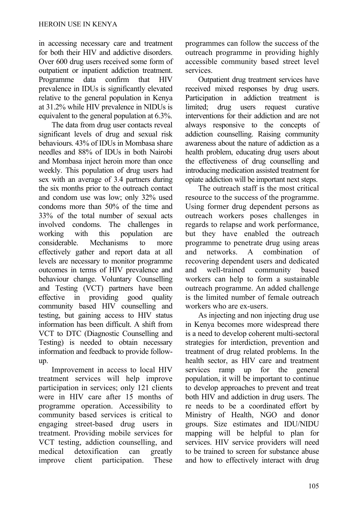in accessing necessary care and treatment for both their HIV and addictive disorders. Over 600 drug users received some form of outpatient or inpatient addiction treatment. Programme data confirm that HIV prevalence in IDUs is significantly elevated relative to the general population in Kenya at 31.2% while HIV prevalence in NIDUs is equivalent to the general population at 6.3%.

The data from drug user contacts reveal significant levels of drug and sexual risk behaviours. 43% of IDUs in Mombasa share needles and 88% of IDUs in both Nairobi and Mombasa inject heroin more than once weekly. This population of drug users had sex with an average of 3.4 partners during the six months prior to the outreach contact and condom use was low; only 32% used condoms more than 50% of the time and 33% of the total number of sexual acts involved condoms. The challenges in working with this population are considerable. Mechanisms to more effectively gather and report data at all levels are necessary to monitor programme outcomes in terms of HIV prevalence and behaviour change. Voluntary Counselling and Testing (VCT) partners have been effective in providing good quality community based HIV counselling and testing, but gaining access to HIV status information has been difficult. A shift from VCT to DTC (Diagnostic Counselling and Testing) is needed to obtain necessary information and feedback to provide followup.

Improvement in access to local HIV treatment services will help improve participation in services; only 121 clients were in HIV care after 15 months of programme operation. Accessibility to community based services is critical to engaging street-based drug users in treatment. Providing mobile services for VCT testing, addiction counselling, and medical detoxification can greatly improve client participation. These programmes can follow the success of the outreach programme in providing highly accessible community based street level services.

Outpatient drug treatment services have received mixed responses by drug users. Participation in addiction treatment is limited; drug users request curative interventions for their addiction and are not always responsive to the concepts of addiction counselling. Raising community awareness about the nature of addiction as a health problem, educating drug users about the effectiveness of drug counselling and introducing medication assisted treatment for opiate addiction will be important next steps.

The outreach staff is the most critical resource to the success of the programme. Using former drug dependent persons as outreach workers poses challenges in regards to relapse and work performance, but they have enabled the outreach programme to penetrate drug using areas and networks. A combination of recovering dependent users and dedicated and well-trained community based workers can help to form a sustainable outreach programme. An added challenge is the limited number of female outreach workers who are ex-users.

As injecting and non injecting drug use in Kenya becomes more widespread there is a need to develop coherent multi-sectoral strategies for interdiction, prevention and treatment of drug related problems. In the health sector, as HIV care and treatment services ramp up for the general population, it will be important to continue to develop approaches to prevent and treat both HIV and addiction in drug users. The re needs to be a coordinated effort by Ministry of Health, NGO and donor groups. Size estimates and IDU/NIDU mapping will be helpful to plan for services. HIV service providers will need to be trained to screen for substance abuse and how to effectively interact with drug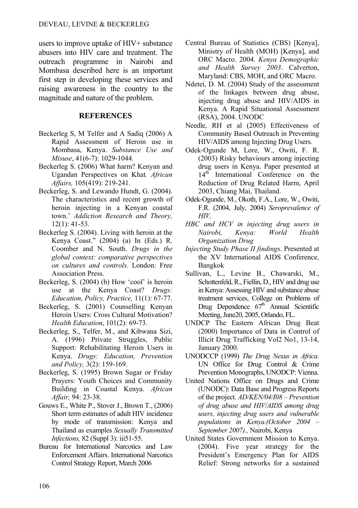users to improve uptake of HIV+ substance abusers into HIV care and treatment. The outreach programme in Nairobi and Mombasa described here is an important first step in developing these services and raising awareness in the country to the magnitude and nature of the problem.

### **REFERENCES**

- Beckerleg S, M Telfer and A Sadiq (2006) A Rapid Assessment of Heroin use in Mombasa, Kenya. *Substance Use and Misuse*, 41(6-7): 1029-1044*.*
- Beckerleg S. (2006) What harm? Kenyan and Ugandan Perspectives on Khat*. African Affairs,* 105(419): 219-241.
- Beckerleg, S. and Lewando Hundt, G. (2004). The characteristics and recent growth of heroin injecting in a Kenyan coastal town.' *Addiction Research and Theory,* 12(1): 41-53.
- Beckerleg S. (2004). Living with heroin at the Kenya Coast." (2004) (a) In (Eds.) R. Coomber and N. South. *Drugs in the global context: comparative perspectives on cultures and controls.* London: Free Association Press.
- Beckerleg, S. (2004) (b) How 'cool' is heroin use at the Kenya Coast? *Drugs: Education, Policy, Practice,* 11(1): 67-77.
- Beckerleg, S. (2001) Counselling Kenyan Heroin Users: Cross Cultural Motivation? *Health Education*, 101(2): 69-73.
- Beckerleg, S., Telfer, M., and Kibwana Sizi, A. (1996) Private Struggles, Public Support: Rehabilitating Heroin Users in Kenya. *Drugs: Education, Prevention and Policy,* 3(2): 159-169.
- Beckerleg, S. (1995) Brown Sugar or Friday Prayers: Youth Choices and Community Building in Coastal Kenya. *African Affair,* 94: 23-38.
- Gouws E., White P., Stover J., Brown T., (2006) Short term estimates of adult HIV incidence by mode of transmission: Kenya and Thailand as examples *Sexually Transmitted Infections, 82 (Suppl 3): iii51-55.*
- Bureau for International Narcotics and Law Enforcement Affairs. International Narcotics Control Strategy Report, March 2006
- Central Bureau of Statistics (CBS) [Kenya], Ministry of Health (MOH) [Kenya], and ORC Macro. 2004. *Kenya Demographic and Health Survey 2003*. Calverton, Maryland: CBS, MOH, and ORC Macro.
- Ndetei, D. M. (2004) Study of the assessment of the linkages between drug abuse, injecting drug abuse and HIV/AIDS in Kenya. A Rapid Situational Assessment (RSA), 2004. UNODC
- Needle, RH et al (2005) Effectiveness of Community Based Outreach in Preventing HIV/AIDS among Injecting Drug Users.
- Odek-Ogunde M, Lore, W., Owiti, F. R. (2003) Risky behaviours among injecting drug users in Kenya. Paper presented at 14<sup>th</sup> International Conference on the Reduction of Drug Related Harm, April 2003, Chiang Mai, Thailand.
- Odek-Ogunde, M., Okoth, F.A., Lore, W., Owiti, F.R. (2004, July, 2004) *Seroprevalence of HIV,*
- *HBC and HCV in injecting drug users in Nairobi, Kenya: World Health Organization Drug*
- *Injecting Study Phase II findings*. Presented at the XV International AIDS Conference, Bangkok
- Sullivan, L., Levine B., Chawarski, M., Schottenfeld, R., Fiellin, D., HIV and drug use in Kenya: Assessing HIV and substance abuse treatment services, College on Problems of Drug Dependence  $67<sup>th</sup>$  Annual Scientific Meeting, June20, 2005, Orlando, FL.
- UNDCP The Eastern African Drug Beat (2000) Importance of Data in Control of Illicit Drug Trafficking Vol2 No1, 13-14, January 2000.
- UNODCCP (1999) *The Drug Nexus in Africa.*  UN Office for Drug Control & Crime Prevention Monographs, UNODCP: Vienna.
- United Nations Office on Drugs and Crime (UNODC): Data Base and Progress Reports of the project. *AD/KEN/04/I08 – Prevention of drug abuse and HIV/AIDS among drug users, injecting drug users and vulnerable populations in Kenya.(October 2004 – September 2007).,* Nairobi, Kenya
- United States Government Mission to Kenya. (2004). Five year strategy for the President's Emergency Plan for AIDS Relief: Strong networks for a sustained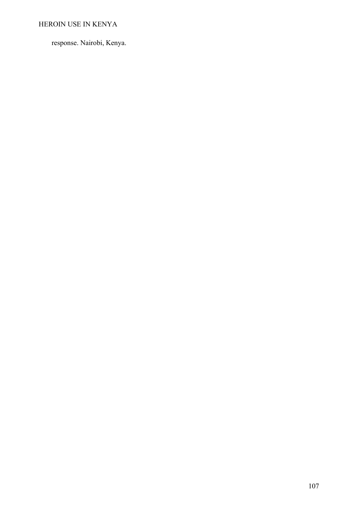# HEROIN USE IN KENYA

response. Nairobi, Kenya.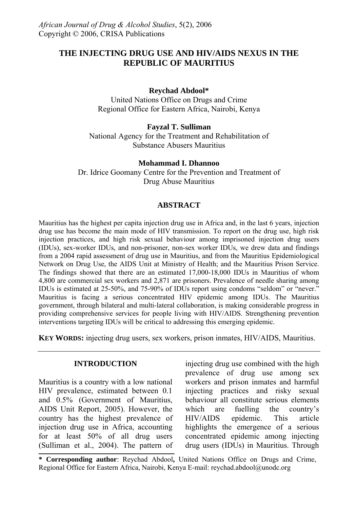# **THE INJECTING DRUG USE AND HIV/AIDS NEXUS IN THE REPUBLIC OF MAURITIUS**

### **Reychad Abdool\***

United Nations Office on Drugs and Crime Regional Office for Eastern Africa, Nairobi, Kenya

### **Fayzal T. Sulliman**

National Agency for the Treatment and Rehabilitation of Substance Abusers Mauritius

### **Mohammad I. Dhannoo**

Dr. Idrice Goomany Centre for the Prevention and Treatment of Drug Abuse Mauritius

### **ABSTRACT**

Mauritius has the highest per capita injection drug use in Africa and, in the last 6 years, injection drug use has become the main mode of HIV transmission. To report on the drug use, high risk injection practices, and high risk sexual behaviour among imprisoned injection drug users (IDUs), sex-worker IDUs, and non-prisoner, non-sex worker IDUs, we drew data and findings from a 2004 rapid assessment of drug use in Mauritius, and from the Mauritius Epidemiological Network on Drug Use, the AIDS Unit at Ministry of Health; and the Mauritius Prison Service. The findings showed that there are an estimated 17,000-18,000 IDUs in Mauritius of whom 4,800 are commercial sex workers and 2,871 are prisoners. Prevalence of needle sharing among IDUs is estimated at 25-50%, and 75-90% of IDUs report using condoms "seldom" or "never." Mauritius is facing a serious concentrated HIV epidemic among IDUs. The Mauritius government, through bilateral and multi-lateral collaboration, is making considerable progress in providing comprehensive services for people living with HIV/AIDS. Strengthening prevention interventions targeting IDUs will be critical to addressing this emerging epidemic.

**KEY WORDS:** injecting drug users, sex workers, prison inmates, HIV/AIDS, Mauritius.

### **INTRODUCTION**

Mauritius is a country with a low national HIV prevalence, estimated between 0.1 and 0.5% (Government of Mauritius, AIDS Unit Report, 2005). However, the country has the highest prevalence of injection drug use in Africa, accounting for at least 50% of all drug users (Sulliman et al., 2004). The pattern of

injecting drug use combined with the high prevalence of drug use among sex workers and prison inmates and harmful injecting practices and risky sexual behaviour all constitute serious elements which are fuelling the country's HIV/AIDS epidemic. This article highlights the emergence of a serious concentrated epidemic among injecting drug users (IDUs) in Mauritius. Through

**\* Corresponding author**: Reychad Abdool**,** United Nations Office on Drugs and Crime, Regional Office for Eastern Africa, Nairobi, Kenya E-mail: reychad.abdool@unodc.org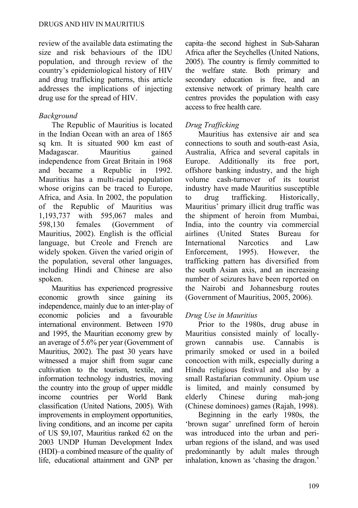review of the available data estimating the size and risk behaviours of the IDU population, and through review of the country's epidemiological history of HIV and drug trafficking patterns, this article addresses the implications of injecting drug use for the spread of HIV.

# *Background*

The Republic of Mauritius is located in the Indian Ocean with an area of 1865 sq km. It is situated 900 km east of Madagascar. Mauritius gained independence from Great Britain in 1968 and became a Republic in 1992. Mauritius has a multi-racial population whose origins can be traced to Europe, Africa, and Asia. In 2002, the population of the Republic of Mauritius was 1,193,737 with 595,067 males and 598,130 females (Government of Mauritius, 2002). English is the official language, but Creole and French are widely spoken. Given the varied origin of the population, several other languages, including Hindi and Chinese are also spoken.

Mauritius has experienced progressive economic growth since gaining its independence, mainly due to an inter-play of economic policies and a favourable international environment. Between 1970 and 1995, the Mauritian economy grew by an average of 5.6% per year (Government of Mauritius, 2002). The past 30 years have witnessed a major shift from sugar cane cultivation to the tourism, textile, and information technology industries, moving the country into the group of upper middle income countries per World Bank classification (United Nations, 2005). With improvements in employment opportunities, living conditions, and an income per capita of US \$9,107, Mauritius ranked 62 on the 2003 UNDP Human Development Index (HDI)–a combined measure of the quality of life, educational attainment and GNP per capita–the second highest in Sub-Saharan Africa after the Seychelles (United Nations, 2005). The country is firmly committed to the welfare state. Both primary and secondary education is free, and an extensive network of primary health care centres provides the population with easy access to free health care.

# *Drug Trafficking*

Mauritius has extensive air and sea connections to south and south-east Asia, Australia, Africa and several capitals in Europe. Additionally its free port, offshore banking industry, and the high volume cash-turnover of its tourist industry have made Mauritius susceptible to drug trafficking. Historically, Mauritius' primary illicit drug traffic was the shipment of heroin from Mumbai, India, into the country via commercial airlines (United States Bureau for International Narcotics and Law Enforcement, 1995). However, the trafficking pattern has diversified from the south Asian axis, and an increasing number of seizures have been reported on the Nairobi and Johannesburg routes (Government of Mauritius, 2005, 2006).

# *Drug Use in Mauritius*

Prior to the 1980s, drug abuse in Mauritius consisted mainly of locallygrown cannabis use. Cannabis is primarily smoked or used in a boiled concoction with milk, especially during a Hindu religious festival and also by a small Rastafarian community. Opium use is limited, and mainly consumed by elderly Chinese during mah-jong (Chinese dominoes) games (Rajah, 1998).

Beginning in the early 1980s, the 'brown sugar' unrefined form of heroin was introduced into the urban and periurban regions of the island, and was used predominantly by adult males through inhalation, known as 'chasing the dragon.'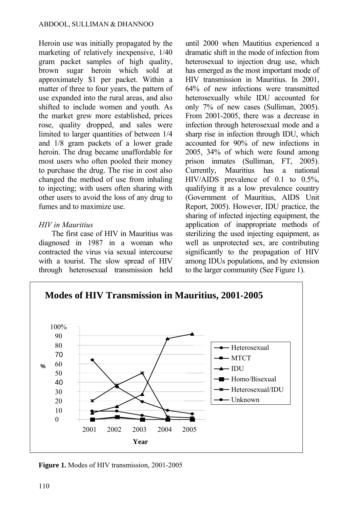Heroin use was initially propagated by the marketing of relatively inexpensive, 1/40 gram packet samples of high quality, brown sugar heroin which sold at approximately \$1 per packet. Within a matter of three to four years, the pattern of use expanded into the rural areas, and also shifted to include women and youth. As the market grew more established, prices rose, quality dropped, and sales were limited to larger quantities of between 1/4 and 1/8 gram packets of a lower grade heroin. The drug became unaffordable for most users who often pooled their money to purchase the drug. The rise in cost also changed the method of use from inhaling to injecting; with users often sharing with other users to avoid the loss of any drug to fumes and to maximize use.

### *HIV in Mauritius*

The first case of HIV in Mauritius was diagnosed in 1987 in a woman who contracted the virus via sexual intercourse with a tourist. The slow spread of HIV through heterosexual transmission held until 2000 when Mautitius experienced a dramatic shift in the mode of infection from heterosexual to injection drug use, which has emerged as the most important mode of HIV transmission in Mauritius. In 2001, 64% of new infections were transmitted heterosexually while IDU accounted for only 7% of new cases (Sulliman, 2005). From 2001-2005, there was a decrease in infection through heterosexual mode and a sharp rise in infection through IDU, which accounted for 90% of new infections in 2005, 34% of which were found among prison inmates (Sulliman, FT, 2005). Currently, Mauritius has a national HIV/AIDS prevalence of 0.1 to 0.5%, qualifying it as a low prevalence country (Government of Mauritius, AIDS Unit Report, 2005). However, IDU practice, the sharing of infected injecting equipment, the application of inappropriate methods of sterilizing the used injecting equipment, as well as unprotected sex, are contributing significantly to the propagation of HIV among IDUs populations, and by extension to the larger community (See Figure 1).



**Figure 1.** Modes of HIV transmission, 2001-2005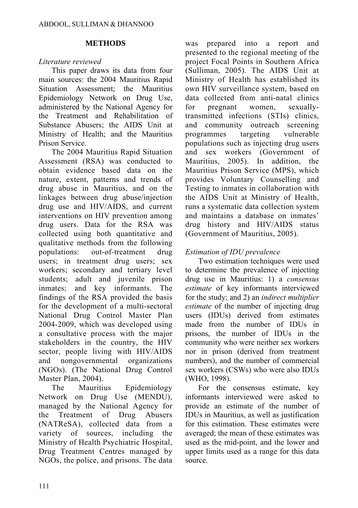### **METHODS**

# *Literature reviewed*

This paper draws its data from four main sources: the 2004 Mauritius Rapid Situation Assessment; the Mauritius Epidemiology Network on Drug Use, administered by the National Agency for the Treatment and Rehabilitation of Substance Abusers; the AIDS Unit at Ministry of Health; and the Mauritius Prison Service.

The 2004 Mauritius Rapid Situation Assessment (RSA) was conducted to obtain evidence based data on the nature, extent, patterns and trends of drug abuse in Mauritius, and on the linkages between drug abuse/injection drug use and HIV/AIDS, and current interventions on HIV prevention among drug users. Data for the RSA was collected using both quantitative and qualitative methods from the following populations: out-of-treatment drug users; in treatment drug users; sex workers; secondary and tertiary level students; adult and juvenile prison inmates; and key informants. The findings of the RSA provided the basis for the development of a multi-sectoral National Drug Control Master Plan 2004-2009, which was developed using a consultative process with the major stakeholders in the country, the HIV sector, people living with HIV/AIDS and nongovernmental organizations (NGOs). (The National Drug Control Master Plan, 2004).

The Mauritius Epidemiology Network on Drug Use (MENDU), managed by the National Agency for the Treatment of Drug Abusers (NATReSA), collected data from a variety of sources, including the Ministry of Health Psychiatric Hospital, Drug Treatment Centres managed by NGOs, the police, and prisons. The data

was prepared into a report and presented to the regional meeting of the project Focal Points in Southern Africa (Sulliman, 2005). The AIDS Unit at Ministry of Health has established its own HIV surveillance system, based on data collected from anti-natal clinics for pregnant women, sexuallytransmitted infections (STIs) clinics, and community outreach screening programmes targeting vulnerable populations such as injecting drug users and sex workers (Government of Mauritius, 2005). In addition, the Mauritius Prison Service (MPS), which provides Voluntary Counselling and Testing to inmates in collaboration with the AIDS Unit at Ministry of Health, runs a systematic data collection system and maintains a database on inmates' drug history and HIV/AIDS status (Government of Mauritius, 2005).

# *Estimation of IDU prevalence*

Two estimation techniques were used to determine the prevalence of injecting drug use in Mauritius: 1) a *consensus estimate* of key informants interviewed for the study; and 2) an *indirect multiplier estimate* of the number of injecting drug users (IDUs) derived from estimates made from the number of IDUs in prisons, the number of IDUs in the community who were neither sex workers nor in prison (derived from treatment numbers), and the number of commercial sex workers (CSWs) who were also IDUs (WHO, 1998).

For the consensus estimate, key informants interviewed were asked to provide an estimate of the number of IDUs in Mauritius, as well as justification for this estimation. These estimates were averaged; the mean of these estimates was used as the mid-point, and the lower and upper limits used as a range for this data source.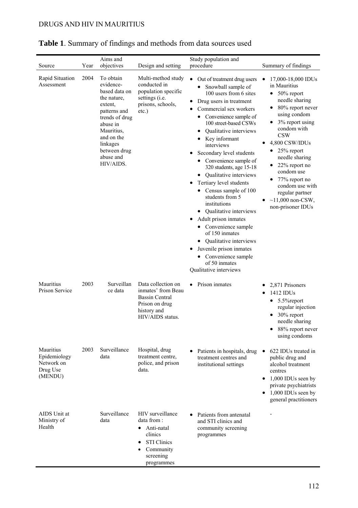|                                                                |              | Aims and                                                                                                                                                                                                        |                                                                                                                                                           | Study population and                                                                                                                                                                                                                                                                                                                                                                                                                                                                                                                                                                                                                                                                                                                                    |                                                                                                                                                                                                                                                                                                                                                                                                                                         |
|----------------------------------------------------------------|--------------|-----------------------------------------------------------------------------------------------------------------------------------------------------------------------------------------------------------------|-----------------------------------------------------------------------------------------------------------------------------------------------------------|---------------------------------------------------------------------------------------------------------------------------------------------------------------------------------------------------------------------------------------------------------------------------------------------------------------------------------------------------------------------------------------------------------------------------------------------------------------------------------------------------------------------------------------------------------------------------------------------------------------------------------------------------------------------------------------------------------------------------------------------------------|-----------------------------------------------------------------------------------------------------------------------------------------------------------------------------------------------------------------------------------------------------------------------------------------------------------------------------------------------------------------------------------------------------------------------------------------|
| Source<br>Rapid Situation<br>Assessment                        | Year<br>2004 | objectives<br>To obtain<br>evidence-<br>based data on<br>the nature,<br>extent,<br>patterns and<br>trends of drug<br>abuse in<br>Mauritius,<br>and on the<br>linkages<br>between drug<br>abuse and<br>HIV/AIDS. | Design and setting<br>Multi-method study<br>conducted in<br>population specific<br>settings (i.e.<br>prisons, schools,<br>$etc.$ )                        | procedure<br>$\bullet$<br>Out of treatment drug users<br>Snowball sample of<br>100 users from 6 sites<br>Drug users in treatment<br>٠<br>Commercial sex workers<br>Convenience sample of<br>$\bullet$<br>100 street-based CSWs<br>Qualitative interviews<br>$\bullet$<br>• Key informant<br>interviews<br>Secondary level students<br>Convenience sample of<br>320 students, age 15-18<br>• Qualitative interviews<br>Tertiary level students<br>٠<br>• Census sample of 100<br>students from 5<br>institutions<br>• Qualitative interviews<br>Adult prison inmates<br>• Convenience sample<br>of 150 inmates<br>• Qualitative interviews<br>Juvenile prison inmates<br>٠<br>Convenience sample<br>$\bullet$<br>of 50 inmates<br>Qualitative interviews | Summary of findings<br>17,000-18,000 IDUs<br>in Mauritius<br>$\bullet$ 50% report<br>needle sharing<br>$\bullet$ 80% report never<br>using condom<br>$\bullet$ 3% report using<br>condom with<br><b>CSW</b><br>4,800 CSW/IDUs<br>٠<br>$\bullet$ 25% report<br>needle sharing<br>22% report no<br>condom use<br>77% report no<br>$\bullet$<br>condom use with<br>regular partner<br>$~11,000$ non-CSW,<br>$\bullet$<br>non-prisoner IDUs |
| Mauritius<br>Prison Service                                    | 2003         | Surveillan<br>ce data                                                                                                                                                                                           | Data collection on<br>inmates' from Beau<br>Bassin Central<br>Prison on drug<br>history and<br>HIV/AIDS status.                                           | • Prison inmates                                                                                                                                                                                                                                                                                                                                                                                                                                                                                                                                                                                                                                                                                                                                        | 2,871 Prisoners<br>$1412$ IDUs<br>٠<br>$\bullet$ 5.5% report<br>regular injection<br>$\bullet$ 30% report<br>needle sharing<br>88% report never<br>$\bullet$<br>using condoms                                                                                                                                                                                                                                                           |
| Mauritius<br>Epidemiology<br>Network on<br>Drug Use<br>(MENDU) | 2003         | Surveillance<br>data                                                                                                                                                                                            | Hospital, drug<br>treatment centre.<br>police, and prison<br>data.                                                                                        | Patients in hospitals, drug<br>treatment centres and<br>institutional settings                                                                                                                                                                                                                                                                                                                                                                                                                                                                                                                                                                                                                                                                          | 622 IDUs treated in<br>public drug and<br>alcohol treatment<br>centres<br>$\bullet$ 1,000 IDUs seen by<br>private psychiatrists<br>$1,000$ IDUs seen by<br>$\bullet$<br>general practitioners                                                                                                                                                                                                                                           |
| AIDS Unit at<br>Ministry of<br>Health                          |              | Surveillance<br>data                                                                                                                                                                                            | HIV surveillance<br>data from:<br>$\bullet$ Anti-natal<br>clinics<br><b>STI Clinics</b><br>$\bullet$<br>Community<br>$\bullet$<br>screening<br>programmes | Patients from antenatal<br>and STI clinics and<br>community screening<br>programmes                                                                                                                                                                                                                                                                                                                                                                                                                                                                                                                                                                                                                                                                     |                                                                                                                                                                                                                                                                                                                                                                                                                                         |

# **Table 1**. Summary of findings and methods from data sources used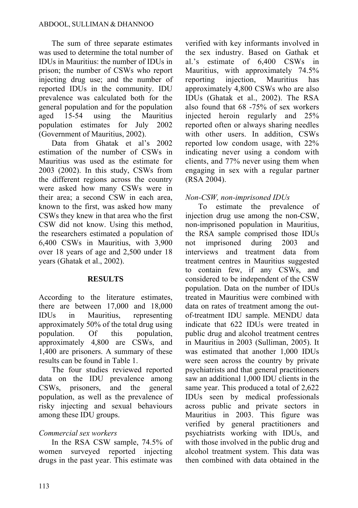The sum of three separate estimates was used to determine the total number of IDUs in Mauritius: the number of IDUs in prison; the number of CSWs who report injecting drug use; and the number of reported IDUs in the community. IDU prevalence was calculated both for the general population and for the population aged 15-54 using the Mauritius population estimates for July 2002 (Government of Mauritius, 2002).

Data from Ghatak et al's 2002 estimation of the number of CSWs in Mauritius was used as the estimate for 2003 (2002). In this study, CSWs from the different regions across the country were asked how many CSWs were in their area; a second CSW in each area, known to the first, was asked how many CSWs they knew in that area who the first CSW did not know. Using this method, the researchers estimated a population of 6,400 CSWs in Mauritius, with 3,900 over 18 years of age and 2,500 under 18 years (Ghatak et al., 2002).

### **RESULTS**

According to the literature estimates, there are between 17,000 and 18,000 IDUs in Mauritius, representing approximately 50% of the total drug using population. Of this population, approximately 4,800 are CSWs, and 1,400 are prisoners. A summary of these results can be found in Table 1.

The four studies reviewed reported data on the IDU prevalence among CSWs, prisoners, and the general population, as well as the prevalence of risky injecting and sexual behaviours among these IDU groups.

# *Commercial sex workers*

In the RSA CSW sample, 74.5% of women surveyed reported injecting drugs in the past year. This estimate was verified with key informants involved in the sex industry. Based on Gathak et al.'s estimate of 6,400 CSWs in Mauritius, with approximately 74.5% reporting injection, Mauritius has approximately 4,800 CSWs who are also IDUs (Ghatak et al., 2002). The RSA also found that 68 -75% of sex workers injected heroin regularly and 25% reported often or always sharing needles with other users. In addition, CSWs reported low condom usage, with 22% indicating never using a condom with clients, and 77% never using them when engaging in sex with a regular partner (RSA 2004).

# *Non-CSW, non-imprisoned IDUs*

To estimate the prevalence of injection drug use among the non-CSW, non-imprisoned population in Mauritius, the RSA sample comprised those IDUs not imprisoned during 2003 and interviews and treatment data from treatment centres in Mauritius suggested to contain few, if any CSWs, and considered to be independent of the CSW population. Data on the number of IDUs treated in Mauritius were combined with data on rates of treatment among the outof-treatment IDU sample. MENDU data indicate that 622 IDUs were treated in public drug and alcohol treatment centres in Mauritius in 2003 (Sulliman, 2005). It was estimated that another 1,000 IDUs were seen across the country by private psychiatrists and that general practitioners saw an additional 1,000 IDU clients in the same year. This produced a total of 2,622 IDUs seen by medical professionals across public and private sectors in Mauritius in 2003. This figure was verified by general practitioners and psychiatrists working with IDUs, and with those involved in the public drug and alcohol treatment system. This data was then combined with data obtained in the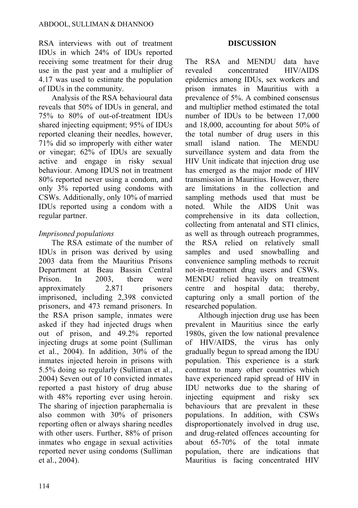RSA interviews with out of treatment IDUs in which 24% of IDUs reported receiving some treatment for their drug use in the past year and a multiplier of 4.17 was used to estimate the population of IDUs in the community.

Analysis of the RSA behavioural data reveals that 50% of IDUs in general, and 75% to 80% of out-of-treatment IDUs shared injecting equipment; 95% of IDUs reported cleaning their needles, however, 71% did so improperly with either water or vinegar; 62% of IDUs are sexually active and engage in risky sexual behaviour. Among IDUS not in treatment 80% reported never using a condom, and only 3% reported using condoms with CSWs. Additionally, only 10% of married IDUs reported using a condom with a regular partner.

# *Imprisoned populations*

The RSA estimate of the number of IDUs in prison was derived by using 2003 data from the Mauritius Prisons Department at Beau Bassin Central Prison. In 2003, there were approximately 2,871 prisoners imprisoned, including 2,398 convicted prisoners, and 473 remand prisoners. In the RSA prison sample, inmates were asked if they had injected drugs when out of prison, and 49.2% reported injecting drugs at some point (Sulliman et al., 2004). In addition, 30% of the inmates injected heroin in prisons with 5.5% doing so regularly (Sulliman et al., 2004) Seven out of 10 convicted inmates reported a past history of drug abuse with 48% reporting ever using heroin. The sharing of injection paraphernalia is also common with 30% of prisoners reporting often or always sharing needles with other users. Further, 88% of prison inmates who engage in sexual activities reported never using condoms (Sulliman et al., 2004).

### **DISCUSSION**

The RSA and MENDU data have revealed concentrated HIV/AIDS epidemics among IDUs, sex workers and prison inmates in Mauritius with a prevalence of 5%. A combined consensus and multiplier method estimated the total number of IDUs to be between 17,000 and 18,000, accounting for about 50% of the total number of drug users in this small island nation. The MENDU surveillance system and data from the HIV Unit indicate that injection drug use has emerged as the major mode of HIV transmission in Mauritius. However, there are limitations in the collection and sampling methods used that must be noted. While the AIDS Unit was comprehensive in its data collection, collecting from antenatal and STI clinics, as well as through outreach programmes, the RSA relied on relatively small samples and used snowballing and convenience sampling methods to recruit not-in-treatment drug users and CSWs. MENDU relied heavily on treatment centre and hospital data; thereby, capturing only a small portion of the researched population.

Although injection drug use has been prevalent in Mauritius since the early 1980s, given the low national prevalence of HIV/AIDS, the virus has only gradually begun to spread among the IDU population. This experience is a stark contrast to many other countries which have experienced rapid spread of HIV in IDU networks due to the sharing of injecting equipment and risky sex behaviours that are prevalent in these populations. In addition, with CSWs disproportionately involved in drug use, and drug-related offences accounting for about 65-70% of the total inmate population, there are indications that Mauritius is facing concentrated HIV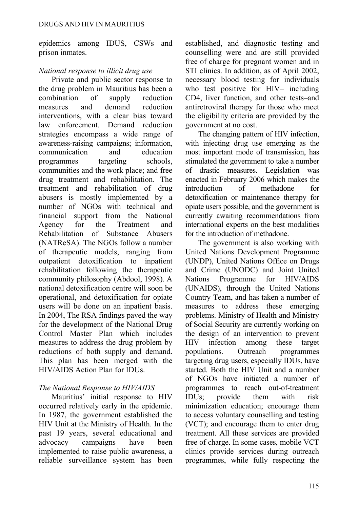epidemics among IDUS, CSWs and prison inmates.

### *National response to illicit drug use*

Private and public sector response to the drug problem in Mauritius has been a combination of supply reduction measures and demand reduction interventions, with a clear bias toward law enforcement. Demand reduction strategies encompass a wide range of awareness-raising campaigns; information, communication and education programmes targeting schools, communities and the work place; and free drug treatment and rehabilitation. The treatment and rehabilitation of drug abusers is mostly implemented by a number of NGOs with technical and financial support from the National Agency for the Treatment and Rehabilitation of Substance Abusers (NATReSA). The NGOs follow a number of therapeutic models, ranging from outpatient detoxification to inpatient rehabilitation following the therapeutic community philosophy (Abdool, 1998). A national detoxification centre will soon be operational, and detoxification for opiate users will be done on an inpatient basis. In 2004, The RSA findings paved the way for the development of the National Drug Control Master Plan which includes measures to address the drug problem by reductions of both supply and demand. This plan has been merged with the HIV/AIDS Action Plan for IDUs.

## *The National Response to HIV/AIDS*

Mauritius' initial response to HIV occurred relatively early in the epidemic. In 1987, the government established the HIV Unit at the Ministry of Health. In the past 19 years, several educational and advocacy campaigns have been implemented to raise public awareness, a reliable surveillance system has been established, and diagnostic testing and counselling were and are still provided free of charge for pregnant women and in STI clinics. In addition, as of April 2002, necessary blood testing for individuals who test positive for HIV– including CD4, liver function, and other tests–and antiretroviral therapy for those who meet the eligibility criteria are provided by the government at no cost.

The changing pattern of HIV infection, with injecting drug use emerging as the most important mode of transmission, has stimulated the government to take a number of drastic measures. Legislation was enacted in February 2006 which makes the introduction of methadone for detoxification or maintenance therapy for opiate users possible, and the government is currently awaiting recommendations from international experts on the best modalities for the introduction of methadone.

The government is also working with United Nations Development Programme (UNDP), United Nations Office on Drugs and Crime (UNODC) and Joint United Nations Programme for HIV/AIDS (UNAIDS), through the United Nations Country Team, and has taken a number of measures to address these emerging problems. Ministry of Health and Ministry of Social Security are currently working on the design of an intervention to prevent HIV infection among these target populations. Outreach programmes targeting drug users, especially IDUs, have started. Both the HIV Unit and a number of NGOs have initiated a number of programmes to reach out-of-treatment IDUs; provide them with risk minimization education; encourage them to access voluntary counselling and testing (VCT); and encourage them to enter drug treatment. All these services are provided free of charge. In some cases, mobile VCT clinics provide services during outreach programmes, while fully respecting the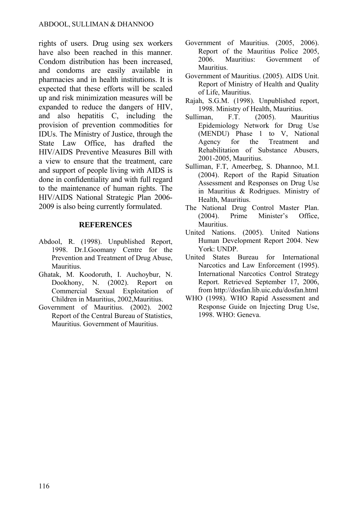rights of users. Drug using sex workers have also been reached in this manner Condom distribution has been increased, and condoms are easily available in pharmacies and in health institutions. It is expected that these efforts will be scaled up and risk minimization measures will be expanded to reduce the dangers of HIV, and also hepatitis C, including the provision of prevention commodities for IDUs. The Ministry of Justice, through the State Law Office, has drafted the HIV/AIDS Preventive Measures Bill with a view to ensure that the treatment, care and support of people living with AIDS is done in confidentiality and with full regard to the maintenance of human rights. The HIV/AIDS National Strategic Plan 2006- 2009 is also being currently formulated.

#### **REFERENCES**

- Abdool, R. (1998). Unpublished Report, 1998. Dr.I.Goomany Centre for the Prevention and Treatment of Drug Abuse, **Mauritius**
- Ghatak, M. Koodoruth, I. Auchoybur, N. Dookhony, N. (2002). Report on Commercial Sexual Exploitation of Children in Mauritius, 2002,Mauritius.
- Government of Mauritius. (2002). 2002 Report of the Central Bureau of Statistics, Mauritius. Government of Mauritius.
- Government of Mauritius. (2005, 2006). Report of the Mauritius Police 2005, 2006. Mauritius: Government of **Mauritius**
- Government of Mauritius. (2005). AIDS Unit. Report of Ministry of Health and Quality of Life, Mauritius.
- Rajah, S.G.M. (1998). Unpublished report, 1998. Ministry of Health, Mauritius.
- Sulliman, F.T. (2005). Mauritius Epidemiology Network for Drug Use (MENDU) Phase 1 to V, National Agency for the Treatment and Rehabilitation of Substance Abusers, 2001-2005, Mauritius.
- Sulliman, F.T, Ameerbeg, S. Dhannoo, M.I. (2004). Report of the Rapid Situation Assessment and Responses on Drug Use in Mauritius & Rodrigues. Ministry of Health, Mauritius.
- The National Drug Control Master Plan. (2004). Prime Minister's Office, Mauritius.
- United Nations. (2005). United Nations Human Development Report 2004. New York: UNDP.
- United States Bureau for International Narcotics and Law Enforcement (1995). International Narcotics Control Strategy Report. Retrieved September 17, 2006, from<http://dosfan.lib.uic.edu/dosfan.html>
- WHO (1998). WHO Rapid Assessment and Response Guide on Injecting Drug Use, 1998. WHO: Geneva.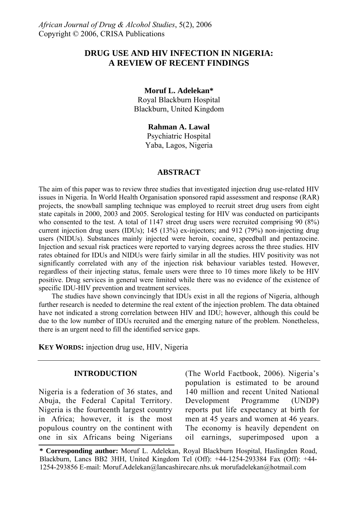## **DRUG USE AND HIV INFECTION IN NIGERIA: A REVIEW OF RECENT FINDINGS**

#### **Moruf L. Adelekan\***

Royal Blackburn Hospital Blackburn, United Kingdom

#### **Rahman A. Lawal**

Psychiatric Hospital Yaba, Lagos, Nigeria

#### **ABSTRACT**

The aim of this paper was to review three studies that investigated injection drug use-related HIV issues in Nigeria. In World Health Organisation sponsored rapid assessment and response (RAR) projects, the snowball sampling technique was employed to recruit street drug users from eight state capitals in 2000, 2003 and 2005. Serological testing for HIV was conducted on participants who consented to the test. A total of 1147 street drug users were recruited comprising 90 (8%) current injection drug users (IDUs); 145 (13%) ex-injectors; and 912 (79%) non-injecting drug users (NIDUs). Substances mainly injected were heroin, cocaine, speedball and pentazocine. Injection and sexual risk practices were reported to varying degrees across the three studies. HIV rates obtained for IDUs and NIDUs were fairly similar in all the studies. HIV positivity was not significantly correlated with any of the injection risk behaviour variables tested. However, regardless of their injecting status, female users were three to 10 times more likely to be HIV positive. Drug services in general were limited while there was no evidence of the existence of specific IDU-HIV prevention and treatment services.

The studies have shown convincingly that IDUs exist in all the regions of Nigeria, although further research is needed to determine the real extent of the injection problem. The data obtained have not indicated a strong correlation between HIV and IDU; however, although this could be due to the low number of IDUs recruited and the emerging nature of the problem. Nonetheless, there is an urgent need to fill the identified service gaps.

**KEY WORDS:** injection drug use, HIV, Nigeria

#### **INTRODUCTION**

Nigeria is a federation of 36 states, and Abuja, the Federal Capital Territory. Nigeria is the fourteenth largest country in Africa; however, it is the most populous country on the continent with one in six Africans being Nigerians (The World Factbook, 2006). Nigeria's population is estimated to be around 140 million and recent United National Development Programme (UNDP) reports put life expectancy at birth for men at 45 years and women at 46 years. The economy is heavily dependent on oil earnings, superimposed upon a

**<sup>\*</sup> Corresponding author:** Moruf L. Adelekan, Royal Blackburn Hospital, Haslingden Road, Blackburn, Lancs BB2 3HH, United Kingdom Tel (Off): +44-1254-293384 Fax (Off): +44- 1254-293856 E-mail: Moruf.Adelekan@lancashirecare.nhs.uk morufadelekan@hotmail.com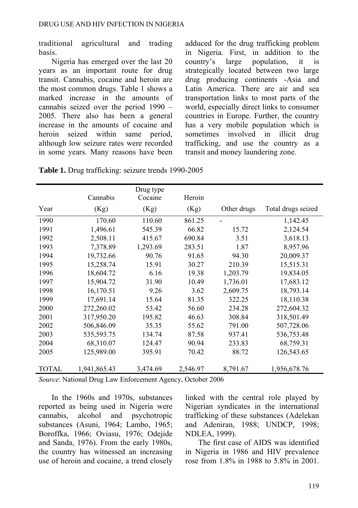traditional agricultural and trading basis.

Nigeria has emerged over the last 20 years as an important route for drug transit. Cannabis, cocaine and heroin are the most common drugs. Table 1 shows a marked increase in the amounts of cannabis seized over the period 1990 – 2005. There also has been a general increase in the amounts of cocaine and heroin seized within same period, although low seizure rates were recorded in some years. Many reasons have been adduced for the drug trafficking problem in Nigeria. First, in addition to the country's large population, it is strategically located between two large drug producing continents -Asia and Latin America. There are air and sea transportation links to most parts of the world, especially direct links to consumer countries in Europe. Further, the country has a very mobile population which is sometimes involved in illicit drug trafficking, and use the country as a transit and money laundering zone.

**Table 1.** Drug trafficking: seizure trends 1990-2005

|              |              | Drug type |          |             |                    |
|--------------|--------------|-----------|----------|-------------|--------------------|
|              | Cannabis     | Cocaine   | Heroin   |             |                    |
| Year         | (Kg)         | (Kg)      | (Kg)     | Other drugs | Total drugs seized |
| 1990         | 170.60       | 110.60    | 861.25   |             | 1,142.45           |
| 1991         | 1,496.61     | 545.39    | 66.82    | 15.72       | 2,124.54           |
| 1992         | 2,508.11     | 415.67    | 690.84   | 3.51        | 3,618.13           |
| 1993         | 7,378.89     | 1,293.69  | 283.51   | 1.87        | 8,957.96           |
| 1994         | 19,732.66    | 90.76     | 91.65    | 94.30       | 20,009.37          |
| 1995         | 15,258.74    | 15.91     | 30.27    | 210.39      | 15,515.31          |
| 1996         | 18,604.72    | 6.16      | 19.38    | 1,203.79    | 19,834.05          |
| 1997         | 15,904.72    | 31.90     | 10.49    | 1,736.01    | 17,683.12          |
| 1998         | 16,170.51    | 9.26      | 3.62     | 2,609.75    | 18,793.14          |
| 1999         | 17,691.14    | 15.64     | 81.35    | 322.25      | 18,110.38          |
| 2000         | 272,260.02   | 53.42     | 56.60    | 234.28      | 272,604.32         |
| 2001         | 317,950.20   | 195.82    | 46.63    | 308.84      | 318,501.49         |
| 2002         | 506,846.09   | 35.35     | 55.62    | 791.00      | 507,728.06         |
| 2003         | 535,593.75   | 134.74    | 87.58    | 937.41      | 536,753.48         |
| 2004         | 68,310.07    | 124.47    | 90.94    | 233.83      | 68,759.31          |
| 2005         | 125,989.00   | 395.91    | 70.42    | 88.72       | 126,543.65         |
|              |              |           |          |             |                    |
| <b>TOTAL</b> | 1,941,865.43 | 3,474.69  | 2,546.97 | 8,791.67    | 1,956,678.76       |

*Source*: National Drug Law Enforcement Agency, October 2006

In the 1960s and 1970s, substances reported as being used in Nigeria were cannabis, alcohol and psychotropic substances (Asuni, 1964; Lambo, 1965; Boroffka, 1966; Oviasu, 1976; Odejide and Sanda, 1976). From the early 1980s, the country has witnessed an increasing use of heroin and cocaine, a trend closely linked with the central role played by Nigerian syndicates in the international trafficking of these substances (Adelekan and Adeniran, 1988; UNDCP, 1998; NDLEA, 1999).

The first case of AIDS was identified in Nigeria in 1986 and HIV prevalence rose from 1.8% in 1988 to 5.8% in 2001.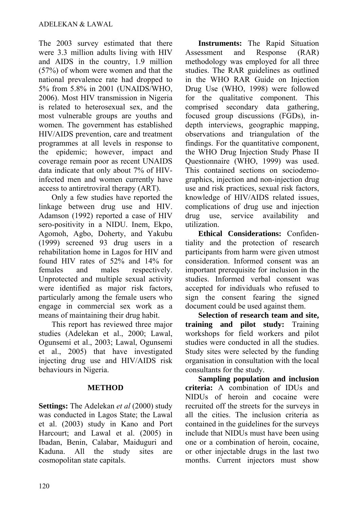The 2003 survey estimated that there were 3.3 million adults living with HIV and AIDS in the country, 1.9 million (57%) of whom were women and that the national prevalence rate had dropped to 5% from 5.8% in 2001 (UNAIDS/WHO, 2006). Most HIV transmission in Nigeria is related to heterosexual sex, and the most vulnerable groups are youths and women. The government has established HIV/AIDS prevention, care and treatment programmes at all levels in response to the epidemic; however, impact and coverage remain poor as recent UNAIDS data indicate that only about 7% of HIVinfected men and women currently have access to antiretroviral therapy (ART).

Only a few studies have reported the linkage between drug use and HIV. Adamson (1992) reported a case of HIV sero-positivity in a NIDU. Inem, Ekpo, Agomoh, Agbo, Doherty, and Yakubu (1999) screened 93 drug users in a rehabilitation home in Lagos for HIV and found HIV rates of 52% and 14% for females and males respectively. Unprotected and multiple sexual activity were identified as major risk factors, particularly among the female users who engage in commercial sex work as a means of maintaining their drug habit.

This report has reviewed three major studies (Adelekan et al., 2000; Lawal, Ogunsemi et al., 2003; Lawal, Ogunsemi et al., 2005) that have investigated injecting drug use and HIV/AIDS risk behaviours in Nigeria.

## **METHOD**

**Settings:** The Adelekan *et al* (2000) study was conducted in Lagos State; the Lawal et al. (2003) study in Kano and Port Harcourt; and Lawal et al. (2005) in Ibadan, Benin, Calabar, Maiduguri and Kaduna. All the study sites are cosmopolitan state capitals.

**Instruments:** The Rapid Situation Assessment and Response (RAR) methodology was employed for all three studies. The RAR guidelines as outlined in the WHO RAR Guide on Injection Drug Use (WHO, 1998) were followed for the qualitative component. This comprised secondary data gathering, focused group discussions (FGDs), indepth interviews, geographic mapping, observations and triangulation of the findings. For the quantitative component, the WHO Drug Injection Study Phase II Questionnaire (WHO, 1999) was used. This contained sections on sociodemographics, injection and non-injection drug use and risk practices, sexual risk factors, knowledge of HIV/AIDS related issues, complications of drug use and injection drug use, service availability and utilization.

**Ethical Considerations:** Confidentiality and the protection of research participants from harm were given utmost consideration. Informed consent was an important prerequisite for inclusion in the studies. Informed verbal consent was accepted for individuals who refused to sign the consent fearing the signed document could be used against them.

**Selection of research team and site, training and pilot study:** Training workshops for field workers and pilot studies were conducted in all the studies. Study sites were selected by the funding organisation in consultation with the local consultants for the study.

**Sampling population and inclusion criteria:** A combination of IDUs and NIDUs of heroin and cocaine were recruited off the streets for the surveys in all the cities. The inclusion criteria as contained in the guidelines for the surveys include that NIDUs must have been using one or a combination of heroin, cocaine, or other injectable drugs in the last two months. Current injectors must show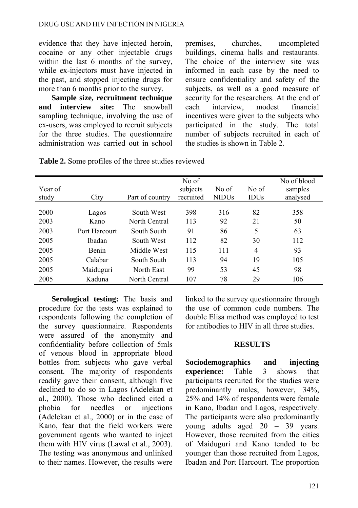evidence that they have injected heroin, cocaine or any other injectable drugs within the last 6 months of the survey. while ex-injectors must have injected in the past, and stopped injecting drugs for more than 6 months prior to the survey.

**Sample size, recruitment technique and interview site:** The snowball sampling technique, involving the use of ex-users, was employed to recruit subjects for the three studies. The questionnaire administration was carried out in school premises, churches, uncompleted buildings, cinema halls and restaurants. The choice of the interview site was informed in each case by the need to ensure confidentiality and safety of the subjects, as well as a good measure of security for the researchers. At the end of each interview, modest financial incentives were given to the subjects who participated in the study. The total number of subjects recruited in each of the studies is shown in Table 2.

|         |               |                 | No of     |              |             | No of blood |
|---------|---------------|-----------------|-----------|--------------|-------------|-------------|
| Year of |               |                 | subjects  | No of        | No of       | samples     |
| study   | City          | Part of country | recruited | <b>NIDUs</b> | <b>IDUs</b> | analysed    |
|         |               |                 |           |              |             |             |
| 2000    | Lagos         | South West      | 398       | 316          | 82          | 358         |
| 2003    | Kano          | North Central   | 113       | 92           | 21          | 50          |
| 2003    | Port Harcourt | South South     | 91        | 86           | 5           | 63          |
| 2005    | <b>Ibadan</b> | South West      | 112       | 82           | 30          | 112         |
| 2005    | <b>Benin</b>  | Middle West     | 115       | 111          | 4           | 93          |
| 2005    | Calabar       | South South     | 113       | 94           | 19          | 105         |
| 2005    | Maiduguri     | North East      | 99        | 53           | 45          | 98          |
| 2005    | Kaduna        | North Central   | 107       | 78           | 29          | 106         |

**Table 2.** Some profiles of the three studies reviewed

**Serological testing:** The basis and procedure for the tests was explained to respondents following the completion of the survey questionnaire. Respondents were assured of the anonymity and confidentiality before collection of 5mls of venous blood in appropriate blood bottles from subjects who gave verbal consent. The majority of respondents readily gave their consent, although five declined to do so in Lagos (Adelekan et al., 2000). Those who declined cited a phobia for needles or injections (Adelekan et al., 2000) or in the case of Kano, fear that the field workers were government agents who wanted to inject them with HIV virus (Lawal et al., 2003). The testing was anonymous and unlinked to their names. However, the results were linked to the survey questionnaire through the use of common code numbers. The double Elisa method was employed to test for antibodies to HIV in all three studies.

### **RESULTS**

**Sociodemographics and injecting experience:** Table 3 shows that participants recruited for the studies were predominantly males; however, 34%, 25% and 14% of respondents were female in Kano, Ibadan and Lagos, respectively. The participants were also predominantly young adults aged 20 – 39 years. However, those recruited from the cities of Maiduguri and Kano tended to be younger than those recruited from Lagos, Ibadan and Port Harcourt. The proportion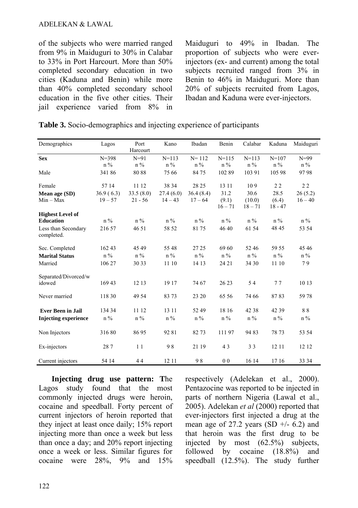of the subjects who were married ranged from 9% in Maiduguri to 30% in Calabar to 33% in Port Harcourt. More than 50% completed secondary education in two cities (Kaduna and Benin) while more than 40% completed secondary school education in the five other cities. Their jail experience varied from 8% in Maiduguri to 49% in Ibadan. The proportion of subjects who were everinjectors (ex- and current) among the total subjects recruited ranged from 3% in Benin to 46% in Maiduguri. More than 20% of subjects recruited from Lagos, Ibadan and Kaduna were ever-injectors.

| Demographics                      | Lagos     | Port      | Kano      | Ibadan    | Benin          | Calabar   | Kaduna    | Maiduguri |
|-----------------------------------|-----------|-----------|-----------|-----------|----------------|-----------|-----------|-----------|
|                                   |           | Harcourt  |           |           |                |           |           |           |
| <b>Sex</b>                        | $N = 398$ | $N=91$    | $N = 113$ | $N = 112$ | $N = 115$      | $N = 113$ | $N = 107$ | $N=99$    |
|                                   | $n\%$     | $n\%$     | $n\%$     | $n\%$     | $n\%$          | $n\%$     | $n\%$     | $n\%$     |
| Male                              | 34186     | 8088      | 75 66     | 8475      | 10289          | 103 91    | 105 98    | 9798      |
| Female                            | 57 14     | 11 12     | 38 34     | 28 25     | 13 11          | 109       | 22        | 22        |
| Mean age (SD)                     | 36.9(6.3) | 33.5(8.0) | 27.4(6.0) | 36.4(8.4) | 31.2           | 30.6      | 28.5      | 26(5.2)   |
| $Min - Max$                       | $19 - 57$ | $21 - 56$ | $14 - 43$ | $17 - 64$ | (9.1)          | (10.0)    | (6.4)     | $16 - 40$ |
|                                   |           |           |           |           | $16 - 71$      | $18 - 71$ | $18 - 47$ |           |
| <b>Highest Level of</b>           |           |           |           |           |                |           |           |           |
| <b>Education</b>                  | $n\%$     | $n\%$     | $n\%$     | $n\%$     | $n\%$          | $n\%$     | $n\%$     | $n\%$     |
| Less than Secondary<br>completed. | 216 57    | 46 51     | 58 52     | 8175      | 46 40          | 61 54     | 48 45     | 53 54     |
| Sec. Completed                    | 16243     | 45 49     | 55 48     | 27 25     | 69 60          | 52 46     | 59 55     | 45 46     |
| <b>Marital Status</b>             | $n\%$     | $n\%$     | $n\%$     | $n\%$     | $n\%$          | $n\%$     | $n\%$     | $n\%$     |
| Married                           | 106 27    | 30 33     | 11 10     | 14 13     | 24 21          | 34 30     | 11 10     | 79        |
| Separated/Divorced/w              |           |           |           |           |                |           |           |           |
| idowed                            | 169 43    | 12 13     | 19 17     | 74 67     | 26 23          | 54        | 77        | 10 13     |
| Never married                     | 118 30    | 49 54     | 83 73     | 23 20     | 65 56          | 74 66     | 8783      | 5978      |
| <b>Ever Been in Jail</b>          | 134 34    | 11 12     | 13 11     | 52 49     | 18 16          | 42 38     | 42 39     | 88        |
| <b>Injecting experience</b>       | $n\%$     | $n\%$     | $n\%$     | $n\%$     | $n\%$          | $n\%$     | $n\%$     | $n\%$     |
| Non Injectors                     | 31680     | 8695      | 9281      | 82 73     | 11197          | 9483      | 78 73     | 53 54     |
| Ex-injectors                      | 287       | 11        | 98        | 21 19     | 43             | 33        | 12 11     | 12 12     |
| Current injectors                 | 54 14     | 44        | 12 11     | 98        | 0 <sub>0</sub> | 16 14     | 17 16     | 33 34     |

|  | <b>Table 3.</b> Socio-demographics and injecting experience of participants |  |  |  |
|--|-----------------------------------------------------------------------------|--|--|--|

**Injecting drug use pattern: T**he Lagos study found that the most commonly injected drugs were heroin, cocaine and speedball. Forty percent of current injectors of heroin reported that they inject at least once daily; 15% report injecting more than once a week but less than once a day; and 20% report injecting once a week or less. Similar figures for cocaine were 28%, 9% and 15% respectively (Adelekan et al., 2000). Pentazocine was reported to be injected in parts of northern Nigeria (Lawal et al., 2005). Adelekan *et al* (2000) reported that ever-injectors first injected a drug at the mean age of 27.2 years (SD  $+/- 6.2$ ) and that heroin was the first drug to be injected by most (62.5%) subjects, followed by cocaine (18.8%) and speedball (12.5%). The study further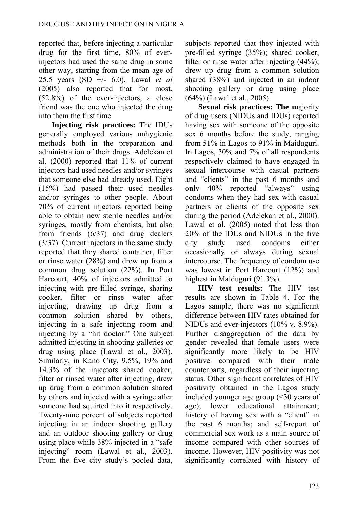reported that, before injecting a particular drug for the first time, 80% of everinjectors had used the same drug in some other way, starting from the mean age of 25.5 years (SD +/- 6.0). Lawal *et al*  (2005) also reported that for most, (52.8%) of the ever-injectors, a close friend was the one who injected the drug into them the first time.

**Injecting risk practices:** The IDUs generally employed various unhygienic methods both in the preparation and administration of their drugs. Adelekan et al. (2000) reported that 11% of current injectors had used needles and/or syringes that someone else had already used. Eight (15%) had passed their used needles and/or syringes to other people. About 70% of current injectors reported being able to obtain new sterile needles and/or syringes, mostly from chemists, but also from friends (6/37) and drug dealers (3/37). Current injectors in the same study reported that they shared container, filter or rinse water (28%) and drew up from a common drug solution (22%). In Port Harcourt, 40% of injectors admitted to injecting with pre-filled syringe, sharing cooker, filter or rinse water after injecting, drawing up drug from a common solution shared by others, injecting in a safe injecting room and injecting by a "hit doctor." One subject admitted injecting in shooting galleries or drug using place (Lawal et al., 2003). Similarly, in Kano City, 9.5%, 19% and 14.3% of the injectors shared cooker, filter or rinsed water after injecting, drew up drug from a common solution shared by others and injected with a syringe after someone had squirted into it respectively. Twenty-nine percent of subjects reported injecting in an indoor shooting gallery and an outdoor shooting gallery or drug using place while 38% injected in a "safe injecting" room (Lawal et al., 2003). From the five city study's pooled data, subjects reported that they injected with pre-filled syringe (35%); shared cooker, filter or rinse water after injecting (44%); drew up drug from a common solution shared (38%) and injected in an indoor shooting gallery or drug using place (64%) (Lawal et al., 2005).

**Sexual risk practices: The m**ajority of drug users (NIDUs and IDUs) reported having sex with someone of the opposite sex 6 months before the study, ranging from 51% in Lagos to 91% in Maiduguri. In Lagos, 30% and 7% of all respondents respectively claimed to have engaged in sexual intercourse with casual partners and "clients" in the past 6 months and only 40% reported "always" using condoms when they had sex with casual partners or clients of the opposite sex during the period (Adelekan et al., 2000). Lawal et al. (2005) noted that less than 20% of the IDUs and NIDUs in the five city study used condoms either occasionally or always during sexual intercourse. The frequency of condom use was lowest in Port Harcourt (12%) and highest in Maiduguri (91.3%).

**HIV test results:** The HIV test results are shown in Table 4. For the Lagos sample, there was no significant difference between HIV rates obtained for NIDUs and ever-injectors (10% v. 8.9%). Further disaggregation of the data by gender revealed that female users were significantly more likely to be HIV positive compared with their male counterparts, regardless of their injecting status. Other significant correlates of HIV positivity obtained in the Lagos study included younger age group (<30 years of age); lower educational attainment; history of having sex with a "client" in the past 6 months; and self-report of commercial sex work as a main source of income compared with other sources of income. However, HIV positivity was not significantly correlated with history of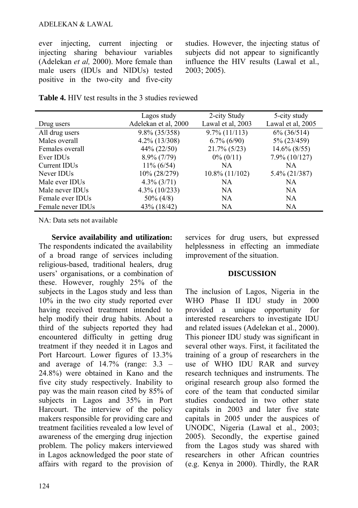#### ADELEKAN & LAWAL

ever injecting, current injecting or injecting sharing behaviour variables (Adelekan *et al,* 2000). More female than male users (IDUs and NIDUs) tested positive in the two-city and five-city studies. However, the injecting status of subjects did not appear to significantly influence the HIV results (Lawal et al., 2003; 2005).

**Table 4.** HIV test results in the 3 studies reviewed

|                          | Lagos study          | 2-city Study      | 5-city study      |
|--------------------------|----------------------|-------------------|-------------------|
| Drug users               | Adelekan et al, 2000 | Lawal et al, 2003 | Lawal et al, 2005 |
| All drug users           | $9.8\%$ (35/358)     | $9.7\%$ (11/113)  | $6\%$ (36/514)    |
| Males overall            | $4.2\%$ (13/308)     | $6.7\%$ $(6/90)$  | 5% (23/459)       |
| Females overall          | $44\% (22/50)$       | $21.7\%$ (5/23)   | $14.6\%$ (8/55)   |
| Ever IDUs                | $8.9\%$ (7/79)       | $0\% (0/11)$      | $7.9\%$ (10/127)  |
| Current IDU <sub>s</sub> | $11\% (6/54)$        | NA.               | <b>NA</b>         |
| Never IDU <sub>s</sub>   | 10% (28/279)         | $10.8\%$ (11/102) | $5.4\%$ (21/387)  |
| Male ever IDUs           | $4.3\%$ (3/71)       | NA.               | <b>NA</b>         |
| Male never IDUs          | $4.3\%$ (10/233)     | NA.               | <b>NA</b>         |
| Female ever IDUs         | $50\% (4/8)$         | NA.               | <b>NA</b>         |
| Female never IDUs        | 43% (18/42)          | NA                | <b>NA</b>         |

NA: Data sets not available

**Service availability and utilization:**  The respondents indicated the availability of a broad range of services including religious-based, traditional healers, drug users' organisations, or a combination of these. However, roughly 25% of the subjects in the Lagos study and less than 10% in the two city study reported ever having received treatment intended to help modify their drug habits. About a third of the subjects reported they had encountered difficulty in getting drug treatment if they needed it in Lagos and Port Harcourt. Lower figures of 13.3% and average of  $14.7\%$  (range:  $3.3$  – 24.8%) were obtained in Kano and the five city study respectively. Inability to pay was the main reason cited by 85% of subjects in Lagos and 35% in Port Harcourt. The interview of the policy makers responsible for providing care and treatment facilities revealed a low level of awareness of the emerging drug injection problem. The policy makers interviewed in Lagos acknowledged the poor state of affairs with regard to the provision of services for drug users, but expressed helplessness in effecting an immediate improvement of the situation.

#### **DISCUSSION**

The inclusion of Lagos, Nigeria in the WHO Phase II IDU study in 2000 provided a unique opportunity for interested researchers to investigate IDU and related issues (Adelekan et al., 2000). This pioneer IDU study was significant in several other ways. First, it facilitated the training of a group of researchers in the use of WHO IDU RAR and survey research techniques and instruments. The original research group also formed the core of the team that conducted similar studies conducted in two other state capitals in 2003 and later five state capitals in 2005 under the auspices of UNODC, Nigeria (Lawal et al., 2003; 2005). Secondly, the expertise gained from the Lagos study was shared with researchers in other African countries (e.g. Kenya in 2000). Thirdly, the RAR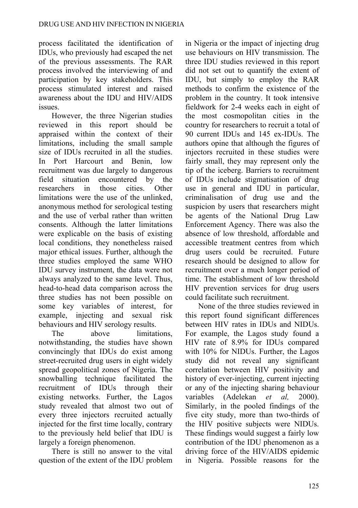process facilitated the identification of IDUs, who previously had escaped the net of the previous assessments. The RAR process involved the interviewing of and participation by key stakeholders. This process stimulated interest and raised awareness about the IDU and HIV/AIDS issues.

However, the three Nigerian studies reviewed in this report should be appraised within the context of their limitations, including the small sample size of IDUs recruited in all the studies. In Port Harcourt and Benin, low recruitment was due largely to dangerous field situation encountered by the researchers in those cities. Other limitations were the use of the unlinked, anonymous method for serological testing and the use of verbal rather than written consents. Although the latter limitations were explicable on the basis of existing local conditions, they nonetheless raised major ethical issues. Further, although the three studies employed the same WHO IDU survey instrument, the data were not always analyzed to the same level. Thus, head-to-head data comparison across the three studies has not been possible on some key variables of interest, for example, injecting and sexual risk behaviours and HIV serology results.

The above limitations, notwithstanding, the studies have shown convincingly that IDUs do exist among street-recruited drug users in eight widely spread geopolitical zones of Nigeria. The snowballing technique facilitated the recruitment of IDUs through their existing networks. Further, the Lagos study revealed that almost two out of every three injectors recruited actually injected for the first time locally, contrary to the previously held belief that IDU is largely a foreign phenomenon.

There is still no answer to the vital question of the extent of the IDU problem

in Nigeria or the impact of injecting drug use behaviours on HIV transmission. The three IDU studies reviewed in this report did not set out to quantify the extent of IDU, but simply to employ the RAR methods to confirm the existence of the problem in the country. It took intensive fieldwork for 2-4 weeks each in eight of the most cosmopolitan cities in the country for researchers to recruit a total of 90 current IDUs and 145 ex-IDUs. The authors opine that although the figures of injectors recruited in these studies were fairly small, they may represent only the tip of the iceberg. Barriers to recruitment of IDUs include stigmatisation of drug use in general and IDU in particular, criminalisation of drug use and the suspicion by users that researchers might be agents of the National Drug Law Enforcement Agency. There was also the absence of low threshold, affordable and accessible treatment centres from which drug users could be recruited. Future research should be designed to allow for recruitment over a much longer period of time. The establishment of low threshold HIV prevention services for drug users could facilitate such recruitment.

None of the three studies reviewed in this report found significant differences between HIV rates in IDUs and NIDUs. For example, the Lagos study found a HIV rate of 8.9% for IDUs compared with 10% for NIDUs. Further, the Lagos study did not reveal any significant correlation between HIV positivity and history of ever-injecting, current injecting or any of the injecting sharing behaviour variables (Adelekan *et al,* 2000). Similarly, in the pooled findings of the five city study, more than two-thirds of the HIV positive subjects were NIDUs. These findings would suggest a fairly low contribution of the IDU phenomenon as a driving force of the HIV/AIDS epidemic in Nigeria. Possible reasons for the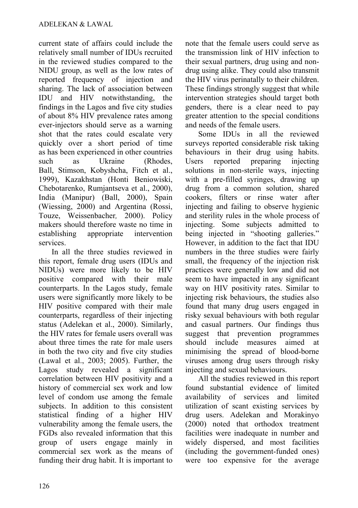current state of affairs could include the relatively small number of IDUs recruited in the reviewed studies compared to the NIDU group, as well as the low rates of reported frequency of injection and sharing. The lack of association between IDU and HIV notwithstanding, the findings in the Lagos and five city studies of about 8% HIV prevalence rates among ever-injectors should serve as a warning shot that the rates could escalate very quickly over a short period of time as has been experienced in other countries such as Ukraine (Rhodes, Ball, Stimson, Kobyshcha, Fitch et al., 1999), Kazakhstan (Honti Beniowiski, Chebotarenko, Rumjantseva et al., 2000), India (Manipur) (Ball, 2000), Spain (Wiessing, 2000) and Argentina (Rossi, Touze, Weissenbacher*,* 2000). Policy makers should therefore waste no time in establishing appropriate intervention services.

In all the three studies reviewed in this report, female drug users (IDUs and NIDUs) were more likely to be HIV positive compared with their male counterparts. In the Lagos study, female users were significantly more likely to be HIV positive compared with their male counterparts, regardless of their injecting status (Adelekan et al., 2000). Similarly, the HIV rates for female users overall was about three times the rate for male users in both the two city and five city studies (Lawal et al., 2003; 2005). Further, the Lagos study revealed a significant correlation between HIV positivity and a history of commercial sex work and low level of condom use among the female subjects. In addition to this consistent statistical finding of a higher HIV vulnerability among the female users, the FGDs also revealed information that this group of users engage mainly commercial sex work as the means of funding their drug habit. It is important to note that the female users could serve as the transmission link of HIV infection to their sexual partners, drug using and nondrug using alike. They could also transmit the HIV virus perinatally to their children. These findings strongly suggest that while intervention strategies should target both genders, there is a clear need to pay greater attention to the special conditions and needs of the female users.

Some IDUs in all the reviewed surveys reported considerable risk taking behaviours in their drug using habits. Users reported preparing injecting solutions in non-sterile ways, injecting with a pre-filled syringes, drawing up drug from a common solution, shared cookers, filters or rinse water after injecting and failing to observe hygienic and sterility rules in the whole process of injecting. Some subjects admitted to being injected in "shooting galleries." However, in addition to the fact that IDU numbers in the three studies were fairly small, the frequency of the injection risk practices were generally low and did not seem to have impacted in any significant way on HIV positivity rates. Similar to injecting risk behaviours, the studies also found that many drug users engaged in risky sexual behaviours with both regular and casual partners. Our findings thus suggest that prevention programmes should include measures aimed at minimising the spread of blood-borne viruses among drug users through risky injecting and sexual behaviours.

All the studies reviewed in this report found substantial evidence of limited availability of services and limited utilization of scant existing services by drug users. Adelekan and Morakinyo (2000) noted that orthodox treatment facilities were inadequate in number and widely dispersed, and most facilities (including the government-funded ones) were too expensive for the average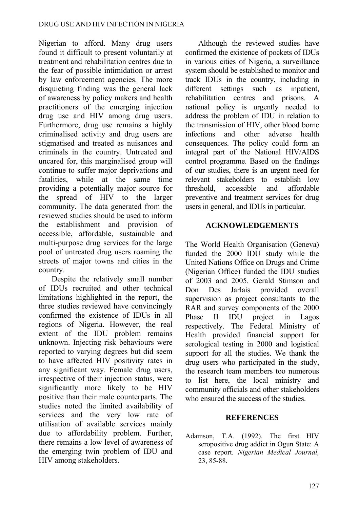Nigerian to afford. Many drug users found it difficult to present voluntarily at treatment and rehabilitation centres due to the fear of possible intimidation or arrest by law enforcement agencies. The more disquieting finding was the general lack of awareness by policy makers and health practitioners of the emerging injection drug use and HIV among drug users. Furthermore, drug use remains a highly criminalised activity and drug users are stigmatised and treated as nuisances and criminals in the country. Untreated and uncared for, this marginalised group will continue to suffer major deprivations and fatalities, while at the same time providing a potentially major source for the spread of HIV to the larger community. The data generated from the reviewed studies should be used to inform the establishment and provision of accessible, affordable, sustainable and multi-purpose drug services for the large pool of untreated drug users roaming the streets of major towns and cities in the country.

Despite the relatively small number of IDUs recruited and other technical limitations highlighted in the report, the three studies reviewed have convincingly confirmed the existence of IDUs in all regions of Nigeria. However, the real extent of the IDU problem remains unknown. Injecting risk behaviours were reported to varying degrees but did seem to have affected HIV positivity rates in any significant way. Female drug users, irrespective of their injection status, were significantly more likely to be HIV positive than their male counterparts. The studies noted the limited availability of services and the very low rate of utilisation of available services mainly due to affordability problem. Further, there remains a low level of awareness of the emerging twin problem of IDU and HIV among stakeholders.

Although the reviewed studies have confirmed the existence of pockets of IDUs in various cities of Nigeria, a surveillance system should be established to monitor and track IDUs in the country, including in different settings such as inpatient, rehabilitation centres and prisons. A national policy is urgently needed to address the problem of IDU in relation to the transmission of HIV, other blood borne infections and other adverse health consequences. The policy could form an integral part of the National HIV/AIDS control programme. Based on the findings of our studies, there is an urgent need for relevant stakeholders to establish low threshold, accessible and affordable preventive and treatment services for drug users in general, and IDUs in particular.

#### **ACKNOWLEDGEMENTS**

The World Health Organisation (Geneva) funded the 2000 IDU study while the United Nations Office on Drugs and Crime (Nigerian Office) funded the IDU studies of 2003 and 2005. Gerald Stimson and Don Des Jarlais provided overall supervision as project consultants to the RAR and survey components of the 2000 Phase II IDU project in Lagos respectively. The Federal Ministry of Health provided financial support for serological testing in 2000 and logistical support for all the studies. We thank the drug users who participated in the study, the research team members too numerous to list here, the local ministry and community officials and other stakeholders who ensured the success of the studies.

#### **REFERENCES**

Adamson, T.A. (1992). The first HIV seropositive drug addict in Ogun State: A case report. *Nigerian Medical Journal,* 23, 85-88.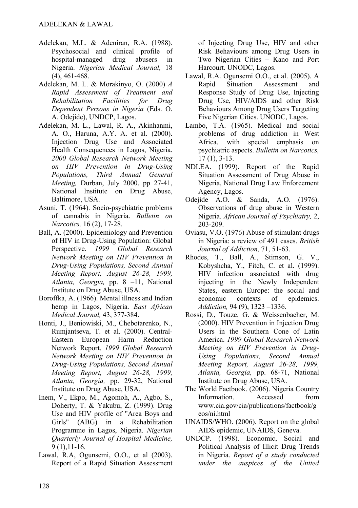- Adelekan, M.L. & Adeniran, R.A. (1988). Psychosocial and clinical profile of hospital-managed drug abusers in Nigeria. *Nigerian Medical Journal,* 18 (4), 461-468.
- Adelekan, M. L. & Morakinyo, O. (2000) *A Rapid Assessment of Treatment and Rehabilitation Facilities for Drug Dependent Persons in Nigeria* (Eds. O. A. Odejide), UNDCP, Lagos.
- Adelekan, M. L., Lawal, R. A., Akinhanmi, A. O., Haruna, A.Y. A. et al. (2000). Injection Drug Use and Associated Health Consequences in Lagos, Nigeria. *2000 Global Research Network Meeting on HIV Prevention in Drug-Using Populations, Third Annual General Meeting,* Durban, July 2000, pp 27-41, National Institute on Drug Abuse, Baltimore, USA.
- Asuni, T. (1964). Socio-psychiatric problems of cannabis in Nigeria. *Bulletin on Narcotics,* 16 (2), 17-28.
- Ball, A. (2000). Epidemiology and Prevention of HIV in Drug-Using Population: Global Perspective. *1999 Global Research Network Meeting on HIV Prevention in Drug-Using Populations, Second Annual Meeting Report, August 26-28, 1999, Atlanta, Georgia,* pp. 8 –11, National Institute on Drug Abuse, USA.
- Boroffka, A. (1966). Mental illness and Indian hemp in Lagos, Nigeria. *East African Medical Journal,* 43, 377-384.
- Honti, J., Beniowiski, M., Chebotarenko, N., Rumjantseva, T. et al. (2000). Central-Eastern European Harm Reduction Network Report. *1999 Global Research Network Meeting on HIV Prevention in Drug-Using Populations, Second Annual Meeting Report, August 26-28, 1999, Atlanta, Georgia,* pp. 29-32, National Institute on Drug Abuse, USA.
- Inem, V., Ekpo, M., Agomoh, A., Agbo, S., Doherty, T. & Yakubu, Z. (1999). Drug Use and HIV profile of "Area Boys and Girls" (ABG) in a Rehabilitation Programme in Lagos, Nigeria. *Nigerian Quarterly Journal of Hospital Medicine,* 9 (1),11-16.
- Lawal, R.A, Ogunsemi, O.O., et al (2003). Report of a Rapid Situation Assessment

of Injecting Drug Use, HIV and other Risk Behaviours among Drug Users in Two Nigerian Cities – Kano and Port Harcourt. UNODC, Lagos.

- Lawal, R.A. Ogunsemi O.O., et al. (2005). A Rapid Situation Assessment and Response Study of Drug Use, Injecting Drug Use, HIV/AIDS and other Risk Behaviours Among Drug Users Targeting Five Nigerian Cities. UNODC, Lagos.
- Lambo, T.A. (1965). Medical and social problems of drug addiction in West Africa, with special emphasis on psychiatric aspects. *Bulletin on Narcotics,* 17 (1), 3-13.
- NDLEA. (1999). Report of the Rapid Situation Assessment of Drug Abuse in Nigeria, National Drug Law Enforcement Agency, Lagos.
- Odejide A.O. & Sanda, A.O. (1976). Observations of drug abuse in Western Nigeria. *African Journal of Psychiatry,* 2, 203-209.
- Oviasu, V.O. (1976) Abuse of stimulant drugs in Nigeria: a review of 491 cases. *British Journal of Addiction,* 71, 51-63.
- Rhodes, T., Ball, A., Stimson, G. V., Kobyshcha, Y., Fitch, C. et al. (1999). HIV infection associated with drug injecting in the Newly Independent States, eastern Europe: the social and economic contexts of epidemics. *Addiction,* 94 (9), 1323 –1336.
- Rossi, D., Touze, G. & Weissenbacher, M. (2000). HIV Prevention in Injection Drug Users in the Southern Cone of Latin America. *1999 Global Research Network Meeting on HIV Prevention in Drug-Using Populations, Second Annual Meeting Report, August 26-28, 1999, Atlanta, Georgia,* pp. 68-71, National Institute on Drug Abuse, USA.
- The World Factbook. (2006). Nigeria Country Information. Accessed from www.cia.gov/cia/publications/factbook/g eos/ni.html
- UNAIDS/WHO. (2006). Report on the global AIDS epidemic, UNAIDS, Geneva.
- UNDCP. (1998). Economic, Social and Political Analysis of Illicit Drug Trends in Nigeria. *Report of a study conducted under the auspices of the United*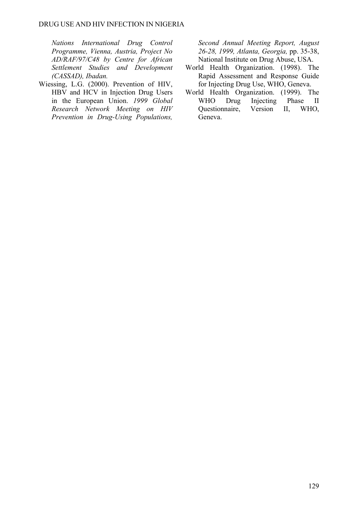*Nations International Drug Control Programme, Vienna, Austria, Project No AD/RAF/97/C48 by Centre for African Settlement Studies and Development (CASSAD), Ibadan.* 

Wiessing, L.G. (2000). Prevention of HIV, HBV and HCV in Injection Drug Users in the European Union. *1999 Global Research Network Meeting on HIV Prevention in Drug-Using Populations,*  *Second Annual Meeting Report, August 26-28, 1999, Atlanta, Georgia,* pp. 35-38, National Institute on Drug Abuse, USA.

- World Health Organization. (1998). The Rapid Assessment and Response Guide for Injecting Drug Use, WHO, Geneva.
- World Health Organization. (1999). The WHO Drug Injecting Phase II Questionnaire, Version II, WHO, Geneva.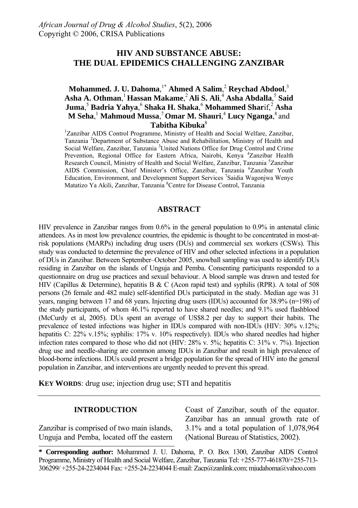## **HIV AND SUBSTANCE ABUSE: THE DUAL EPIDEMICS CHALLENGING ZANZIBAR**

**Mohammed. J. U. Dahoma**, 1\* **Ahmed A Salim**, <sup>2</sup> **Reychad Abdool**, 3 **Asha A. Othman**, <sup>1</sup>**Hassan Makame**, <sup>2</sup>**Ali S. Ali**, <sup>4</sup> **Asha Abdalla**, <sup>5</sup> **Said Juma**, <sup>5</sup> **Badria Yahya**, <sup>6</sup> **Shaka H. Shaka**, <sup>6</sup> **Mohammed Shar**if,<sup>2</sup> **Asha M Seha**, <sup>1</sup> **Mahmoud Mussa**, <sup>7</sup>**Omar M. Shauri**, <sup>4</sup> **Lucy Nganga**, 8 and **Tabitha Kibuka**<sup>8</sup>

<sup>1</sup>Zanzibar AIDS Control Programme, Ministry of Health and Social Welfare, Zanzibar, Tanzania <sup>2</sup> Department of Substance Abuse and Rehabilitation, Ministry of Health and Social Welfare, Zanzibar, Tanzania<sup>3</sup> United Nations Office for Drug Control and Crime Prevention, Regional Office for Eastern Africa, Nairobi, Kenya <sup>4</sup>Zanzibar Health Research Council, Ministry of Health and Social Welfare, Zanzibar, Tanzania<sup>5</sup> Zanzibar AIDS Commission, Chief Minister's Office, Zanzibar, Tanzania <sup>6</sup>Zanzibar Youth Education, Environment, and Development Support Services<sup>7</sup> Saidia Wagonjwa Wenye Matatizo Ya Akili, Zanzibar, Tanzania <sup>8</sup>Centre for Disease Control, Tanzania

#### **ABSTRACT**

HIV prevalence in Zanzibar ranges from 0.6% in the general population to 0.9% in antenatal clinic attendees. As in most low prevalence countries, the epidemic is thought to be concentrated in most-atrisk populations (MARPs) including drug users (DUs) and commercial sex workers (CSWs). This study was conducted to determine the prevalence of HIV and other selected infections in a population of DUs in Zanzibar. Between September–October 2005, snowball sampling was used to identify DUs residing in Zanzibar on the islands of Unguja and Pemba. Consenting participants responded to a questionnaire on drug use practices and sexual behaviour. A blood sample was drawn and tested for HIV (Capillus & Determine), hepatitis B & C (Acon rapid test) and syphilis (RPR). A total of 508 persons (26 female and 482 male) self-identified DUs participated in the study. Median age was 31 years, ranging between 17 and 68 years. Injecting drug users (IDUs) accounted for 38.9% (n=198) of the study participants, of whom 46.1% reported to have shared needles; and 9.1% used flashblood (McCurdy et al, 2005). DUs spent an average of US\$8.2 per day to support their habits. The prevalence of tested infections was higher in IDUs compared with non-IDUs (HIV: 30% v.12%; hepatitis C: 22% v.15%; syphilis: 17% v. 10% respectively). IDUs who shared needles had higher infection rates compared to those who did not (HIV: 28% v. 5%; hepatitis C: 31% v. 7%). Injection drug use and needle-sharing are common among IDUs in Zanzibar and result in high prevalence of blood-borne infections. IDUs could present a bridge population for the spread of HIV into the general population in Zanzibar, and interventions are urgently needed to prevent this spread.

**KEY WORDS:** drug use; injection drug use; STI and hepatitis

#### **INTRODUCTION**

Zanzibar is comprised of two main islands, Unguja and Pemba, located off the eastern Coast of Zanzibar, south of the equator. Zanzibar has an annual growth rate of 3.1% and a total population of 1,078,964 (National Bureau of Statistics, 2002).

**<sup>\*</sup> Corresponding author:** Mohammed J. U. Dahoma, P. O. Box 1300, Zanzibar AIDS Control Programme, Ministry of Health and Social Welfare, Zanzibar, Tanzania Tel: +255-777-461870/+255-713- 306299/ +255-24-2234044 Fax: +255-24-2234044 E-mail: Zacp@zanlink.com; mjudahoma@yahoo.com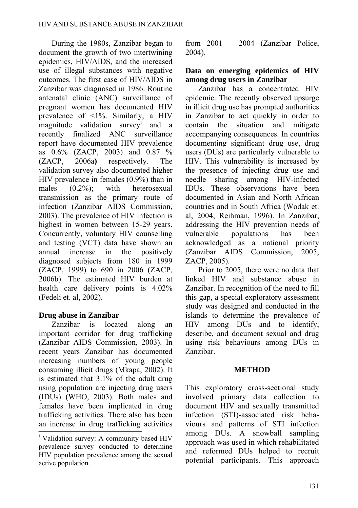During the 1980s, Zanzibar began to document the growth of two intertwining epidemics, HIV/AIDS, and the increased use of illegal substances with negative outcomes. The first case of HIV/AIDS in Zanzibar was diagnosed in 1986. Routine antenatal clinic (ANC) surveillance of pregnant women has documented HIV prevalence of <1%. Similarly, a HIV magnitude validation survey<sup>i</sup> and a recently finalized ANC surveillance report have documented HIV prevalence as 0.6% (ZACP, 2003) and 0.87 % (ZACP, 2006a**)** respectively. The validation survey also documented higher HIV prevalence in females (0.9%) than in males (0.2%); with heterosexual transmission as the primary route of infection (Zanzibar AIDS Commission, 2003). The prevalence of HIV infection is highest in women between 15-29 years. Concurrently, voluntary HIV counselling and testing (VCT) data have shown an annual increase in the positively diagnosed subjects from 180 in 1999 (ZACP, 1999) to 690 in 2006 (ZACP, 2006b). The estimated HIV burden at health care delivery points is 4.02% (Fedeli et. al, 2002).

# **Drug abuse in Zanzibar**

Zanzibar is located along an important corridor for drug trafficking (Zanzibar AIDS Commission, 2003). In recent years Zanzibar has documented increasing numbers of young people consuming illicit drugs (Mkapa, 2002). It is estimated that 3.1% of the adult drug using population are injecting drug users (IDUs) (WHO, 2003). Both males and females have been implicated in drug trafficking activities. There also has been an increase in drug trafficking activities from 2001 – 2004 (Zanzibar Police, 2004).

## **Data on emerging epidemics of HIV among drug users in Zanzibar**

Zanzibar has a concentrated HIV epidemic. The recently observed upsurge in illicit drug use has prompted authorities in Zanzibar to act quickly in order to contain the situation and mitigate accompanying consequences. In countries documenting significant drug use, drug users (DUs) are particularly vulnerable to HIV. This vulnerability is increased by the presence of injecting drug use and needle sharing among HIV-infected IDUs. These observations have been documented in Asian and North African countries and in South Africa (Wodak et. al, 2004; Reihman, 1996). In Zanzibar, addressing the HIV prevention needs of vulnerable populations has been acknowledged as a national priority (Zanzibar AIDS Commission, 2005; ZACP, 2005).

Prior to 2005, there were no data that linked HIV and substance abuse in Zanzibar. In recognition of the need to fill this gap, a special exploratory assessment study was designed and conducted in the islands to determine the prevalence of HIV among DUs and to identify, describe, and document sexual and drug using risk behaviours among DUs in Zanzibar.

## **METHOD**

This exploratory cross-sectional study involved primary data collection to document HIV and sexually transmitted infection (STI)-associated risk behaviours and patterns of STI infection among DUs. A snowball sampling approach was used in which rehabilitated and reformed DUs helped to recruit potential participants. This approach

<sup>&</sup>lt;sup>i</sup> Validation survey: A community based HIV prevalence survey conducted to determine HIV population prevalence among the sexual active population.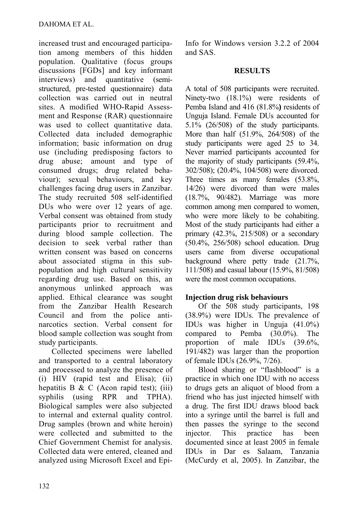increased trust and encouraged participation among members of this hidden population. Qualitative (focus groups discussions [FGDs] and key informant interviews) and quantitative (semistructured, pre-tested questionnaire) data collection was carried out in neutral sites. A modified WHO-Rapid Assessment and Response (RAR) questionnaire was used to collect quantitative data. Collected data included demographic information; basic information on drug use (including predisposing factors to drug abuse; amount and type of consumed drugs; drug related behaviour); sexual behaviours, and key challenges facing drug users in Zanzibar. The study recruited 508 self-identified DUs who were over 12 years of age. Verbal consent was obtained from study participants prior to recruitment and during blood sample collection. The decision to seek verbal rather than written consent was based on concerns about associated stigma in this subpopulation and high cultural sensitivity regarding drug use. Based on this, an anonymous unlinked approach was applied. Ethical clearance was sought from the Zanzibar Health Research Council and from the police antinarcotics section. Verbal consent for blood sample collection was sought from study participants.

Collected specimens were labelled and transported to a central laboratory and processed to analyze the presence of (i) HIV (rapid test and Elisa); (ii) hepatitis B & C (Acon rapid test); (iii) syphilis (using RPR and TPHA). Biological samples were also subjected to internal and external quality control. Drug samples (brown and white heroin) were collected and submitted to the Chief Government Chemist for analysis. Collected data were entered, cleaned and analyzed using Microsoft Excel and EpiInfo for Windows version 3.2.2 of 2004 and SAS.

#### **RESULTS**

A total of 508 participants were recruited. Ninety-two (18.1%) were residents of Pemba Island and 416 (81.8%**)** residents of Unguja Island. Female DUs accounted for 5.1% (26/508) of the study participants. More than half (51.9%, 264/508) of the study participants were aged 25 to 34. Never married participants accounted for the majority of study participants (59.4%, 302/508); (20.4%, 104/508) were divorced. Three times as many females (53.8%, 14/26) were divorced than were males (18.7%, 90/482). Marriage was more common among men compared to women, who were more likely to be cohabiting. Most of the study participants had either a primary  $(42.3\%, 215/508)$  or a secondary (50.4%, 256/508) school education. Drug users came from diverse occupational background where petty trade (21.7%, 111/508) and casual labour (15.9%, 81/508) were the most common occupations.

## **Injection drug risk behaviours**

Of the 508 study participants, 198 (38.9%) were IDUs. The prevalence of IDUs was higher in Unguja (41.0%) compared to Pemba (30.0%). The proportion of male IDUs (39.6%, 191/482) was larger than the proportion of female IDUs (26.9%, 7/26).

Blood sharing or "flashblood" is a practice in which one IDU with no access to drugs gets an aliquot of blood from a friend who has just injected himself with a drug. The first IDU draws blood back into a syringe until the barrel is full and then passes the syringe to the second injector. This practice has been documented since at least 2005 in female IDUs in Dar es Salaam, Tanzania (McCurdy et al, 2005). In Zanzibar, the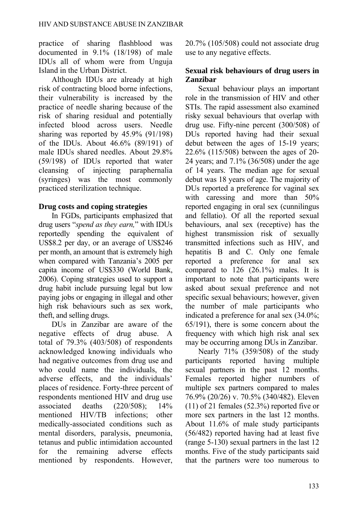practice of sharing flashblood was documented in 9.1% (18/198) of male IDUs all of whom were from Unguja Island in the Urban District.

Although IDUs are already at high risk of contracting blood borne infections, their vulnerability is increased by the practice of needle sharing because of the risk of sharing residual and potentially infected blood across users. Needle sharing was reported by 45.9% (91/198) of the IDUs. About 46.6% (89/191) of male IDUs shared needles. About 29.8% (59/198) of IDUs reported that water cleansing of injecting paraphernalia (syringes) was the most commonly practiced sterilization technique.

## **Drug costs and coping strategies**

In FGDs, participants emphasized that drug users "*spend as they earn,*" with IDUs reportedly spending the equivalent of US\$8.2 per day, or an average of US\$246 per month, an amount that is extremely high when compared with Tanzania's 2005 per capita income of US\$330 (World Bank, 2006). Coping strategies used to support a drug habit include pursuing legal but low paying jobs or engaging in illegal and other high risk behaviours such as sex work, theft, and selling drugs.

DUs in Zanzibar are aware of the negative effects of drug abuse. A total of 79.3% (403/508) of respondents acknowledged knowing individuals who had negative outcomes from drug use and who could name the individuals, the adverse effects, and the individuals' places of residence. Forty-three percent of respondents mentioned HIV and drug use associated deaths (220/508); 14% mentioned HIV/TB infections; other medically-associated conditions such as mental disorders, paralysis, pneumonia, tetanus and public intimidation accounted for the remaining adverse effects mentioned by respondents. However, 20.7% (105/508) could not associate drug use to any negative effects.

## **Sexual risk behaviours of drug users in Zanzibar**

Sexual behaviour plays an important role in the transmission of HIV and other STIs. The rapid assessment also examined risky sexual behaviours that overlap with drug use. Fifty-nine percent (300/508) of DUs reported having had their sexual debut between the ages of 15-19 years; 22.6% (115/508) between the ages of 20- 24 years; and 7.1% (36/508) under the age of 14 years. The median age for sexual debut was 18 years of age. The majority of DUs reported a preference for vaginal sex with caressing and more than 50% reported engaging in oral sex (cunnilingus and fellatio). Of all the reported sexual behaviours, anal sex (receptive) has the highest transmission risk of sexually transmitted infections such as HIV, and hepatitis B and C. Only one female reported a preference for anal sex compared to 126 (26.1%) males. It is important to note that participants were asked about sexual preference and not specific sexual behaviours; however, given the number of male participants who indicated a preference for anal sex (34.0%; 65/191), there is some concern about the frequency with which high risk anal sex may be occurring among DUs in Zanzibar.

Nearly 71% (359/508) of the study participants reported having multiple sexual partners in the past 12 months. Females reported higher numbers of multiple sex partners compared to males 76.9% (20/26) v. 70.5% (340/482). Eleven (11) of 21 females (52.3%) reported five or more sex partners in the last 12 months. About 11.6% of male study participants (56/482) reported having had at least five (range 5-130) sexual partners in the last 12 months. Five of the study participants said that the partners were too numerous to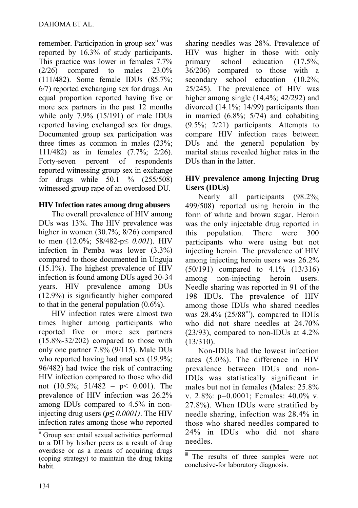remember. Participation in group sex<sup>ii</sup> was reported by 16.3% of study participants. This practice was lower in females 7.7% (2/26) compared to males 23.0% (111/482). Some female IDUs (85.7%; 6/7) reported exchanging sex for drugs. An equal proportion reported having five or more sex partners in the past 12 months while only 7.9% (15/191) of male IDUs reported having exchanged sex for drugs. Documented group sex participation was three times as common in males (23%; 111/482) as in females (7.7%; 2/26). Forty-seven percent of respondents reported witnessing group sex in exchange for drugs while 50.1 % (255/508) witnessed group rape of an overdosed DU.

## **HIV Infection rates among drug abusers**

The overall prevalence of HIV among DUs was 13%. The HIV prevalence was higher in women (30.7%; 8/26) compared to men (12.0%; 58/482-p*≤ 0.001*). HIV infection in Pemba was lower (3.3%) compared to those documented in Unguja (15.1%). The highest prevalence of HIV infection is found among DUs aged 30-34 years. HIV prevalence among DUs (12.9%) is significantly higher compared to that in the general population (0.6%).

HIV infection rates were almost two times higher among participants who reported five or more sex partners  $(15.8\% - 32/202)$  compared to those with only one partner 7.8% (9/115). Male DUs who reported having had anal sex (19.9%; 96/482) had twice the risk of contracting HIV infection compared to those who did not (10.5%; 51/482 – p< 0.001). The prevalence of HIV infection was 26.2% among IDUs compared to 4.5% in noninjecting drug users ( $p \le 0.0001$ ). The HIV infection rates among those who reported sharing needles was 28%. Prevalence of HIV was higher in those with only primary school education (17.5%; 36/206) compared to those with a secondary school education  $(10.2\%$ ; 25/245). The prevalence of HIV was higher among single (14.4%; 42/292) and divorced (14.1%; 14/99) participants than in married  $(6.8\%; 5/74)$  and cohabiting (9.5%; 2/21) participants. Attempts to compare HIV infection rates between DUs and the general population by marital status revealed higher rates in the DUs than in the latter.

## **HIV prevalence among Injecting Drug Users (IDUs)**

Nearly all participants (98.2%; 499/508) reported using heroin in the form of white and brown sugar. Heroin was the only injectable drug reported in this population. There were 300 participants who were using but not injecting heroin. The prevalence of HIV among injecting heroin users was 26.2% (50/191) compared to 4.1% (13/316) among non-injecting heroin users. Needle sharing was reported in 91 of the 198 IDUs. The prevalence of HIV among those IDUs who shared needles was  $28.4\%$  ( $25/88$ <sup>iii</sup>), compared to IDUs who did not share needles at 24.70% (23/93), compared to non-IDUs at 4.2% (13/310).

Non-IDUs had the lowest infection rates (5.0%). The difference in HIV prevalence between IDUs and non-IDUs was statistically significant in males but not in females (Males: 25.8% v. 2.8%: p=0.0001; Females: 40.0% v. 27.8%). When IDUs were stratified by needle sharing, infection was 28.4% in those who shared needles compared to 24% in IDUs who did not share needles.

ii Group sex: entail sexual activities performed to a DU by his/her peers as a result of drug overdose or as a means of acquiring drugs (coping strategy) to maintain the drug taking habit.

iii The results of three samples were not conclusive-for laboratory diagnosis.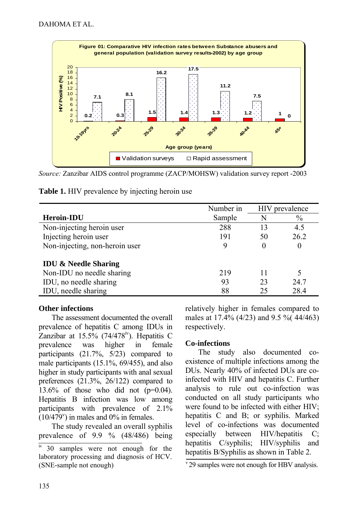

*Source:* Zanzibar AIDS control programme (ZACP/MOHSW) validation survey report -2003

| Table 1. HIV prevalence by injecting heroin use |  |  |  |
|-------------------------------------------------|--|--|--|
|-------------------------------------------------|--|--|--|

|                                 | Number in |          | HIV prevalence |
|---------------------------------|-----------|----------|----------------|
| <b>Heroin-IDU</b>               | Sample    | N        | $\frac{0}{0}$  |
| Non-injecting heroin user       | 288       | 13       | 4.5            |
| Injecting heroin user           | 191       | 50       | 26.2           |
| Non-injecting, non-heroin user  |           | $\theta$ | 0              |
| <b>IDU &amp; Needle Sharing</b> |           |          |                |
| Non-IDU no needle sharing       | 219       | 11       | 5              |
| IDU, no needle sharing          | 93        | 23       | 24.7           |
| IDU, needle sharing             | 88        | 25       | 28.4           |

### **Other infections**

The assessment documented the overall prevalence of hepatitis C among IDUs in Zanzibar at  $15.5\%$  (74/478<sup>v</sup>). Hepatitis C prevalence was higher in female participants (21.7%, 5/23) compared to male participants (15.1%, 69/455), and also higher in study participants with anal sexual preferences (21.3%, 26/122) compared to 13.6% of those who did not  $(p=0.04)$ . Hepatitis B infection was low among participants with prevalence of 2.1%  $(10/479^{\circ})$  in males and 0% in females.

The study revealed an overall syphilis prevalence of 9.9 % (48/486) being relatively higher in females compared to males at 17.4% (4/23) and 9.5 %( 44/463) respectively.

### **Co-infections**

The study also documented coexistence of multiple infections among the DUs. Nearly 40% of infected DUs are coinfected with HIV and hepatitis C. Further analysis to rule out co-infection was conducted on all study participants who were found to be infected with either HIV; hepatitis C and B; or syphilis. Marked level of co-infections was documented especially between HIV/hepatitis C; hepatitis C/syphilis; HIV/syphilis and hepatitis B/Syphilis as shown in Table 2.

iv 30 samples were not enough for the laboratory processing and diagnosis of HCV. (SNE-sample not enough)

 $v$ <sup>29</sup> samples were not enough for HBV analysis.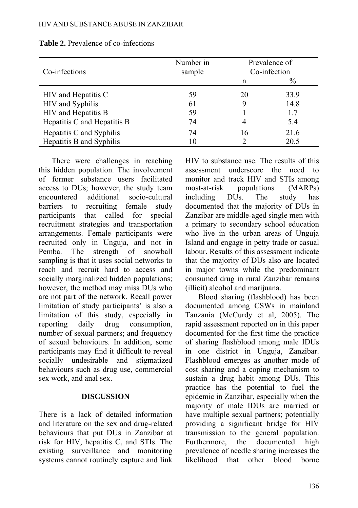#### HIV AND SUBSTANCE ABUSE IN ZANZIBAR

| Co-infections               | Number in<br>sample |    | Prevalence of<br>Co-infection |
|-----------------------------|---------------------|----|-------------------------------|
|                             |                     | n  | $\%$                          |
| HIV and Hepatitis C         | 59                  | 20 | 33.9                          |
| HIV and Syphilis            | 61                  | 9  | 14.8                          |
| HIV and Hepatitis B         | 59                  |    | 1.7                           |
| Hepatitis C and Hepatitis B | 74                  | 4  | 5.4                           |
| Hepatitis C and Syphilis    | 74                  | 16 | 21.6                          |
| Hepatitis B and Syphilis    | 10                  |    | 20.5                          |

**Table 2.** Prevalence of co-infections

There were challenges in reaching this hidden population. The involvement of former substance users facilitated access to DUs; however, the study team encountered additional socio-cultural barriers to recruiting female study participants that called for special recruitment strategies and transportation arrangements. Female participants were recruited only in Unguja, and not in Pemba. The strength of snowball sampling is that it uses social networks to reach and recruit hard to access and socially marginalized hidden populations; however, the method may miss DUs who are not part of the network. Recall power limitation of study participants' is also a limitation of this study, especially in reporting daily drug consumption, number of sexual partners; and frequency of sexual behaviours. In addition, some participants may find it difficult to reveal socially undesirable and stigmatized behaviours such as drug use, commercial sex work, and anal sex.

#### **DISCUSSION**

There is a lack of detailed information and literature on the sex and drug-related behaviours that put DUs in Zanzibar at risk for HIV, hepatitis C, and STIs. The existing surveillance and monitoring systems cannot routinely capture and link HIV to substance use. The results of this assessment underscore the need to monitor and track HIV and STIs among most-at-risk populations (MARPs) including DUs. The study has documented that the majority of DUs in Zanzibar are middle-aged single men with a primary to secondary school education who live in the urban areas of Unguja Island and engage in petty trade or casual labour. Results of this assessment indicate that the majority of DUs also are located in major towns while the predominant consumed drug in rural Zanzibar remains (illicit) alcohol and marijuana.

Blood sharing (flashblood) has been documented among CSWs in mainland Tanzania (McCurdy et al, 2005). The rapid assessment reported on in this paper documented for the first time the practice of sharing flashblood among male IDUs in one district in Unguja, Zanzibar. Flashblood emerges as another mode of cost sharing and a coping mechanism to sustain a drug habit among DUs. This practice has the potential to fuel the epidemic in Zanzibar, especially when the majority of male IDUs are married or have multiple sexual partners; potentially providing a significant bridge for HIV transmission to the general population. Furthermore, the documented high prevalence of needle sharing increases the likelihood that other blood borne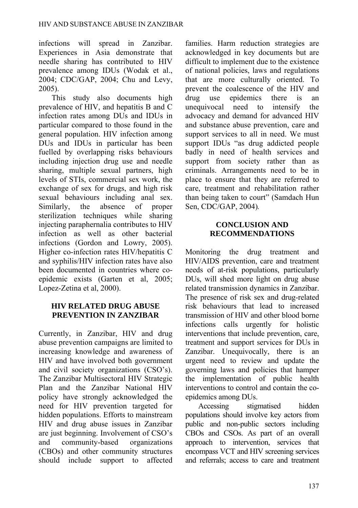infections will spread in Zanzibar. Experiences in Asia demonstrate that needle sharing has contributed to HIV prevalence among IDUs (Wodak et al., 2004; CDC/GAP, 2004; Chu and Levy, 2005).

This study also documents high prevalence of HIV, and hepatitis B and C infection rates among DUs and IDUs in particular compared to those found in the general population. HIV infection among DUs and IDUs in particular has been fuelled by overlapping risks behaviours including injection drug use and needle sharing, multiple sexual partners, high levels of STIs, commercial sex work, the exchange of sex for drugs, and high risk sexual behaviours including anal sex. Similarly, the absence of proper sterilization techniques while sharing injecting paraphernalia contributes to HIV infection as well as other bacterial infections (Gordon and Lowry, 2005). Higher co-infection rates HIV/hepatitis C and syphilis/HIV infection rates have also been documented in countries where coepidemic exists (Garten et al, 2005; Lopez-Zetina et al, 2000).

## **HIV RELATED DRUG ABUSE PREVENTION IN ZANZIBAR**

Currently, in Zanzibar, HIV and drug abuse prevention campaigns are limited to increasing knowledge and awareness of HIV and have involved both government and civil society organizations (CSO's). The Zanzibar Multisectoral HIV Strategic Plan and the Zanzibar National HIV policy have strongly acknowledged the need for HIV prevention targeted for hidden populations. Efforts to mainstream HIV and drug abuse issues in Zanzibar are just beginning. Involvement of CSO's and community-based organizations (CBOs) and other community structures should include support to affected

families. Harm reduction strategies are acknowledged in key documents but are difficult to implement due to the existence of national policies, laws and regulations that are more culturally oriented. To prevent the coalescence of the HIV and drug use epidemics there is an unequivocal need to intensify the advocacy and demand for advanced HIV and substance abuse prevention, care and support services to all in need. We must support IDUs "as drug addicted people badly in need of health services and support from society rather than as criminals. Arrangements need to be in place to ensure that they are referred to care, treatment and rehabilitation rather than being taken to court" (Samdach Hun Sen, CDC/GAP, 2004)*.* 

## **CONCLUSION AND RECOMMENDATIONS**

Monitoring the drug treatment and HIV/AIDS prevention, care and treatment needs of at-risk populations, particularly DUs, will shed more light on drug abuse related transmission dynamics in Zanzibar. The presence of risk sex and drug-related risk behaviours that lead to increased transmission of HIV and other blood borne infections calls urgently for holistic interventions that include prevention, care, treatment and support services for DUs in Zanzibar. Unequivocally, there is an urgent need to review and update the governing laws and policies that hamper the implementation of public health interventions to control and contain the coepidemics among DUs.

Accessing stigmatised hidden populations should involve key actors from public and non-public sectors including CBOs and CSOs. As part of an overall approach to intervention, services that encompass VCT and HIV screening services and referrals; access to care and treatment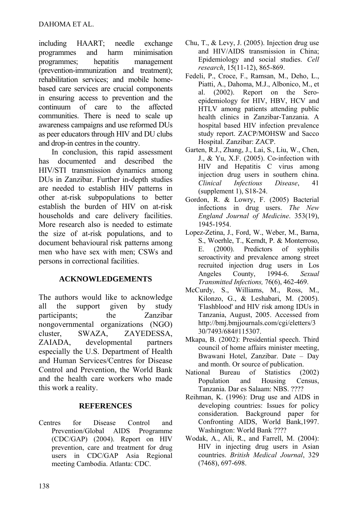including HAART; needle exchange programmes and harm minimisation programmes; hepatitis management (prevention-immunization and treatment); rehabilitation services; and mobile homebased care services are crucial components in ensuring access to prevention and the continuum of care to the affected communities. There is need to scale up awareness campaigns and use reformed DUs as peer educators through HIV and DU clubs and drop-in centres in the country.

In conclusion, this rapid assessment has documented and described the HIV/STI transmission dynamics among DUs in Zanzibar. Further in-depth studies are needed to establish HIV patterns in other at-risk subpopulations to better establish the burden of HIV on at-risk households and care delivery facilities. More research also is needed to estimate the size of at-risk populations, and to document behavioural risk patterns among men who have sex with men; CSWs and persons in correctional facilities.

## **ACKNOWLEDGEMENTS**

The authors would like to acknowledge all the support given by study participants; the Zanzibar nongovernmental organizations (NGO) cluster, SWAZA, ZAYEDESSA, ZAIADA, developmental partners especially the U.S. Department of Health and Human Services/Centres for Disease Control and Prevention, the World Bank and the health care workers who made this work a reality.

## **REFERENCES**

Centres for Disease Control and Prevention/Global AIDS Programme (CDC/GAP) (2004). Report on HIV prevention, care and treatment for drug users in CDC/GAP Asia Regional meeting Cambodia. Atlanta: CDC.

- Chu, T., & Levy, J. (2005). Injection drug use and HIV/AIDS transmission in China; Epidemiology and social studies. *Cell research*, 15(11-12), 865-869.
- Fedeli, P., Croce, F., Ramsan, M., Deho, L., Piatti, A., Dahoma, M.J., Albonico, M., et al. (2002). Report on the Seroepidemiology for HIV, HBV, HCV and HTLV among patients attending public health clinics in Zanzibar-Tanzania. A hospital based HIV infection prevalence study report. ZACP/MOHSW and Sacco Hospital. Zanzibar: ZACP.
- Garten, R.J., Zhang, J., Lai, S., Liu, W., Chen, J., & Yu, X.F. (2005). Co-infection with HIV and Hepatitis C virus among injection drug users in southern china. *Clinical Infectious Disease*, 41 (supplement 1), S18-24.
- Gordon, R. & Lowry, F. (2005) Bacterial infections in drug users. *The New England Journal of Medicine*. 353(19), 1945-1954.
- Lopez-Zetina, J., Ford, W., Weber, M., Barna, S., Woerhle, T., Kerndt, P. & Monterroso, E. (2000). Predictors of syphilis seroactivity and prevalence among street recruited injection drug users in Los Angeles County, 1994-6. *Sexual Transmitted Infections,* 76(6), 462-469.
- McCurdy, S., Williams, M., Ross, M., Kilonzo, G., & Leshabari, M. (2005). 'Flashblood' and HIV risk among IDUs in Tanzania, August, 2005. Accessed from [http://bmj.bmjjournals.com/cgi/eletters/3](http://bmj.bmjjournals.com/cgi/eletters/330/7493/684#115307) [30/7493/684#115307](http://bmj.bmjjournals.com/cgi/eletters/330/7493/684#115307).
- Mkapa, B. (2002): Presidential speech. Third council of home affairs minister meeting, Bwawani Hotel, Zanzibar. Date – Day and month. Or source of publication.
- National Bureau of Statistics (2002) Population and Housing Census, Tanzania. Dar es Salaam: NBS. ????
- Reihman, K. (1996): Drug use and AIDS in developing countries: Issues for policy consideration. Background paper for Confronting AIDS, World Bank,1997. Washington: World Bank ????
- Wodak, A., Ali, R., and Farrell, M. (2004): HIV in injecting drug users in Asian countries. *British Medical Journal*, 329 (7468), 697-698.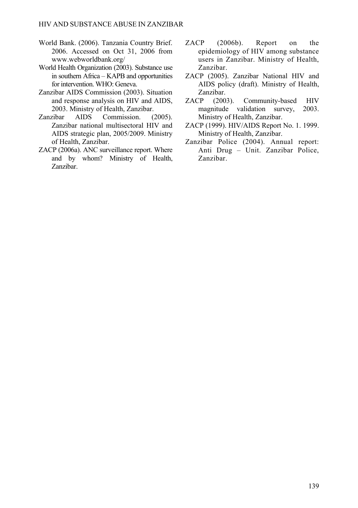- World Bank. (2006). Tanzania Country Brief. 2006. Accessed on Oct 31, 2006 from www.webworldbank.org/
- World Health Organization (2003). Substance use in southern Africa – KAPB and opportunities for intervention. WHO: Geneva.
- Zanzibar AIDS Commission (2003). Situation and response analysis on HIV and AIDS, 2003. Ministry of Health, Zanzibar.
- Zanzibar AIDS Commission. (2005). Zanzibar national multisectoral HIV and AIDS strategic plan, 2005/2009. Ministry of Health, Zanzibar.
- ZACP (2006a). ANC surveillance report. Where and by whom? Ministry of Health, Zanzibar.
- ZACP (2006b). Report on the epidemiology of HIV among substance users in Zanzibar. Ministry of Health, Zanzibar.
- ZACP (2005). Zanzibar National HIV and AIDS policy (draft). Ministry of Health, Zanzibar.
- ZACP (2003). Community-based HIV magnitude validation survey, 2003. Ministry of Health, Zanzibar.
- ZACP (1999). HIV/AIDS Report No. 1. 1999. Ministry of Health, Zanzibar.
- Zanzibar Police (2004). Annual report: Anti Drug – Unit. Zanzibar Police, Zanzibar.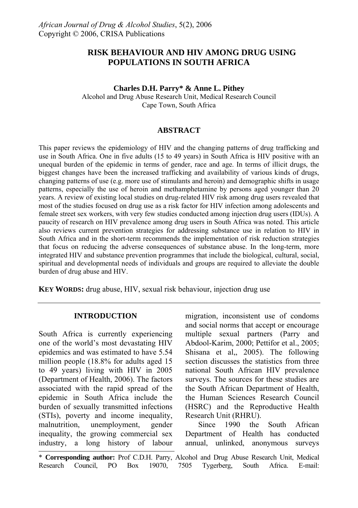## **RISK BEHAVIOUR AND HIV AMONG DRUG USING POPULATIONS IN SOUTH AFRICA**

#### **Charles D.H. Parry\* & Anne L. Pithey**

Alcohol and Drug Abuse Research Unit, Medical Research Council Cape Town, South Africa

#### **ABSTRACT**

This paper reviews the epidemiology of HIV and the changing patterns of drug trafficking and use in South Africa. One in five adults (15 to 49 years) in South Africa is HIV positive with an unequal burden of the epidemic in terms of gender, race and age. In terms of illicit drugs, the biggest changes have been the increased trafficking and availability of various kinds of drugs, changing patterns of use (e.g. more use of stimulants and heroin) and demographic shifts in usage patterns, especially the use of heroin and methamphetamine by persons aged younger than 20 years. A review of existing local studies on drug-related HIV risk among drug users revealed that most of the studies focused on drug use as a risk factor for HIV infection among adolescents and female street sex workers, with very few studies conducted among injection drug users (IDUs). A paucity of research on HIV prevalence among drug users in South Africa was noted. This article also reviews current prevention strategies for addressing substance use in relation to HIV in South Africa and in the short-term recommends the implementation of risk reduction strategies that focus on reducing the adverse consequences of substance abuse. In the long-term, more integrated HIV and substance prevention programmes that include the biological, cultural, social, spiritual and developmental needs of individuals and groups are required to alleviate the double burden of drug abuse and HIV.

**KEY WORDS:** drug abuse, HIV, sexual risk behaviour, injection drug use

### **INTRODUCTION**

South Africa is currently experiencing one of the world's most devastating HIV epidemics and was estimated to have 5.54 million people (18.8% for adults aged 15 to 49 years) living with HIV in 2005 (Department of Health, 2006). The factors associated with the rapid spread of the epidemic in South Africa include the burden of sexually transmitted infections (STIs), poverty and income inequality, malnutrition, unemployment, gender inequality, the growing commercial sex industry, a long history of labour migration, inconsistent use of condoms and social norms that accept or encourage multiple sexual partners (Parry and Abdool-Karim, 2000; Pettifor et al., 2005; Shisana et al,, 2005). The following section discusses the statistics from three national South African HIV prevalence surveys. The sources for these studies are the South African Department of Health, the Human Sciences Research Council (HSRC) and the Reproductive Health Research Unit (RHRU).

Since 1990 the South African Department of Health has conducted annual, unlinked, anonymous surveys

\* **Corresponding author:** Prof C.D.H. Parry, Alcohol and Drug Abuse Research Unit, Medical Research Council, PO Box 19070, 7505 Tygerberg, South Africa. E-mail: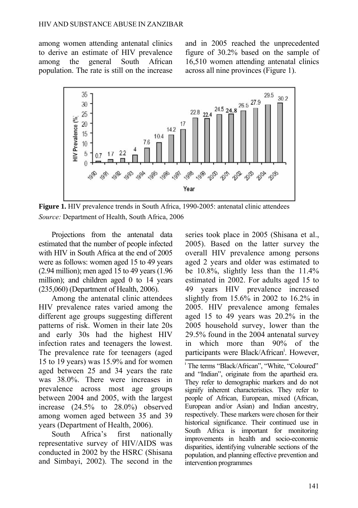among women attending antenatal clinics to derive an estimate of HIV prevalence among the general South African population. The rate is still on the increase and in 2005 reached the unprecedented figure of 30.2% based on the sample of 16,510 women attending antenatal clinics across all nine provinces (Figure 1).



**Figure 1.** HIV prevalence trends in South Africa, 1990-2005: antenatal clinic attendees *Source:* Department of Health, South Africa, 2006

Projections from the antenatal data estimated that the number of people infected with HIV in South Africa at the end of 2005 were as follows: women aged 15 to 49 years (2.94 million); men aged 15 to 49 years (1.96 million); and children aged 0 to 14 years (235,060) (Department of Health, 2006).

Among the antenatal clinic attendees HIV prevalence rates varied among the different age groups suggesting different patterns of risk. Women in their late 20s and early 30s had the highest HIV infection rates and teenagers the lowest. The prevalence rate for teenagers (aged 15 to 19 years) was 15.9% and for women aged between 25 and 34 years the rate was 38.0%. There were increases in prevalence across most age groups between 2004 and 2005, with the largest increase (24.5% to 28.0%) observed among women aged between 35 and 39 years (Department of Health, 2006).

South Africa's first nationally representative survey of HIV/AIDS was conducted in 2002 by the HSRC (Shisana and Simbayi, 2002). The second in the series took place in 2005 (Shisana et al., 2005). Based on the latter survey the overall HIV prevalence among persons aged 2 years and older was estimated to be 10.8%, slightly less than the 11.4% estimated in 2002. For adults aged 15 to 49 years HIV prevalence increased slightly from 15.6% in 2002 to 16.2% in 2005. HIV prevalence among females aged 15 to 49 years was 20.2% in the 2005 household survey, lower than the 29.5% found in the 2004 antenatal survey in which more than 90% of the participants were Black/African<sup>i</sup>. However,

<sup>i</sup> The terms "Black/African", "White, "Coloured" and "Indian", originate from the apartheid era. They refer to demographic markers and do not signify inherent characteristics. They refer to people of African, European, mixed (African, European and/or Asian) and Indian ancestry, respectively. These markers were chosen for their historical significance. Their continued use in South Africa is important for monitoring improvements in health and socio-economic disparities, identifying vulnerable sections of the population, and planning effective prevention and intervention programmes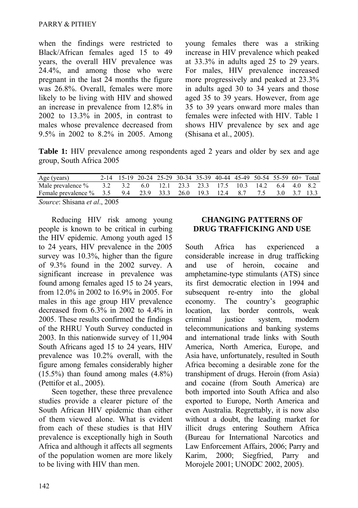when the findings were restricted to Black/African females aged 15 to 49 years, the overall HIV prevalence was 24.4%, and among those who were pregnant in the last 24 months the figure was 26.8%. Overall, females were more likely to be living with HIV and showed an increase in prevalence from 12.8% in 2002 to 13.3% in 2005, in contrast to males whose prevalence decreased from 9.5% in 2002 to 8.2% in 2005. Among young females there was a striking increase in HIV prevalence which peaked at 33.3% in adults aged 25 to 29 years. For males, HIV prevalence increased more progressively and peaked at 23.3% in adults aged 30 to 34 years and those aged 35 to 39 years. However, from age 35 to 39 years onward more males than females were infected with HIV. Table 1 shows HIV prevalence by sex and age (Shisana et al., 2005).

**Table 1:** HIV prevalence among respondents aged 2 years and older by sex and age group, South Africa 2005

| Age (years)                                                               |  | 2-14 15-19 20-24 25-29 30-34 35-39 40-44 45-49 50-54 55-59 60+ Total |  |  |  |  |  |
|---------------------------------------------------------------------------|--|----------------------------------------------------------------------|--|--|--|--|--|
| Male prevalence %                                                         |  | 3.2 3.2 6.0 12.1 23.3 23.3 17.5 10.3 14.2 6.4 4.0 8.2                |  |  |  |  |  |
| Female prevalence % 3.5 9.4 23.9 33.3 26.0 19.3 12.4 8.7 7.5 3.0 3.7 13.3 |  |                                                                      |  |  |  |  |  |

*Source*: Shisana *et al*., 2005

Reducing HIV risk among young people is known to be critical in curbing the HIV epidemic. Among youth aged 15 to 24 years, HIV prevalence in the 2005 survey was 10.3%, higher than the figure of 9.3% found in the 2002 survey. A significant increase in prevalence was found among females aged 15 to 24 years, from 12.0% in 2002 to 16.9% in 2005. For males in this age group HIV prevalence decreased from 6.3% in 2002 to 4.4% in 2005. These results confirmed the findings of the RHRU Youth Survey conducted in 2003. In this nationwide survey of 11,904 South Africans aged 15 to 24 years, HIV prevalence was 10.2% overall, with the figure among females considerably higher  $(15.5\%)$  than found among males  $(4.8\%)$ (Pettifor et al., 2005).

Seen together, these three prevalence studies provide a clearer picture of the South African HIV epidemic than either of them viewed alone. What is evident from each of these studies is that HIV prevalence is exceptionally high in South Africa and although it affects all segments of the population women are more likely to be living with HIV than men.

### **CHANGING PATTERNS OF DRUG TRAFFICKING AND USE**

South Africa has experienced a considerable increase in drug trafficking and use of heroin, cocaine and amphetamine-type stimulants (ATS) since its first democratic election in 1994 and subsequent re-entry into the global economy. The country's geographic location, lax border controls, weak criminal justice system, modern telecommunications and banking systems and international trade links with South America, North America, Europe, and Asia have, unfortunately, resulted in South Africa becoming a desirable zone for the transhipment of drugs. Heroin (from Asia) and cocaine (from South America) are both imported into South Africa and also exported to Europe, North America and even Australia. Regrettably, it is now also without a doubt, the leading market for illicit drugs entering Southern Africa (Bureau for International Narcotics and Law Enforcement Affairs, 2006; Parry and Karim, 2000; Siegfried, Parry and Morojele 2001; UNODC 2002, 2005).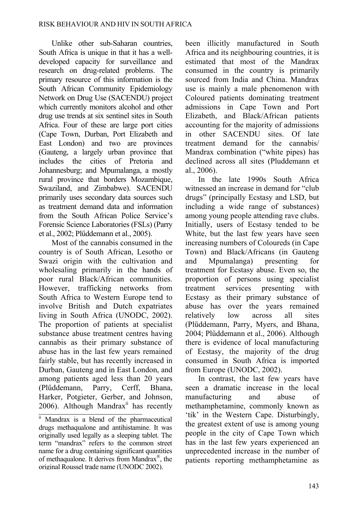Unlike other sub-Saharan countries, South Africa is unique in that it has a welldeveloped capacity for surveillance and research on drug-related problems. The primary resource of this information is the South African Community Epidemiology Network on Drug Use (SACENDU) project which currently monitors alcohol and other drug use trends at six sentinel sites in South Africa. Four of these are large port cities (Cape Town, Durban, Port Elizabeth and East London) and two are provinces (Gauteng, a largely urban province that includes the cities of Pretoria and Johannesburg; and Mpumalanga, a mostly rural province that borders Mozambique, Swaziland, and Zimbabwe). SACENDU primarily uses secondary data sources such as treatment demand data and information from the South African Police Service's Forensic Science Laboratories (FSLs) (Parry et al., 2002; Plűddemann et al., 2005).

Most of the cannabis consumed in the country is of South African, Lesotho or Swazi origin with the cultivation and wholesaling primarily in the hands of poor rural Black/African communities. However, trafficking networks from South Africa to Western Europe tend to involve British and Dutch expatriates living in South Africa (UNODC, 2002). The proportion of patients at specialist substance abuse treatment centres having cannabis as their primary substance of abuse has in the last few years remained fairly stable, but has recently increased in Durban, Gauteng and in East London, and among patients aged less than 20 years (Plűddemann, Parry, Cerff, Bhana, Harker, Potgieter, Gerber, and Johnson, 2006). Although Mandrax $\mathrm{i}$  has recently been illicitly manufactured in South Africa and its neighbouring countries, it is estimated that most of the Mandrax consumed in the country is primarily sourced from India and China. Mandrax use is mainly a male phenomenon with Coloured patients dominating treatment admissions in Cape Town and Port Elizabeth, and Black/African patients accounting for the majority of admissions in other SACENDU sites. Of late treatment demand for the cannabis/ Mandrax combination ("white pipes) has declined across all sites (Pluddemann et al., 2006).

In the late 1990s South Africa witnessed an increase in demand for "club drugs" (principally Ecstasy and LSD, but including a wide range of substances) among young people attending rave clubs. Initially, users of Ecstasy tended to be White, but the last few years have seen increasing numbers of Coloureds (in Cape Town) and Black/Africans (in Gauteng and Mpumalanga) presenting for treatment for Ecstasy abuse. Even so, the proportion of persons using specialist treatment services presenting with Ecstasy as their primary substance of abuse has over the years remained relatively low across all sites (Plűddemann, Parry, Myers, and Bhana, 2004; Plűddemann et al., 2006). Although there is evidence of local manufacturing of Ecstasy, the majority of the drug consumed in South Africa is imported from Europe (UNODC, 2002).

In contrast, the last few years have seen a dramatic increase in the local manufacturing and abuse of methamphetamine, commonly known as 'tik' in the Western Cape. Disturbingly, the greatest extent of use is among young people in the city of Cape Town which has in the last few years experienced an unprecedented increase in the number of patients reporting methamphetamine as

ii Mandrax is a blend of the pharmaceutical drugs methaqualone and antihistamine. It was originally used legally as a sleeping tablet. The term "mandrax" refers to the common street name for a drug containing significant quantities of methaqualone. It derives from Mandrax®, the original Roussel trade name (UNODC 2002).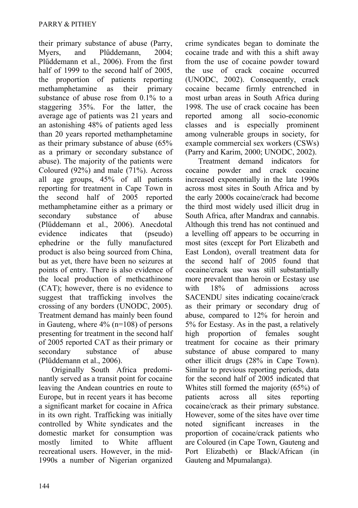their primary substance of abuse (Parry, Myers, and Plűddemann, 2004; Plűddemann et al., 2006). From the first half of 1999 to the second half of 2005, the proportion of patients reporting methamphetamine as their primary substance of abuse rose from 0.1% to a staggering 35%. For the latter, the average age of patients was 21 years and an astonishing 48% of patients aged less than 20 years reported methamphetamine as their primary substance of abuse (65% as a primary or secondary substance of abuse). The majority of the patients were Coloured (92%) and male (71%). Across all age groups, 45% of all patients reporting for treatment in Cape Town in the second half of 2005 reported methamphetamine either as a primary or secondary substance of abuse (Plűddemann et al., 2006). Anecdotal evidence indicates that (pseudo) ephedrine or the fully manufactured product is also being sourced from China, but as yet, there have been no seizures at points of entry. There is also evidence of the local production of methcathinone (CAT); however, there is no evidence to suggest that trafficking involves the crossing of any borders (UNODC, 2005). Treatment demand has mainly been found in Gauteng, where 4% (n=108) of persons presenting for treatment in the second half of 2005 reported CAT as their primary or secondary substance of abuse (Plűddemann et al., 2006).

Originally South Africa predominantly served as a transit point for cocaine leaving the Andean countries en route to Europe, but in recent years it has become a significant market for cocaine in Africa in its own right. Trafficking was initially controlled by White syndicates and the domestic market for consumption was mostly limited to White affluent recreational users. However, in the mid-1990s a number of Nigerian organized crime syndicates began to dominate the cocaine trade and with this a shift away from the use of cocaine powder toward the use of crack cocaine occurred (UNODC, 2002). Consequently, crack cocaine became firmly entrenched in most urban areas in South Africa during 1998. The use of crack cocaine has been reported among all socio-economic classes and is especially prominent among vulnerable groups in society, for example commercial sex workers (CSWs) (Parry and Karim, 2000; UNODC, 2002).

Treatment demand indicators for cocaine powder and crack cocaine increased exponentially in the late 1990s across most sites in South Africa and by the early 2000s cocaine/crack had become the third most widely used illicit drug in South Africa, after Mandrax and cannabis. Although this trend has not continued and a levelling off appears to be occurring in most sites (except for Port Elizabeth and East London), overall treatment data for the second half of 2005 found that cocaine/crack use was still substantially more prevalent than heroin or Ecstasy use with 18% of admissions across SACENDU sites indicating cocaine/crack as their primary or secondary drug of abuse, compared to 12% for heroin and 5% for Ecstasy. As in the past, a relatively high proportion of females sought treatment for cocaine as their primary substance of abuse compared to many other illicit drugs (28% in Cape Town). Similar to previous reporting periods, data for the second half of 2005 indicated that Whites still formed the majority (65%) of patients across all sites reporting cocaine/crack as their primary substance. However, some of the sites have over time noted significant increases in the proportion of cocaine/crack patients who are Coloured (in Cape Town, Gauteng and Port Elizabeth) or Black/African (in Gauteng and Mpumalanga).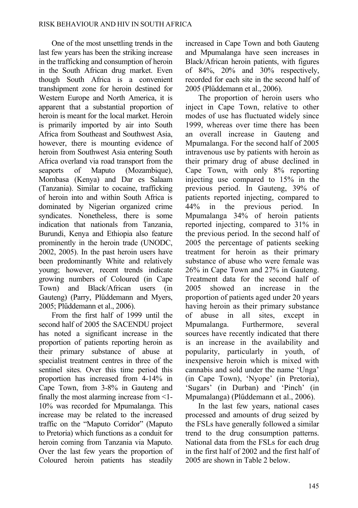One of the most unsettling trends in the last few years has been the striking increase in the trafficking and consumption of heroin in the South African drug market. Even though South Africa is a convenient transhipment zone for heroin destined for Western Europe and North America, it is apparent that a substantial proportion of heroin is meant for the local market. Heroin is primarily imported by air into South Africa from Southeast and Southwest Asia, however, there is mounting evidence of heroin from Southwest Asia entering South Africa overland via road transport from the seaports of Maputo (Mozambique), Mombasa (Kenya) and Dar es Salaam (Tanzania). Similar to cocaine, trafficking of heroin into and within South Africa is dominated by Nigerian organized crime syndicates. Nonetheless, there is some indication that nationals from Tanzania, Burundi, Kenya and Ethiopia also feature prominently in the heroin trade (UNODC, 2002, 2005). In the past heroin users have been predominantly White and relatively young; however, recent trends indicate growing numbers of Coloured (in Cape Town) and Black/African users (in Gauteng) (Parry, Plűddemann and Myers, 2005; Plűddemann et al., 2006).

From the first half of 1999 until the second half of 2005 the SACENDU project has noted a significant increase in the proportion of patients reporting heroin as their primary substance of abuse at specialist treatment centres in three of the sentinel sites. Over this time period this proportion has increased from 4-14% in Cape Town, from 3-8% in Gauteng and finally the most alarming increase from <1- 10% was recorded for Mpumalanga. This increase may be related to the increased traffic on the "Maputo Corridor" (Maputo to Pretoria) which functions as a conduit for heroin coming from Tanzania via Maputo. Over the last few years the proportion of Coloured heroin patients has steadily

increased in Cape Town and both Gauteng and Mpumalanga have seen increases in Black/African heroin patients, with figures of 84%, 20% and 30% respectively, recorded for each site in the second half of 2005 (Plűddemann et al., 2006).

The proportion of heroin users who inject in Cape Town, relative to other modes of use has fluctuated widely since 1999, whereas over time there has been an overall increase in Gauteng and Mpumalanga. For the second half of 2005 intravenous use by patients with heroin as their primary drug of abuse declined in Cape Town, with only 8% reporting injecting use compared to 15% in the previous period. In Gauteng, 39% of patients reported injecting, compared to 44% in the previous period. In Mpumalanga 34% of heroin patients reported injecting, compared to 31% in the previous period. In the second half of 2005 the percentage of patients seeking treatment for heroin as their primary substance of abuse who were female was 26% in Cape Town and 27% in Gauteng. Treatment data for the second half of 2005 showed an increase in the proportion of patients aged under 20 years having heroin as their primary substance of abuse in all sites, except in Mpumalanga. Furthermore, several sources have recently indicated that there is an increase in the availability and popularity, particularly in youth, of inexpensive heroin which is mixed with cannabis and sold under the name 'Unga' (in Cape Town), 'Nyope' (in Pretoria), 'Sugars' (in Durban) and 'Pinch' (in Mpumalanga) (Plűddemann et al., 2006).

In the last few years, national cases processed and amounts of drug seized by the FSLs have generally followed a similar trend to the drug consumption patterns. National data from the FSLs for each drug in the first half of 2002 and the first half of 2005 are shown in Table 2 below.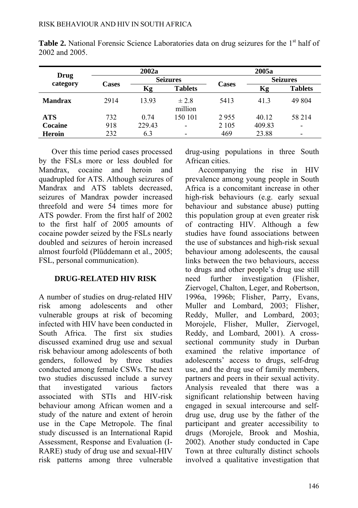| Drug           |              | 2002a  |                          | 2005a        |                 |                              |  |
|----------------|--------------|--------|--------------------------|--------------|-----------------|------------------------------|--|
|                |              |        | <b>Seizures</b>          |              | <b>Seizures</b> |                              |  |
| category       | <b>Cases</b> | Kg     | <b>Tablets</b>           | <b>Cases</b> | Kg              | <b>Tablets</b>               |  |
| <b>Mandrax</b> | 2914         | 13.93  | ± 2.8<br>million         | 5413         | 41.3            | 49 804                       |  |
| ATS            | 732          | 0.74   | 150 101                  | 2955         | 40.12           | 58 214                       |  |
| Cocaine        | 918          | 229.43 | $\overline{\phantom{0}}$ | 2 1 0 5      | 409.83          | $\qquad \qquad \blacksquare$ |  |
| <b>Heroin</b>  | 232          | 6.3    | -                        | 469          | 23.88           | $\overline{\phantom{0}}$     |  |

Table 2. National Forensic Science Laboratories data on drug seizures for the 1<sup>st</sup> half of 2002 and 2005.

Over this time period cases processed by the FSLs more or less doubled for Mandrax, cocaine and heroin and quadrupled for ATS. Although seizures of Mandrax and ATS tablets decreased, seizures of Mandrax powder increased threefold and were 54 times more for ATS powder. From the first half of 2002 to the first half of 2005 amounts of cocaine powder seized by the FSLs nearly doubled and seizures of heroin increased almost fourfold (Plűddemann et al., 2005; FSL, personal communication).

## **DRUG-RELATED HIV RISK**

A number of studies on drug-related HIV risk among adolescents and other vulnerable groups at risk of becoming infected with HIV have been conducted in South Africa. The first six studies discussed examined drug use and sexual risk behaviour among adolescents of both genders, followed by three studies conducted among female CSWs. The next two studies discussed include a survey that investigated various factors associated with STIs and HIV-risk behaviour among African women and a study of the nature and extent of heroin use in the Cape Metropole. The final study discussed is an International Rapid Assessment, Response and Evaluation (I-RARE) study of drug use and sexual-HIV risk patterns among three vulnerable drug-using populations in three South African cities.

Accompanying the rise in HIV prevalence among young people in South Africa is a concomitant increase in other high-risk behaviours (e.g. early sexual behaviour and substance abuse) putting this population group at even greater risk of contracting HIV. Although a few studies have found associations between the use of substances and high-risk sexual behaviour among adolescents, the causal links between the two behaviours, access to drugs and other people's drug use still need further investigation (Flisher, Ziervogel, Chalton, Leger, and Robertson, 1996a, 1996b; Flisher, Parry, Evans, Muller and Lombard, 2003; Flisher, Reddy, Muller, and Lombard, 2003; Morojele, Flisher, Muller, Ziervogel, Reddy, and Lombard, 2001). A crosssectional community study in Durban examined the relative importance of adolescents' access to drugs, self-drug use, and the drug use of family members, partners and peers in their sexual activity. Analysis revealed that there was a significant relationship between having engaged in sexual intercourse and selfdrug use, drug use by the father of the participant and greater accessibility to drugs (Morojele, Brook and Moshia, 2002). Another study conducted in Cape Town at three culturally distinct schools involved a qualitative investigation that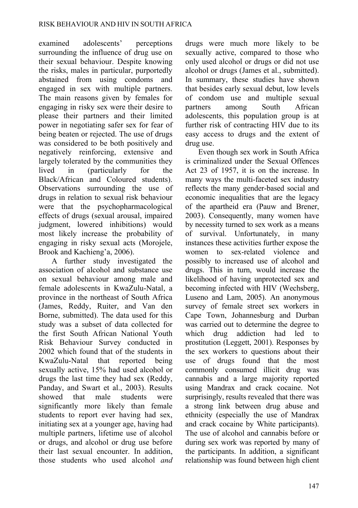examined adolescents' perceptions surrounding the influence of drug use on their sexual behaviour. Despite knowing the risks, males in particular, purportedly abstained from using condoms and engaged in sex with multiple partners. The main reasons given by females for engaging in risky sex were their desire to please their partners and their limited power in negotiating safer sex for fear of being beaten or rejected. The use of drugs was considered to be both positively and negatively reinforcing, extensive and largely tolerated by the communities they lived in (particularly for the Black/African and Coloured students). Observations surrounding the use of drugs in relation to sexual risk behaviour were that the psychopharmacological effects of drugs (sexual arousal, impaired judgment, lowered inhibitions) would most likely increase the probability of engaging in risky sexual acts (Morojele, Brook and Kachieng'a, 2006).

A further study investigated the association of alcohol and substance use on sexual behaviour among male and female adolescents in KwaZulu-Natal, a province in the northeast of South Africa (James, Reddy, Ruiter, and Van den Borne, submitted). The data used for this study was a subset of data collected for the first South African National Youth Risk Behaviour Survey conducted in 2002 which found that of the students in KwaZulu-Natal that reported being sexually active, 15% had used alcohol or drugs the last time they had sex (Reddy, Panday, and Swart et al., 2003). Results showed that male students were significantly more likely than female students to report ever having had sex, initiating sex at a younger age, having had multiple partners, lifetime use of alcohol or drugs, and alcohol or drug use before their last sexual encounter. In addition, those students who used alcohol *and* drugs were much more likely to be sexually active, compared to those who only used alcohol or drugs or did not use alcohol or drugs (James et al., submitted). In summary, these studies have shown that besides early sexual debut, low levels of condom use and multiple sexual partners among South African adolescents, this population group is at further risk of contracting HIV due to its easy access to drugs and the extent of drug use.

Even though sex work in South Africa is criminalized under the Sexual Offences Act 23 of 1957, it is on the increase. In many ways the multi-faceted sex industry reflects the many gender-based social and economic inequalities that are the legacy of the apartheid era (Pauw and Brener, 2003). Consequently, many women have by necessity turned to sex work as a means of survival. Unfortunately, in many instances these activities further expose the women to sex-related violence and possibly to increased use of alcohol and drugs. This in turn, would increase the likelihood of having unprotected sex and becoming infected with HIV (Wechsberg, Luseno and Lam, 2005). An anonymous survey of female street sex workers in Cape Town, Johannesburg and Durban was carried out to determine the degree to which drug addiction had led to prostitution (Leggett, 2001). Responses by the sex workers to questions about their use of drugs found that the most commonly consumed illicit drug was cannabis and a large majority reported using Mandrax and crack cocaine. Not surprisingly, results revealed that there was a strong link between drug abuse and ethnicity (especially the use of Mandrax and crack cocaine by White participants). The use of alcohol and cannabis before or during sex work was reported by many of the participants. In addition, a significant relationship was found between high client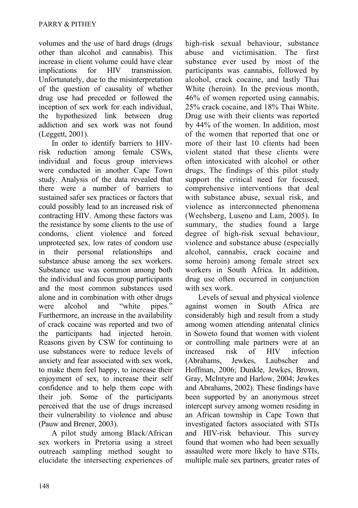volumes and the use of hard drugs (drugs other than alcohol and cannabis). This increase in client volume could have clear implications for HIV transmission. Unfortunately, due to the misinterpretation of the question of causality of whether drug use had preceded or followed the inception of sex work for each individual, the hypothesized link between drug addiction and sex work was not found (Leggett, 2001).

In order to identify barriers to HIVrisk reduction among female CSWs, individual and focus group interviews were conducted in another Cape Town study. Analysis of the data revealed that there were a number of barriers to sustained safer sex practices or factors that could possibly lead to an increased risk of contracting HIV. Among these factors was the resistance by some clients to the use of condoms, client violence and forced unprotected sex, low rates of condom use in their personal relationships and substance abuse among the sex workers. Substance use was common among both the individual and focus group participants and the most common substances used alone and in combination with other drugs were alcohol and "white pipes." Furthermore, an increase in the availability of crack cocaine was reported and two of the participants had injected heroin. Reasons given by CSW for continuing to use substances were to reduce levels of anxiety and fear associated with sex work, to make them feel happy, to increase their enjoyment of sex, to increase their self confidence and to help them cope with their job. Some of the participants perceived that the use of drugs increased their vulnerability to violence and abuse (Pauw and Brener, 2003).

A pilot study among Black/African sex workers in Pretoria using a street outreach sampling method sought to elucidate the intersecting experiences of high-risk sexual behaviour, substance abuse and victimisation. The first substance ever used by most of the participants was cannabis, followed by alcohol, crack cocaine, and lastly Thai White (heroin). In the previous month, 46% of women reported using cannabis, 25% crack cocaine, and 18% Thai White. Drug use with their clients was reported by 44% of the women. In addition, most of the women that reported that one or more of their last 10 clients had been violent stated that these clients were often intoxicated with alcohol or other drugs. The findings of this pilot study support the critical need for focused, comprehensive interventions that deal with substance abuse, sexual risk, and violence as interconnected phenomena (Wechsberg, Luseno and Lam, 2005). In summary, the studies found a large degree of high-risk sexual behaviour, violence and substance abuse (especially alcohol, cannabis, crack cocaine and some heroin) among female street sex workers in South Africa. In addition, drug use often occurred in conjunction with sex work.

Levels of sexual and physical violence against women in South Africa are considerably high and result from a study among women attending antenatal clinics in Soweto found that women with violent or controlling male partners were at an increased risk of HIV infection [\(Abrahams,](http://www.ncbi.nlm.nih.gov/entrez/query.fcgi?db=pubmed&cmd=Search&itool=pubmed_Abstract&term=%22Abrahams+N%22%5BAuthor%5D) [Jewkes,](http://www.ncbi.nlm.nih.gov/entrez/query.fcgi?db=pubmed&cmd=Search&itool=pubmed_Abstract&term=%22Jewkes+R%22%5BAuthor%5D) [Laubscher](http://www.ncbi.nlm.nih.gov/entrez/query.fcgi?db=pubmed&cmd=Search&itool=pubmed_Abstract&term=%22Laubscher+R%22%5BAuthor%5D) and [Hoffman, 2006; D](http://www.ncbi.nlm.nih.gov/entrez/query.fcgi?db=pubmed&cmd=Search&itool=pubmed_Abstract&term=%22Hoffman+M%22%5BAuthor%5D)unkle, Jewkes, Brown, Gray, McIntyre and Harlow, 2004; Jewkes and Abrahams, 2002). These findings have been supported by an anonymous street intercept survey among women residing in an African township in Cape Town that investigated factors associated with STIs and HIV-risk behaviour. This survey found that women who had been sexually assaulted were more likely to have STIs, multiple male sex partners, greater rates of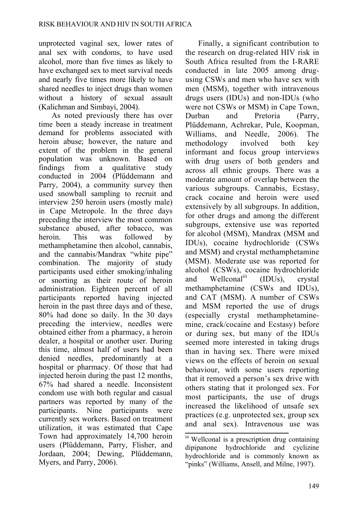unprotected vaginal sex, lower rates of anal sex with condoms, to have used alcohol, more than five times as likely to have exchanged sex to meet survival needs and nearly five times more likely to have shared needles to inject drugs than women without a history of sexual assault (Kalichman and Simbayi, 2004).

As noted previously there has over time been a steady increase in treatment demand for problems associated with heroin abuse; however, the nature and extent of the problem in the general population was unknown. Based on findings from a qualitative study conducted in 2004 (Plűddemann and Parry, 2004), a community survey then used snowball sampling to recruit and interview 250 heroin users (mostly male) in Cape Metropole. In the three days preceding the interview the most common substance abused, after tobacco, was heroin. This was followed by methamphetamine then alcohol, cannabis, and the cannabis/Mandrax "white pipe" combination. The majority of study participants used either smoking/inhaling or snorting as their route of heroin administration. Eighteen percent of all participants reported having injected heroin in the past three days and of these, 80% had done so daily. In the 30 days preceding the interview, needles were obtained either from a pharmacy, a heroin dealer, a hospital or another user. During this time, almost half of users had been denied needles, predominantly at a hospital or pharmacy. Of those that had injected heroin during the past 12 months. 67% had shared a needle. Inconsistent condom use with both regular and casual partners was reported by many of the participants. Nine participants were currently sex workers. Based on treatment utilization, it was estimated that Cape Town had approximately 14,700 heroin users (Plűddemann, Parry, Flisher, and Jordaan, 2004; Dewing, Plűddemann, Myers, and Parry, 2006).

Finally, a significant contribution to the research on drug-related HIV risk in South Africa resulted from the I-RARE conducted in late 2005 among drugusing CSWs and men who have sex with men (MSM), together with intravenous drugs users (IDUs) and non-IDUs (who were not CSWs or MSM) in Cape Town, Durban and Pretoria (Parry, Plüddemann, Achrekar, Pule, Koopman, Williams, and Needle, 2006). The methodology involved both key informant and focus group interviews with drug users of both genders and across all ethnic groups. There was a moderate amount of overlap between the various subgroups. Cannabis, Ecstasy, crack cocaine and heroin were used extensively by all subgroups. In addition, for other drugs and among the different subgroups, extensive use was reported for alcohol (MSM), Mandrax (MSM and IDUs), cocaine hydrochloride (CSWs and MSM) and crystal methamphetamine (MSM). Moderate use was reported for alcohol (CSWs), cocaine hydrochloride and Wellconal<sup>iii</sup> (IDUs), crystal methamphetamine (CSWs and IDUs), and CAT (MSM). A number of CSWs and MSM reported the use of drugs (especially crystal methamphetaminemine, crack/cocaine and Ecstasy) before or during sex, but many of the IDUs seemed more interested in taking drugs than in having sex. There were mixed views on the effects of heroin on sexual behaviour, with some users reporting that it removed a person's sex drive with others stating that it prolonged sex. For most participants, the use of drugs increased the likelihood of unsafe sex practices (e.g. unprotected sex, group sex and anal sex). Intravenous use was

iii Wellconal is a prescription drug containing dipipanone hydrochloride and cyclizine hydrochloride and is commonly known as "pinks" (Williams, Ansell, and Milne, 1997).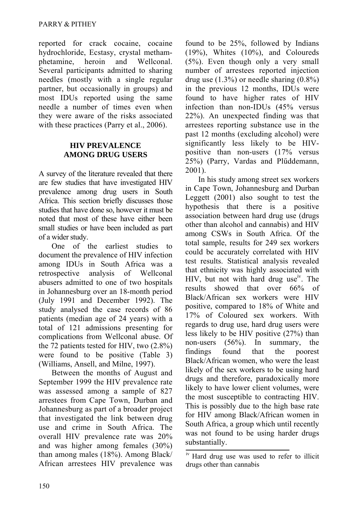reported for crack cocaine, cocaine hydrochloride, Ecstasy, crystal methamphetamine, heroin and Wellconal. Several participants admitted to sharing needles (mostly with a single regular partner, but occasionally in groups) and most IDUs reported using the same needle a number of times even when they were aware of the risks associated with these practices (Parry et al., 2006).

### **HIV PREVALENCE AMONG DRUG USERS**

A survey of the literature revealed that there are few studies that have investigated HIV prevalence among drug users in South Africa. This section briefly discusses those studies that have done so, however it must be noted that most of these have either been small studies or have been included as part of a wider study.

One of the earliest studies to document the prevalence of HIV infection among IDUs in South Africa was a retrospective analysis of Wellconal abusers admitted to one of two hospitals in Johannesburg over an 18-month period (July 1991 and December 1992). The study analysed the case records of 86 patients (median age of 24 years) with a total of 121 admissions presenting for complications from Wellconal abuse. Of the 72 patients tested for HIV, two (2.8%) were found to be positive (Table 3) (Williams, Ansell, and Milne, 1997).

Between the months of August and September 1999 the HIV prevalence rate was assessed among a sample of 827 arrestees from Cape Town, Durban and Johannesburg as part of a broader project that investigated the link between drug use and crime in South Africa. The overall HIV prevalence rate was 20% and was higher among females (30%) than among males (18%). Among Black/ African arrestees HIV prevalence was

found to be 25%, followed by Indians (19%), Whites (10%), and Coloureds (5%). Even though only a very small number of arrestees reported injection drug use  $(1.3\%)$  or needle sharing  $(0.8\%)$ in the previous 12 months, IDUs were found to have higher rates of HIV infection than non-IDUs (45% versus 22%). An unexpected finding was that arrestees reporting substance use in the past 12 months (excluding alcohol) were significantly less likely to be HIVpositive than non-users (17% versus 25%) (Parry, Vardas and Plűddemann, 2001).

In his study among street sex workers in Cape Town, Johannesburg and Durban Leggett (2001) also sought to test the hypothesis that there is a positive association between hard drug use (drugs other than alcohol and cannabis) and HIV among CSWs in South Africa. Of the total sample, results for 249 sex workers could be accurately correlated with HIV test results. Statistical analysis revealed that ethnicity was highly associated with HIV, but not with hard drug use<sup>iv</sup>. The results showed that over 66% of Black/African sex workers were HIV positive, compared to 18% of White and 17% of Coloured sex workers. With regards to drug use, hard drug users were less likely to be HIV positive (27%) than non-users (56%). In summary, the findings found that the poorest Black/African women, who were the least likely of the sex workers to be using hard drugs and therefore, paradoxically more likely to have lower client volumes, were the most susceptible to contracting HIV. This is possibly due to the high base rate for HIV among Black/African women in South Africa, a group which until recently was not found to be using harder drugs substantially.

iv Hard drug use was used to refer to illicit drugs other than cannabis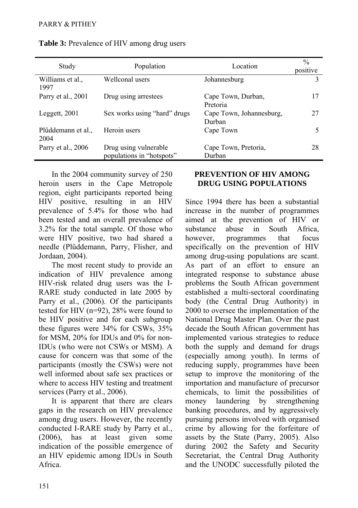| Study                      | Population                                         | Location                           | $\frac{0}{0}$<br>positive |
|----------------------------|----------------------------------------------------|------------------------------------|---------------------------|
| Williams et al.,<br>1997   | Wellconal users                                    | Johannesburg                       | 3                         |
| Parry et al., 2001         | Drug using arrestees                               | Cape Town, Durban,<br>Pretoria     | 17                        |
| Leggett, 2001              | Sex works using "hard" drugs                       | Cape Town, Johannesburg,<br>Durban | 27                        |
| Plűddemann et al.,<br>2004 | Heroin users                                       | Cape Town                          | 5                         |
| Parry et al., 2006         | Drug using vulnerable<br>populations in "hotspots" | Cape Town, Pretoria,<br>Durban     | 28                        |

**Table 3:** Prevalence of HIV among drug users

In the 2004 community survey of 250 heroin users in the Cape Metropole region, eight participants reported being HIV positive, resulting in an HIV prevalence of 5.4% for those who had been tested and an overall prevalence of 3.2% for the total sample. Of those who were HIV positive, two had shared a needle (Plűddemann, Parry, Flisher, and Jordaan, 2004).

The most recent study to provide an indication of HIV prevalence among HIV-risk related drug users was the I-RARE study conducted in late 2005 by Parry et al., (2006). Of the participants tested for HIV (n=92), 28% were found to be HIV positive and for each subgroup these figures were 34% for CSWs, 35% for MSM, 20% for IDUs and 0% for non-IDUs (who were not CSWs or MSM). A cause for concern was that some of the participants (mostly the CSWs) were not well informed about safe sex practices or where to access HIV testing and treatment services (Parry et al., 2006).

It is apparent that there are clears gaps in the research on HIV prevalence among drug users. However, the recently conducted I-RARE study by Parry et al., (2006), has at least given some indication of the possible emergence of an HIV epidemic among IDUs in South Africa.

### **PREVENTION OF HIV AMONG DRUG USING POPULATIONS**

Since 1994 there has been a substantial increase in the number of programmes aimed at the prevention of HIV or substance abuse in South Africa, however, programmes that focus specifically on the prevention of HIV among drug-using populations are scant. As part of an effort to ensure an integrated response to substance abuse problems the South African government established a multi-sectoral coordinating body (the Central Drug Authority) in 2000 to oversee the implementation of the National Drug Master Plan. Over the past decade the South African government has implemented various strategies to reduce both the supply and demand for drugs (especially among youth). In terms of reducing supply, programmes have been setup to improve the monitoring of the importation and manufacture of precursor chemicals, to limit the possibilities of money laundering by strengthening banking procedures, and by aggressively pursuing persons involved with organised crime by allowing for the forfeiture of assets by the State (Parry, 2005). Also during 2002 the Safety and Security Secretariat, the Central Drug Authority and the UNODC successfully piloted the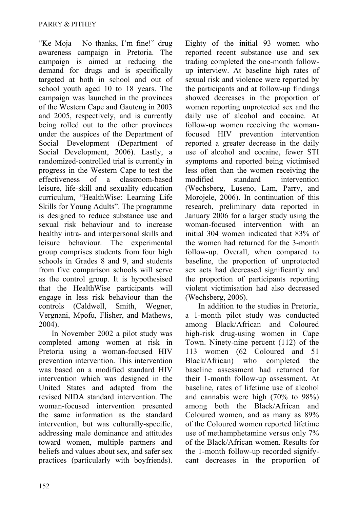"Ke Moja – No thanks, I'm fine!" drug awareness campaign in Pretoria. The campaign is aimed at reducing the demand for drugs and is specifically targeted at both in school and out of school youth aged 10 to 18 years. The campaign was launched in the provinces of the Western Cape and Gauteng in 2003 and 2005, respectively, and is currently being rolled out to the other provinces under the auspices of the Department of Social Development (Department of Social Development, 2006). Lastly, a randomized-controlled trial is currently in progress in the Western Cape to test the effectiveness of a classroom-based leisure, life-skill and sexuality education curriculum, "HealthWise: Learning Life Skills for Young Adults". The programme is designed to reduce substance use and sexual risk behaviour and to increase healthy intra- and interpersonal skills and leisure behaviour. The experimental group comprises students from four high schools in Grades 8 and 9, and students from five comparison schools will serve as the control group. It is hypothesised that the HealthWise participants will engage in less risk behaviour than the controls (Caldwell, Smith, Wegner, Vergnani, Mpofu, Flisher, and Mathews, 2004).

In November 2002 a pilot study was completed among women at risk in Pretoria using a woman-focused HIV prevention intervention. This intervention was based on a modified standard HIV intervention which was designed in the United States and adapted from the revised NIDA standard intervention. The woman-focused intervention presented the same information as the standard intervention, but was culturally-specific, addressing male dominance and attitudes toward women, multiple partners and beliefs and values about sex, and safer sex practices (particularly with boyfriends). Eighty of the initial 93 women who reported recent substance use and sex trading completed the one-month followup interview. At baseline high rates of sexual risk and violence were reported by the participants and at follow-up findings showed decreases in the proportion of women reporting unprotected sex and the daily use of alcohol and cocaine. At follow-up women receiving the womanfocused HIV prevention intervention reported a greater decrease in the daily use of alcohol and cocaine, fewer STI symptoms and reported being victimised less often than the women receiving the modified standard intervention (Wechsberg, Luseno, Lam, Parry, and Morojele, 2006). In continuation of this research, preliminary data reported in January 2006 for a larger study using the woman-focused intervention with an initial 304 women indicated that 83% of the women had returned for the 3-month follow-up. Overall, when compared to baseline, the proportion of unprotected sex acts had decreased significantly and the proportion of participants reporting violent victimisation had also decreased (Wechsberg, 2006).

In addition to the studies in Pretoria, a 1-month pilot study was conducted among Black/African and Coloured high-risk drug-using women in Cape Town. Ninety-nine percent (112) of the 113 women (62 Coloured and 51 Black/African) who completed the baseline assessment had returned for their 1-month follow-up assessment. At baseline, rates of lifetime use of alcohol and cannabis were high (70% to 98%) among both the Black/African and Coloured women, and as many as 89% of the Coloured women reported lifetime use of methamphetamine versus only 7% of the Black/African women. Results for the 1-month follow-up recorded signifycant decreases in the proportion of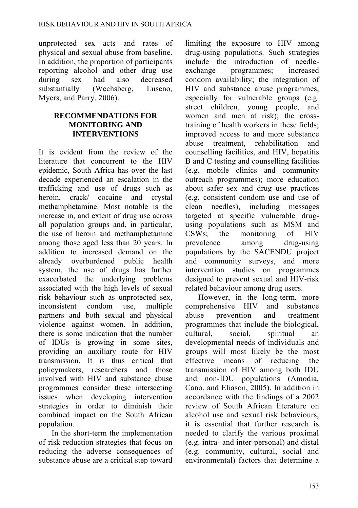unprotected sex acts and rates of physical and sexual abuse from baseline. In addition, the proportion of participants reporting alcohol and other drug use during sex had also decreased substantially (Wechsberg, Luseno, Myers, and Parry, 2006).

#### **RECOMMENDATIONS FOR MONITORING AND INTERVENTIONS**

It is evident from the review of the literature that concurrent to the HIV epidemic, South Africa has over the last decade experienced an escalation in the trafficking and use of drugs such as heroin crack/ cocaine and crystal methamphetamine. Most notable is the increase in, and extent of drug use across all population groups and, in particular, the use of heroin and methamphetamine among those aged less than 20 years. In addition to increased demand on the already overburdened public health system, the use of drugs has further exacerbated the underlying problems associated with the high levels of sexual risk behaviour such as unprotected sex, inconsistent condom use, multiple partners and both sexual and physical violence against women. In addition, there is some indication that the number of IDUs is growing in some sites, providing an auxiliary route for HIV transmission. It is thus critical that policymakers, researchers and those involved with HIV and substance abuse programmes consider these intersecting issues when developing intervention strategies in order to diminish their combined impact on the South African population.

In the short-term the implementation of risk reduction strategies that focus on reducing the adverse consequences of substance abuse are a critical step toward limiting the exposure to HIV among drug-using populations. Such strategies include the introduction of needleexchange programmes; increased condom availability; the integration of HIV and substance abuse programmes, especially for vulnerable groups (e.g. street children, young people, and women and men at risk); the crosstraining of health workers in these fields; improved access to and more substance abuse treatment, rehabilitation and counselling facilities, and HIV, hepatitis B and C testing and counselling facilities (e.g. mobile clinics and community outreach programmes); more education about safer sex and drug use practices (e.g. consistent condom use and use of clean needles), including messages targeted at specific vulnerable drugusing populations such as MSM and CSWs; the monitoring of HIV prevalence among drug-using populations by the SACENDU project and community surveys, and more intervention studies on programmes designed to prevent sexual and HIV-risk related behaviour among drug users.

However, in the long-term, more comprehensive HIV and substance abuse prevention and treatment programmes that include the biological, cultural, social, spiritual an developmental needs of individuals and groups will most likely be the most effective means of reducing the transmission of HIV among both IDU and non-IDU populations (Amodia, Cano, and Eliason, 2005). In addition in accordance with the findings of a 2002 review of South African literature on alcohol use and sexual risk behaviours, it is essential that further research is needed to clarify the various proximal (e.g. intra- and inter-personal) and distal (e.g. community, cultural, social and environmental) factors that determine a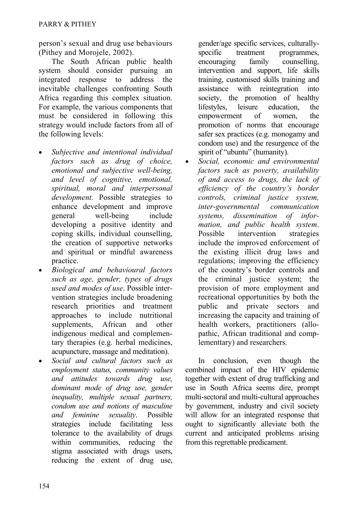person's sexual and drug use behaviours (Pithey and Morojele, 2002).

The South African public health system should consider pursuing an integrated response to address the inevitable challenges confronting South Africa regarding this complex situation. For example, the various components that must be considered in following this strategy would include factors from all of the following levels:

- *Subjective and intentional individual factors such as drug of choice, emotional and subjective well-being, and level of cognitive, emotional, spiritual, moral and interpersonal development*. Possible strategies to enhance development and improve general well-being include developing a positive identity and coping skills, individual counselling, the creation of supportive networks and spiritual or mindful awareness practice.
- *Biological and behavioural factors such as age, gender, types of drugs used and modes of use*. Possible intervention strategies include broadening research priorities and treatment approaches to include nutritional supplements, African and other indigenous medical and complementary therapies (e.g. herbal medicines, acupuncture, massage and meditation).
- *Social and cultural factors such as employment status, community values and attitudes towards drug use, dominant mode of drug use, gender inequality, multiple sexual partners, condom use and notions of masculine and feminine sexuality*. Possible strategies include facilitating less tolerance to the availability of drugs within communities, reducing the stigma associated with drugs users, reducing the extent of drug use,

gender/age specific services, culturallyspecific treatment programmes. encouraging family counselling, intervention and support, life skills training, customised skills training and assistance with reintegration into society, the promotion of healthy lifestyles, leisure education, the empowerment of women, the promotion of norms that encourage safer sex practices (e.g. monogamy and condom use) and the resurgence of the spirit of "ubuntu" (humanity).

• *Social, economic and environmental factors such as poverty, availability of and access to drugs, the lack of efficiency of the country's border controls, criminal justice system, inter-governmental communication systems, dissemination of information, and public health system*. Possible intervention strategies include the improved enforcement of the existing illicit drug laws and regulations; improving the efficiency of the country's border controls and the criminal justice system; the provision of more employment and recreational opportunities by both the public and private sectors and increasing the capacity and training of health workers, practitioners (allopathic, African traditional and complementtary) and researchers.

In conclusion, even though the combined impact of the HIV epidemic together with extent of drug trafficking and use in South Africa seems dire, prompt multi-sectoral and multi-cultural approaches by government, industry and civil society will allow for an integrated response that ought to significantly alleviate both the current and anticipated problems arising from this regrettable predicament.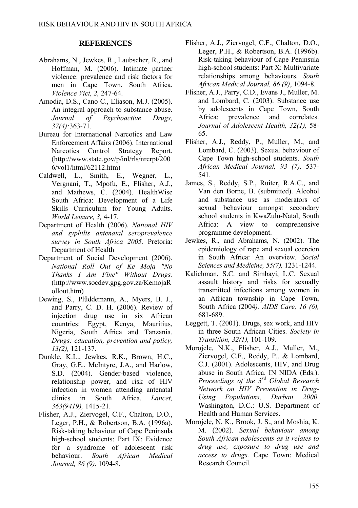#### **REFERENCES**

- [Abrahams, N.](http://www.ncbi.nlm.nih.gov/entrez/query.fcgi?db=pubmed&cmd=Search&itool=pubmed_Abstract&term=%22Abrahams+N%22%5BAuthor%5D), [Jewkes, R.](http://www.ncbi.nlm.nih.gov/entrez/query.fcgi?db=pubmed&cmd=Search&itool=pubmed_Abstract&term=%22Jewkes+R%22%5BAuthor%5D), [Laubscher, R](http://www.ncbi.nlm.nih.gov/entrez/query.fcgi?db=pubmed&cmd=Search&itool=pubmed_Abstract&term=%22Laubscher+R%22%5BAuthor%5D)., and [Hoffman, M](http://www.ncbi.nlm.nih.gov/entrez/query.fcgi?db=pubmed&cmd=Search&itool=pubmed_Abstract&term=%22Hoffman+M%22%5BAuthor%5D). (2006). Intimate partner violence: prevalence and risk factors for men in Cape Town, South Africa. *Violence Vict, 2,* 247-64.
- Amodia, D.S., Cano C., Eliason, M.J. (2005). An integral approach to substance abuse. *Journal of Psychoactive Drugs, 37(4):*363-71.
- Bureau for International Narcotics and Law Enforcement Affairs (2006). International Narcotics Control Strategy Report. (http://www.state.gov/p/inl/rls/nrcrpt/200 6/vol1/html/62112.htm)
- Caldwell, L., Smith, E., Wegner, L., Vergnani, T., Mpofu, E., Flisher, A.J., and Mathews, C. (2004). HealthWise South Africa: Development of a Life Skills Curriculum for Young Adults. *World Leisure, 3,* 4-17.
- Department of Health (2006). *National HIV and syphilis antenatal seroprevalence survey in South Africa 2005.* Pretoria: Department of Health
- Department of Social Development (2006). *National Roll Out of Ke Moja "No Thanks I Am Fine" Without Drugs.* (http://www.socdev.gpg.gov.za/KemojaR ollout.htm)
- Dewing, S., Plűddemann, A., Myers, B. J., and Parry, C. D. H. (2006). Review of injection drug use in six African countries: Egypt, Kenya, Mauritius, Nigeria, South Africa and Tanzania. *Drugs: education, prevention and policy, 13(2),* 121-137.
- Dunkle, K.L., [Jewkes, R.K](http://www.ncbi.nlm.nih.gov/entrez/query.fcgi?db=pubmed&cmd=Search&itool=pubmed_Abstract&term=%22Jewkes+RK%22%5BAuthor%5D)., [Brown, H.C](http://www.ncbi.nlm.nih.gov/entrez/query.fcgi?db=pubmed&cmd=Search&itool=pubmed_Abstract&term=%22Brown+HC%22%5BAuthor%5D)., [Gray, G.E](http://www.ncbi.nlm.nih.gov/entrez/query.fcgi?db=pubmed&cmd=Search&itool=pubmed_Abstract&term=%22Gray+GE%22%5BAuthor%5D)., [McIntyre, J.A.](http://www.ncbi.nlm.nih.gov/entrez/query.fcgi?db=pubmed&cmd=Search&itool=pubmed_Abstract&term=%22McIntryre+JA%22%5BAuthor%5D), and [Harlow,](http://www.ncbi.nlm.nih.gov/entrez/query.fcgi?db=pubmed&cmd=Search&itool=pubmed_Abstract&term=%22Harlow+SD%22%5BAuthor%5D)  [S.D](http://www.ncbi.nlm.nih.gov/entrez/query.fcgi?db=pubmed&cmd=Search&itool=pubmed_Abstract&term=%22Harlow+SD%22%5BAuthor%5D). (2004). Gender-based violence, relationship power, and risk of HIV infection in women attending antenatal clinics in South Africa. *Lancet, 363(9419),* 1415-21.
- Flisher, A.J., Ziervogel, C.F., Chalton, D.O., Leger, P.H., & Robertson, B.A. (1996a). Risk-taking behaviour of Cape Peninsula high-school students: Part IX: Evidence for a syndrome of adolescent risk behaviour. *South African Medical Journal, 86 (9)*, 1094-8.
- Flisher, A.J., Ziervogel, C.F., Chalton, D.O., Leger, P.H., & Robertson, B.A. (1996b). Risk-taking behaviour of Cape Peninsula high-school students: Part X: Multivariate relationships among behaviours. *South African Medical Journal, 86 (9)*, 1094-8.
- Flisher, A.J., Parry, C.D., Evans J., Muller, M. and Lombard, C. (2003). Substance use by adolescents in Cape Town, South Africa: prevalence and correlates. *Journal of Adolescent Health, 32(1),* 58- 65.
- Flisher, A.J., Reddy, P., Muller, M., and Lombard, C. (2003). Sexual behaviour of Cape Town high-school students. *South African Medical Journal, 93 (7),* 537- 541.
- James, S., Reddy, S.P., Ruiter, R.A.C., and Van den Borne, B. (submitted). Alcohol and substance use as moderators of sexual behaviour amongst secondary school students in KwaZulu-Natal, South Africa: A view to comprehensive programme development.
- Jewkes, R., and Abrahams, N. (2002). The epidemiology of rape and sexual coercion in South Africa: An overview. *Social Sciences and Medicine, 55(7),* 1231-1244.
- Kalichman, S.C. and Simbayi, L.C. Sexual assault history and risks for sexually transmitted infections among women in an African township in Cape Town, South Africa (2004*). AIDS Care, 16 (6),* 681-689.
- Leggett, T. (2001). Drugs, sex work, and HIV in three South African Cities. *Society in Transition, 32(1),* 101-109.
- Morojele, N.K., Flisher, A.J., Muller, M., Ziervogel, C.F., Reddy, P., & Lombard, C.J. (2001). Adolescents, HIV, and Drug abuse in South Africa. IN NIDA (Eds.). *Proceedings of the 3rd Global Research Network on HIV Prevention in Drug-Using Populations, Durban 2000.*  Washington, D.C.: U.S. Department of Health and Human Services.
- Morojele, N. K., Brook, J. S., and Moshia, K. M. (2002). *Sexual behaviour among South African adolescents as it relates to drug use, exposure to drug use and access to drugs.* Cape Town: Medical Research Council.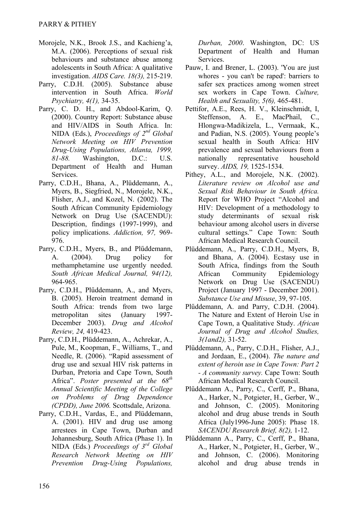- Morojele, N.K., Brook J.S., and Kachieng'a, M.A. (2006). Perceptions of sexual risk behaviours and substance abuse among adolescents in South Africa: A qualitative investigation. *AIDS Care. 18(3),* 215-219.
- Parry, C.D.H. (2005). Substance abuse intervention in South Africa. *World Psychiatry, 4(1),* 34-35.
- Parry, C. D. H., and Abdool-Karim, Q. (2000). Country Report: Substance abuse and HIV/AIDS in South Africa. In: NIDA (Eds.), *Proceedings of 2nd Global Network Meeting on HIV Prevention Drug-Using Populations, Atlanta, 1999, 81-88.* Washington, D.C.: U.S. Department of Health and Human Services.
- Parry, C.D.H., Bhana, A., Plüddemann, A., Myers, B., Siegfried, N., Morojele, N.K., Flisher, A.J., and Kozel, N. (2002). The South African Community Epidemiology Network on Drug Use (SACENDU): Description, findings (1997-1999), and policy implications. *Addiction, 97,* 969- 976.
- Parry, C.D.H., Myers, B., and Plűddemann, A. (2004). Drug policy for methamphetamine use urgently needed. *South African Medical Journal, 94(12),* 964-965.
- Parry, C.D.H., Plűddemann, A., and Myers, B. (2005). Heroin treatment demand in South Africa: trends from two large metropolitan sites (January 1997- December 2003). *Drug and Alcohol Review, 24,* 419-423.
- Parry, C.D.H., Plüddemann, A., Achrekar, A., Pule, M., Koopman, F., Williams, T., and Needle, R. (2006). "Rapid assessment of drug use and sexual HIV risk patterns in Durban, Pretoria and Cape Town, South Africa". *Poster presented at the 68th Annual Scientific Meeting of the College on Problems of Drug Dependence (CPDD), June 2006.* Scottsdale, Arizona.
- Parry, C.D.H., Vardas, E., and Plüddemann, A. (2001). HIV and drug use among arrestees in Cape Town, Durban and Johannesburg, South Africa (Phase 1). In NIDA (Eds.) *Proceedings of 3rd Global Research Network Meeting on HIV Prevention Drug-Using Populations,*

*Durban, 2000*. Washington, DC: US Department of Health and Human Services.

- Pauw, I. and Brener, L. (2003). 'You are just whores - you can't be raped': barriers to safer sex practices among women street sex workers in Cape Town. *Culture, Health and Sexuality, 5(6),* 465-481.
- Pettifor, A.E., Rees, H. V., Kleinschmidt, I, Steffenson, A. E., MacPhail, C., Hlongwa-Madikizela, L., Vermaak, K., and Padian, N.S. (2005). Young people's sexual health in South Africa: HIV prevalence and sexual behaviours from a nationally representative household survey. *AIDS, 19,* 1525-1534.
- Pithey, A.L., and Morojele, N.K. (2002). *Literature review on Alcohol use and Sexual Risk Behaviour in South Africa.* Report for WHO Project "Alcohol and HIV: Development of a methodology to study determinants of sexual risk behaviour among alcohol users in diverse cultural settings." Cape Town: South African Medical Research Council.
- Plüddemann, A., Parry, C.D.H., Myers, B, and Bhana, A. (2004). Ecstasy use in South Africa, findings from the South African Community Epidemiology Network on Drug Use (SACENDU) Project (January 1997 - December 2001). *Substance Use and Misuse*, 39, 97-105.
- Plűddemann, A. and Parry, C.D.H. (2004). The Nature and Extent of Heroin Use in Cape Town, a Qualitative Study. *African Journal of Drug and Alcohol Studies, 3(1and2),* 31-52.
- Plűddemann, A., Parry, C.D.H., Flisher, A.J., and Jordaan, E., (2004). *The nature and extent of heroin use in Cape Town: Part 2 - A community survey.* Cape Town: South African Medical Research Council.
- Plűddemann A., Parry, C., Cerff, P., Bhana, A., Harker, N., Potgieter, H., Gerber, W., and Johnson, C. (2005). Monitoring alcohol and drug abuse trends in South Africa (July1996-June 2005): Phase 18. *SACENDU Research Brief, 8(2),* 1-12.
- Plűddemann A., Parry, C., Cerff, P., Bhana, A., Harker, N., Potgieter, H., Gerber, W., and Johnson, C. (2006). Monitoring alcohol and drug abuse trends in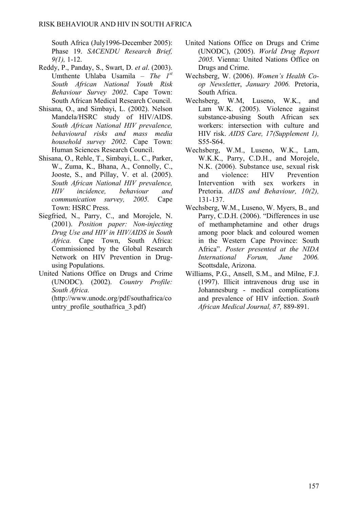South Africa (July1996-December 2005): Phase 19. *SACENDU Research Brief, 9(1),* 1-12.

- Reddy, P., Panday, S., Swart, D. *et al*. (2003). Umthente Uhlaba Usamila – *The 1st South African National Youth Risk Behaviour Survey 2002*. Cape Town: South African Medical Research Council.
- Shisana, O., and Simbayi, L. (2002). Nelson Mandela/HSRC study of HIV/AIDS. *South African National HIV prevalence, behavioural risks and mass media household survey 2002.* Cape Town: Human Sciences Research Council.
- Shisana, O., Rehle, T., Simbayi, L. C., Parker, W., Zuma, K., Bhana, A., Connolly, C., Jooste, S., and Pillay, V. et al. (2005). *South African National HIV prevalence, HIV incidence, behaviour and communication survey, 2005.* Cape Town: HSRC Press.
- Siegfried, N., Parry, C., and Morojele, N. (2001). *Position paper: Non-injecting Drug Use and HIV in HIV/AIDS in South Africa.* Cape Town, South Africa: Commissioned by the Global Research Network on HIV Prevention in Drugusing Populations.
- United Nations Office on Drugs and Crime (UNODC). (2002). *Country Profile: South Africa.*

(http://www.unodc.org/pdf/southafrica/co untry profile southafrica 3.pdf)

- United Nations Office on Drugs and Crime (UNODC), (2005). *World Drug Report 2005.* Vienna: United Nations Office on Drugs and Crime.
- Wechsberg, W. (2006). *Women's Health Coop Newslette*r, *January 2006.* Pretoria, South Africa.
- Wechsberg, W.M, Luseno, W.K., and Lam W.K. (2005). Violence against substance-abusing South African sex workers: intersection with culture and HIV risk. *AIDS Care, 17(Supplement 1),* S55-S64.
- Wechsberg, W.M., Luseno, W.K., Lam, W.K.K., Parry, C.D.H., and Morojele, N.K. (2006). Substance use, sexual risk and violence: HIV Prevention Intervention with sex workers in Pretoria. *AIDS and Behaviour, 10(2),* 131-137.
- Wechsberg, W.M., Luseno, W. Myers, B., and Parry, C.D.H. (2006). "Differences in use of methamphetamine and other drugs among poor black and coloured women in the Western Cape Province: South Africa". *Poster presented at the NIDA International Forum, June 2006.* Scottsdale, Arizona.
- Williams, P.G., Ansell, S.M., and Milne, F.J. (1997). Illicit intravenous drug use in Johannesburg - medical complications and prevalence of HIV infection. *South African Medical Journal, 87,* 889-891.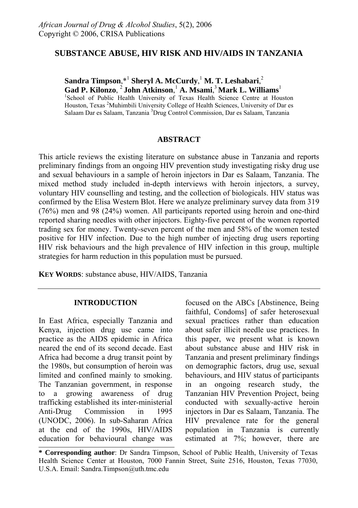## **SUBSTANCE ABUSE, HIV RISK AND HIV/AIDS IN TANZANIA**

**Sandra Timpson**,\*<sup>1</sup> **Sheryl A. McCurdy**, <sup>1</sup> **M. T. Leshabari**, 2  $G$ ad P. Kilonzo, <sup>2</sup> John Atkinson, <sup>1</sup> A. Msami, <sup>3</sup> Mark L. Williams<sup>1</sup> <sup>1</sup>School of Public Health University of Texas Health Science Centre at Houston

Houston, Texas <sup>2</sup>Muhimbili University College of Health Sciences, University of Dar es Salaam Dar es Salaam, Tanzania <sup>3</sup>Drug Control Commission, Dar es Salaam, Tanzania

### **ABSTRACT**

This article reviews the existing literature on substance abuse in Tanzania and reports preliminary findings from an ongoing HIV prevention study investigating risky drug use and sexual behaviours in a sample of heroin injectors in Dar es Salaam, Tanzania. The mixed method study included in-depth interviews with heroin injectors, a survey, voluntary HIV counselling and testing, and the collection of biologicals. HIV status was confirmed by the Elisa Western Blot. Here we analyze preliminary survey data from 319 (76%) men and 98 (24%) women. All participants reported using heroin and one-third reported sharing needles with other injectors. Eighty-five percent of the women reported trading sex for money. Twenty-seven percent of the men and 58% of the women tested positive for HIV infection. Due to the high number of injecting drug users reporting HIV risk behaviours and the high prevalence of HIV infection in this group, multiple strategies for harm reduction in this population must be pursued.

**KEY WORDS**: substance abuse, HIV/AIDS, Tanzania

### **INTRODUCTION**

In East Africa, especially Tanzania and Kenya, injection drug use came into practice as the AIDS epidemic in Africa neared the end of its second decade. East Africa had become a drug transit point by the 1980s, but consumption of heroin was limited and confined mainly to smoking. The Tanzanian government, in response to a growing awareness of drug trafficking established its inter-ministerial Anti-Drug Commission in 1995 (UNODC, 2006). In sub-Saharan Africa at the end of the 1990s, HIV/AIDS education for behavioural change was

focused on the ABCs [Abstinence, Being faithful, Condoms] of safer heterosexual sexual practices rather than education about safer illicit needle use practices. In this paper, we present what is known about substance abuse and HIV risk in Tanzania and present preliminary findings on demographic factors, drug use, sexual behaviours, and HIV status of participants in an ongoing research study, the Tanzanian HIV Prevention Project, being conducted with sexually-active heroin injectors in Dar es Salaam, Tanzania. The HIV prevalence rate for the general population in Tanzania is currently estimated at 7%; however, there are

**<sup>\*</sup> Corresponding author**: Dr Sandra Timpson, School of Public Health, University of Texas Health Science Center at Houston, 7000 Fannin Street, Suite 2516, Houston, Texas 77030, U.S.A. Email: Sandra.Timpson@uth.tmc.edu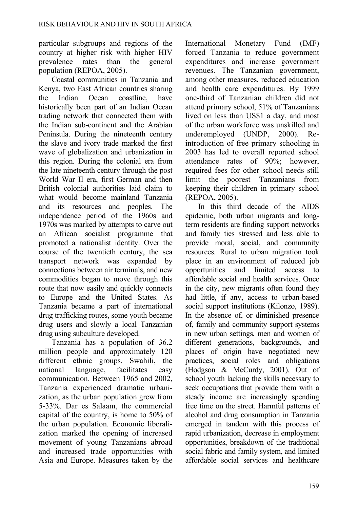particular subgroups and regions of the country at higher risk with higher HIV prevalence rates than the general population (REPOA, 2005).

Coastal communities in Tanzania and Kenya, two East African countries sharing the Indian Ocean coastline, have historically been part of an Indian Ocean trading network that connected them with the Indian sub-continent and the Arabian Peninsula. During the nineteenth century the slave and ivory trade marked the first wave of globalization and urbanization in this region. During the colonial era from the late nineteenth century through the post World War II era, first German and then British colonial authorities laid claim to what would become mainland Tanzania and its resources and peoples. The independence period of the 1960s and 1970s was marked by attempts to carve out an African socialist programme that promoted a nationalist identity. Over the course of the twentieth century, the sea transport network was expanded by connections between air terminals, and new commodities began to move through this route that now easily and quickly connects to Europe and the United States. As Tanzania became a part of international drug trafficking routes, some youth became drug users and slowly a local Tanzanian drug using subculture developed.

Tanzania has a population of 36.2 million people and approximately 120 different ethnic groups. Swahili, the national language, facilitates easy communication. Between 1965 and 2002, Tanzania experienced dramatic urbanization, as the urban population grew from 5-33%. Dar es Salaam, the commercial capital of the country, is home to 50% of the urban population. Economic liberalization marked the opening of increased movement of young Tanzanians abroad and increased trade opportunities with Asia and Europe. Measures taken by the

International Monetary Fund (IMF) forced Tanzania to reduce government expenditures and increase government revenues. The Tanzanian government, among other measures, reduced education and health care expenditures. By 1999 one-third of Tanzanian children did not attend primary school, 51% of Tanzanians lived on less than US\$1 a day, and most of the urban workforce was unskilled and underemployed (UNDP, 2000). Reintroduction of free primary schooling in 2003 has led to overall reported school attendance rates of 90%; however, required fees for other school needs still limit the poorest Tanzanians from keeping their children in primary school (REPOA, 2005).

In this third decade of the AIDS epidemic, both urban migrants and longterm residents are finding support networks and family ties stressed and less able to provide moral, social, and community resources. Rural to urban migration took place in an environment of reduced job opportunities and limited access to affordable social and health services. Once in the city, new migrants often found they had little, if any, access to urban-based social support institutions (Kilonzo, 1989). In the absence of, or diminished presence of, family and community support systems in new urban settings, men and women of different generations, backgrounds, and places of origin have negotiated new practices, social roles and obligations (Hodgson & McCurdy, 2001). Out of school youth lacking the skills necessary to seek occupations that provide them with a steady income are increasingly spending free time on the street. Harmful patterns of alcohol and drug consumption in Tanzania emerged in tandem with this process of rapid urbanization, decrease in employment opportunities, breakdown of the traditional social fabric and family system, and limited affordable social services and healthcare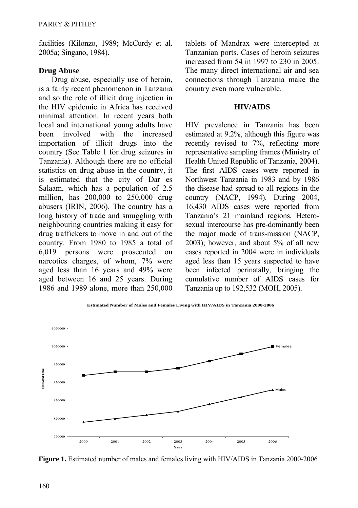facilities (Kilonzo, 1989; McCurdy et al. 2005a; Singano, 1984).

### **Drug Abuse**

Drug abuse, especially use of heroin, is a fairly recent phenomenon in Tanzania and so the role of illicit drug injection in the HIV epidemic in Africa has received minimal attention. In recent years both local and international young adults have been involved with the increased importation of illicit drugs into the country (See Table 1 for drug seizures in Tanzania). Although there are no official statistics on drug abuse in the country, it is estimated that the city of Dar es Salaam, which has a population of 2.5 million, has 200,000 to 250,000 drug abusers (IRIN, 2006). The country has a long history of trade and smuggling with neighbouring countries making it easy for drug traffickers to move in and out of the country. From 1980 to 1985 a total of 6,019 persons were prosecuted on narcotics charges, of whom, 7% were aged less than 16 years and 49% were aged between 16 and 25 years. During 1986 and 1989 alone, more than 250,000 tablets of Mandrax were intercepted at Tanzanian ports. Cases of heroin seizures increased from 54 in 1997 to 230 in 2005. The many direct international air and sea connections through Tanzania make the country even more vulnerable.

#### **HIV/AIDS**

HIV prevalence in Tanzania has been estimated at 9.2%, although this figure was recently revised to 7%, reflecting more representative sampling frames (Ministry of Health United Republic of Tanzania, 2004). The first AIDS cases were reported in Northwest Tanzania in 1983 and by 1986 the disease had spread to all regions in the country (NACP, 1994). During 2004, 16,430 AIDS cases were reported from Tanzania's 21 mainland regions. Heterosexual intercourse has pre-dominantly been the major mode of trans-mission (NACP, 2003); however, and about 5% of all new cases reported in 2004 were in individuals aged less than 15 years suspected to have been infected perinatally, bringing the cumulative number of AIDS cases for Tanzania up to 192,532 (MOH, 2005).



**Year Figure 1.** Estimated number of males and females living with HIV/AIDS in Tanzania 2000-2006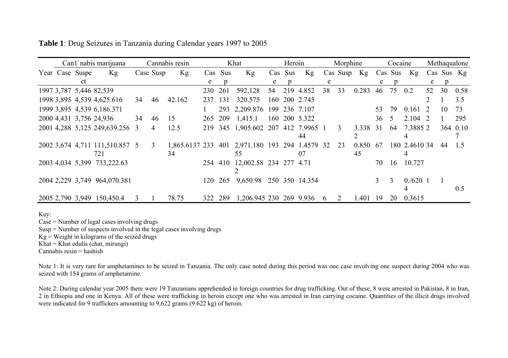**Table 1**: Drug Seizures in Tanzania during Calendar years 1997 to 2005

|  |                 | Can1 nabis marijuana                  |    |           | Cannabis resin       |         |         | Khat                               |   | Heroin  |                |    | Morphine |             |         | Cocaine |                    |               |            | Methaqualone |
|--|-----------------|---------------------------------------|----|-----------|----------------------|---------|---------|------------------------------------|---|---------|----------------|----|----------|-------------|---------|---------|--------------------|---------------|------------|--------------|
|  | Year Case Suspe | Kg                                    |    | Case Susp | Kg                   |         | Cas Sus | Kg                                 |   | Cas Sus | Kg             |    |          | Cas Susp Kg | Cas Sus |         | Kg                 |               | Cas Sus Kg |              |
|  | ct              |                                       |    |           |                      | e       | p       |                                    | e |         |                | e  |          |             | e       |         |                    | e             | p          |              |
|  |                 | 1997 3,787 5,446 82,539               |    |           |                      | 230 261 |         | 592,128                            |   |         | 54 219 4.852   | 38 | 33       | 0.283       | 46      | 75      | 0.2                | 52            | 30         | 0.58         |
|  |                 | 1998 3,895 4,539 4,625.616            | 34 | 46        | 42.162               | 237 131 |         | 320.575                            |   |         | 160 200 2.745  |    |          |             |         |         |                    | $\mathcal{D}$ |            | 3.5          |
|  |                 | 1999 3,895 4,539 6,186.371            |    |           |                      |         |         | 293 2,209.876 199 236 7.107        |   |         |                |    |          |             | 53      | 79      | 0.161              | <sup>2</sup>  | 10         | 73           |
|  |                 | 2000 4,431 3,756 24,936               | 34 | 46        | 15                   | 265     | 209     | 1,415.1                            |   |         | 160 200 5.322  |    |          |             | 36      | -5      | $2.104$ 2          |               |            | 295          |
|  |                 | 2001 4,288 5,125 249,639.256 3        |    | 4         | 12.5                 |         |         | 219 345 1,905.602 207 412 7.9965 1 |   |         | 44             |    | 3        | 3.338 31    |         | 64      | 7.38852            |               |            | 364 0.10     |
|  |                 | 2002 3,674 4,711 111,510.857 5<br>721 |    | 3         | 1.865.6137 233<br>34 |         | 401     | 2,971.180 193 294 1.4579 32<br>55  |   |         | 07             |    | 23       | 0.850<br>45 | -67     |         | 180 2.4610 34<br>4 |               | 44         | -1.5         |
|  |                 | 2003 4,034 5,399 733,222.63           |    |           |                      |         |         | 254 410 12,002.58 234 277 4.71     |   |         |                |    |          |             | 70      | 16      | 10.727             |               |            |              |
|  |                 | 2004 2,229 3,749 964,070.381          |    |           |                      | 120     | 265     | 9,650.98                           |   |         | 250 350 14.354 |    |          |             | 3       | 3       | 0.6201<br>4        |               |            | 0.5          |
|  |                 | 2005 2,790 3,949 150,450.4            | 3  |           | 78.75                | 322     | 289     | 1,206,945 230 269 9.936            |   |         |                | 6  | 2        | 1.401       | 19      | 20      | 0.3615             |               |            |              |

Key:

Case = Number of legal cases involving drugs

Susp = Number of suspects involved in the legal cases involving drugs

 $Kg =$  Weight in kilograms of the seized drugs

 $Khat = Khat$  edulis (chat, mirungi)

Cannabis resin = hashish

Note 1: It is very rare for amphetamines to be seized in Tanzania. The only case noted during this period was one case involving one suspect during 2004 who was seized with 154 grams of amphetamine.

Note 2: During calendar year 2005 there were 19 Tanzanians apprehended in foreign countries for drug trafficking. Out of these, 8 were arrested in Pakistan, 8 in Iran, 2 in Ethiopia and one in Kenya. All of these were trafficking in heroin except one who was arrested in Iran carrying cocaine. Quantities of the illicit drugs involved were indicated for 9 traffickers amounting to 9,622 grams (9,622 kg) of heroin.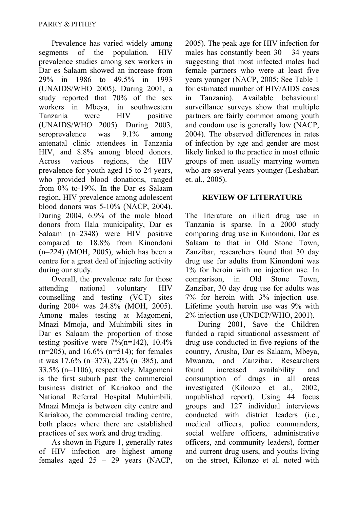Prevalence has varied widely among segments of the population. HIV prevalence studies among sex workers in Dar es Salaam showed an increase from 29% in 1986 to 49.5% in 1993 (UNAIDS/WHO 2005). During 2001, a study reported that 70% of the sex workers in Mbeya, in southwestern Tanzania were HIV positive (UNAIDS/WHO 2005). During 2003, seroprevalence was 9.1% among antenatal clinic attendees in Tanzania HIV, and 8.8% among blood donors. Across various regions, the HIV prevalence for youth aged 15 to 24 years, who provided blood donations, ranged from 0% to-19%. In the Dar es Salaam region, HIV prevalence among adolescent blood donors was 5-10% (NACP, 2004). During 2004, 6.9% of the male blood donors from Ilala municipality, Dar es Salaam (n=2348) were HIV positive compared to 18.8% from Kinondoni (n=224) (MOH, 2005), which has been a centre for a great deal of injecting activity during our study.

Overall, the prevalence rate for those attending national voluntary HIV counselling and testing (VCT) sites during 2004 was 24.8% (MOH, 2005). Among males testing at Magomeni, Mnazi Mmoja, and Muhimbili sites in Dar es Salaam the proportion of those testing positive were  $7\frac{%(n=142)}{}} 10.4\%$ (n=205), and 16.6% (n=514); for females it was 17.6% (n=373), 22% (n=385), and 33.5% (n=1106), respectively. Magomeni is the first suburb past the commercial business district of Kariakoo and the National Referral Hospital Muhimbili. Mnazi Mmoja is between city centre and Kariakoo, the commercial trading centre, both places where there are established practices of sex work and drug trading.

As shown in Figure 1, generally rates of HIV infection are highest among females aged 25 – 29 years (NACP, 2005). The peak age for HIV infection for males has constantly been  $30 - 34$  years suggesting that most infected males had female partners who were at least five years younger (NACP, 2005; See Table 1 for estimated number of HIV/AIDS cases in Tanzania). Available behavioural surveillance surveys show that multiple partners are fairly common among youth and condom use is generally low (NACP, 2004). The observed differences in rates of infection by age and gender are most likely linked to the practice in most ethnic groups of men usually marrying women who are several years younger (Leshabari et. al., 2005).

#### **REVIEW OF LITERATURE**

The literature on illicit drug use in Tanzania is sparse. In a 2000 study comparing drug use in Kinondoni, Dar es Salaam to that in Old Stone Town, Zanzibar, researchers found that 30 day drug use for adults from Kinondoni was 1% for heroin with no injection use. In comparison, in Old Stone Town, Zanzibar, 30 day drug use for adults was 7% for heroin with 3% injection use. Lifetime youth heroin use was 9% with 2% injection use (UNDCP/WHO, 2001).

During 2001, Save the Children funded a rapid situational assessment of drug use conducted in five regions of the country, Arusha, Dar es Salaam, Mbeya, Mwanza, and Zanzibar. Researchers found increased availability and consumption of drugs in all areas investigated (Kilonzo et al., 2002, unpublished report). Using 44 focus groups and 127 individual interviews conducted with district leaders (i.e., medical officers, police commanders, social welfare officers, administrative officers, and community leaders), former and current drug users, and youths living on the street, Kilonzo et al. noted with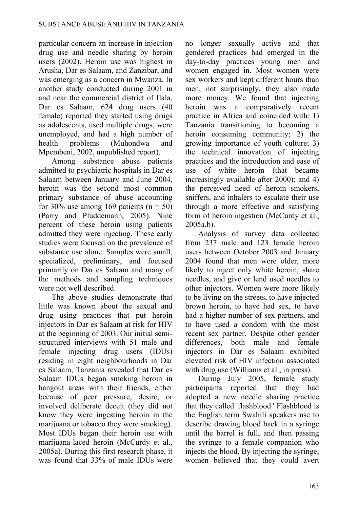particular concern an increase in injection drug use and needle sharing by heroin users (2002). Heroin use was highest in Arusha, Dar es Salaam, and Zanzibar, and was emerging as a concern in Mwanza. In another study conducted during 2001 in and near the commercial district of Ilala, Dar es Salaam, 624 drug users (40 female) reported they started using drugs as adolescents, used multiple drugs, were unemployed, and had a high number of health problems (Muhondwa and Mpembeni, 2002, unpublished report).

Among substance abuse patients admitted to psychiatric hospitals in Dar es Salaam between January and June 2004, heroin was the second most common primary substance of abuse accounting for 30% use among 169 patients ( $n = 50$ ) (Parry and Pluddemann, 2005). Nine percent of these heroin using patients admitted they were injecting. These early studies were focused on the prevalence of substance use alone. Samples were small, specialized, preliminary, and focused primarily on Dar es Salaam and many of the methods and sampling techniques were not well described.

The above studies demonstrate that little was known about the sexual and drug using practices that put heroin injectors in Dar es Salaam at risk for HIV at the beginning of 2003. Our initial semistructured interviews with 51 male and female injecting drug users (IDUs) residing in eight neighbourhoods in Dar es Salaam, Tanzania revealed that Dar es Salaam IDUs began smoking heroin in hangout areas with their friends, either because of peer pressure, desire, or involved deliberate deceit (they did not know they were ingesting heroin in the marijuana or tobacco they were smoking). Most IDUs began their heroin use with marijuana-laced heroin (McCurdy et al., 2005a). During this first research phase, it was found that 33% of male IDUs were no longer sexually active and that gendered practices had emerged in the day-to-day practices young men and women engaged in. Most women were sex workers and kept different hours than men, not surprisingly, they also made more money. We found that injecting heroin was a comparatively recent practice in Africa and coincided with: 1) Tanzania transitioning to becoming a heroin consuming community; 2) the growing importance of youth culture; 3) the technical innovation of injecting practices and the introduction and ease of use of white heroin (that became increasingly available after 2000); and 4) the perceived need of heroin smokers, sniffers, and inhalers to escalate their use through a more effective and satisfying form of heroin ingestion (McCurdy et al., 2005a,b).

Analysis of survey data collected from 237 male and 123 female heroin users between October 2003 and January 2004 found that men were older, more likely to inject only white heroin, share needles, and give or lend used needles to other injectors. Women were more likely to be living on the streets, to have injected brown heroin, to have had sex, to have had a higher number of sex partners, and to have used a condom with the most recent sex partner. Despite other gender differences, both male and female injectors in Dar es Salaam exhibited elevated risk of HIV infection associated with drug use (Williams et al., in press).

During July 2005, female study participants reported that they had adopted a new needle sharing practice that they called 'flashblood.' Flashblood is the English term Swahili speakers use to describe drawing blood back in a syringe until the barrel is full, and then passing the syringe to a female companion who injects the blood. By injecting the syringe, women believed that they could avert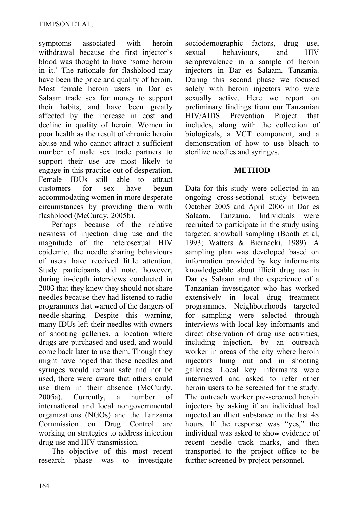symptoms associated with heroin withdrawal because the first injector's blood was thought to have 'some heroin in it.' The rationale for flashblood may have been the price and quality of heroin. Most female heroin users in Dar es Salaam trade sex for money to support their habits, and have been greatly affected by the increase in cost and decline in quality of heroin. Women in poor health as the result of chronic heroin abuse and who cannot attract a sufficient number of male sex trade partners to support their use are most likely to engage in this practice out of desperation. Female IDUs still able to attract customers for sex have begun accommodating women in more desperate circumstances by providing them with flashblood (McCurdy, 2005b).

Perhaps because of the relative newness of injection drug use and the magnitude of the heterosexual HIV epidemic, the needle sharing behaviours of users have received little attention. Study participants did note, however, during in-depth interviews conducted in 2003 that they knew they should not share needles because they had listened to radio programmes that warned of the dangers of needle-sharing. Despite this warning, many IDUs left their needles with owners of shooting galleries, a location where drugs are purchased and used, and would come back later to use them. Though they might have hoped that these needles and syringes would remain safe and not be used, there were aware that others could use them in their absence (McCurdy, 2005a). Currently, a number of international and local nongovernmental organizations (NGOs) and the Tanzania Commission on Drug Control are working on strategies to address injection drug use and HIV transmission.

The objective of this most recent research phase was to investigate sociodemographic factors, drug use, sexual behaviours, and HIV seroprevalence in a sample of heroin injectors in Dar es Salaam, Tanzania. During this second phase we focused solely with heroin injectors who were sexually active. Here we report on preliminary findings from our Tanzanian HIV/AIDS Prevention Project that includes, along with the collection of biologicals, a VCT component, and a demonstration of how to use bleach to sterilize needles and syringes.

### **METHOD**

Data for this study were collected in an ongoing cross-sectional study between October 2005 and April 2006 in Dar es Salaam, Tanzania. Individuals were recruited to participate in the study using targeted snowball sampling (Booth et al, 1993; Watters & Biernacki, 1989). A sampling plan was developed based on information provided by key informants knowledgeable about illicit drug use in Dar es Salaam and the experience of a Tanzanian investigator who has worked extensively in local drug treatment programmes. Neighbourhoods targeted for sampling were selected through interviews with local key informants and direct observation of drug use activities, including injection, by an outreach worker in areas of the city where heroin injectors hung out and in shooting galleries. Local key informants were interviewed and asked to refer other heroin users to be screened for the study. The outreach worker pre-screened heroin injectors by asking if an individual had injected an illicit substance in the last 48 hours. If the response was "yes," the individual was asked to show evidence of recent needle track marks, and then transported to the project office to be further screened by project personnel.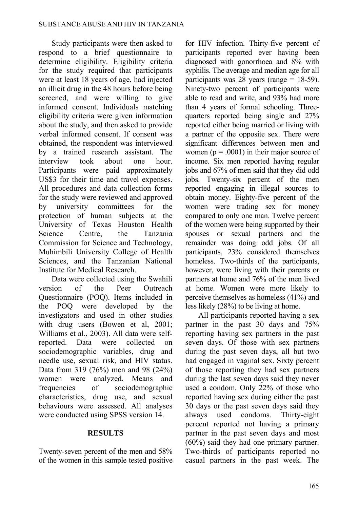Study participants were then asked to respond to a brief questionnaire to determine eligibility. Eligibility criteria for the study required that participants were at least 18 years of age, had injected an illicit drug in the 48 hours before being screened, and were willing to give informed consent. Individuals matching eligibility criteria were given information about the study, and then asked to provide verbal informed consent. If consent was obtained, the respondent was interviewed by a trained research assistant. The interview took about one hour. Participants were paid approximately US\$3 for their time and travel expenses. All procedures and data collection forms for the study were reviewed and approved by university committees for the protection of human subjects at the University of Texas Houston Health Science Centre, the Tanzania Commission for Science and Technology, Muhimbili University College of Health Sciences, and the Tanzanian National Institute for Medical Research.

Data were collected using the Swahili version of the Peer Outreach Questionnaire (POQ). Items included in the POQ were developed by the investigators and used in other studies with drug users (Bowen et al, 2001; Williams et al., 2003). All data were selfreported. Data were collected on sociodemographic variables, drug and needle use, sexual risk, and HIV status. Data from 319 (76%) men and 98 (24%) women were analyzed. Means and frequencies of sociodemographic characteristics, drug use, and sexual behaviours were assessed. All analyses were conducted using SPSS version 14.

### **RESULTS**

Twenty-seven percent of the men and 58% of the women in this sample tested positive

for HIV infection. Thirty-five percent of participants reported ever having been diagnosed with gonorrhoea and 8% with syphilis. The average and median age for all participants was 28 years (range  $= 18-59$ ). Ninety-two percent of participants were able to read and write, and 93% had more than 4 years of formal schooling. Threequarters reported being single and 27% reported either being married or living with a partner of the opposite sex. There were significant differences between men and women ( $p = .0001$ ) in their major source of income. Six men reported having regular jobs and 67% of men said that they did odd jobs. Twenty-six percent of the men reported engaging in illegal sources to obtain money. Eighty-five percent of the women were trading sex for money compared to only one man. Twelve percent of the women were being supported by their spouses or sexual partners and the remainder was doing odd jobs. Of all participants, 23% considered themselves homeless. Two-thirds of the participants, however, were living with their parents or partners at home and 76% of the men lived at home. Women were more likely to perceive themselves as homeless (41%) and less likely (28%) to be living at home.

All participants reported having a sex partner in the past 30 days and 75% reporting having sex partners in the past seven days. Of those with sex partners during the past seven days, all but two had engaged in vaginal sex. Sixty percent of those reporting they had sex partners during the last seven days said they never used a condom. Only 22% of those who reported having sex during either the past 30 days or the past seven days said they always used condoms. Thirty-eight percent reported not having a primary partner in the past seven days and most (60%) said they had one primary partner. Two-thirds of participants reported no casual partners in the past week. The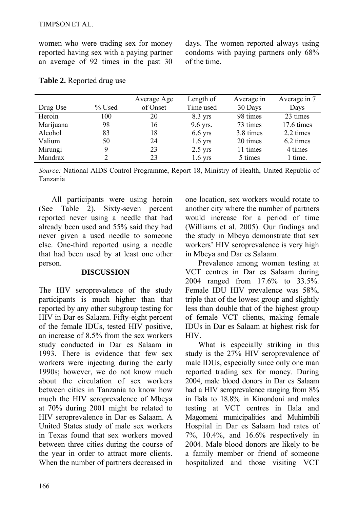women who were trading sex for money reported having sex with a paying partner an average of 92 times in the past 30 days. The women reported always using condoms with paying partners only 68% of the time.

|           |        | Average Age | Length of | Average in | Average in 7 |
|-----------|--------|-------------|-----------|------------|--------------|
| Drug Use  | % Used | of Onset    | Time used | 30 Days    | Days         |
| Heroin    | 100    | 20          | $8.3$ yrs | 98 times   | 23 times     |
| Marijuana | 98     | 16          | 9.6 yrs.  | 73 times   | 17.6 times   |
| Alcohol   | 83     | 18          | $6.6$ yrs | 3.8 times  | 2.2 times    |
| Valium    | 50     | 24          | $1.6$ yrs | 20 times   | 6.2 times    |
| Mirungi   | 9      | 23          | $2.5$ yrs | 11 times   | 4 times      |
| Mandrax   | າ      | 23          | $1.6$ yrs | 5 times    | 1 time.      |

#### **Table 2.** Reported drug use

*Source:* National AIDS Control Programme, Report 18, Ministry of Health, United Republic of Tanzania

All participants were using heroin (See Table 2). Sixty-seven percent reported never using a needle that had already been used and 55% said they had never given a used needle to someone else. One-third reported using a needle that had been used by at least one other person.

#### **DISCUSSION**

The HIV seroprevalence of the study participants is much higher than that reported by any other subgroup testing for HIV in Dar es Salaam. Fifty-eight percent of the female IDUs, tested HIV positive, an increase of 8.5% from the sex workers study conducted in Dar es Salaam in 1993. There is evidence that few sex workers were injecting during the early 1990s; however, we do not know much about the circulation of sex workers between cities in Tanzania to know how much the HIV seroprevalence of Mbeya at 70% during 2001 might be related to HIV seroprevalence in Dar es Salaam. A United States study of male sex workers in Texas found that sex workers moved between three cities during the course of the year in order to attract more clients. When the number of partners decreased in one location, sex workers would rotate to another city where the number of partners would increase for a period of time (Williams et al. 2005). Our findings and the study in Mbeya demonstrate that sex workers' HIV seroprevalence is very high in Mbeya and Dar es Salaam.

Prevalence among women testing at VCT centres in Dar es Salaam during 2004 ranged from 17.6% to 33.5%. Female IDU HIV prevalence was 58%, triple that of the lowest group and slightly less than double that of the highest group of female VCT clients, making female IDUs in Dar es Salaam at highest risk for HIV.

What is especially striking in this study is the 27% HIV seroprevalence of male IDUs, especially since only one man reported trading sex for money. During 2004, male blood donors in Dar es Salaam had a HIV seroprevalence ranging from 8% in Ilala to 18.8% in Kinondoni and males testing at VCT centres in Ilala and Magomeni municipalities and Muhimbili Hospital in Dar es Salaam had rates of 7%, 10.4%, and 16.6% respectively in 2004. Male blood donors are likely to be a family member or friend of someone hospitalized and those visiting VCT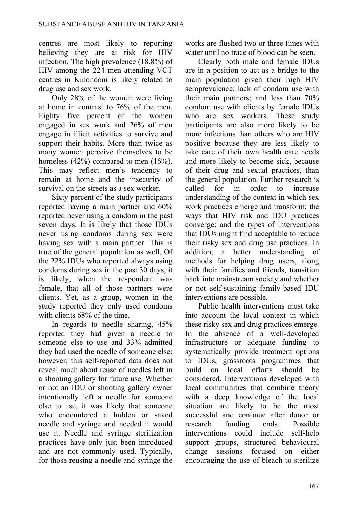centres are most likely to reporting believing they are at risk for HIV infection. The high prevalence (18.8%) of HIV among the 224 men attending VCT centres in Kinondoni is likely related to drug use and sex work.

Only 28% of the women were living at home in contrast to 76% of the men. Eighty five percent of the women engaged in sex work and 26% of men engage in illicit activities to survive and support their habits. More than twice as many women perceive themselves to be homeless (42%) compared to men (16%). This may reflect men's tendency to remain at home and the insecurity of survival on the streets as a sex worker.

Sixty percent of the study participants reported having a main partner and 60% reported never using a condom in the past seven days. It is likely that those IDUs never using condoms during sex were having sex with a main partner. This is true of the general population as well. Of the 22% IDUs who reported always using condoms during sex in the past 30 days, it is likely, when the respondent was female, that all of those partners were clients. Yet, as a group, women in the study reported they only used condoms with clients 68% of the time.

In regards to needle sharing, 45% reported they had given a needle to someone else to use and 33% admitted they had used the needle of someone else; however, this self-reported data does not reveal much about reuse of needles left in a shooting gallery for future use. Whether or not an IDU or shooting gallery owner intentionally left a needle for someone else to use, it was likely that someone who encountered a hidden or saved needle and syringe and needed it would use it. Needle and syringe sterilization practices have only just been introduced and are not commonly used. Typically, for those reusing a needle and syringe the works are flushed two or three times with water until no trace of blood can be seen.

Clearly both male and female IDUs are in a position to act as a bridge to the main population given their high HIV seroprevalence; lack of condom use with their main partners; and less than 70% condom use with clients by female IDUs who are sex workers. These study participants are also more likely to be more infectious than others who are HIV positive because they are less likely to take care of their own health care needs and more likely to become sick, because of their drug and sexual practices, than the general population. Further research is called for in order to increase understanding of the context in which sex work practices emerge and transform; the ways that HIV risk and IDU practices converge; and the types of interventions that IDUs might find acceptable to reduce their risky sex and drug use practices. In addition, a better understanding of methods for helping drug users, along with their families and friends, transition back into mainstream society and whether or not self-sustaining family-based IDU interventions are possible.

Public health interventions must take into account the local context in which these risky sex and drug practices emerge. In the absence of a well-developed infrastructure or adequate funding to systematically provide treatment options to IDUs, grassroots programmes that build on local efforts should be considered. Interventions developed with local communities that combine theory with a deep knowledge of the local situation are likely to be the most successful and continue after donor or research funding ends. Possible interventions could include self-help support groups, structured behavioural change sessions focused on either encouraging the use of bleach to sterilize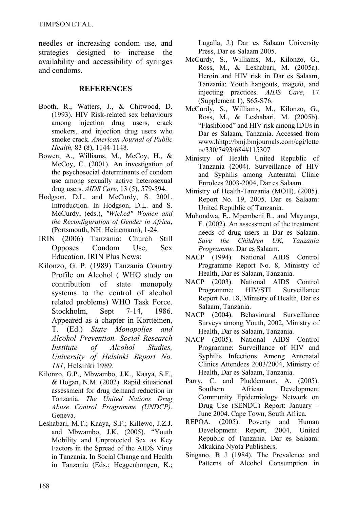TIMPSON ET AL.

needles or increasing condom use, and strategies designed to increase the availability and accessibility of syringes and condoms.

#### **REFERENCES**

- Booth, R., Watters, J., & Chitwood, D. (1993). HIV Risk-related sex behaviours among injection drug users, crack smokers, and injection drug users who smoke crack. *American Journal of Public Health,* 83 (8), 1144-1148.
- Bowen, A., Williams, M., McCoy, H., & McCoy, C. (2001). An investigation of the psychosocial determinants of condom use among sexually active heterosexual drug users. *AIDS Care*, 13 (5), 579-594.
- Hodgson, D.L. and McCurdy, S. 2001. Introduction. In Hodgson, D.L. and S. McCurdy, (eds.), *"Wicked" Women and the Reconfiguration of Gender in Africa*, (Portsmouth, NH: Heinemann), 1-24.
- IRIN (2006) Tanzania: Church Still Opposes Condom Use, Sex Education. IRIN Plus News:
- Kilonzo, G. P. (1989) Tanzania Country Profile on Alcohol ( WHO study on contribution of state monopoly systems to the control of alcohol related problems) WHO Task Force. Stockholm, Sept 7-14, 1986. Appeared as a chapter in Kortteinen, T. (Ed.) *State Monopolies and Alcohol Prevention. Social Research Institute of Alcohol Studies, University of Helsinki Report No. 181*, Helsinki 1989.
- Kilonzo, G.P., Mbwambo, J.K., Kaaya, S.F., & Hogan, N.M. (2002). Rapid situational assessment for drug demand reduction in Tanzania. *The United Nations Drug Abuse Control Programme (UNDCP).*  Geneva.
- Leshabari, M.T.; Kaaya, S.F.; Killewo, J.Z.J. and Mbwambo, J.K. (2005). "Youth Mobility and Unprotected Sex as Key Factors in the Spread of the AIDS Virus in Tanzania. In Social Change and Health in Tanzania (Eds.: Heggenhongen, K.;

Lugalla, J.) Dar es Salaam University Press, Dar es Salaam 2005.

- McCurdy, S., Williams, M., Kilonzo, G., Ross, M., & Leshabari, M. (2005a). Heroin and HIV risk in Dar es Salaam, Tanzania: Youth hangouts, mageto, and injecting practices. *AIDS Care*, 17 (Supplement 1), S65-S76.
- McCurdy, S., Williams, M., Kilonzo, G., Ross, M., & Leshabari, M. (2005b). "Flashblood" and HIV risk among IDUs in Dar es Salaam, Tanzania. Accessed from [www.hhtp://bmj.bmjournals.com/cgi/lette](http://www.hhtp://bmj.bmjournals.com/cgi/letters/330/7493/684#115307) [rs/330/7493/684#115307](http://www.hhtp://bmj.bmjournals.com/cgi/letters/330/7493/684#115307)
- Ministry of Health United Republic of Tanzania (2004). Surveillance of HIV and Syphilis among Antenatal Clinic Enrolees 2003-2004, Dar es Salaam.
- Ministry of Health-Tanzania (MOH). (2005). Report No. 19, 2005. Dar es Salaam: United Republic of Tanzania.
- Muhondwa, E,. Mpembeni R., and Mayunga, F. (2002). An assessment of the treatment needs of drug users in Dar es Salaam. *Save the Children UK, Tanzania Programme.* Dar es Salaam.
- NACP (1994). National AIDS Control Programme Report No. 8, Ministry of Health, Dar es Salaam, Tanzania.
- NACP (2003). National AIDS Control Programme: HIV/STI Surveillance Report No. 18, Ministry of Health, Dar es Salaam, Tanzania.
- NACP (2004). Behavioural Surveillance Surveys among Youth, 2002, Ministry of Health, Dar es Salaam, Tanzania.
- NACP (2005). National AIDS Control Programme: Surveillance of HIV and Syphilis Infections Among Antenatal Clinics Attendees 2003/2004, Ministry of Health, Dar es Salaam, Tanzania.
- Parry, C. and Pluddemann, A. (2005). Southern African Development Community Epidemiology Network on Drug Use (SENDU) Report: January – June 2004. Cape Town, South Africa.
- REPOA. (2005). Poverty and Human Development Report, 2004, United Republic of Tanzania. Dar es Salaam: Mkukina Nyota Publishers.
- Singano, B J (1984). The Prevalence and Patterns of Alcohol Consumption in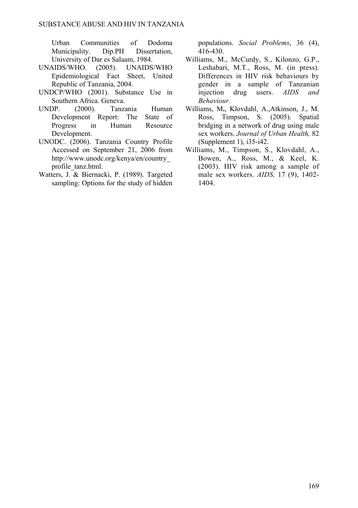Urban Communities of Dodoma Municipality. Dip.PH Dissertation, University of Dar es Salaam, 1984.

- UNAIDS/WHO. (2005). UNAIDS/WHO Epidemiological Fact Sheet, United Republic of Tanzania, 2004.
- UNDCP/WHO (2001). Substance Use in Southern Africa. Geneva.
- UNDP. (2000). Tanzania Human Development Report: The State of Progress in Human Resource Development.
- UNODC. (2006). Tanzania Country Profile Accessed on September 21, 2006 from [http://www.unodc.org/kenya/en/country\\_](http://www.unodc.org/kenya/en/country_profile_tanz.html) [profile\\_tanz.html](http://www.unodc.org/kenya/en/country_profile_tanz.html).
- Watters, J. & Biernacki, P. (1989). Targeted sampling: Options for the study of hidden

populations. *Social Problems*, 36 (4), 416-430.

- Williams, M., McCurdy, S., Kilonzo, G.P., Leshabari, M.T., Ross, M. (in press). Differences in HIV risk behaviours by gender in a sample of Tanzanian injection drug users. *AIDS and Behaviour.*
- Williams, M**.**, Klovdahl, A.,Atkinson, J., M. Ross, Timpson, S. (2005). Spatial bridging in a network of drug using male sex workers. *Journal of Urban Health,* 82 (Supplement 1), i35-i42.
- Williams, M., Timpson, S., Klovdahl, A., Bowen, A., Ross, M., & Keel, K. (2003). HIV risk among a sample of male sex workers. *AIDS,* 17 (9), 1402- 1404.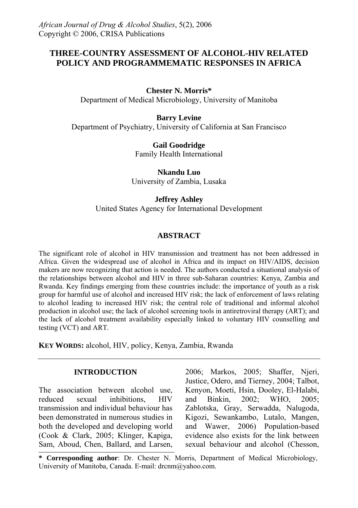## **THREE-COUNTRY ASSESSMENT OF ALCOHOL-HIV RELATED POLICY AND PROGRAMMEMATIC RESPONSES IN AFRICA**

#### **Chester N. Morris\***

Department of Medical Microbiology, University of Manitoba

#### **Barry Levine**

Department of Psychiatry, University of California at San Francisco

**Gail Goodridge**  Family Health International

**Nkandu Luo**  University of Zambia, Lusaka

#### **Jeffrey Ashley**

United States Agency for International Development

#### **ABSTRACT**

The significant role of alcohol in HIV transmission and treatment has not been addressed in Africa. Given the widespread use of alcohol in Africa and its impact on HIV/AIDS, decision makers are now recognizing that action is needed. The authors conducted a situational analysis of the relationships between alcohol and HIV in three sub-Saharan countries: Kenya, Zambia and Rwanda. Key findings emerging from these countries include: the importance of youth as a risk group for harmful use of alcohol and increased HIV risk; the lack of enforcement of laws relating to alcohol leading to increased HIV risk; the central role of traditional and informal alcohol production in alcohol use; the lack of alcohol screening tools in antiretroviral therapy (ART); and the lack of alcohol treatment availability especially linked to voluntary HIV counselling and testing (VCT) and ART.

**KEY WORDS:** alcohol, HIV, policy, Kenya, Zambia, Rwanda

### **INTRODUCTION**

The association between alcohol use, reduced sexual inhibitions, HIV transmission and individual behaviour has been demonstrated in numerous studies in both the developed and developing world (Cook & Clark, 2005; [Klinger, K](http://www.ncbi.nlm.nih.gov/entrez/query.fcgi?db=pubmed&cmd=Search&itool=pubmed_Abstract&term=%22Klinger+EV%22%5BAuthor%5D)apiga, Sam, Aboud, Chen, Ballard, and Larsen, 2006; Markos, 2005; Shaffer, Njeri, Justice, Odero, and Tierney, 2004; [Talbot](http://www.ncbi.nlm.nih.gov/entrez/query.fcgi?db=pubmed&cmd=Search&itool=pubmed_AbstractPlus&term=%22Talbot+EA%22%5BAuthor%5D), Kenyon, Moeti, Hsin, Dooley, El-Halabi, and Binkin, 2002; WHO, 2005; Zablotska, Gray, Serwadda, Nalugoda, Kigozi, Sewankambo, Lutalo, Mangen, and Wawer, 2006) Population-based evidence also exists for the link between sexual behaviour and alcohol ([Chesson](http://www.ncbi.nlm.nih.gov/entrez/query.fcgi?db=pubmed&cmd=Search&itool=pubmed_AbstractPlus&term=%22Chesson+HW%22%5BAuthor%5D),

**\* Corresponding author**: Dr. Chester N. Morris, Department of Medical Microbiology, University of Manitoba, Canada. E-mail: drcnm@yahoo.com.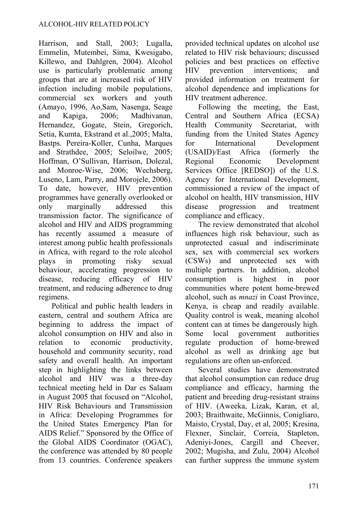Harrison, and Stall, 2003; [Lugalla,](http://www.ncbi.nlm.nih.gov/entrez/query.fcgi?db=pubmed&cmd=Search&itool=pubmed_AbstractPlus&term=%22Lugalla+J%22%5BAuthor%5D) Emmelin, Mutembei, Sima, Kwesigabo, Killewo, and Dahlgren, 2004). Alcohol use is particularly problematic among groups that are at increased risk of HIV infection including mobile populations, commercial sex workers and youth (Amayo, 1996, [Ao,](http://www.ncbi.nlm.nih.gov/entrez/query.fcgi?db=pubmed&cmd=Search&itool=pubmed_Abstract&term=%22Ao+TT%22%5BAuthor%5D)Sam, Nasenga, Seage and Kapiga, 2006; [Madhivanan,](http://www.ncbi.nlm.nih.gov/entrez/query.fcgi?db=pubmed&cmd=Search&itool=pubmed_Abstract&term=%22Madhivanan+P%22%5BAuthor%5D) Hernandez, Gogate, Stein, Gregorich, Setia, Kumta, Ekstrand et al.,2005; [Malta,](http://www.ncbi.nlm.nih.gov/entrez/query.fcgi?db=pubmed&cmd=Search&itool=pubmed_Abstract&term=%22Malta+M%22%5BAuthor%5D) Bastps. Pereira-Koller, Cunha, Marques and Strathdee, 2005; [Seloilwe,](http://www.ncbi.nlm.nih.gov/entrez/query.fcgi?db=pubmed&cmd=Search&itool=pubmed_Abstract&term=%22Seloilwe+ES%22%5BAuthor%5D) 2005; [Hoffman,](http://www.ncbi.nlm.nih.gov/entrez/query.fcgi?db=pubmed&cmd=Search&itool=pubmed_Abstract&term=%22Hoffman+S%22%5BAuthor%5D) O'Sullivan, Harrison, Dolezal, and Monroe-Wise, 2006; [Wechsberg,](http://www.ncbi.nlm.nih.gov/entrez/query.fcgi?db=pubmed&cmd=Search&itool=pubmed_Abstract&term=%22Wechsberg+WM%22%5BAuthor%5D) Luseno, Lam, Parry, and Morojele, 2006). To date, however, HIV prevention programmes have generally overlooked or only marginally addressed this transmission factor. The significance of alcohol and HIV and AIDS programming has recently assumed a measure of interest among public health professionals in Africa, with regard to the role alcohol plays in promoting risky sexual behaviour, accelerating progression to disease, reducing efficacy of HIV treatment, and reducing adherence to drug regimens.

Political and public health leaders in eastern, central and southern Africa are beginning to address the impact of alcohol consumption on HIV and also in relation to economic productivity, household and community security, road safety and overall health. An important step in highlighting the links between alcohol and HIV was a three-day technical meeting held in Dar es Salaam in August 2005 that focused on "Alcohol, HIV Risk Behaviours and Transmission in Africa: Developing Programmes for the United States Emergency Plan for AIDS Relief." Sponsored by the Office of the Global AIDS Coordinator (OGAC), the conference was attended by 80 people from 13 countries. Conference speakers provided technical updates on alcohol use related to HIV risk behaviours; discussed policies and best practices on effective HIV prevention interventions; and provided information on treatment for alcohol dependence and implications for HIV treatment adherence.

Following the meeting, the East, Central and Southern Africa (ECSA) Health Community Secretariat, with funding from the United States Agency for International Development (USAID)/East Africa (formerly the Regional Economic Development Services Office [REDSO]) of the U.S. Agency for International Development, commissioned a review of the impact of alcohol on health, HIV transmission, HIV disease progression and treatment compliance and efficacy.

The review demonstrated that alcohol influences high risk behaviour, such as unprotected casual and indiscriminate sex, sex with commercial sex workers (CSWs) and unprotected sex with multiple partners. In addition, alcohol consumption is highest in poor communities where potent home-brewed alcohol, such as *mnazi* in Coast Province, Kenya, is cheap and readily available. Quality control is weak, meaning alcohol content can at times be dangerously high. Some local government authorities regulate production of home-brewed alcohol as well as drinking age but regulations are often un-enforced.

Several studies have demonstrated that alcohol consumption can reduce drug compliance and efficacy, harming the patient and breeding drug-resistant strains of HIV. (Aweeka, Lizak, Karan, et al, 2003; Braithwaite, McGinnis, Conigliaro, Maisto, Crystal, Day, et al, 2005; Kresina, Flexner, Sinclair, Correia, Stapleton, Adeniyi-Jones, Cargill and Cheever, 2002; Mugisha, and Zulu, 2004) Alcohol can further suppress the immune system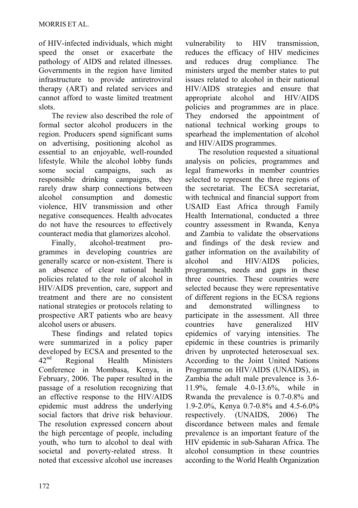of HIV-infected individuals, which might speed the onset or exacerbate the pathology of AIDS and related illnesses. Governments in the region have limited infrastructure to provide antiretroviral therapy (ART) and related services and cannot afford to waste limited treatment slots.

The review also described the role of formal sector alcohol producers in the region. Producers spend significant sums on advertising, positioning alcohol as essential to an enjoyable, well-rounded lifestyle. While the alcohol lobby funds some social campaigns, such as responsible drinking campaigns, they rarely draw sharp connections between alcohol consumption and domestic violence, HIV transmission and other negative consequences. Health advocates do not have the resources to effectively counteract media that glamorizes alcohol.

Finally, alcohol-treatment programmes in developing countries are generally scarce or non-existent. There is an absence of clear national health policies related to the role of alcohol in HIV/AIDS prevention, care, support and treatment and there are no consistent national strategies or protocols relating to prospective ART patients who are heavy alcohol users or abusers.

These findings and related topics were summarized in a policy paper developed by ECSA and presented to the 42nd Regional Health Ministers Conference in Mombasa, Kenya, in February, 2006. The paper resulted in the passage of a resolution recognizing that an effective response to the HIV/AIDS epidemic must address the underlying social factors that drive risk behaviour. The resolution expressed concern about the high percentage of people, including youth, who turn to alcohol to deal with societal and poverty-related stress. It noted that excessive alcohol use increases vulnerability to HIV transmission, reduces the efficacy of HIV medicines and reduces drug compliance*.* The ministers urged the member states to put issues related to alcohol in their national HIV/AIDS strategies and ensure that appropriate alcohol and HIV/AIDS policies and programmes are in place. They endorsed the appointment of national technical working groups to spearhead the implementation of alcohol and HIV/AIDS programmes.

The resolution requested a situational analysis on policies, programmes and legal frameworks in member countries selected to represent the three regions of the secretariat. The ECSA secretariat, with technical and financial support from USAID East Africa through Family Health International, conducted a three country assessment in Rwanda, Kenya and Zambia to validate the observations and findings of the desk review and gather information on the availability of alcohol and HIV/AIDS policies, programmes, needs and gaps in these three countries. These countries were selected because they were representative of different regions in the ECSA regions and demonstrated willingness to participate in the assessment. All three countries have generalized HIV epidemics of varying intensities. The epidemic in these countries is primarily driven by unprotected heterosexual sex. According to the Joint United Nations Programme on HIV/AIDS (UNAIDS), in Zambia the adult male prevalence is 3.6- 11.9%, female 4.0-13.6%, while in Rwanda the prevalence is 0.7-0.8% and 1.9-2.0%, Kenya 0.7-0.8% and 4.5-6.0% respectively. (UNAIDS, 2006) The discordance between males and female prevalence is an important feature of the HIV epidemic in sub-Saharan Africa. The alcohol consumption in these countries according to the World Health Organization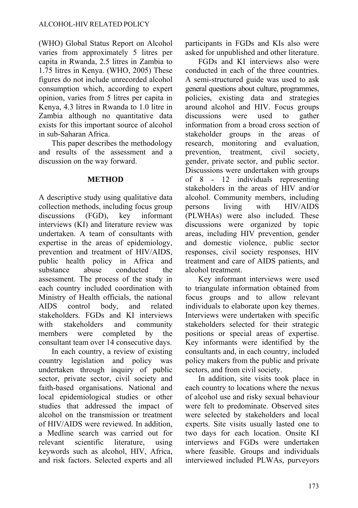(WHO) Global Status Report on Alcohol varies from approximately 5 litres per capita in Rwanda, 2.5 litres in Zambia to 1.75 litres in Kenya. (WHO, 2005) These figures do not include unrecorded alcohol consumption which, according to expert opinion, varies from 5 litres per capita in Kenya, 4.3 litres in Rwanda to 1.0 litre in Zambia although no quantitative data exists for this important source of alcohol in sub-Saharan Africa.

This paper describes the methodology and results of the assessment and a discussion on the way forward.

#### **METHOD**

A descriptive study using qualitative data collection methods, including focus group discussions (FGD), key informant interviews (KI) and literature review was undertaken. A team of consultants with expertise in the areas of epidemiology, prevention and treatment of HIV/AIDS, public health policy in Africa and substance abuse conducted the assessment. The process of the study in each country included coordination with Ministry of Health officials, the national AIDS control body, and related stakeholders. FGDs and KI interviews with stakeholders and community members were completed by the consultant team over 14 consecutive days.

In each country, a review of existing country legislation and policy was undertaken through inquiry of public sector, private sector, civil society and faith-based organisations. National and local epidemiological studies or other studies that addressed the impact of alcohol on the transmission or treatment of HIV/AIDS were reviewed. In addition, a Medline search was carried out for relevant scientific literature, using keywords such as alcohol, HIV, Africa, and risk factors. Selected experts and all participants in FGDs and KIs also were asked for unpublished and other literature.

FGDs and KI interviews also were conducted in each of the three countries. A semi-structured guide was used to ask general questions about culture, programmes, policies, existing data and strategies around alcohol and HIV. Focus groups discussions were used to gather information from a broad cross section of stakeholder groups in the areas of research, monitoring and evaluation, prevention, treatment, civil society, gender, private sector, and public sector. Discussions were undertaken with groups of 8 - 12 individuals representing stakeholders in the areas of HIV and/or alcohol. Community members, including persons living with HIV/AIDS (PLWHAs) were also included. These discussions were organized by topic areas, including HIV prevention, gender and domestic violence, public sector responses, civil society responses, HIV treatment and care of AIDS patients, and alcohol treatment.

Key informant interviews were used to triangulate information obtained from focus groups and to allow relevant individuals to elaborate upon key themes. Interviews were undertaken with specific stakeholders selected for their strategic positions or special areas of expertise. Key informants were identified by the consultants and, in each country, included policy makers from the public and private sectors, and from civil society.

In addition, site visits took place in each country to locations where the nexus of alcohol use and risky sexual behaviour were felt to predominate. Observed sites were selected by stakeholders and local experts. Site visits usually lasted one to two days for each location. Onsite KI interviews and FGDs were undertaken where feasible. Groups and individuals interviewed included PLWAs, purveyors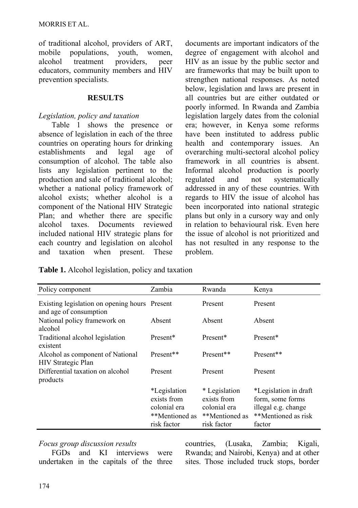of traditional alcohol, providers of ART, mobile populations, youth, women, alcohol treatment providers, peer educators, community members and HIV prevention specialists.

#### **RESULTS**

### *Legislation, policy and taxation*

Table 1 shows the presence or absence of legislation in each of the three countries on operating hours for drinking establishments and legal age of consumption of alcohol. The table also lists any legislation pertinent to the production and sale of traditional alcohol; whether a national policy framework of alcohol exists; whether alcohol is a component of the National HIV Strategic Plan; and whether there are specific alcohol taxes. Documents reviewed included national HIV strategic plans for each country and legislation on alcohol and taxation when present. These documents are important indicators of the degree of engagement with alcohol and HIV as an issue by the public sector and are frameworks that may be built upon to strengthen national responses. As noted below, legislation and laws are present in all countries but are either outdated or poorly informed. In Rwanda and Zambia legislation largely dates from the colonial era; however, in Kenya some reforms have been instituted to address public health and contemporary issues. An overarching multi-sectoral alcohol policy framework in all countries is absent. Informal alcohol production is poorly regulated and not systematically addressed in any of these countries. With regards to HIV the issue of alcohol has been incorporated into national strategic plans but only in a cursory way and only in relation to behavioural risk. Even here the issue of alcohol is not prioritized and has not resulted in any response to the problem.

**Table 1.** Alcohol legislation, policy and taxation

| Policy component                                                        | Zambia                                                                              | Rwanda                                                                        | Kenya                                                                                             |
|-------------------------------------------------------------------------|-------------------------------------------------------------------------------------|-------------------------------------------------------------------------------|---------------------------------------------------------------------------------------------------|
| Existing legislation on opening hours Present<br>and age of consumption |                                                                                     | Present                                                                       | Present                                                                                           |
| National policy framework on<br>alcohol                                 | Absent                                                                              | Absent                                                                        | Absent                                                                                            |
| Traditional alcohol legislation<br>existent                             | Present*                                                                            | Present*                                                                      | Present*                                                                                          |
| Alcohol as component of National<br>HIV Strategic Plan                  | Present**                                                                           | Present**                                                                     | Present**                                                                                         |
| Differential taxation on alcohol<br>products                            | Present                                                                             | Present                                                                       | Present                                                                                           |
|                                                                         | <i>*Legislation</i><br>exists from<br>colonial era<br>**Mentioned as<br>risk factor | * Legislation<br>exists from<br>colonial era<br>**Mentioned as<br>risk factor | *Legislation in draft<br>form, some forms<br>illegal e.g. change<br>**Mentioned as risk<br>factor |

### *Focus group discussion results*

FGDs and KI interviews were undertaken in the capitals of the three countries, (Lusaka, Zambia; Kigali, Rwanda; and Nairobi, Kenya) and at other sites. Those included truck stops, border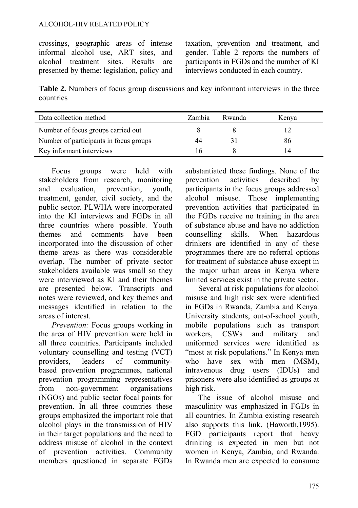#### ALCOHOL-HIV RELATED POLICY

crossings, geographic areas of intense informal alcohol use, ART sites, and alcohol treatment sites. Results are presented by theme: legislation, policy and taxation, prevention and treatment, and gender. Table 2 reports the numbers of participants in FGDs and the number of KI interviews conducted in each country.

**Table 2.** Numbers of focus group discussions and key informant interviews in the three countries

| Data collection method                 | Zambia | Rwanda | Kenya |
|----------------------------------------|--------|--------|-------|
| Number of focus groups carried out     |        |        |       |
| Number of participants in focus groups | 44     |        | 86    |
| Key informant interviews               | l h    |        |       |

Focus groups were held with stakeholders from research, monitoring and evaluation, prevention, youth, treatment, gender, civil society, and the public sector. PLWHA were incorporated into the KI interviews and FGDs in all three countries where possible. Youth themes and comments have been incorporated into the discussion of other theme areas as there was considerable overlap. The number of private sector stakeholders available was small so they were interviewed as KI and their themes are presented below. Transcripts and notes were reviewed, and key themes and messages identified in relation to the areas of interest.

*Prevention:* Focus groups working in the area of HIV prevention were held in all three countries. Participants included voluntary counselling and testing (VCT) providers, leaders of communitybased prevention programmes, national prevention programming representatives from non-government organisations (NGOs) and public sector focal points for prevention. In all three countries these groups emphasized the important role that alcohol plays in the transmission of HIV in their target populations and the need to address misuse of alcohol in the context of prevention activities. Community members questioned in separate FGDs substantiated these findings. None of the prevention activities described by participants in the focus groups addressed alcohol misuse. Those implementing prevention activities that participated in the FGDs receive no training in the area of substance abuse and have no addiction counselling skills. When hazardous drinkers are identified in any of these programmes there are no referral options for treatment of substance abuse except in the major urban areas in Kenya where limited services exist in the private sector.

Several at risk populations for alcohol misuse and high risk sex were identified in FGDs in Rwanda, Zambia and Kenya. University students, out-of-school youth, mobile populations such as transport workers, CSWs and military and uniformed services were identified as "most at risk populations." In Kenya men who have sex with men (MSM). intravenous drug users (IDUs) and prisoners were also identified as groups at high risk.

The issue of alcohol misuse and masculinity was emphasized in FGDs in all countries. In Zambia existing research also supports this link. (Haworth,1995). FGD participants report that heavy drinking is expected in men but not women in Kenya, Zambia, and Rwanda. In Rwanda men are expected to consume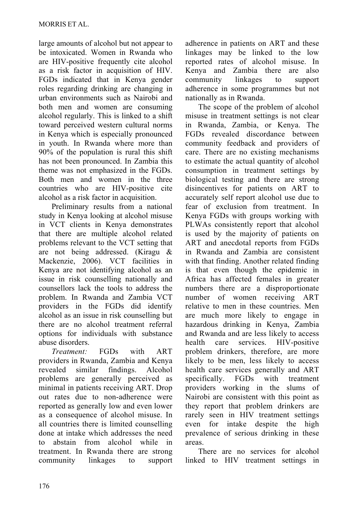large amounts of alcohol but not appear to be intoxicated. Women in Rwanda who are HIV-positive frequently cite alcohol as a risk factor in acquisition of HIV. FGDs indicated that in Kenya gender roles regarding drinking are changing in urban environments such as Nairobi and both men and women are consuming alcohol regularly. This is linked to a shift toward perceived western cultural norms in Kenya which is especially pronounced in youth. In Rwanda where more than 90% of the population is rural this shift has not been pronounced. In Zambia this theme was not emphasized in the FGDs. Both men and women in the three countries who are HIV-positive cite alcohol as a risk factor in acquisition.

Preliminary results from a national study in Kenya looking at alcohol misuse in VCT clients in Kenya demonstrates that there are multiple alcohol related problems relevant to the VCT setting that are not being addressed. (Kiragu & Mackenzie, 2006). VCT facilities in Kenya are not identifying alcohol as an issue in risk counselling nationally and counsellors lack the tools to address the problem. In Rwanda and Zambia VCT providers in the FGDs did identify alcohol as an issue in risk counselling but there are no alcohol treatment referral options for individuals with substance abuse disorders.

*Treatment:* FGDs with ART providers in Rwanda, Zambia and Kenya revealed similar findings. Alcohol problems are generally perceived as minimal in patients receiving ART. Drop out rates due to non-adherence were reported as generally low and even lower as a consequence of alcohol misuse. In all countries there is limited counselling done at intake which addresses the need to abstain from alcohol while treatment. In Rwanda there are strong community linkages to support adherence in patients on ART and these linkages may be linked to the low reported rates of alcohol misuse. In Kenya and Zambia there are also community linkages to support adherence in some programmes but not nationally as in Rwanda.

The scope of the problem of alcohol misuse in treatment settings is not clear in Rwanda, Zambia, or Kenya. The FGDs revealed discordance between community feedback and providers of care. There are no existing mechanisms to estimate the actual quantity of alcohol consumption in treatment settings by biological testing and there are strong disincentives for patients on ART to accurately self report alcohol use due to fear of exclusion from treatment. In Kenya FGDs with groups working with PLWAs consistently report that alcohol is used by the majority of patients on ART and anecdotal reports from FGDs in Rwanda and Zambia are consistent with that finding. Another related finding is that even though the epidemic in Africa has affected females in greater numbers there are a disproportionate number of women receiving ART relative to men in these countries. Men are much more likely to engage in hazardous drinking in Kenya, Zambia and Rwanda and are less likely to access health care services. HIV-positive problem drinkers, therefore, are more likely to be men, less likely to access health care services generally and ART specifically. FGDs with treatment providers working in the slums of Nairobi are consistent with this point as they report that problem drinkers are rarely seen in HIV treatment settings even for intake despite the high prevalence of serious drinking in these areas.

There are no services for alcohol linked to HIV treatment settings in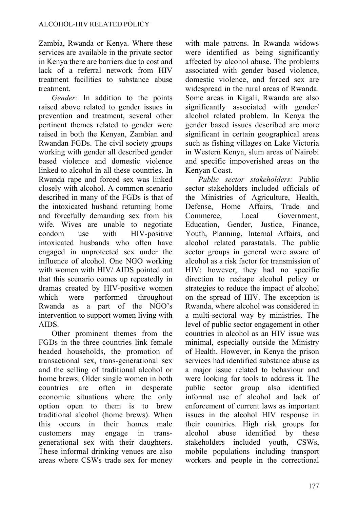Zambia, Rwanda or Kenya. Where these services are available in the private sector in Kenya there are barriers due to cost and lack of a referral network from HIV treatment facilities to substance abuse treatment.

*Gender:* In addition to the points raised above related to gender issues in prevention and treatment, several other pertinent themes related to gender were raised in both the Kenyan, Zambian and Rwandan FGDs. The civil society groups working with gender all described gender based violence and domestic violence linked to alcohol in all these countries. In Rwanda rape and forced sex was linked closely with alcohol. A common scenario described in many of the FGDs is that of the intoxicated husband returning home and forcefully demanding sex from his wife. Wives are unable to negotiate condom use with HIV-positive intoxicated husbands who often have engaged in unprotected sex under the influence of alcohol. One NGO working with women with HIV/ AIDS pointed out that this scenario comes up repeatedly in dramas created by HIV-positive women which were performed throughout Rwanda as a part of the NGO's intervention to support women living with AIDS.

Other prominent themes from the FGDs in the three countries link female headed households, the promotion of transactional sex, trans-generational sex and the selling of traditional alcohol or home brews. Older single women in both countries are often in desperate economic situations where the only option open to them is to brew traditional alcohol (home brews). When this occurs in their homes male customers may engage in transgenerational sex with their daughters. These informal drinking venues are also areas where CSWs trade sex for money with male patrons. In Rwanda widows were identified as being significantly affected by alcohol abuse. The problems associated with gender based violence, domestic violence, and forced sex are widespread in the rural areas of Rwanda. Some areas in Kigali, Rwanda are also significantly associated with gender/ alcohol related problem. In Kenya the gender based issues described are more significant in certain geographical areas such as fishing villages on Lake Victoria in Western Kenya, slum areas of Nairobi and specific impoverished areas on the Kenyan Coast.

*Public sector stakeholders:* Public sector stakeholders included officials of the Ministries of Agriculture, Health, Defense, Home Affairs, Trade and Commerce, Local Government, Education, Gender, Justice, Finance, Youth, Planning, Internal Affairs, and alcohol related parastatals. The public sector groups in general were aware of alcohol as a risk factor for transmission of HIV; however, they had no specific direction to reshape alcohol policy or strategies to reduce the impact of alcohol on the spread of HIV. The exception is Rwanda, where alcohol was considered in a multi-sectoral way by ministries. The level of public sector engagement in other countries in alcohol as an HIV issue was minimal, especially outside the Ministry of Health. However, in Kenya the prison services had identified substance abuse as a major issue related to behaviour and were looking for tools to address it. The public sector group also identified informal use of alcohol and lack of enforcement of current laws as important issues in the alcohol HIV response in their countries. High risk groups for alcohol abuse identified by these stakeholders included youth, CSWs, mobile populations including transport workers and people in the correctional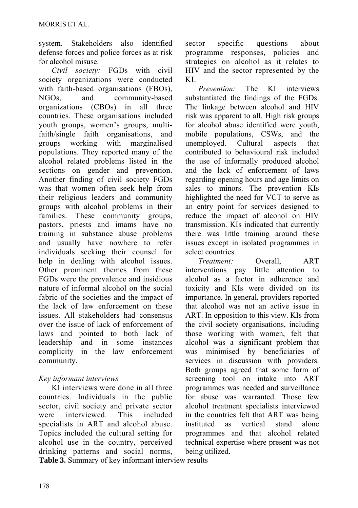system. Stakeholders also identified defense forces and police forces as at risk for alcohol misuse.

*Civil society:* FGDs with civil society organizations were conducted with faith-based organisations (FBOs), NGOs, and community-based organizations (CBOs) in all three countries. These organisations included youth groups, women's groups, multifaith/single faith organisations, and groups working with marginalised populations. They reported many of the alcohol related problems listed in the sections on gender and prevention. Another finding of civil society FGDs was that women often seek help from their religious leaders and community groups with alcohol problems in their families. These community groups, pastors, priests and imams have no training in substance abuse problems and usually have nowhere to refer individuals seeking their counsel for help in dealing with alcohol issues. Other prominent themes from these FGDs were the prevalence and insidious nature of informal alcohol on the social fabric of the societies and the impact of the lack of law enforcement on these issues. All stakeholders had consensus over the issue of lack of enforcement of laws and pointed to both lack of leadership and in some instances complicity in the law enforcement community.

# *Key informant interviews*

KI interviews were done in all three countries. Individuals in the public sector, civil society and private sector were interviewed. This included specialists in ART and alcohol abuse. Topics included the cultural setting for alcohol use in the country, perceived drinking patterns and social norms,

sector specific questions about programme responses, policies and strategies on alcohol as it relates to HIV and the sector represented by the KI.

*Prevention:* The KI interviews substantiated the findings of the FGDs. The linkage between alcohol and HIV risk was apparent to all. High risk groups for alcohol abuse identified were youth, mobile populations, CSWs, and the unemployed. Cultural aspects that contributed to behavioural risk included the use of informally produced alcohol and the lack of enforcement of laws regarding opening hours and age limits on sales to minors. The prevention KIs highlighted the need for VCT to serve as an entry point for services designed to reduce the impact of alcohol on HIV transmission. KIs indicated that currently there was little training around these issues except in isolated programmes in select countries.

*Treatment:* Overall, ART interventions pay little attention to alcohol as a factor in adherence and toxicity and KIs were divided on its importance. In general, providers reported that alcohol was not an active issue in ART. In opposition to this view. KIs from the civil society organisations, including those working with women, felt that alcohol was a significant problem that was minimised by beneficiaries of services in discussion with providers. Both groups agreed that some form of screening tool on intake into ART programmes was needed and surveillance for abuse was warranted. Those few alcohol treatment specialists interviewed in the countries felt that ART was being instituted as vertical stand alone programmes and that alcohol related technical expertise where present was not being utilized.

**Table 3.** Summary of key informant interview re**s**ults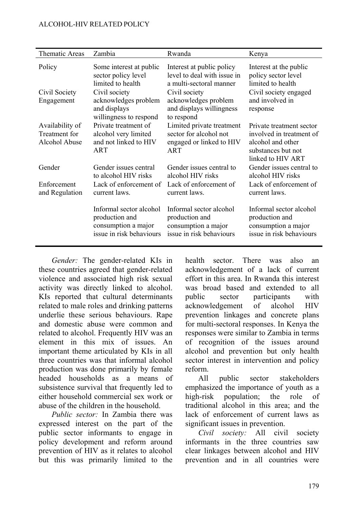#### ALCOHOL-HIV RELATED POLICY

| Thematic Areas                                    | Zambia                                                                                                 | Rwanda                                                                                               | Kenya                                                                                                                |
|---------------------------------------------------|--------------------------------------------------------------------------------------------------------|------------------------------------------------------------------------------------------------------|----------------------------------------------------------------------------------------------------------------------|
| Policy                                            | Some interest at public<br>sector policy level<br>limited to health                                    | Interest at public policy<br>level to deal with issue in<br>a multi-sectoral manner                  | Interest at the public<br>policy sector level<br>limited to health                                                   |
| Civil Society<br>Engagement                       | Civil society<br>acknowledges problem<br>and displays                                                  | Civil society<br>acknowledges problem<br>and displays willingness                                    | Civil society engaged<br>and involved in<br>response                                                                 |
| Availability of<br>Treatment for<br>Alcohol Abuse | willingness to respond<br>Private treatment of<br>alcohol very limited<br>and not linked to HIV<br>ART | to respond<br>Limited private treatment<br>sector for alcohol not<br>engaged or linked to HIV<br>ART | Private treatment sector<br>involved in treatment of<br>alcohol and other<br>substances but not<br>linked to HIV ART |
| Gender<br>Enforcement<br>and Regulation           | Gender issues central<br>to alcohol HIV risks<br>Lack of enforcement of<br>current laws.               | Gender issues central to<br>alcohol HIV risks<br>Lack of enforcement of<br>current laws              | Gender issues central to<br>alcohol HIV risks<br>Lack of enforcement of<br>current laws.                             |
|                                                   | Informal sector alcohol<br>production and<br>consumption a major<br>issue in risk behaviours           | Informal sector alcohol<br>production and<br>consumption a major<br>issue in risk behaviours         | Informal sector alcohol<br>production and<br>consumption a major<br>issue in risk behaviours                         |

*Gender:* The gender-related KIs in these countries agreed that gender-related violence and associated high risk sexual activity was directly linked to alcohol. KIs reported that cultural determinants related to male roles and drinking patterns underlie these serious behaviours. Rape and domestic abuse were common and related to alcohol. Frequently HIV was an element in this mix of issues. An important theme articulated by KIs in all three countries was that informal alcohol production was done primarily by female headed households as a means of subsistence survival that frequently led to either household commercial sex work or abuse of the children in the household.

*Public sector:* In Zambia there was expressed interest on the part of the public sector informants to engage in policy development and reform around prevention of HIV as it relates to alcohol but this was primarily limited to the health sector. There was also an acknowledgement of a lack of current effort in this area. In Rwanda this interest was broad based and extended to all public sector participants with acknowledgement of alcohol HIV prevention linkages and concrete plans for multi-sectoral responses. In Kenya the responses were similar to Zambia in terms of recognition of the issues around alcohol and prevention but only health sector interest in intervention and policy reform.

All public sector stakeholders emphasized the importance of youth as a high-risk population; the role of traditional alcohol in this area; and the lack of enforcement of current laws as significant issues in prevention.

*Civil society:* All civil society informants in the three countries saw clear linkages between alcohol and HIV prevention and in all countries were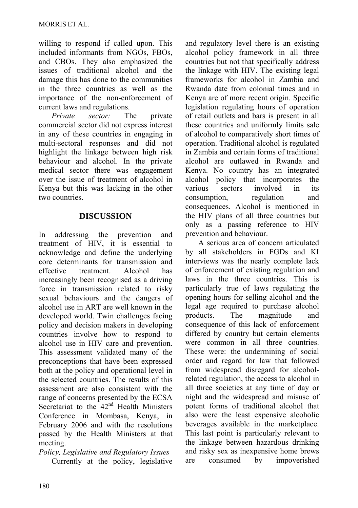willing to respond if called upon. This included informants from NGOs, FBOs, and CBOs. They also emphasized the issues of traditional alcohol and the damage this has done to the communities in the three countries as well as the importance of the non-enforcement of current laws and regulations.

*Private sector:* The private commercial sector did not express interest in any of these countries in engaging in multi-sectoral responses and did not highlight the linkage between high risk behaviour and alcohol. In the private medical sector there was engagement over the issue of treatment of alcohol in Kenya but this was lacking in the other two countries.

### **DISCUSSION**

In addressing the prevention and treatment of HIV, it is essential to acknowledge and define the underlying core determinants for transmission and effective treatment. Alcohol has increasingly been recognised as a driving force in transmission related to risky sexual behaviours and the dangers of alcohol use in ART are well known in the developed world. Twin challenges facing policy and decision makers in developing countries involve how to respond to alcohol use in HIV care and prevention. This assessment validated many of the preconceptions that have been expressed both at the policy and operational level in the selected countries. The results of this assessment are also consistent with the range of concerns presented by the ECSA Secretariat to the 42<sup>nd</sup> Health Ministers Conference in Mombasa, Kenya, in February 2006 and with the resolutions passed by the Health Ministers at that meeting.

*Policy, Legislative and Regulatory Issues*  Currently at the policy, legislative and regulatory level there is an existing alcohol policy framework in all three countries but not that specifically address the linkage with HIV. The existing legal frameworks for alcohol in Zambia and Rwanda date from colonial times and in Kenya are of more recent origin. Specific legislation regulating hours of operation of retail outlets and bars is present in all these countries and uniformly limits sale of alcohol to comparatively short times of operation. Traditional alcohol is regulated in Zambia and certain forms of traditional alcohol are outlawed in Rwanda and Kenya. No country has an integrated alcohol policy that incorporates the various sectors involved in its consumption, regulation and consequences. Alcohol is mentioned in the HIV plans of all three countries but only as a passing reference to HIV prevention and behaviour.

A serious area of concern articulated by all stakeholders in FGDs and KI interviews was the nearly complete lack of enforcement of existing regulation and laws in the three countries. This is particularly true of laws regulating the opening hours for selling alcohol and the legal age required to purchase alcohol products. The magnitude and consequence of this lack of enforcement differed by country but certain elements were common in all three countries. These were: the undermining of social order and regard for law that followed from widespread disregard for alcoholrelated regulation, the access to alcohol in all three societies at any time of day or night and the widespread and misuse of potent forms of traditional alcohol that also were the least expensive alcoholic beverages available in the marketplace. This last point is particularly relevant to the linkage between hazardous drinking and risky sex as inexpensive home brews are consumed by impoverished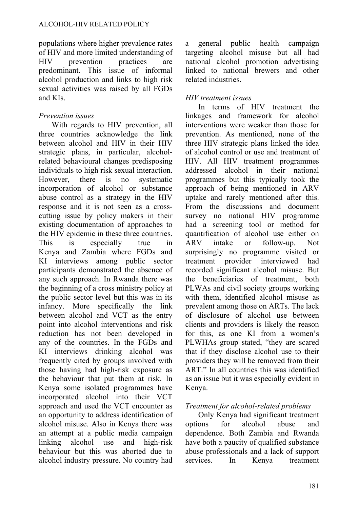populations where higher prevalence rates of HIV and more limited understanding of HIV prevention practices are predominant. This issue of informal alcohol production and links to high risk sexual activities was raised by all FGDs and KIs.

## *Prevention issues*

With regards to HIV prevention, all three countries acknowledge the link between alcohol and HIV in their HIV strategic plans, in particular, alcoholrelated behavioural changes predisposing individuals to high risk sexual interaction. However, there is no systematic incorporation of alcohol or substance abuse control as a strategy in the HIV response and it is not seen as a crosscutting issue by policy makers in their existing documentation of approaches to the HIV epidemic in these three countries. This is especially true in Kenya and Zambia where FGDs and KI interviews among public sector participants demonstrated the absence of any such approach. In Rwanda there was the beginning of a cross ministry policy at the public sector level but this was in its infancy. More specifically the link between alcohol and VCT as the entry point into alcohol interventions and risk reduction has not been developed in any of the countries. In the FGDs and KI interviews drinking alcohol was frequently cited by groups involved with those having had high-risk exposure as the behaviour that put them at risk. In Kenya some isolated programmes have incorporated alcohol into their VCT approach and used the VCT encounter as an opportunity to address identification of alcohol misuse. Also in Kenya there was an attempt at a public media campaign linking alcohol use and high-risk behaviour but this was aborted due to alcohol industry pressure. No country had a general public health campaign targeting alcohol misuse but all had national alcohol promotion advertising linked to national brewers and other related industries.

### *HIV treatment issues*

In terms of HIV treatment the linkages and framework for alcohol interventions were weaker than those for prevention. As mentioned, none of the three HIV strategic plans linked the idea of alcohol control or use and treatment of HIV. All HIV treatment programmes addressed alcohol in their national programmes but this typically took the approach of being mentioned in ARV uptake and rarely mentioned after this. From the discussions and document survey no national HIV programme had a screening tool or method for quantification of alcohol use either on ARV intake or follow-up. Not surprisingly no programme visited or treatment provider interviewed had recorded significant alcohol misuse. But the beneficiaries of treatment, both PLWAs and civil society groups working with them, identified alcohol misuse as prevalent among those on ARTs. The lack of disclosure of alcohol use between clients and providers is likely the reason for this, as one KI from a women's PLWHAs group stated, "they are scared that if they disclose alcohol use to their providers they will be removed from their ART." In all countries this was identified as an issue but it was especially evident in Kenya.

## *Treatment for alcohol-related problems*

Only Kenya had significant treatment options for alcohol abuse and dependence. Both Zambia and Rwanda have both a paucity of qualified substance abuse professionals and a lack of support services. In Kenya treatment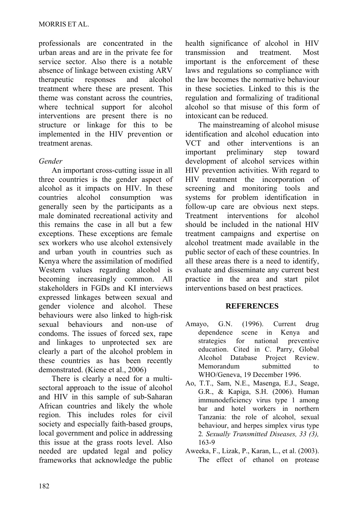professionals are concentrated in the urban areas and are in the private fee for service sector. Also there is a notable absence of linkage between existing ARV therapeutic responses and alcohol treatment where these are present. This theme was constant across the countries, where technical support for alcohol interventions are present there is no structure or linkage for this to be implemented in the HIV prevention or treatment arenas.

## *Gender*

An important cross-cutting issue in all three countries is the gender aspect of alcohol as it impacts on HIV. In these countries alcohol consumption was generally seen by the participants as a male dominated recreational activity and this remains the case in all but a few exceptions. These exceptions are female sex workers who use alcohol extensively and urban youth in countries such as Kenya where the assimilation of modified Western values regarding alcohol is becoming increasingly common. All stakeholders in FGDs and KI interviews expressed linkages between sexual and gender violence and alcohol. These behaviours were also linked to high-risk sexual behaviours and non-use of condoms. The issues of forced sex, rape and linkages to unprotected sex are clearly a part of the alcohol problem in these countries as has been recently demonstrated. [\(Kiene](http://www.ncbi.nlm.nih.gov/entrez/query.fcgi?db=pubmed&cmd=Search&itool=pubmed_AbstractPlus&term=%22Kiene+SM%22%5BAuthor%5D) et al., 2006)

There is clearly a need for a multisectoral approach to the issue of alcohol and HIV in this sample of sub-Saharan African countries and likely the whole region. This includes roles for civil society and especially faith-based groups, local government and police in addressing this issue at the grass roots level. Also needed are updated legal and policy frameworks that acknowledge the public health significance of alcohol in HIV transmission and treatment. Most important is the enforcement of these laws and regulations so compliance with the law becomes the normative behaviour in these societies. Linked to this is the regulation and formalizing of traditional alcohol so that misuse of this form of intoxicant can be reduced.

The mainstreaming of alcohol misuse identification and alcohol education into VCT and other interventions is an important preliminary step toward development of alcohol services within HIV prevention activities. With regard to HIV treatment the incorporation of screening and monitoring tools and systems for problem identification in follow-up care are obvious next steps. Treatment interventions for alcohol should be included in the national HIV treatment campaigns and expertise on alcohol treatment made available in the public sector of each of these countries. In all these areas there is a need to identify, evaluate and disseminate any current best practice in the area and start pilot interventions based on best practices.

### **REFERENCES**

- Amayo, G.N. (1996). Current drug dependence scene in Kenya and strategies for national preventive education. Cited in C. Parry, Global Alcohol Database Project Review. Memorandum submitted to WHO/Geneva, 19 December 1996.
- [Ao, T.T.](http://www.ncbi.nlm.nih.gov/entrez/query.fcgi?db=pubmed&cmd=Search&itool=pubmed_Abstract&term=%22Ao+TT%22%5BAuthor%5D), [Sam, N.E](http://www.ncbi.nlm.nih.gov/entrez/query.fcgi?db=pubmed&cmd=Search&itool=pubmed_Abstract&term=%22Sam+NE%22%5BAuthor%5D)., [Masenga, E.J.](http://www.ncbi.nlm.nih.gov/entrez/query.fcgi?db=pubmed&cmd=Search&itool=pubmed_Abstract&term=%22Masenga+EJ%22%5BAuthor%5D), [Seage,](http://www.ncbi.nlm.nih.gov/entrez/query.fcgi?db=pubmed&cmd=Search&itool=pubmed_Abstract&term=%22Seage+GR+3rd%22%5BAuthor%5D)  [G.R.](http://www.ncbi.nlm.nih.gov/entrez/query.fcgi?db=pubmed&cmd=Search&itool=pubmed_Abstract&term=%22Seage+GR+3rd%22%5BAuthor%5D), & [Kapiga, S.H](http://www.ncbi.nlm.nih.gov/entrez/query.fcgi?db=pubmed&cmd=Search&itool=pubmed_Abstract&term=%22Kapiga+SH%22%5BAuthor%5D). (2006). Human immunodeficiency virus type 1 among bar and hotel workers in northern Tanzania: the role of alcohol, sexual behaviour, and herpes simplex virus type 2*. Sexually Transmitted Diseases, 33 (3),*  163-9
- Aweeka, F., Lizak, P., Karan, L., et al. (2003). The effect of ethanol on protease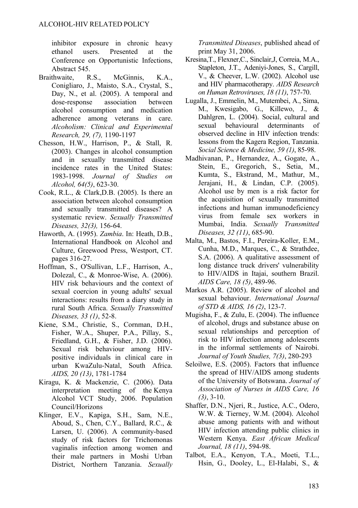inhibitor exposure in chronic heavy ethanol users. Presented at the Conference on Opportunistic Infections, Abstract 545.

- Braithwaite, R.S., McGinnis, K.A., Conigliaro, J., Maisto, S.A., Crystal, S., Day, N., et al. (2005). A temporal and dose-response association between alcohol consumption and medication adherence among veterans in care. *Alcoholism: Clinical and Experimental Research, 29, (7),* 1190-1197
- [Chesson, H.W](http://www.ncbi.nlm.nih.gov/entrez/query.fcgi?db=pubmed&cmd=Search&itool=pubmed_AbstractPlus&term=%22Chesson+HW%22%5BAuthor%5D)., [Harrison, P.](http://www.ncbi.nlm.nih.gov/entrez/query.fcgi?db=pubmed&cmd=Search&itool=pubmed_AbstractPlus&term=%22Harrison+P%22%5BAuthor%5D), & [Stall, R.](http://www.ncbi.nlm.nih.gov/entrez/query.fcgi?db=pubmed&cmd=Search&itool=pubmed_AbstractPlus&term=%22Stall+R%22%5BAuthor%5D) (2003). Changes in alcohol consumption and in sexually transmitted disease incidence rates in the United States: 1983-1998. *Journal of Studies on Alcohol, 64(5)*, 623-30.
- Cook, R.L., & Clark,D.B. (2005). Is there an association between alcohol consumption and sexually transmitted diseases? A systematic review. *Sexually Transmitted Diseases, 32(3),* 156-64.
- Haworth, A. (1995). *Zambia*. In: Heath, D.B., International Handbook on Alcohol and Culture, Greewood Press, Westport, CT. pages 316-27.
- [Hoffman, S.](http://www.ncbi.nlm.nih.gov/entrez/query.fcgi?db=pubmed&cmd=Search&itool=pubmed_Abstract&term=%22Hoffman+S%22%5BAuthor%5D), [O'Sullivan, L.F](http://www.ncbi.nlm.nih.gov/entrez/query.fcgi?db=pubmed&cmd=Search&itool=pubmed_Abstract&term=%22O%27Sullivan+LF%22%5BAuthor%5D)., [Harrison, A.](http://www.ncbi.nlm.nih.gov/entrez/query.fcgi?db=pubmed&cmd=Search&itool=pubmed_Abstract&term=%22Harrison+A%22%5BAuthor%5D), [Dolezal, C.](http://www.ncbi.nlm.nih.gov/entrez/query.fcgi?db=pubmed&cmd=Search&itool=pubmed_Abstract&term=%22Dolezal+C%22%5BAuthor%5D), & [Monroe-Wise, A](http://www.ncbi.nlm.nih.gov/entrez/query.fcgi?db=pubmed&cmd=Search&itool=pubmed_Abstract&term=%22Monroe%2DWise+A%22%5BAuthor%5D). (2006). HIV risk behaviours and the context of sexual coercion in young adults' sexual interactions: results from a diary study in rural South Africa. *Sexually Transmitted Diseases, 33 (1)*, 52-8.
- [Kiene, S.M.](http://www.ncbi.nlm.nih.gov/entrez/query.fcgi?db=pubmed&cmd=Search&itool=pubmed_AbstractPlus&term=%22Kiene+SM%22%5BAuthor%5D), [Christie, S](http://www.ncbi.nlm.nih.gov/entrez/query.fcgi?db=pubmed&cmd=Search&itool=pubmed_AbstractPlus&term=%22Christie+S%22%5BAuthor%5D)., [Cornman, D.H.](http://www.ncbi.nlm.nih.gov/entrez/query.fcgi?db=pubmed&cmd=Search&itool=pubmed_AbstractPlus&term=%22Cornman+DH%22%5BAuthor%5D), [Fisher, W.A.](http://www.ncbi.nlm.nih.gov/entrez/query.fcgi?db=pubmed&cmd=Search&itool=pubmed_AbstractPlus&term=%22Fisher+WA%22%5BAuthor%5D), [Shuper, P.A](http://www.ncbi.nlm.nih.gov/entrez/query.fcgi?db=pubmed&cmd=Search&itool=pubmed_AbstractPlus&term=%22Shuper+PA%22%5BAuthor%5D)., [Pillay, S](http://www.ncbi.nlm.nih.gov/entrez/query.fcgi?db=pubmed&cmd=Search&itool=pubmed_AbstractPlus&term=%22Pillay+S%22%5BAuthor%5D)., [Friedland, G.H.](http://www.ncbi.nlm.nih.gov/entrez/query.fcgi?db=pubmed&cmd=Search&itool=pubmed_AbstractPlus&term=%22Friedland+GH%22%5BAuthor%5D), & [Fisher, J.D.](http://www.ncbi.nlm.nih.gov/entrez/query.fcgi?db=pubmed&cmd=Search&itool=pubmed_AbstractPlus&term=%22Fisher+JD%22%5BAuthor%5D) (2006). Sexual risk behaviour among HIVpositive individuals in clinical care in urban KwaZulu-Natal, South Africa. *AIDS, 20 (13)*, 1781-1784
- Kiragu, K. & Mackenzie, C. (2006). Data interpretation meeting of the Kenya Alcohol VCT Study, 2006. Population Council/Horizons
- [Klinger, E.V.](http://www.ncbi.nlm.nih.gov/entrez/query.fcgi?db=pubmed&cmd=Search&itool=pubmed_Abstract&term=%22Klinger+EV%22%5BAuthor%5D), [Kapiga, S.H](http://www.ncbi.nlm.nih.gov/entrez/query.fcgi?db=pubmed&cmd=Search&itool=pubmed_Abstract&term=%22Kapiga+SH%22%5BAuthor%5D)., [Sam, N.E](http://www.ncbi.nlm.nih.gov/entrez/query.fcgi?db=pubmed&cmd=Search&itool=pubmed_Abstract&term=%22Sam+NE%22%5BAuthor%5D)., [Aboud, S](http://www.ncbi.nlm.nih.gov/entrez/query.fcgi?db=pubmed&cmd=Search&itool=pubmed_Abstract&term=%22Aboud+S%22%5BAuthor%5D)., [Chen, C.Y.](http://www.ncbi.nlm.nih.gov/entrez/query.fcgi?db=pubmed&cmd=Search&itool=pubmed_Abstract&term=%22Chen+CY%22%5BAuthor%5D), [Ballard, R.C.](http://www.ncbi.nlm.nih.gov/entrez/query.fcgi?db=pubmed&cmd=Search&itool=pubmed_Abstract&term=%22Ballard+RC%22%5BAuthor%5D), & [Larsen, U](http://www.ncbi.nlm.nih.gov/entrez/query.fcgi?db=pubmed&cmd=Search&itool=pubmed_Abstract&term=%22Larsen+U%22%5BAuthor%5D). (2006). A community-based study of risk factors for Trichomonas vaginalis infection among women and their male partners in Moshi Urban District, Northern Tanzania. *Sexually*

*Transmitted Diseases*, published ahead of print May 31, 2006.

- Kresina,T., Flexner,C., Sinclair,J, Correia, M.A., Stapleton, J.T., Adeniyi-Jones, S., Cargill, V., & Cheever, L.W. (2002). Alcohol use and HIV pharmacotherapy. *AIDS Research on Human Retroviruses, 18 (11)*, 757-70.
- [Lugalla, J](http://www.ncbi.nlm.nih.gov/entrez/query.fcgi?db=pubmed&cmd=Search&itool=pubmed_AbstractPlus&term=%22Lugalla+J%22%5BAuthor%5D)., [Emmelin, M.](http://www.ncbi.nlm.nih.gov/entrez/query.fcgi?db=pubmed&cmd=Search&itool=pubmed_AbstractPlus&term=%22Emmelin+M%22%5BAuthor%5D), [Mutembei, A.](http://www.ncbi.nlm.nih.gov/entrez/query.fcgi?db=pubmed&cmd=Search&itool=pubmed_AbstractPlus&term=%22Mutembei+A%22%5BAuthor%5D), [Sima,](http://www.ncbi.nlm.nih.gov/entrez/query.fcgi?db=pubmed&cmd=Search&itool=pubmed_AbstractPlus&term=%22Sima+M%22%5BAuthor%5D)  [M](http://www.ncbi.nlm.nih.gov/entrez/query.fcgi?db=pubmed&cmd=Search&itool=pubmed_AbstractPlus&term=%22Sima+M%22%5BAuthor%5D)., [Kwesigabo, G](http://www.ncbi.nlm.nih.gov/entrez/query.fcgi?db=pubmed&cmd=Search&itool=pubmed_AbstractPlus&term=%22Kwesigabo+G%22%5BAuthor%5D)., [Killewo, J](http://www.ncbi.nlm.nih.gov/entrez/query.fcgi?db=pubmed&cmd=Search&itool=pubmed_AbstractPlus&term=%22Killewo+J%22%5BAuthor%5D)., & [Dahlgren, L.](http://www.ncbi.nlm.nih.gov/entrez/query.fcgi?db=pubmed&cmd=Search&itool=pubmed_AbstractPlus&term=%22Dahlgren+L%22%5BAuthor%5D) (2004). Social, cultural and sexual behavioural determinants of observed decline in HIV infection trends: lessons from the Kagera Region, Tanzania. *Social Science & Medicine, 59 (1)*, 85-98.
- [Madhivanan, P.](http://www.ncbi.nlm.nih.gov/entrez/query.fcgi?db=pubmed&cmd=Search&itool=pubmed_Abstract&term=%22Madhivanan+P%22%5BAuthor%5D), [Hernandez, A.](http://www.ncbi.nlm.nih.gov/entrez/query.fcgi?db=pubmed&cmd=Search&itool=pubmed_Abstract&term=%22Hernandez+A%22%5BAuthor%5D), [Gogate, A.](http://www.ncbi.nlm.nih.gov/entrez/query.fcgi?db=pubmed&cmd=Search&itool=pubmed_Abstract&term=%22Gogate+A%22%5BAuthor%5D), [Stein, E.](http://www.ncbi.nlm.nih.gov/entrez/query.fcgi?db=pubmed&cmd=Search&itool=pubmed_Abstract&term=%22Stein+E%22%5BAuthor%5D), [Gregorich, S.](http://www.ncbi.nlm.nih.gov/entrez/query.fcgi?db=pubmed&cmd=Search&itool=pubmed_Abstract&term=%22Gregorich+S%22%5BAuthor%5D), [Setia, M.](http://www.ncbi.nlm.nih.gov/entrez/query.fcgi?db=pubmed&cmd=Search&itool=pubmed_Abstract&term=%22Setia+M%22%5BAuthor%5D), [Kumta, S.](http://www.ncbi.nlm.nih.gov/entrez/query.fcgi?db=pubmed&cmd=Search&itool=pubmed_Abstract&term=%22Kumta+S%22%5BAuthor%5D), [Ekstrand, M.](http://www.ncbi.nlm.nih.gov/entrez/query.fcgi?db=pubmed&cmd=Search&itool=pubmed_Abstract&term=%22Ekstrand+M%22%5BAuthor%5D), [Mathur, M.](http://www.ncbi.nlm.nih.gov/entrez/query.fcgi?db=pubmed&cmd=Search&itool=pubmed_Abstract&term=%22Mathur+M%22%5BAuthor%5D), [Jerajani, H.](http://www.ncbi.nlm.nih.gov/entrez/query.fcgi?db=pubmed&cmd=Search&itool=pubmed_Abstract&term=%22Jerajani+H%22%5BAuthor%5D), & [Lindan, C.P.](http://www.ncbi.nlm.nih.gov/entrez/query.fcgi?db=pubmed&cmd=Search&itool=pubmed_Abstract&term=%22Lindan+CP%22%5BAuthor%5D) (2005). Alcohol use by men is a risk factor for the acquisition of sexually transmitted infections and human immunodeficiency virus from female sex workers in Mumbai, India. *Sexually Transmitted Diseases, 32 (11)*, 685-90.
- [Malta, M.](http://www.ncbi.nlm.nih.gov/entrez/query.fcgi?db=pubmed&cmd=Search&itool=pubmed_Abstract&term=%22Malta+M%22%5BAuthor%5D), [Bastos, F.I](http://www.ncbi.nlm.nih.gov/entrez/query.fcgi?db=pubmed&cmd=Search&itool=pubmed_Abstract&term=%22Bastos+FI%22%5BAuthor%5D)., [Pereira-Koller, E.M.](http://www.ncbi.nlm.nih.gov/entrez/query.fcgi?db=pubmed&cmd=Search&itool=pubmed_Abstract&term=%22Pereira%2DKoller+EM%22%5BAuthor%5D), [Cunha, M.D](http://www.ncbi.nlm.nih.gov/entrez/query.fcgi?db=pubmed&cmd=Search&itool=pubmed_Abstract&term=%22Cunha+MD%22%5BAuthor%5D)., [Marques, C](http://www.ncbi.nlm.nih.gov/entrez/query.fcgi?db=pubmed&cmd=Search&itool=pubmed_Abstract&term=%22Marques+C%22%5BAuthor%5D)., & [Strathdee,](http://www.ncbi.nlm.nih.gov/entrez/query.fcgi?db=pubmed&cmd=Search&itool=pubmed_Abstract&term=%22Strathdee+SA%22%5BAuthor%5D)  [S.A.](http://www.ncbi.nlm.nih.gov/entrez/query.fcgi?db=pubmed&cmd=Search&itool=pubmed_Abstract&term=%22Strathdee+SA%22%5BAuthor%5D) (2006). A qualitative assessment of long distance truck drivers' vulnerability to HIV/AIDS in Itajai, southern Brazil. *AIDS Care, 18 (5)*, 489-96.
- Markos A.R. (2005). Review of alcohol and sexual behaviour. *International Journal of STD & AIDS, 16 (2)*, 123-7.
- Mugisha, F., & Zulu, E. (2004). The influence of alcohol, drugs and substance abuse on sexual relationships and perception of risk to HIV infection among adolescents in the informal settlements of Nairobi. *Journal of Youth Studies, 7(3)*, 280-293
- [Seloilwe, E.S](http://www.ncbi.nlm.nih.gov/entrez/query.fcgi?db=pubmed&cmd=Search&itool=pubmed_Abstract&term=%22Seloilwe+ES%22%5BAuthor%5D). (2005). Factors that influence the spread of HIV/AIDS among students of the University of Botswana. *Journal of Association of Nurses in AIDS Care, 16 (3)*, 3-10.
- Shaffer, D.N., Njeri, R., Justice, A.C., Odero, W.W. & Tierney, W.M. (2004). Alcohol abuse among patients with and without HIV infection attending public clinics in Western Kenya. *East African Medical Journal, 18 (11)*, 594-98.
- [Talbot, E.A](http://www.ncbi.nlm.nih.gov/entrez/query.fcgi?db=pubmed&cmd=Search&itool=pubmed_AbstractPlus&term=%22Talbot+EA%22%5BAuthor%5D)., [Kenyon, T.A](http://www.ncbi.nlm.nih.gov/entrez/query.fcgi?db=pubmed&cmd=Search&itool=pubmed_AbstractPlus&term=%22Kenyon+TA%22%5BAuthor%5D)., [Moeti, T.L.](http://www.ncbi.nlm.nih.gov/entrez/query.fcgi?db=pubmed&cmd=Search&itool=pubmed_AbstractPlus&term=%22Moeti+TL%22%5BAuthor%5D), [Hsin, G](http://www.ncbi.nlm.nih.gov/entrez/query.fcgi?db=pubmed&cmd=Search&itool=pubmed_AbstractPlus&term=%22Hsin+G%22%5BAuthor%5D)., [Dooley, L](http://www.ncbi.nlm.nih.gov/entrez/query.fcgi?db=pubmed&cmd=Search&itool=pubmed_AbstractPlus&term=%22Dooley+L%22%5BAuthor%5D)., [El-Halabi, S.](http://www.ncbi.nlm.nih.gov/entrez/query.fcgi?db=pubmed&cmd=Search&itool=pubmed_AbstractPlus&term=%22El%2DHalabi+S%22%5BAuthor%5D), &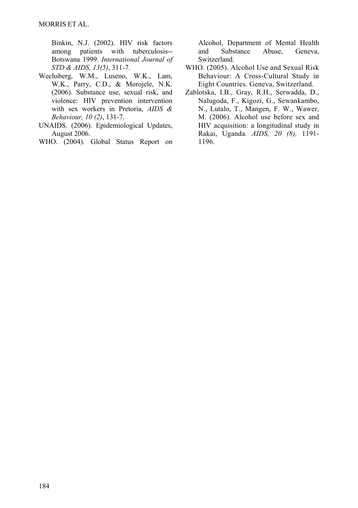[Binkin, N.J](http://www.ncbi.nlm.nih.gov/entrez/query.fcgi?db=pubmed&cmd=Search&itool=pubmed_AbstractPlus&term=%22Binkin+NJ%22%5BAuthor%5D). (2002). HIV risk factors among patients with tuberculosis-- Botswana 1999. *International Journal of STD & AIDS, 13(5)*, 311-7.

- [Wechsberg, W.M](http://www.ncbi.nlm.nih.gov/entrez/query.fcgi?db=pubmed&cmd=Search&itool=pubmed_Abstract&term=%22Wechsberg+WM%22%5BAuthor%5D)., [Luseno, W.K.](http://www.ncbi.nlm.nih.gov/entrez/query.fcgi?db=pubmed&cmd=Search&itool=pubmed_Abstract&term=%22Luseno+WK%22%5BAuthor%5D), [Lam,](http://www.ncbi.nlm.nih.gov/entrez/query.fcgi?db=pubmed&cmd=Search&itool=pubmed_Abstract&term=%22Lam+WK%22%5BAuthor%5D)  [W.K](http://www.ncbi.nlm.nih.gov/entrez/query.fcgi?db=pubmed&cmd=Search&itool=pubmed_Abstract&term=%22Lam+WK%22%5BAuthor%5D)., [Parry, C.D.](http://www.ncbi.nlm.nih.gov/entrez/query.fcgi?db=pubmed&cmd=Search&itool=pubmed_Abstract&term=%22Parry+CD%22%5BAuthor%5D), & [Morojele, N.K.](http://www.ncbi.nlm.nih.gov/entrez/query.fcgi?db=pubmed&cmd=Search&itool=pubmed_Abstract&term=%22Morojele+NK%22%5BAuthor%5D) (2006). Substance use, sexual risk, and violence: HIV prevention intervention with sex workers in Pretoria, *AIDS & Behaviour, 10 (2)*, 131-7.
- UNAIDS. (2006). Epidemiological Updates, August 2006.
- WHO. (2004). Global Status Report on

Alcohol, Department of Mental Health and Substance Abuse, Geneva, Switzerland.

- WHO. (2005). Alcohol Use and Sexual Risk Behaviour: A Cross-Cultural Study in Eight Countries. Geneva, Switzerland.
- Zablotska, I.B., Gray, R.H., Serwadda, D., Nalugoda, F., Kigozi, G., Sewankambo, N., Lutalo, T., Mangen, F. W., Wawer, M. (2006). Alcohol use before sex and HIV acquisition: a longitudinal study in Rakai, Uganda. *AIDS, 20 (8),* 1191- 1196.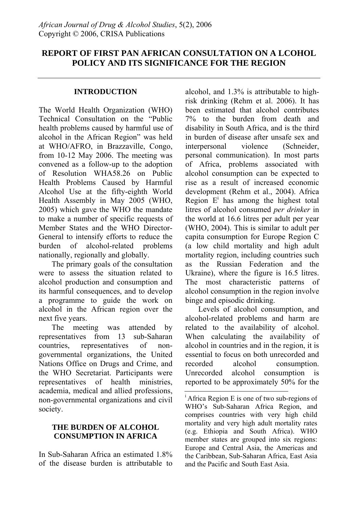# **REPORT OF FIRST PAN AFRICAN CONSULTATION ON A LCOHOL POLICY AND ITS SIGNIFICANCE FOR THE REGION**

#### **INTRODUCTION**

The World Health Organization (WHO) Technical Consultation on the "Public health problems caused by harmful use of alcohol in the African Region" was held at WHO/AFRO, in Brazzaville, Congo, from 10-12 May 2006. The meeting was convened as a follow-up to the adoption of Resolution WHA58.26 on Public Health Problems Caused by Harmful Alcohol Use at the fifty-eighth World Health Assembly in May 2005 (WHO, 2005) which gave the WHO the mandate to make a number of specific requests of Member States and the WHO Director-General to intensify efforts to reduce the burden of alcohol-related problems nationally, regionally and globally.

The primary goals of the consultation were to assess the situation related to alcohol production and consumption and its harmful consequences, and to develop a programme to guide the work on alcohol in the African region over the next five years.

The meeting was attended by representatives from 13 sub-Saharan countries, representatives of nongovernmental organizations, the United Nations Office on Drugs and Crime, and the WHO Secretariat. Participants were representatives of health ministries, academia, medical and allied professions, non-governmental organizations and civil society.

## **THE BURDEN OF ALCOHOL CONSUMPTION IN AFRICA**

In Sub-Saharan Africa an estimated 1.8% of the disease burden is attributable to alcohol, and 1.3% is attributable to highrisk drinking (Rehm et al. 2006). It has been estimated that alcohol contributes 7% to the burden from death and disability in South Africa, and is the third in burden of disease after unsafe sex and<br>interpersonal violence (Schneider.) interpersonal violence (Schneider, personal communication). In most parts of Africa, problems associated with alcohol consumption can be expected to rise as a result of increased economic development (Rehm et al., 2004). Africa Region  $E^i$  has among the highest total litres of alcohol consumed *per drinker* in the world at 16.6 litres per adult per year (WHO, 2004). This is similar to adult per capita consumption for Europe Region C (a low child mortality and high adult mortality region, including countries such as the Russian Federation and the Ukraine), where the figure is 16.5 litres. The most characteristic patterns of alcohol consumption in the region involve binge and episodic drinking.

Levels of alcohol consumption, and alcohol-related problems and harm are related to the availability of alcohol. When calculating the availability of alcohol in countries and in the region, it is essential to focus on both unrecorded and recorded alcohol consumption. Unrecorded alcohol consumption is reported to be approximately 50% for the

<sup>&</sup>lt;sup>i</sup> Africa Region E is one of two sub-regions of WHO's Sub-Saharan Africa Region, and comprises countries with very high child mortality and very high adult mortality rates (e.g. Ethiopia and South Africa). WHO member states are grouped into six regions: Europe and Central Asia, the Americas and the Caribbean, Sub-Saharan Africa, East Asia and the Pacific and South East Asia.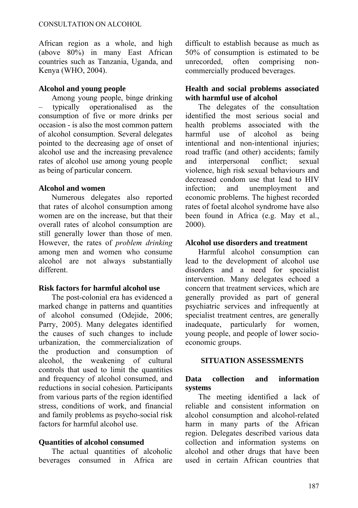African region as a whole, and high (above 80%) in many East African countries such as Tanzania, Uganda, and Kenya (WHO, 2004).

#### **Alcohol and young people**

Among young people, binge drinking – typically operationalised as the consumption of five or more drinks per occasion - is also the most common pattern of alcohol consumption. Several delegates pointed to the decreasing age of onset of alcohol use and the increasing prevalence rates of alcohol use among young people as being of particular concern.

#### **Alcohol and women**

Numerous delegates also reported that rates of alcohol consumption among women are on the increase, but that their overall rates of alcohol consumption are still generally lower than those of men. However, the rates of *problem drinking* among men and women who consume alcohol are not always substantially different.

#### **Risk factors for harmful alcohol use**

The post-colonial era has evidenced a marked change in patterns and quantities of alcohol consumed (Odejide, 2006; Parry, 2005). Many delegates identified the causes of such changes to include urbanization, the commercialization of the production and consumption of alcohol, the weakening of cultural controls that used to limit the quantities and frequency of alcohol consumed, and reductions in social cohesion. Participants from various parts of the region identified stress, conditions of work, and financial and family problems as psycho-social risk factors for harmful alcohol use.

## **Quantities of alcohol consumed**

The actual quantities of alcoholic beverages consumed in Africa are difficult to establish because as much as 50% of consumption is estimated to be unrecorded, often comprising noncommercially produced beverages.

#### **Health and social problems associated with harmful use of alcohol**

The delegates of the consultation identified the most serious social and health problems associated with the harmful use of alcohol as being intentional and non-intentional injuries; road traffic (and other) accidents; family and interpersonal conflict; sexual violence, high risk sexual behaviours and decreased condom use that lead to HIV infection; and unemployment and economic problems. The highest recorded rates of foetal alcohol syndrome have also been found in Africa (e.g. May et al., 2000).

#### **Alcohol use disorders and treatment**

Harmful alcohol consumption can lead to the development of alcohol use disorders and a need for specialist intervention. Many delegates echoed a concern that treatment services, which are generally provided as part of general psychiatric services and infrequently at specialist treatment centres, are generally inadequate, particularly for women, young people, and people of lower socioeconomic groups.

#### **SITUATION ASSESSMENTS**

## **Data collection and information systems**

The meeting identified a lack of reliable and consistent information on alcohol consumption and alcohol-related harm in many parts of the African region. Delegates described various data collection and information systems on alcohol and other drugs that have been used in certain African countries that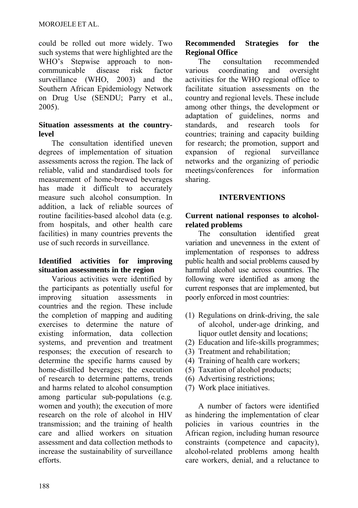could be rolled out more widely. Two such systems that were highlighted are the WHO's Stepwise approach to noncommunicable disease risk factor surveillance (WHO, 2003) and the Southern African Epidemiology Network on Drug Use (SENDU; Parry et al., 2005).

#### **Situation assessments at the countrylevel**

The consultation identified uneven degrees of implementation of situation assessments across the region. The lack of reliable, valid and standardised tools for measurement of home-brewed beverages has made it difficult to accurately measure such alcohol consumption. In addition, a lack of reliable sources of routine facilities-based alcohol data (e.g. from hospitals, and other health care facilities) in many countries prevents the use of such records in surveillance.

#### **Identified activities for improving situation assessments in the region**

Various activities were identified by the participants as potentially useful for improving situation assessments in countries and the region. These include the completion of mapping and auditing exercises to determine the nature of existing information, data collection systems, and prevention and treatment responses; the execution of research to determine the specific harms caused by home-distilled beverages; the execution of research to determine patterns, trends and harms related to alcohol consumption among particular sub-populations (e.g. women and youth); the execution of more research on the role of alcohol in HIV transmission; and the training of health care and allied workers on situation assessment and data collection methods to increase the sustainability of surveillance efforts.

## **Recommended Strategies for the Regional Office**

The consultation recommended various coordinating and oversight activities for the WHO regional office to facilitate situation assessments on the country and regional levels. These include among other things, the development or adaptation of guidelines, norms and standards, and research tools for countries; training and capacity building for research; the promotion, support and expansion of regional surveillance networks and the organizing of periodic meetings/conferences for information sharing.

## **INTERVENTIONS**

#### **Current national responses to alcoholrelated problems**

The consultation identified great variation and unevenness in the extent of implementation of responses to address public health and social problems caused by harmful alcohol use across countries. The following were identified as among the current responses that are implemented, but poorly enforced in most countries:

- (1) Regulations on drink-driving, the sale of alcohol, under-age drinking, and liquor outlet density and locations;
- (2) Education and life-skills programmes;
- (3) Treatment and rehabilitation;
- (4) Training of health care workers;
- (5) Taxation of alcohol products;
- (6) Advertising restrictions;
- (7) Work place initiatives.

A number of factors were identified as hindering the implementation of clear policies in various countries in the African region, including human resource constraints (competence and capacity), alcohol-related problems among health care workers, denial, and a reluctance to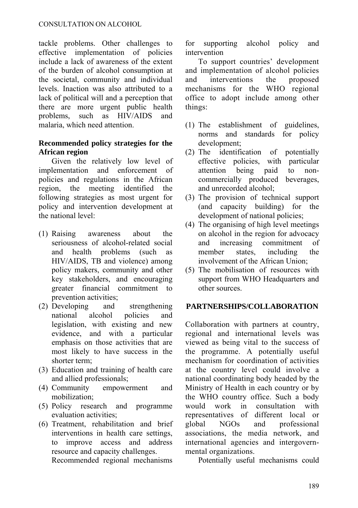#### CONSULTATION ON ALCOHOL

tackle problems. Other challenges to effective implementation of policies include a lack of awareness of the extent of the burden of alcohol consumption at the societal, community and individual levels. Inaction was also attributed to a lack of political will and a perception that there are more urgent public health problems, such as HIV/AIDS and malaria, which need attention.

#### **Recommended policy strategies for the African region**

Given the relatively low level of implementation and enforcement of policies and regulations in the African region, the meeting identified the following strategies as most urgent for policy and intervention development at the national level:

- (1) Raising awareness about the seriousness of alcohol-related social and health problems (such as HIV/AIDS, TB and violence) among policy makers, community and other key stakeholders, and encouraging greater financial commitment to prevention activities;
- (2) Developing and strengthening national alcohol policies and legislation, with existing and new evidence, and with a particular emphasis on those activities that are most likely to have success in the shorter term;
- (3) Education and training of health care and allied professionals;
- (4) Community empowerment and mobilization;
- (5) Policy research and programme evaluation activities;
- (6) Treatment, rehabilitation and brief interventions in health care settings, to improve access and address resource and capacity challenges. Recommended regional mechanisms

for supporting alcohol policy and intervention

To support countries' development and implementation of alcohol policies and interventions the proposed mechanisms for the WHO regional office to adopt include among other things:

- (1) The establishment of guidelines, norms and standards for policy development;
- (2) The identification of potentially effective policies, with particular attention being paid to noncommercially produced beverages, and unrecorded alcohol;
- (3) The provision of technical support (and capacity building) for the development of national policies;
- (4) The organising of high level meetings on alcohol in the region for advocacy and increasing commitment of member states, including the involvement of the African Union;
- (5) The mobilisation of resources with support from WHO Headquarters and other sources.

#### **PARTNERSHIPS/COLLABORATION**

Collaboration with partners at country, regional and international levels was viewed as being vital to the success of the programme. A potentially useful mechanism for coordination of activities at the country level could involve a national coordinating body headed by the Ministry of Health in each country or by the WHO country office. Such a body would work in consultation with representatives of different local or global NGOs and professional associations, the media network, and international agencies and intergovernmental organizations.

Potentially useful mechanisms could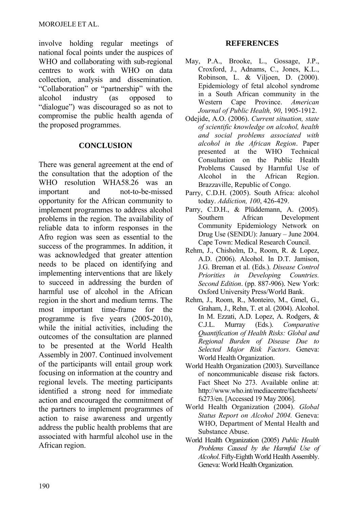involve holding regular meetings of national focal points under the auspices of WHO and collaborating with sub-regional centres to work with WHO on data collection, analysis and dissemination. "Collaboration" or "partnership" with the alcohol industry (as opposed to "dialogue") was discouraged so as not to compromise the public health agenda of the proposed programmes.

#### **CONCLUSION**

There was general agreement at the end of the consultation that the adoption of the WHO resolution WHA58.26 was an important and not-to-be-missed opportunity for the African community to implement programmes to address alcohol problems in the region. The availability of reliable data to inform responses in the Afro region was seen as essential to the success of the programmes. In addition, it was acknowledged that greater attention needs to be placed on identifying and implementing interventions that are likely to succeed in addressing the burden of harmful use of alcohol in the African region in the short and medium terms. The most important time-frame for the programme is five years (2005-2010), while the initial activities, including the outcomes of the consultation are planned to be presented at the World Health Assembly in 2007. Continued involvement of the participants will entail group work focusing on information at the country and regional levels. The meeting participants identified a strong need for immediate action and encouraged the commitment of the partners to implement programmes of action to raise awareness and urgently address the public health problems that are associated with harmful alcohol use in the African region.

## **REFERENCES**

- May, P.A., Brooke, L., Gossage, J.P., Croxford, J., Adnams, C., Jones, K.L., Robinson, L. & Viljoen, D. (2000). Epidemiology of fetal alcohol syndrome in a South African community in the Western Cape Province. *American Journal of Public Health, 90*, 1905-1912.
- Odejide, A.O. (2006). *Current situation, state of scientific knowledge on alcohol, health and social problems associated with alcohol in the African Region*. Paper presented at the WHO Technical Consultation on the Public Health Problems Caused by Harmful Use of Alcohol in the African Region. Brazzaville, Republic of Congo.
- Parry, C.D.H. (2005). South Africa: alcohol today. *Addiction, 100*, 426-429.
- Parry, C.D.H., & Plüddemann, A. (2005). Southern African Development Community Epidemiology Network on Drug Use (SENDU): January – June 2004. Cape Town: Medical Research Council.
- Rehm, J., Chisholm, D., Room, R. & Lopez, A.D. (2006). Alcohol. In D.T. Jamison, J.G. Breman et al. (Eds.). *Disease Control Priorities in Developing Countries. Second Edition*. (pp. 887-906). New York: Oxford University Press/World Bank.
- Rehm, J., Room, R., Monteiro, M., Gmel, G., Graham, J., Rehn, T. et al. (2004). Alcohol. In M. Ezzati, A.D. Lopez, A. Rodgers, & C.J.L. Murray (Eds.). *Comparative Quantification of Health Risks: Global and Regional Burden of Disease Due to Selected Major Risk Factors*. Geneva: World Health Organization.
- World Health Organization (2003). Surveillance of noncommunicable disease risk factors. Fact Sheet No 273. Available online at: [http://www.who.int/mediacentre/factsheets/](http://www.who.int/mediacentre/factsheets/fs273/en) [fs273/en](http://www.who.int/mediacentre/factsheets/fs273/en). [Accessed 19 May 2006].
- World Health Organization (2004). *Global Status Report on Alcohol 2004.* Geneva: WHO, Department of Mental Health and Substance Abuse.
- World Health Organization (2005) *Public Health Problems Caused by the Harmful Use of Alcohol*. Fifty-Eighth World Health Assembly. Geneva: World Health Organization.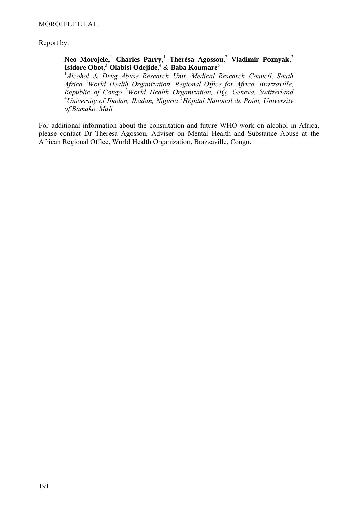Report by:

#### **Neo Morojele**, <sup>1</sup> **Charles Parry**, <sup>1</sup> **Thèrèsa Agossou**, <sup>2</sup> **Vladimir Poznyak**, 3 **Isidore Obot**, <sup>3</sup> **Olabisi Odejide**, 4 & **Baba Koumare**<sup>5</sup>

<sup>1</sup> Alcohol & Drug Abuse Research Unit, Medical Research Council, South *Africa* <sup>2</sup> *World Health Organization, Regional Office for Africa, Brazzaville, Republic of Congo* <sup>3</sup> *World Health Organization, HQ, Geneva, Switzerland* <sup>4</sup> *University of Ibadan, Ibadan, Nigeria* <sup>5</sup> *Hôpital National de Point, University of Bamako, Mali* 

For additional information about the consultation and future WHO work on alcohol in Africa, please contact Dr Theresa Agossou, Adviser on Mental Health and Substance Abuse at the African Regional Office, World Health Organization, Brazzaville, Congo.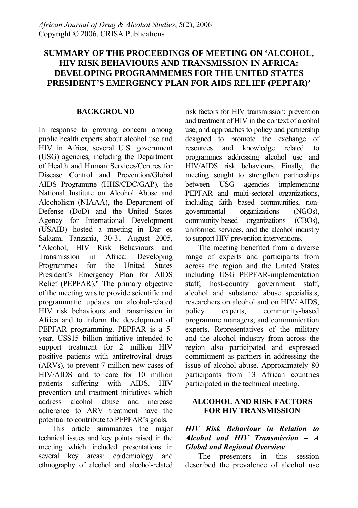# **SUMMARY OF THE PROCEEDINGS OF MEETING ON 'ALCOHOL, HIV RISK BEHAVIOURS AND TRANSMISSION IN AFRICA: DEVELOPING PROGRAMMEMES FOR THE UNITED STATES PRESIDENT'S EMERGENCY PLAN FOR AIDS RELIEF (PEPFAR)'**

#### **BACKGROUND**

In response to growing concern among public health experts about alcohol use and HIV in Africa, several U.S. government (USG) agencies, including the Department of Health and Human Services/Centres for Disease Control and Prevention/Global AIDS Programme (HHS/CDC/GAP), the National Institute on Alcohol Abuse and Alcoholism (NIAAA), the Department of Defense (DoD) and the United States Agency for International Development (USAID) hosted a meeting in Dar es Salaam, Tanzania, 30-31 August 2005, "Alcohol, HIV Risk Behaviours and Transmission in Africa: Developing Programmes for the United States President's Emergency Plan for AIDS Relief (PEPFAR)." The primary objective of the meeting was to provide scientific and programmatic updates on alcohol-related HIV risk behaviours and transmission in Africa and to inform the development of PEPFAR programming. PEPFAR is a 5 year, US\$15 billion initiative intended to support treatment for 2 million HIV positive patients with antiretroviral drugs (ARVs), to prevent 7 million new cases of HIV/AIDS and to care for 10 million patients suffering with AIDS. HIV prevention and treatment initiatives which address alcohol abuse and increase adherence to ARV treatment have the potential to contribute to PEPFAR's goals.

This article summarizes the major technical issues and key points raised in the meeting which included presentations in several key areas: epidemiology and ethnography of alcohol and alcohol-related risk factors for HIV transmission; prevention and treatment of HIV in the context of alcohol use; and approaches to policy and partnership designed to promote the exchange of resources and knowledge related to programmes addressing alcohol use and HIV/AIDS risk behaviours. Finally, the meeting sought to strengthen partnerships between USG agencies implementing PEPFAR and multi-sectoral organizations, including faith based communities, nongovernmental organizations (NGOs), community-based organizations (CBOs), uniformed services, and the alcohol industry to support HIV prevention interventions.

The meeting benefited from a diverse range of experts and participants from across the region and the United States including USG PEPFAR-implementation staff, host-country government staff, alcohol and substance abuse specialists, researchers on alcohol and on HIV/ AIDS, policy experts, community-based programme managers, and communication experts. Representatives of the military and the alcohol industry from across the region also participated and expressed commitment as partners in addressing the issue of alcohol abuse. Approximately 80 participants from 13 African countries participated in the technical meeting.

#### **ALCOHOL AND RISK FACTORS FOR HIV TRANSMISSION**

#### *HIV Risk Behaviour in Relation to Alcohol and HIV Transmission – A Global and Regional Overview*

The presenters in this session described the prevalence of alcohol use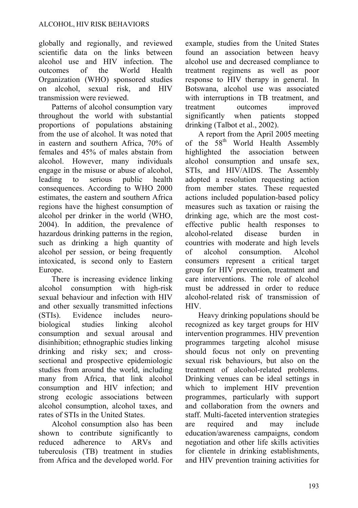globally and regionally, and reviewed scientific data on the links between alcohol use and HIV infection. The outcomes of the World Health Organization (WHO) sponsored studies on alcohol, sexual risk, and HIV transmission were reviewed.

Patterns of alcohol consumption vary throughout the world with substantial proportions of populations abstaining from the use of alcohol. It was noted that in eastern and southern Africa, 70% of females and 45% of males abstain from alcohol. However, many individuals engage in the misuse or abuse of alcohol, leading to serious public health consequences. According to WHO 2000 estimates, the eastern and southern Africa regions have the highest consumption of alcohol per drinker in the world (WHO, 2004). In addition, the prevalence of hazardous drinking patterns in the region, such as drinking a high quantity of alcohol per session, or being frequently intoxicated, is second only to Eastern Europe.

There is increasing evidence linking alcohol consumption with high-risk sexual behaviour and infection with HIV and other sexually transmitted infections (STIs). Evidence includes neurobiological studies linking alcohol consumption and sexual arousal and disinhibition; ethnographic studies linking drinking and risky sex; and crosssectional and prospective epidemiologic studies from around the world, including many from Africa, that link alcohol consumption and HIV infection; and strong ecologic associations between alcohol consumption, alcohol taxes, and rates of STIs in the United States.

Alcohol consumption also has been shown to contribute significantly to reduced adherence to ARVs and tuberculosis (TB) treatment in studies from Africa and the developed world. For example, studies from the United States found an association between heavy alcohol use and decreased compliance to treatment regimens as well as poor response to HIV therapy in general. In Botswana, alcohol use was associated with interruptions in TB treatment, and treatment outcomes improved significantly when patients stopped drinking (Talbot et al., 2002).

A report from the April 2005 meeting of the  $58<sup>th</sup>$  World Health Assembly<br>highlighted the association between highlighted the association between alcohol consumption and unsafe sex, STIs, and HIV/AIDS. The Assembly adopted a resolution requesting action from member states. These requested actions included population-based policy measures such as taxation or raising the drinking age, which are the most costeffective public health responses to alcohol-related disease burden in countries with moderate and high levels of alcohol consumption. Alcohol consumers represent a critical target group for HIV prevention, treatment and care interventions. The role of alcohol must be addressed in order to reduce alcohol-related risk of transmission of HIV.

Heavy drinking populations should be recognized as key target groups for HIV intervention programmes. HIV prevention programmes targeting alcohol misuse should focus not only on preventing sexual risk behaviours, but also on the treatment of alcohol-related problems. Drinking venues can be ideal settings in which to implement HIV prevention programmes, particularly with support and collaboration from the owners and staff. Multi-faceted intervention strategies are required and may include education/awareness campaigns, condom negotiation and other life skills activities for clientele in drinking establishments, and HIV prevention training activities for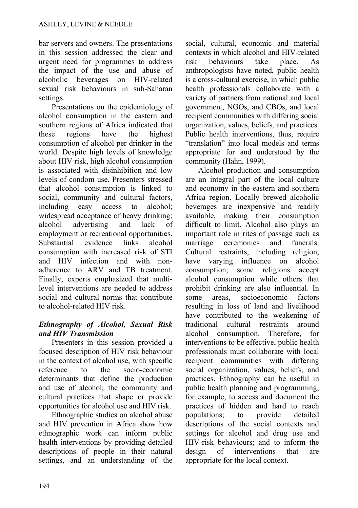bar servers and owners. The presentations in this session addressed the clear and urgent need for programmes to address the impact of the use and abuse of alcoholic beverages on HIV-related sexual risk behaviours in sub-Saharan settings.

Presentations on the epidemiology of alcohol consumption in the eastern and southern regions of Africa indicated that these regions have the highest consumption of alcohol per drinker in the world. Despite high levels of knowledge about HIV risk, high alcohol consumption is associated with disinhibition and low levels of condom use. Presenters stressed that alcohol consumption is linked to social, community and cultural factors, including easy access to alcohol; widespread acceptance of heavy drinking; alcohol advertising and lack of employment or recreational opportunities. Substantial evidence links alcohol consumption with increased risk of STI and HIV infection and with nonadherence to ARV and TB treatment. Finally, experts emphasized that multilevel interventions are needed to address social and cultural norms that contribute to alcohol-related HIV risk.

## *Ethnography of Alcohol, Sexual Risk and HIV Transmission*

Presenters in this session provided a focused description of HIV risk behaviour in the context of alcohol use, with specific reference to the socio-economic determinants that define the production and use of alcohol; the community and cultural practices that shape or provide opportunities for alcohol use and HIV risk.

Ethnographic studies on alcohol abuse and HIV prevention in Africa show how ethnographic work can inform public health interventions by providing detailed descriptions of people in their natural settings, and an understanding of the social, cultural, economic and material contexts in which alcohol and HIV-related risk behaviours take place. As anthropologists have noted, public health is a cross-cultural exercise, in which public health professionals collaborate with a variety of partners from national and local government, NGOs, and CBOs, and local recipient communities with differing social organization, values, beliefs, and practices. Public health interventions, thus, require "translation" into local models and terms appropriate for and understood by the community (Hahn, 1999).

Alcohol production and consumption are an integral part of the local culture and economy in the eastern and southern Africa region. Locally brewed alcoholic beverages are inexpensive and readily available, making their consumption difficult to limit. Alcohol also plays an important role in rites of passage such as marriage ceremonies and funerals. Cultural restraints, including religion, have varying influence on alcohol consumption; some religions accept alcohol consumption while others that prohibit drinking are also influential. In some areas, socioeconomic factors resulting in loss of land and livelihood have contributed to the weakening of traditional cultural restraints around alcohol consumption. Therefore, for interventions to be effective, public health professionals must collaborate with local recipient communities with differing social organization, values, beliefs, and practices. Ethnography can be useful in public health planning and programming; for example, to access and document the practices of hidden and hard to reach populations; to provide detailed descriptions of the social contexts and settings for alcohol and drug use and HIV-risk behaviours; and to inform the design of interventions that are appropriate for the local context.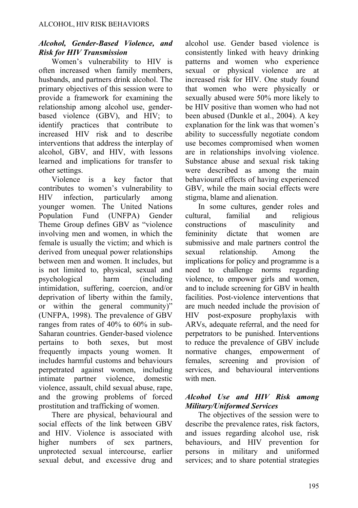## *Alcohol, Gender-Based Violence, and Risk for HIV Transmission*

Women's vulnerability to HIV is often increased when family members, husbands, and partners drink alcohol. The primary objectives of this session were to provide a framework for examining the relationship among alcohol use, genderbased violence (GBV), and HIV; to identify practices that contribute to increased HIV risk and to describe interventions that address the interplay of alcohol, GBV, and HIV, with lessons learned and implications for transfer to other settings.

Violence is a key factor that contributes to women's vulnerability to HIV infection, particularly among younger women. The United Nations Population Fund (UNFPA) Gender Theme Group defines GBV as "violence involving men and women, in which the female is usually the victim; and which is derived from unequal power relationships between men and women. It includes, but is not limited to, physical, sexual and psychological harm (including intimidation, suffering, coercion, and/or deprivation of liberty within the family, or within the general community)" (UNFPA, 1998). The prevalence of GBV ranges from rates of 40% to 60% in sub-Saharan countries. Gender-based violence pertains to both sexes, but most frequently impacts young women. It includes harmful customs and behaviours perpetrated against women, including intimate partner violence, domestic violence, assault, child sexual abuse, rape, and the growing problems of forced prostitution and trafficking of women.

There are physical, behavioural and social effects of the link between GBV and HIV. Violence is associated with higher numbers of sex partners. unprotected sexual intercourse, earlier sexual debut, and excessive drug and alcohol use. Gender based violence is consistently linked with heavy drinking patterns and women who experience sexual or physical violence are at increased risk for HIV. One study found that women who were physically or sexually abused were 50% more likely to be HIV positive than women who had not been abused (Dunkle et al., 2004). A key explanation for the link was that women's ability to successfully negotiate condom use becomes compromised when women are in relationships involving violence. Substance abuse and sexual risk taking were described as among the main behavioural effects of having experienced GBV, while the main social effects were stigma, blame and alienation.

In some cultures, gender roles and cultural, familial and religious constructions of masculinity and femininity dictate that women are submissive and male partners control the sexual relationship. Among the implications for policy and programme is a need to challenge norms regarding violence, to empower girls and women, and to include screening for GBV in health facilities. Post-violence interventions that are much needed include the provision of HIV post-exposure prophylaxis with ARVs, adequate referral, and the need for perpetrators to be punished. Interventions to reduce the prevalence of GBV include normative changes, empowerment of females, screening and provision of services, and behavioural interventions with men.

## *Alcohol Use and HIV Risk among Military/Uniformed Services*

The objectives of the session were to describe the prevalence rates, risk factors, and issues regarding alcohol use, risk behaviours, and HIV prevention for persons in military and uniformed services; and to share potential strategies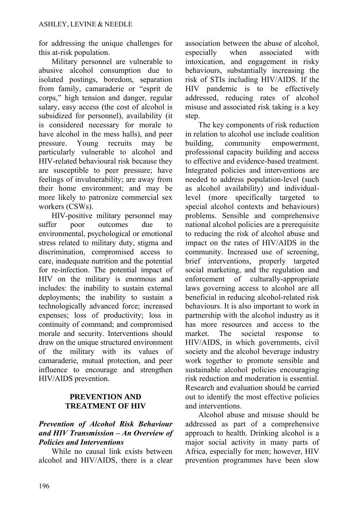for addressing the unique challenges for this at-risk population.

Military personnel are vulnerable to abusive alcohol consumption due to isolated postings, boredom, separation from family, camaraderie or "esprit de corps," high tension and danger, regular salary, easy access (the cost of alcohol is subsidized for personnel), availability (it is considered necessary for morale to have alcohol in the mess halls), and peer pressure. Young recruits may be particularly vulnerable to alcohol and HIV-related behavioural risk because they are susceptible to peer pressure; have feelings of invulnerability; are away from their home environment; and may be more likely to patronize commercial sex workers (CSWs).

HIV-positive military personnel may suffer poor outcomes due to environmental, psychological or emotional stress related to military duty, stigma and discrimination, compromised access to care, inadequate nutrition and the potential for re-infection. The potential impact of HIV on the military is enormous and includes: the inability to sustain external deployments; the inability to sustain a technologically advanced force; increased expenses; loss of productivity; loss in continuity of command; and compromised morale and security. Interventions should draw on the unique structured environment of the military with its values of camaraderie, mutual protection, and peer influence to encourage and strengthen HIV/AIDS prevention.

#### **PREVENTION AND TREATMENT OF HIV**

#### *Prevention of Alcohol Risk Behaviour and HIV Transmission – An Overview of Policies and Interventions*

While no causal link exists between alcohol and HIV/AIDS, there is a clear association between the abuse of alcohol, especially when associated with intoxication, and engagement in risky behaviours, substantially increasing the risk of STIs including HIV/AIDS. If the HIV pandemic is to be effectively addressed, reducing rates of alcohol misuse and associated risk taking is a key step.

The key components of risk reduction in relation to alcohol use include coalition building, community empowerment, professional capacity building and access to effective and evidence-based treatment. Integrated policies and interventions are needed to address population-level (such as alcohol availability) and individuallevel (more specifically targeted to special alcohol contexts and behaviours) problems. Sensible and comprehensive national alcohol policies are a prerequisite to reducing the risk of alcohol abuse and impact on the rates of HIV/AIDS in the community. Increased use of screening, brief interventions, properly targeted social marketing, and the regulation and enforcement of culturally-appropriate laws governing access to alcohol are all beneficial in reducing alcohol-related risk behaviours. It is also important to work in partnership with the alcohol industry as it has more resources and access to the market. The societal response to HIV/AIDS, in which governments, civil society and the alcohol beverage industry work together to promote sensible and sustainable alcohol policies encouraging risk reduction and moderation is essential. Research and evaluation should be carried out to identify the most effective policies and interventions.

Alcohol abuse and misuse should be addressed as part of a comprehensive approach to health. Drinking alcohol is a major social activity in many parts of Africa, especially for men; however, HIV prevention programmes have been slow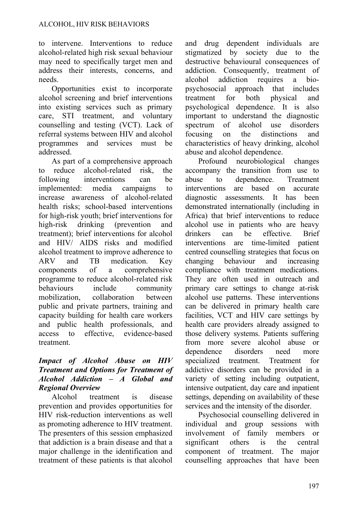to intervene. Interventions to reduce alcohol-related high risk sexual behaviour may need to specifically target men and address their interests, concerns, and needs.

Opportunities exist to incorporate alcohol screening and brief interventions into existing services such as primary care, STI treatment, and voluntary counselling and testing (VCT). Lack of referral systems between HIV and alcohol programmes and services must be addressed.

As part of a comprehensive approach to reduce alcohol-related risk, the following interventions can be implemented: media campaigns to increase awareness of alcohol-related health risks; school-based interventions for high-risk youth; brief interventions for high-risk drinking (prevention and treatment); brief interventions for alcohol and HIV/ AIDS risks and modified alcohol treatment to improve adherence to ARV and TB medication. Key components of a comprehensive programme to reduce alcohol-related risk behaviours include community mobilization, collaboration between public and private partners, training and capacity building for health care workers and public health professionals, and access to effective, evidence-based treatment.

#### *Impact of Alcohol Abuse on HIV Treatment and Options for Treatment of Alcohol Addiction – A Global and Regional Overview*

Alcohol treatment is disease prevention and provides opportunities for HIV risk-reduction interventions as well as promoting adherence to HIV treatment. The presenters of this session emphasized that addiction is a brain disease and that a major challenge in the identification and treatment of these patients is that alcohol and drug dependent individuals are stigmatized by society due to the destructive behavioural consequences of addiction. Consequently, treatment of alcohol addiction requires a biopsychosocial approach that includes treatment for both physical and psychological dependence. It is also important to understand the diagnostic spectrum of alcohol use disorders focusing on the distinctions and characteristics of heavy drinking, alcohol abuse and alcohol dependence.

Profound neurobiological changes accompany the transition from use to abuse to dependence. Treatment interventions are based on accurate diagnostic assessments. It has been demonstrated internationally (including in Africa) that brief interventions to reduce alcohol use in patients who are heavy drinkers can be effective. Brief interventions are time-limited patient centred counselling strategies that focus on changing behaviour and increasing compliance with treatment medications. They are often used in outreach and primary care settings to change at-risk alcohol use patterns. These interventions can be delivered in primary health care facilities, VCT and HIV care settings by health care providers already assigned to those delivery systems. Patients suffering from more severe alcohol abuse or dependence disorders need more specialized treatment. Treatment for addictive disorders can be provided in a variety of setting including outpatient, intensive outpatient, day care and inpatient settings, depending on availability of these services and the intensity of the disorder.

Psychosocial counselling delivered in individual and group sessions with involvement of family members or significant others is the central component of treatment. The major counselling approaches that have been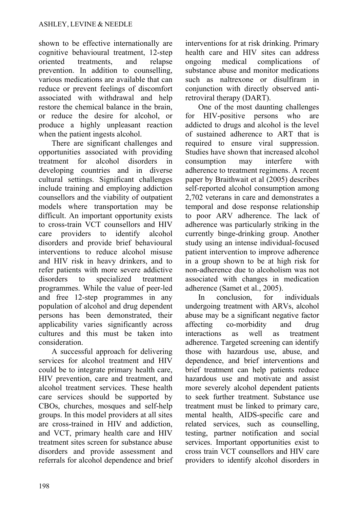shown to be effective internationally are cognitive behavioural treatment, 12-step oriented treatments, and relapse prevention. In addition to counselling, various medications are available that can reduce or prevent feelings of discomfort associated with withdrawal and help restore the chemical balance in the brain, or reduce the desire for alcohol, or produce a highly unpleasant reaction when the patient ingests alcohol.

There are significant challenges and opportunities associated with providing treatment for alcohol disorders in developing countries and in diverse cultural settings. Significant challenges include training and employing addiction counsellors and the viability of outpatient models where transportation may be difficult. An important opportunity exists to cross-train VCT counsellors and HIV care providers to identify alcohol disorders and provide brief behavioural interventions to reduce alcohol misuse and HIV risk in heavy drinkers, and to refer patients with more severe addictive disorders to specialized treatment programmes. While the value of peer-led and free 12-step programmes in any population of alcohol and drug dependent persons has been demonstrated, their applicability varies significantly across cultures and this must be taken into consideration.

A successful approach for delivering services for alcohol treatment and HIV could be to integrate primary health care, HIV prevention, care and treatment, and alcohol treatment services. These health care services should be supported by CBOs, churches, mosques and self-help groups. In this model providers at all sites are cross-trained in HIV and addiction, and VCT, primary health care and HIV treatment sites screen for substance abuse disorders and provide assessment and referrals for alcohol dependence and brief

interventions for at risk drinking. Primary health care and HIV sites can address ongoing medical complications of substance abuse and monitor medications such as naltrexone or disulfiram in conjunction with directly observed antiretroviral therapy (DART).

One of the most daunting challenges for HIV-positive persons who are addicted to drugs and alcohol is the level of sustained adherence to ART that is required to ensure viral suppression. Studies have shown that increased alcohol consumption may interfere with adherence to treatment regimens. A recent paper by Braithwait et al (2005) describes self-reported alcohol consumption among 2,702 veterans in care and demonstrates a temporal and dose response relationship to poor ARV adherence. The lack of adherence was particularly striking in the currently binge-drinking group. Another study using an intense individual-focused patient intervention to improve adherence in a group shown to be at high risk for non-adherence due to alcoholism was not associated with changes in medication adherence (Samet et al., 2005).

In conclusion, for individuals undergoing treatment with ARVs, alcohol abuse may be a significant negative factor affecting co-morbidity and drug interactions as well as treatment adherence. Targeted screening can identify those with hazardous use, abuse, and dependence, and brief interventions and brief treatment can help patients reduce hazardous use and motivate and assist more severely alcohol dependent patients to seek further treatment. Substance use treatment must be linked to primary care, mental health, AIDS-specific care and related services, such as counselling, testing, partner notification and social services. Important opportunities exist to cross train VCT counsellors and HIV care providers to identify alcohol disorders in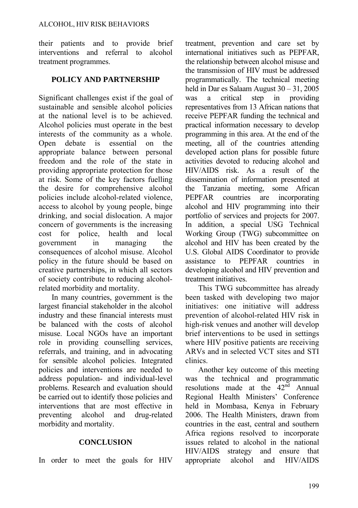their patients and to provide brief interventions and referral to alcohol treatment programmes.

#### **POLICY AND PARTNERSHIP**

Significant challenges exist if the goal of sustainable and sensible alcohol policies at the national level is to be achieved. Alcohol policies must operate in the best interests of the community as a whole. Open debate is essential on the appropriate balance between personal freedom and the role of the state in providing appropriate protection for those at risk. Some of the key factors fuelling the desire for comprehensive alcohol policies include alcohol-related violence, access to alcohol by young people, binge drinking, and social dislocation. A major concern of governments is the increasing cost for police, health and local government in managing the consequences of alcohol misuse. Alcohol policy in the future should be based on creative partnerships, in which all sectors of society contribute to reducing alcoholrelated morbidity and mortality.

In many countries, government is the largest financial stakeholder in the alcohol industry and these financial interests must be balanced with the costs of alcohol misuse. Local NGOs have an important role in providing counselling services, referrals, and training, and in advocating for sensible alcohol policies. Integrated policies and interventions are needed to address population- and individual-level problems. Research and evaluation should be carried out to identify those policies and interventions that are most effective in preventing alcohol and drug-related morbidity and mortality.

#### **CONCLUSION**

In order to meet the goals for HIV

treatment, prevention and care set by international initiatives such as PEPFAR the relationship between alcohol misuse and the transmission of HIV must be addressed programmatically. The technical meeting held in Dar es Salaam August 30 – 31, 2005 was a critical step in providing representatives from 13 African nations that receive PEPFAR funding the technical and practical information necessary to develop programming in this area. At the end of the meeting, all of the countries attending developed action plans for possible future activities devoted to reducing alcohol and HIV/AIDS risk. As a result of the dissemination of information presented at the Tanzania meeting, some African PEPFAR countries are incorporating alcohol and HIV programming into their portfolio of services and projects for 2007. In addition, a special USG Technical Working Group (TWG) subcommittee on alcohol and HIV has been created by the U.S. Global AIDS Coordinator to provide assistance to PEPFAR countries in developing alcohol and HIV prevention and treatment initiatives.

This TWG subcommittee has already been tasked with developing two major initiatives: one initiative will address prevention of alcohol-related HIV risk in high-risk venues and another will develop brief interventions to be used in settings where HIV positive patients are receiving ARVs and in selected VCT sites and STI clinics.

Another key outcome of this meeting was the technical and programmatic resolutions made at the  $42<sup>nd</sup>$  Annual Regional Health Ministers' Conference held in Mombasa, Kenya in February 2006. The Health Ministers, drawn from countries in the east, central and southern Africa regions resolved to incorporate issues related to alcohol in the national HIV/AIDS strategy and ensure that appropriate alcohol and HIV/AIDS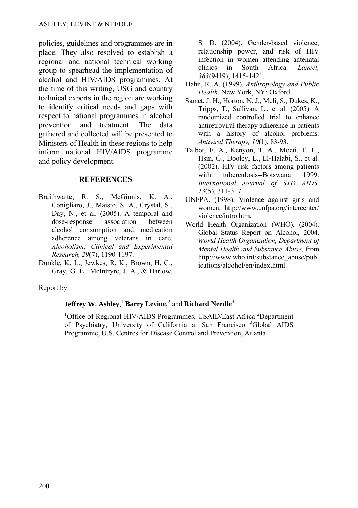policies, guidelines and programmes are in place. They also resolved to establish a regional and national technical working group to spearhead the implementation of alcohol and HIV/AIDS programmes. At the time of this writing, USG and country technical experts in the region are working to identify critical needs and gaps with respect to national programmes in alcohol prevention and treatment. The data gathered and collected will be presented to Ministers of Health in these regions to help inform national HIV/AIDS programme and policy development.

#### **REFERENCES**

- Braithwaite, R. S., McGinnis, K. A., Conigliaro, J., Maisto, S. A., Crystal, S., Day, N., et al. (2005). A temporal and dose-response association between alcohol consumption and medication adherence among veterans in care. *Alcoholism: Clinical and Experimental Research, 29*(7), 1190-1197.
- Dunkle, K. L., Jewkes, R. K., Brown, H. C., Gray, G. E., McIntryre, J. A., & Harlow,

S. D. (2004). Gender-based violence, relationship power, and risk of HIV infection in women attending antenatal clinics in South Africa. *Lancet, 363*(9419), 1415-1421.

- Hahn, R. A. (1999). *Anthropology and Public Health*. New York, NY: Oxford.
- Samet, J. H., Horton, N. J., Meli, S., Dukes, K., Tripps, T., Sullivan, L., et al. (2005). A randomized controlled trial to enhance antiretroviral therapy adherence in patients with a history of alcohol problems. *Antiviral Therapy, 10*(1), 83-93.
- Talbot, E. A., Kenyon, T. A., Moeti, T. L., Hsin, G., Dooley, L., El-Halabi, S., et al. (2002). HIV risk factors among patients with tuberculosis--Botswana 1999. *International Journal of STD AIDS, 13*(5), 311-317.
- UNFPA. (1998). Violence against girls and women. http://www.unfpa.org/intercenter/ violence/intro.htm.
- World Health Organization (WHO). (2004). Global Status Report on Alcohol, 2004. *World Health Organization, Department of Mental Health and Substance Abuse*, from http://www.who.int/substance\_abuse/publ ications/alcohol/en/index.html.

Report by:

## **Jeffrey W. Ashley, <sup>1</sup> Barry Levine, <sup>2</sup> and Richard Needle<sup>3</sup>**

<sup>1</sup>Office of Regional HIV/AIDS Programmes, USAID/East Africa <sup>2</sup>Department of Psychiatry, University of California at San Francisco <sup>3</sup>Global AIDS Programme, U.S. Centres for Disease Control and Prevention, Atlanta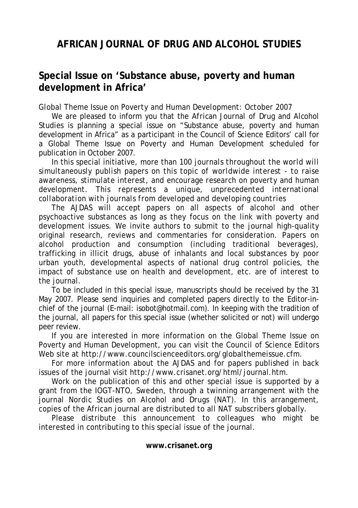# **AFRICAN JOURNAL OF DRUG AND ALCOHOL STUDIES**

# **Special Issue on 'Substance abuse, poverty and human development in Africa'**

#### *Global Theme Issue on Poverty and Human Development: October 2007*

We are pleased to inform you that the *African Journal of Drug and Alcohol Studies* is planning a special issue on "Substance abuse, poverty and human development in Africa" as a participant in the Council of Science Editors' call for a Global Theme Issue on Poverty and Human Development scheduled for publication in October 2007.

In this special initiative, more than 100 *journals throughout the world will simultaneously publish papers on this topic of worldwide interest - to raise awareness, stimulate interest, and encourage research on poverty and human development. This represents a unique, unprecedented international collaboration with journals from developed and developing countries* 

The AJDAS will accept papers on all aspects of alcohol and other psychoactive substances as long as they focus on the link with poverty and development issues. We invite authors to submit to the journal high-quality original research, reviews and commentaries for consideration. Papers on alcohol production and consumption (including traditional beverages), trafficking in illicit drugs, abuse of inhalants and local substances by poor urban youth, developmental aspects of national drug control policies, the impact of substance use on health and development, etc. are of interest to the journal.

To be included in this special issue, manuscripts should be received by the 31 May 2007. Please send inquiries and completed papers directly to the Editor-inchief of the journal (E-mail: [isobot@hotmail.com](mailto:isobot@hotmail.com)). In keeping with the tradition of the journal, all papers for this special issue (whether solicited or not) will undergo peer review.

If you are interested in more information on the Global Theme Issue on Poverty and Human Development, you can visit the Council of Science Editors Web site at [http://www.councilscienceeditors.org/globalthemeissue.cfm.](http://www.councilscienceeditors.org/globalthemeissue.cfm)

For more information about the AJDAS and for papers published in back issues of the journal visit<http://www.crisanet.org/html/journal.htm>.

Work on the publication of this and other special issue is supported by a grant from the IOGT-NTO, Sweden, through a twinning arrangement with the journal *Nordic Studies on Alcohol and Drugs* (NAT)*.* In this arrangement, copies of the African journal are distributed to all NAT subscribers globally.

Please distribute this announcement to colleagues who might be interested in contributing to this special issue of the journal.

#### **[www.crisanet.org](http://www.crisanet.org/)**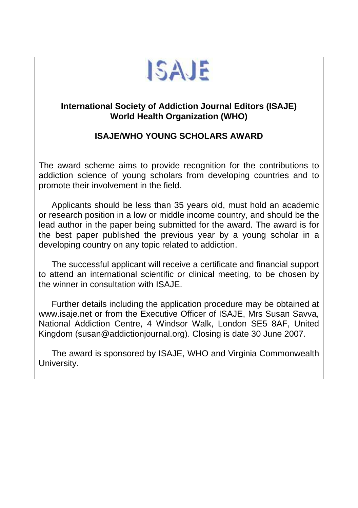

# **International Society of Addiction Journal Editors (ISAJE) World Health Organization (WHO)**

# **ISAJE/WHO YOUNG SCHOLARS AWARD**

The award scheme aims to provide recognition for the contributions to addiction science of young scholars from developing countries and to promote their involvement in the field.

Applicants should be less than 35 years old, must hold an academic or research position in a low or middle income country, and should be the lead author in the paper being submitted for the award. The award is for the best paper published the previous year by a young scholar in a developing country on any topic related to addiction.

The successful applicant will receive a certificate and financial support to attend an international scientific or clinical meeting, to be chosen by the winner in consultation with ISAJE.

Further details including the application procedure may be obtained at www.isaje.net or from the Executive Officer of ISAJE, Mrs Susan Savva, National Addiction Centre, 4 Windsor Walk, London SE5 8AF, United Kingdom ([susan@addictionjournal.org\)](mailto:susan@addictionjournal.org). Closing is date 30 June 2007.

The award is sponsored by ISAJE, WHO and Virginia Commonwealth University.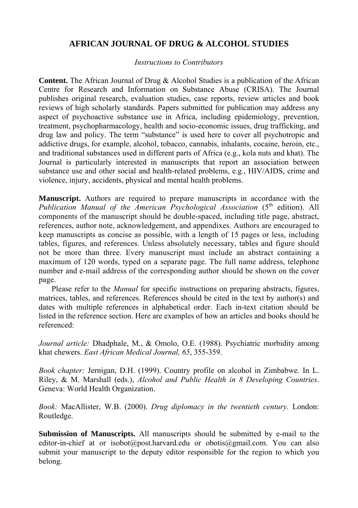## **AFRICAN JOURNAL OF DRUG & ALCOHOL STUDIES**

#### *Instructions to Contributors*

**Content.** The African Journal of Drug & Alcohol Studies is a publication of the African Centre for Research and Information on Substance Abuse (CRISA). The Journal publishes original research, evaluation studies, case reports, review articles and book reviews of high scholarly standards. Papers submitted for publication may address any aspect of psychoactive substance use in Africa, including epidemiology, prevention, treatment, psychopharmacology, health and socio-economic issues, drug trafficking, and drug law and policy. The term "substance" is used here to cover all psychotropic and addictive drugs, for example, alcohol, tobacco, cannabis, inhalants, cocaine, heroin, etc., and traditional substances used in different parts of Africa (e.g., kola nuts and khat). The Journal is particularly interested in manuscripts that report an association between substance use and other social and health-related problems, e.g., HIV/AIDS, crime and violence, injury, accidents, physical and mental health problems.

**Manuscript.** Authors are required to prepare manuscripts in accordance with the *Publication Manual of the American Psychological Association (5<sup>th</sup> edition). All* components of the manuscript should be double-spaced, including title page, abstract, references, author note, acknowledgement, and appendixes. Authors are encouraged to keep manuscripts as concise as possible, with a length of 15 pages or less, including tables, figures, and references. Unless absolutely necessary, tables and figure should not be more than three. Every manuscript must include an abstract containing a maximum of 120 words, typed on a separate page. The full name address, telephone number and e-mail address of the corresponding author should be shown on the cover page.

Please refer to the *Manual* for specific instructions on preparing abstracts, figures, matrices, tables, and references. References should be cited in the text by author(s) and dates with multiple references in alphabetical order. Each in-text citation should be listed in the reference section. Here are examples of how an articles and books should be referenced:

*Journal article:* Dhadphale, M., & Omolo, O.E. (1988). Psychiatric morbidity among khat chewers. *East African Medical Journal, 65*, 355-359.

*Book chapter:* Jernigan, D.H. (1999). Country profile on alcohol in Zimbabwe. In L. Riley, & M. Marshall (eds.), *Alcohol and Public Health in 8 Developing Countries*. Geneva: World Health Organization.

*Book:* MacAllister, W.B. (2000). *Drug diplomacy in the twentieth century.* London: Routledge.

**Submission of Manuscripts.** All manuscripts should be submitted by e-mail to the editor-in-chief at or isobot@post.harvard.edu or obotis@gmail.com. You can also submit your manuscript to the deputy editor responsible for the region to which you belong.